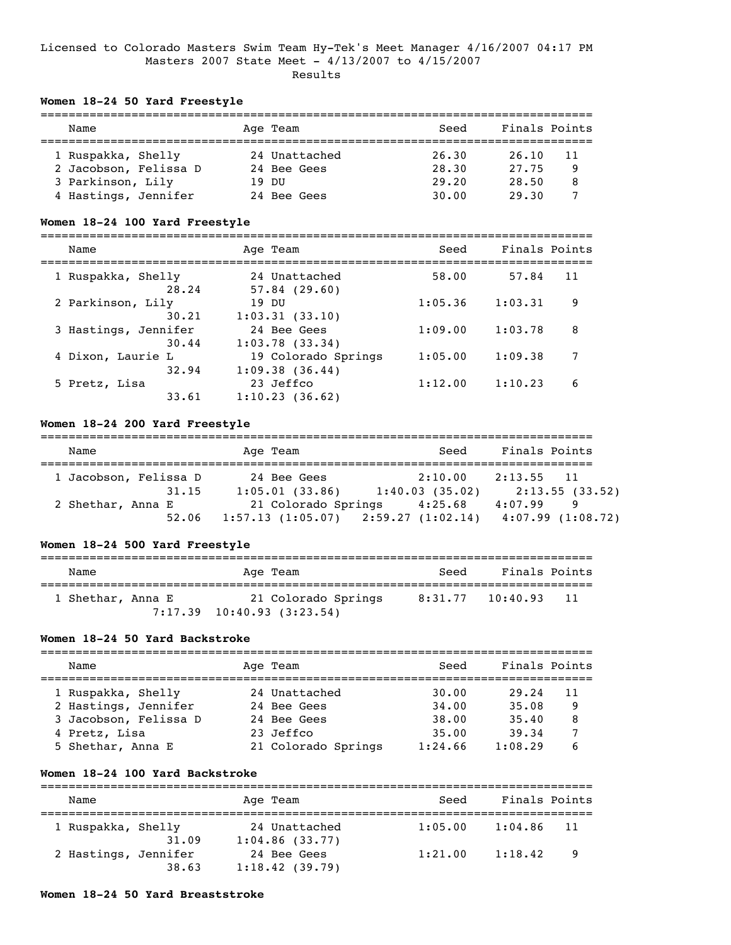### Licensed to Colorado Masters Swim Team Hy-Tek's Meet Manager 4/16/2007 04:17 PM Masters 2007 State Meet - 4/13/2007 to 4/15/2007 Results

# **Women 18-24 50 Yard Freestyle**

| Name                  | Age Team       | Seed  | Finals Points |    |
|-----------------------|----------------|-------|---------------|----|
| 1 Ruspakka, Shelly    | 24 Unattached  | 26.30 | 26.10         | 11 |
| 2 Jacobson, Felissa D | 24 Bee Gees    | 28.30 | 27.75         | 9  |
| 3 Parkinson, Lily     | <u> זוח 19</u> | 29.20 | 28.50         | 8  |
| 4 Hastings, Jennifer  | 24 Bee Gees    | 30.00 | 29.30         |    |

### **Women 18-24 100 Yard Freestyle**

| Name                          | Age Team                              | Seed    | Finals Points |  |
|-------------------------------|---------------------------------------|---------|---------------|--|
| 1 Ruspakka, Shelly<br>28.24   | 24 Unattached<br>57.84(29.60)         | 58.00   | 11<br>57.84   |  |
| 2 Parkinson, Lily<br>30.21    | 19 DU<br>1:03.31(33.10)               | 1:05.36 | 1:03.31<br>9  |  |
| 3 Hastings, Jennifer<br>30.44 | 24 Bee Gees<br>1:03.78(33.34)         | 1:09.00 | 1:03.78<br>8  |  |
| 4 Dixon, Laurie L<br>32.94    | 19 Colorado Springs<br>1:09.38(36.44) | 1:05.00 | 1:09.38<br>7  |  |
| 5 Pretz, Lisa<br>33.61        | 23 Jeffco<br>1:10.23(36.62)           | 1:12.00 | 1:10.23<br>6  |  |

### **Women 18-24 200 Yard Freestyle**

| Name                  |       | Age Team            | Seed                                        | Finals Points |                  |
|-----------------------|-------|---------------------|---------------------------------------------|---------------|------------------|
| 1 Jacobson, Felissa D |       | 24 Bee Gees         | 2:10.00                                     | $2:13.55$ 11  |                  |
|                       | 31.15 | 1:05.01(33.86)      | 1:40.03(35.02)                              |               | 2:13.55(33.52)   |
| 2 Shethar, Anna E     |       | 21 Colorado Springs | 4:25.68                                     | 4:07.99       | 9                |
|                       | 52.06 |                     | $1:57.13$ $(1:05.07)$ $2:59.27$ $(1:02.14)$ |               | 4:07.99(1:08.72) |

# **Women 18-24 500 Yard Freestyle**

| Name              | Age Team                                                | Seed | Finals Points            |  |
|-------------------|---------------------------------------------------------|------|--------------------------|--|
| 1 Shethar, Anna E | 21 Colorado Springs<br>$7:17.39$ $10:40.93$ $(3:23.54)$ |      | 8:31.77 10:40.93<br>- 11 |  |

### **Women 18-24 50 Yard Backstroke**

| Name                  | Age Team            | Seed    | Finals Points |
|-----------------------|---------------------|---------|---------------|
| 1 Ruspakka, Shelly    | 24 Unattached       | 30.00   | 29.24<br>11   |
| 2 Hastings, Jennifer  | 24 Bee Gees         | 34,00   | 35.08<br>9    |
| 3 Jacobson, Felissa D | 24 Bee Gees         | 38.00   | 8<br>35.40    |
| 4 Pretz, Lisa         | 23 Jeffco           | 35.00   | 39.34         |
| 5 Shethar, Anna E     | 21 Colorado Springs | 1:24.66 | 1:08.29<br>6  |

# **Women 18-24 100 Yard Backstroke**

| Name                 |       | Age Team                           | Seed    | Finals Points |      |
|----------------------|-------|------------------------------------|---------|---------------|------|
| 1 Ruspakka, Shelly   | 31.09 | 24 Unattached<br>$1:04.86$ (33.77) | 1:05.00 | 1:04.86       | - 11 |
| 2 Hastings, Jennifer | 38.63 | 24 Bee Gees<br>1:18.42(39.79)      | 1:21.00 | 1:18.42       | - 9  |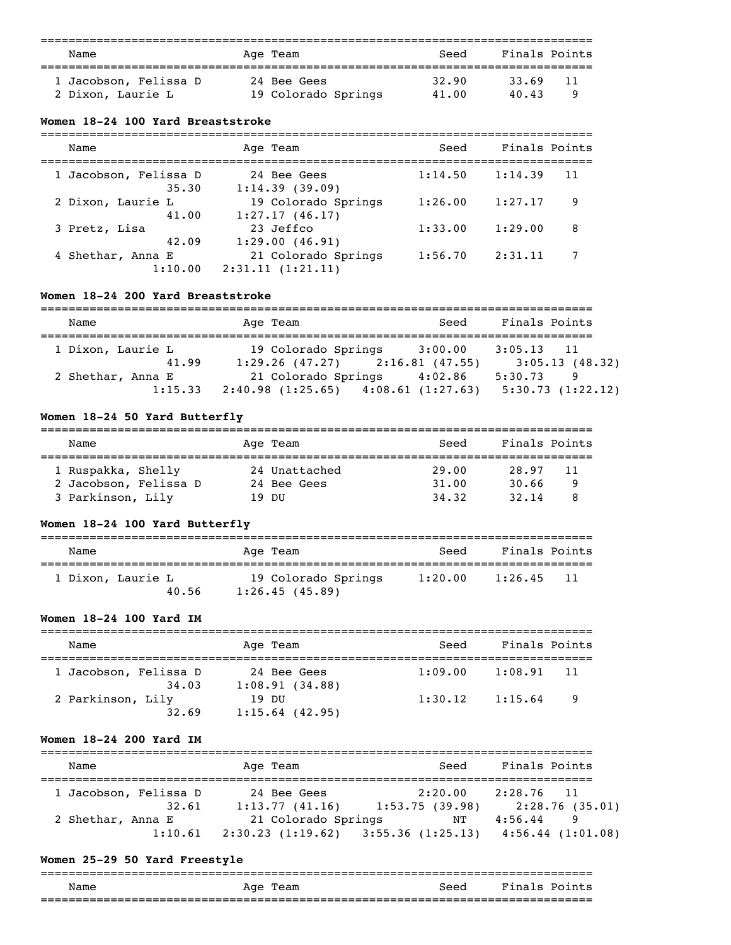| Name                  | Age Team            | Seed  | Finals Points |
|-----------------------|---------------------|-------|---------------|
| 1 Jacobson, Felissa D | 24 Bee Gees         | 32.90 | 33.69<br>11   |
| 2 Dixon, Laurie L     | 19 Colorado Springs | 41.00 | 40.43         |

### **Women 18-24 100 Yard Breaststroke**

| Name                           | Age Team                                | Seed    | Finals Points |    |
|--------------------------------|-----------------------------------------|---------|---------------|----|
| 1 Jacobson, Felissa D<br>35.30 | 24 Bee Gees<br>1:14.39(39.09)           | 1:14.50 | 1:14.39       | 11 |
| 2 Dixon, Laurie L<br>41.00     | 19 Colorado Springs<br>1:27.17(46.17)   | 1:26.00 | 1:27.17       | 9  |
| 3 Pretz, Lisa<br>42.09         | 23 Jeffco<br>1:29.00(46.91)             | 1:33.00 | 1:29.00       | 8  |
| 4 Shethar, Anna E<br>1:10.00   | 21 Colorado Springs<br>2:31.11(1:21.11) | 1:56.70 | 2:31.11       |    |

# **Women 18-24 200 Yard Breaststroke**

| Name              | Age Team                                | Seed    | Finals Points    |
|-------------------|-----------------------------------------|---------|------------------|
| 1 Dixon, Laurie L | 19 Colorado Springs                     | 3:00.00 | $3:05.13$ 11     |
| 41.99             | $1:29.26$ (47.27) $2:16.81$ (47.55)     |         | 3:05.13(48.32)   |
| 2 Shethar, Anna E | 21 Colorado Springs 4:02.86             |         | 5:30.73<br>-9    |
| 1:15.33           | $2:40.98$ (1:25.65) $4:08.61$ (1:27.63) |         | 5:30.73(1:22.12) |

# **Women 18-24 50 Yard Butterfly**

| Name                  | Age Team      | Seed  | Finals Points |  |
|-----------------------|---------------|-------|---------------|--|
|                       |               |       |               |  |
| 1 Ruspakka, Shelly    | 24 Unattached | 29.00 | 28.97<br>11   |  |
| 2 Jacobson, Felissa D | 24 Bee Gees   | 31.00 | 30.66         |  |
| 3 Parkinson, Lily     | זזת 19        | 34.32 | 32.14         |  |

# **Women 18-24 100 Yard Butterfly**

| Name                       | Age Team                              | Seed    | Finals Points   |
|----------------------------|---------------------------------------|---------|-----------------|
| 1 Dixon, Laurie L<br>40.56 | 19 Colorado Springs<br>1:26.45(45.89) | 1:20.00 | 1:26.45<br>- 11 |

# **Women 18-24 100 Yard IM**

| Name                           | Age Team                      | Seed    | Finals Points  |  |
|--------------------------------|-------------------------------|---------|----------------|--|
| 1 Jacobson, Felissa D<br>34,03 | 24 Bee Gees<br>1:08.91(34.88) | 1:09.00 | 1:08.91<br>-11 |  |
| 2 Parkinson, Lily<br>32.69     | 19 DU<br>$1:15.64$ (42.95)    | 1:30.12 | - 9<br>1:15.64 |  |

# **Women 18-24 200 Yard IM**

| Name                  |         | Age Team                                    |                 | Seed      | Finals Points |                       |
|-----------------------|---------|---------------------------------------------|-----------------|-----------|---------------|-----------------------|
| 1 Jacobson, Felissa D |         | 24 Bee Gees                                 |                 | 2:20.00   | $2:28.76$ 11  |                       |
|                       | 32.61   | 1:13.77(41.16)                              | 1:53.75 (39.98) |           |               | 2:28.76 (35.01)       |
| 2 Shethar, Anna E     |         | 21 Colorado Springs                         |                 | $\rm{NT}$ | 4:56.44       | 9                     |
|                       | 1:10.61 | $2:30.23$ $(1:19.62)$ $3:55.36$ $(1:25.13)$ |                 |           |               | $4:56.44$ $(1:01.08)$ |

# **Women 25-29 50 Yard Freestyle**

| Name | Age<br>Team | Seed                       | Fina<br>D∩i<br>.s |
|------|-------------|----------------------------|-------------------|
|      |             | -------------------------- | ______________    |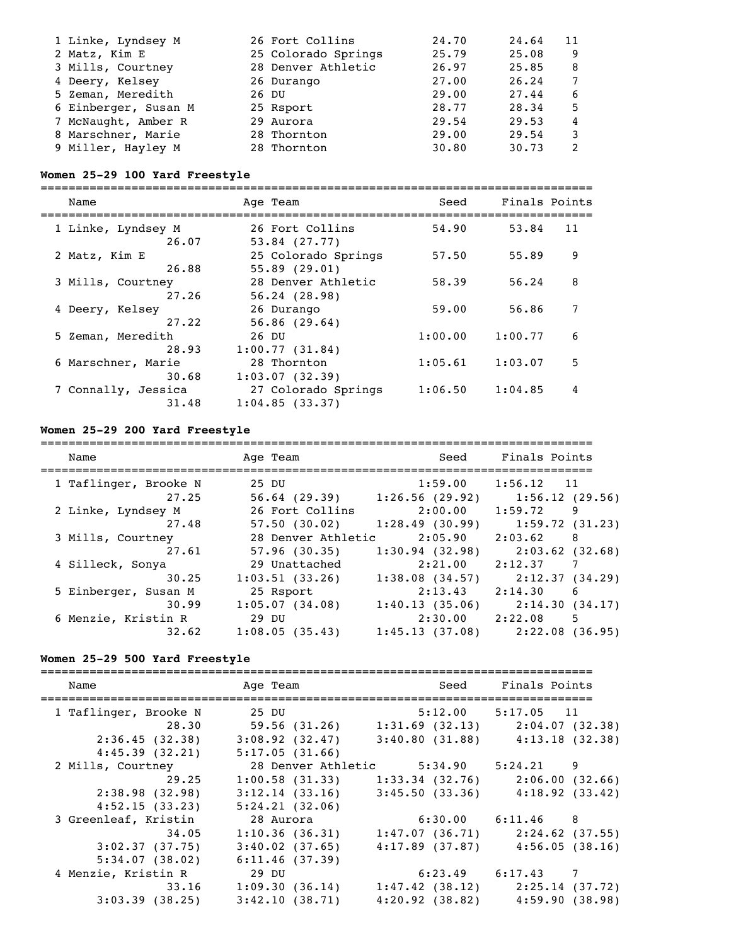| 1 Linke, Lyndsey M   | 26 Fort Collins     | 24.70 | 24.64 | 11 |
|----------------------|---------------------|-------|-------|----|
| 2 Matz, Kim E        | 25 Colorado Springs | 25.79 | 25.08 | 9  |
| 3 Mills, Courtney    | 28 Denver Athletic  | 26.97 | 25.85 | 8  |
| 4 Deery, Kelsey      | 26 Durango          | 27.00 | 26.24 |    |
| 5 Zeman, Meredith    | 26 DU               | 29.00 | 27.44 | 6  |
| 6 Einberger, Susan M | 25 Rsport           | 28.77 | 28.34 | 5  |
| 7 McNaught, Amber R  | 29 Aurora           | 29.54 | 29.53 | 4  |
| 8 Marschner, Marie   | 28 Thornton         | 29.00 | 29.54 | ٦  |
| 9 Miller, Hayley M   | 28 Thornton         | 30.80 | 30.73 |    |

# **Women 25-29 100 Yard Freestyle**

===============================================================================

| Name                                  | Age Team                                                | Seed    | Finals Points |
|---------------------------------------|---------------------------------------------------------|---------|---------------|
| 1 Linke, Lyndsey M<br>26.07           | 26 Fort Collins                                         | 54.90   | 11<br>53.84   |
| 2 Matz, Kim E                         | $53.84$ $(27.77)$<br>25 Colorado Springs                | 57.50   | 9<br>55.89    |
| 26.88<br>3 Mills, Courtney            | 55.89(29.01)<br>28 Denver Athletic                      | 58.39   | 8<br>56.24    |
| 27.26<br>4 Deery, Kelsey              | 56.24(28.98)<br>26 Durango                              | 59.00   | 7<br>56.86    |
| 27.22<br>5 Zeman, Meredith            | 56.86(29.64)<br>26 DU                                   | 1:00.00 | 1:00.77<br>6  |
| 28.93<br>6 Marschner, Marie           | 1:00.77(31.84)<br>28 Thornton                           | 1:05.61 | 5<br>1:03.07  |
| 30.68<br>7 Connally, Jessica<br>31.48 | 1:03.07(32.39)<br>27 Colorado Springs<br>1:04.85(33.37) | 1:06.50 | 1:04.85<br>4  |
|                                       |                                                         |         |               |

# **Women 25-29 200 Yard Freestyle**

| Name                           | Age Team                                 | Seed                      | Finals Points                      |
|--------------------------------|------------------------------------------|---------------------------|------------------------------------|
| 1 Taflinger, Brooke N<br>27.25 | 25 DU<br>$56.64$ (29.39) 1:26.56 (29.92) | 1:59.00                   | $1:56.12$ 11<br>1:56.12(29.56)     |
| 2 Linke, Lyndsey M<br>27.48    | 26 Fort Collins<br>57.50(30.02)          | 2:00.00<br>1:28.49(30.99) | 1:59.72<br>9<br>1:59.72(31.23)     |
| 3 Mills, Courtney<br>27.61     | 28 Denver Athletic<br>57.96(30.35)       | 2:05.90<br>1:30.94(32.98) | 2:03.62<br>-8<br>$2:03.62$ (32.68) |
| 4 Silleck, Sonya<br>30.25      | 29 Unattached<br>1:03.51(33.26)          | 2:21.00<br>1:38.08(34.57) | 2:12.37<br>7<br>2:12.37 (34.29)    |
| 5 Einberger, Susan M<br>30.99  | 25 Rsport<br>1:05.07(34.08)              | 2:13.43<br>1:40.13(35.06) | 2:14.30<br>-6<br>2:14.30(34.17)    |
| 6 Menzie, Kristin R<br>32.62   | 29 DU<br>1:08.05(35.43)                  | 2:30.00<br>1:45.13(37.08) | 2:22.08<br>5<br>2:22.08 (36.95)    |

# **Women 25-29 500 Yard Freestyle**

| Name                  | Age Team            | <b>Seed</b>                          | Finals Points                                 |
|-----------------------|---------------------|--------------------------------------|-----------------------------------------------|
| 1 Taflinger, Brooke N | 25 DU               | $5:12.00$ $5:17.05$ 11               |                                               |
| 28.30                 |                     |                                      | 59.56 (31.26) 1:31.69 (32.13) 2:04.07 (32.38) |
| 2:36.45(32.38)        | $3:08.92$ $(32.47)$ |                                      | $3:40.80$ (31.88) $4:13.18$ (32.38)           |
| 4:45.39(32.21)        | 5:17.05(31.66)      |                                      |                                               |
| 2 Mills, Courtney     |                     | 28 Denver Athletic 5:34.90 5:24.21 9 |                                               |
| 29.25                 | $1:00.58$ (31.33)   |                                      | $1:33.34$ (32.76) $2:06.00$ (32.66)           |
| 2:38.98(32.98)        | 3:12.14(33.16)      |                                      | $3:45.50$ (33.36) $4:18.92$ (33.42)           |
| 4:52.15(33.23)        | 5:24.21(32.06)      |                                      |                                               |
| 3 Greenleaf, Kristin  | 28 Aurora           | $6:30.00$ $6:11.46$ 8                |                                               |
| 34.05                 | 1:10.36(36.31)      |                                      | $1:47.07$ (36.71) $2:24.62$ (37.55)           |
| 3:02.37(37.75)        | $3:40.02$ (37.65)   |                                      | $4:17.89$ (37.87) $4:56.05$ (38.16)           |
| 5:34.07(38.02)        | 6:11.46(37.39)      |                                      |                                               |
| 4 Menzie, Kristin R   | 29 DU               |                                      | $6:23.49$ $6:17.43$ 7                         |
| 33.16                 | 1:09.30(36.14)      |                                      | $1:47.42$ (38.12) $2:25.14$ (37.72)           |
| $3:03.39$ (38.25)     | 3:42.10(38.71)      |                                      | $4:20.92$ (38.82) $4:59.90$ (38.98)           |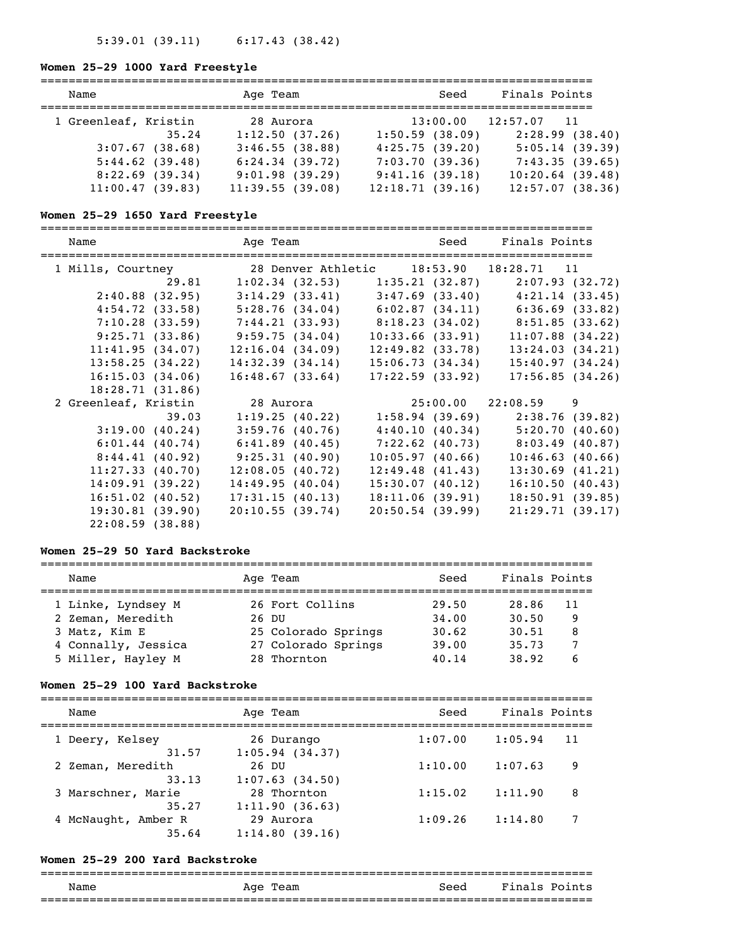# **Women 25-29 1000 Yard Freestyle**

| Name                 |       | Age Team        | Seed            | Finals Points            |
|----------------------|-------|-----------------|-----------------|--------------------------|
| 1 Greenleaf, Kristin |       | 28 Aurora       |                 | $13:00.00$ $12:57.07$ 11 |
|                      | 35.24 | 1:12.50(37.26)  | 1:50.59(38.09)  | 2:28.99(38.40)           |
| 3:07.67(38.68)       |       | 3:46.55(38.88)  | 4:25.75(39.20)  | 5:05.14(39.39)           |
| $5:44.62$ (39.48)    |       | 6:24.34(39.72)  | 7:03.70(39.36)  | 7:43.35(39.65)           |
| 8:22.69(39.34)       |       | 9:01.98(39.29)  | 9:41.16(39.18)  | 10:20.64(39.48)          |
| 11:00.47(39.83)      |       | 11:39.55(39.08) | 12:18.71(39.16) | 12:57.07(38.36)          |

# **Women 25-29 1650 Yard Freestyle**

| Name                                                      |                                                                         | Age Team Seed Finals Points |                                                       |
|-----------------------------------------------------------|-------------------------------------------------------------------------|-----------------------------|-------------------------------------------------------|
| 1 Mills, Courtney 28 Denver Athletic 18:53.90 18:28.71 11 |                                                                         |                             |                                                       |
| 29.81                                                     | $1:02.34$ (32.53) $1:35.21$ (32.87)                                     |                             | 2:07.93(32.72)                                        |
| 2:40.88(32.95)                                            |                                                                         |                             | $3:14.29$ (33.41) $3:47.69$ (33.40) $4:21.14$ (33.45) |
|                                                           | $4:54.72$ (33.58) $5:28.76$ (34.04) $6:02.87$ (34.11) $6:36.69$ (33.82) |                             |                                                       |
| 7:10.28(33.59)                                            | 7:44.21 (33.93) 8:18.23 (34.02) 8:51.85 (33.62)                         |                             |                                                       |
|                                                           | $9:25.71(33.86)$ $9:59.75(34.04)$                                       | 10:33.66(33.91)             | $11:07.88$ (34.22)                                    |
| 11:41.95(34.07)                                           | 12:16.04(34.09)                                                         | 12:49.82(33.78)             | 13:24.03(34.21)                                       |
| 13:58.25(34.22)                                           | 14:32.39(34.14)                                                         | 15:06.73(34.34)             | 15:40.97(34.24)                                       |
| 16:15.03(34.06)                                           | 16:48.67(33.64)                                                         | 17:22.59(33.92)             | 17:56.85(34.26)                                       |
| 18:28.71(31.86)                                           |                                                                         |                             |                                                       |
| 2 Greenleaf, Kristin                                      | 28 Aurora                                                               |                             | $25:00.00$ $22:08.59$ 9                               |
| 39.03                                                     | 1:19.25(40.22)                                                          |                             | $1:58.94$ (39.69) 2:38.76 (39.82)                     |
| 3:19.00(40.24)                                            | 3:59.76(40.76)                                                          |                             | $4:40.10(40.34)$ 5:20.70 (40.60)                      |
| 6:01.44(40.74)                                            | $6:41.89$ (40.45)                                                       |                             | $7:22.62$ (40.73) 8:03.49 (40.87)                     |
| 8:44.41(40.92)                                            | 9:25.31(40.90)                                                          | 10:05.97(40.66)             | 10:46.63(40.66)                                       |
| 11:27.33(40.70)                                           | 12:08.05(40.72)                                                         | 12:49.48(41.43)             | $13:30.69$ $(41.21)$                                  |
| 14:09.91(39.22)                                           | 14:49.95(40.04)                                                         | 15:30.07(40.12)             | 16:10.50(40.43)                                       |
| $16:51.02$ (40.52)                                        | 17:31.15(40.13)                                                         | 18:11.06(39.91)             | 18:50.91(39.85)                                       |
| 19:30.81(39.90)                                           | 20:10.55(39.74)                                                         | 20:50.54(39.99)             | 21:29.71(39.17)                                       |
| 22:08.59(38.88)                                           |                                                                         |                             |                                                       |

### **Women 25-29 50 Yard Backstroke**

| Name                |       | Age Team            | Seed  | Finals Points |
|---------------------|-------|---------------------|-------|---------------|
|                     |       |                     |       |               |
| 1 Linke, Lyndsey M  |       | 26 Fort Collins     | 29.50 | 28.86<br>11   |
| 2 Zeman, Meredith   | 26 DU |                     | 34,00 | 30.50<br>9    |
| 3 Matz, Kim E       |       | 25 Colorado Springs | 30.62 | 30.51<br>8    |
| 4 Connally, Jessica |       | 27 Colorado Springs | 39.00 | 35.73         |
| 5 Miller, Hayley M  |       | 28 Thornton         | 40.14 | 38.92         |

### **Women 25-29 100 Yard Backstroke**

| Name                | Age Team       | Seed    | Finals Points |
|---------------------|----------------|---------|---------------|
| 1 Deery, Kelsey     | 26 Durango     | 1:07.00 | 1:05.94<br>11 |
| 31.57               | 1:05.94(34.37) | 1:10.00 | 1:07.63       |
| 2 Zeman, Meredith   | 26 DU          |         | 9             |
| 33.13               | 1:07.63(34.50) | 1:15.02 | 1:11.90       |
| 3 Marschner, Marie  | 28 Thornton    |         | 8             |
| 35.27               | 1:11.90(36.63) | 1:09.26 | 1:14.80       |
| 4 McNaught, Amber R | 29 Aurora      |         | 7             |
| 35.64               | 1:14.80(39.16) |         |               |

### **Women 25-29 200 Yard Backstroke**

### =============================================================================== Name Age Team Seed Finals Points ===============================================================================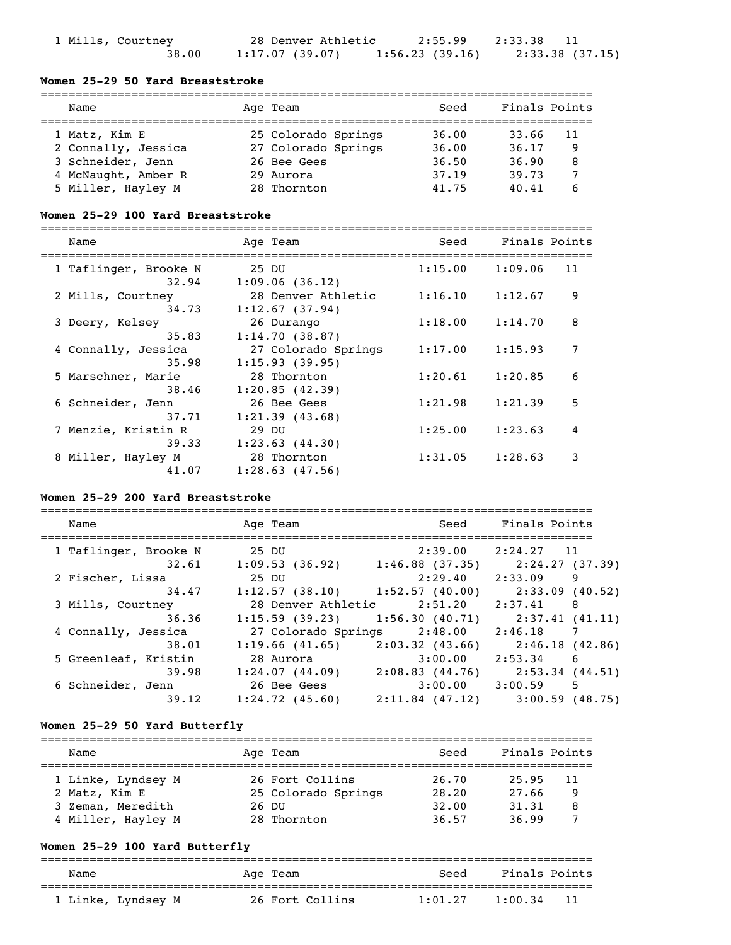| 1 Mills, Courtney | 28 Denver Athletic | 2:55.99 2:33.38 |                 |  |
|-------------------|--------------------|-----------------|-----------------|--|
| 38.00             | 1:17.07 (39.07)    | 1:56.23(39.16)  | 2:33.38 (37.15) |  |

# **Women 25-29 50 Yard Breaststroke**

| Name                | Age Team            | Seed  | Finals Points |
|---------------------|---------------------|-------|---------------|
| 1 Matz, Kim E       | 25 Colorado Springs | 36.00 | 33.66<br>11   |
| 2 Connally, Jessica | 27 Colorado Springs | 36.00 | 36.17<br>9    |
| 3 Schneider, Jenn   | 26 Bee Gees         | 36.50 | 36.90<br>8    |
| 4 McNaught, Amber R | 29 Aurora           | 37.19 | 39.73         |
| 5 Miller, Hayley M  | 28 Thornton         | 41.75 | 40.41         |

# **Women 25-29 100 Yard Breaststroke**

=============================================================================== Name Age Team Seed Finals Points

| <b>Nallie</b>                  | Age ream                              | beeu    | Findis POINCS |    |
|--------------------------------|---------------------------------------|---------|---------------|----|
| 1 Taflinger, Brooke N<br>32.94 | 25 DU<br>1:09.06(36.12)               | 1:15.00 | 1:09.06       | 11 |
| 2 Mills, Courtney<br>34.73     | 28 Denver Athletic<br>1:12.67(37.94)  | 1:16.10 | 1:12.67       | 9  |
| 3 Deery, Kelsey<br>35.83       | 26 Durango<br>1:14.70(38.87)          | 1:18.00 | 1:14.70       | 8  |
| 4 Connally, Jessica<br>35.98   | 27 Colorado Springs<br>1:15.93(39.95) | 1:17.00 | 1:15.93       | 7  |
| 5 Marschner, Marie<br>38.46    | 28 Thornton<br>1:20.85(42.39)         | 1:20.61 | 1:20.85       | 6  |
| 6 Schneider, Jenn<br>37.71     | 26 Bee Gees<br>1:21.39(43.68)         | 1:21.98 | 1:21.39       | 5  |
| 7 Menzie, Kristin R<br>39.33   | 29 DU<br>1:23.63(44.30)               | 1:25.00 | 1:23.63       | 4  |
| 8 Miller, Hayley M<br>41.07    | 28 Thornton<br>$1:28.63$ $(47.56)$    | 1:31.05 | 1:28.63       | 3  |

# **Women 25-29 200 Yard Breaststroke**

| Name                  | Age Team                          | Seed                | Finals Points     |
|-----------------------|-----------------------------------|---------------------|-------------------|
| 1 Taflinger, Brooke N | 25 DU                             | 2:39.00             | 2:24.27 11        |
| 32.61                 | 1:09.53(36.92)                    | 1:46.88(37.35)      | 2:24.27 (37.39)   |
| 2 Fischer, Lissa      | 25 DU                             | 2:29.40             | 2:33.09<br>9      |
| 34.47                 | $1:12.57$ (38.10) 1:52.57 (40.00) |                     | 2:33.09 (40.52)   |
| 3 Mills, Courtney     | 28 Denver Athletic                | 2:51.20             | 2:37.41<br>8      |
| 36.36                 | 1:15.59(39.23)                    | 1:56.30(40.71)      | 2:37.41(41.11)    |
| 4 Connally, Jessica   | 27 Colorado Springs               | 2:48.00             | 2:46.18<br>7      |
| 38.01                 | 1:19.66(41.65)                    | $2:03.32$ $(43.66)$ | 2:46.18 (42.86)   |
| 5 Greenleaf, Kristin  | 28 Aurora                         | 3:00.00             | 2:53.34<br>6      |
| 39.98                 | 1:24.07(44.09)                    | 2:08.83(44.76)      | 2:53.34 (44.51)   |
| 6 Schneider, Jenn     | 26 Bee Gees                       | 3:00.00             | 3:00.59<br>.5     |
| 39.12                 | 1:24.72(45.60)                    | $2:11.84$ (47.12)   | $3:00.59$ (48.75) |
|                       |                                   |                     |                   |

# **Women 25-29 50 Yard Butterfly**

| Name               | Age Team            | Seed  | Finals Points |   |
|--------------------|---------------------|-------|---------------|---|
| 1 Linke, Lyndsey M | 26 Fort Collins     | 26.70 | 25.95<br>-11  |   |
| 2 Matz, Kim E      | 25 Colorado Springs | 28.20 | 27.66         | 9 |
| 3 Zeman, Meredith  | 26 DU               | 32.00 | 31, 31        | 8 |
| 4 Miller, Hayley M | 28 Thornton         | 36.57 | 36.99         |   |

# **Women 25-29 100 Yard Butterfly**

| Name               | Age Team        | Seed    | Finals Points  |
|--------------------|-----------------|---------|----------------|
| 1 Linke, Lyndsey M | 26 Fort Collins | 1:01.27 | -11<br>1:00.34 |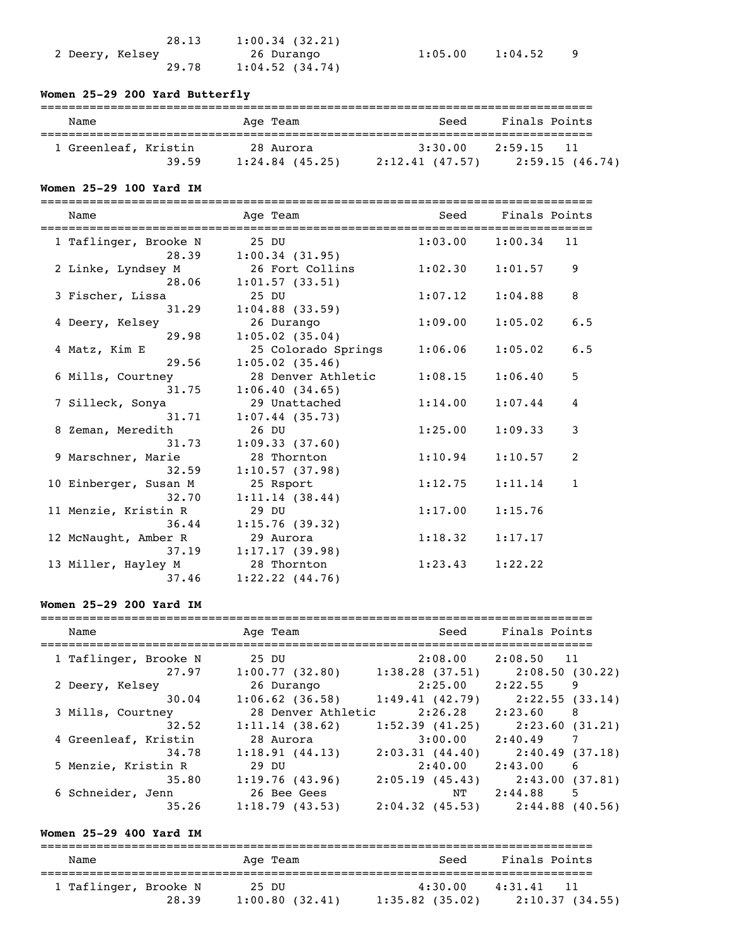| 28.13           | 1:00.34(32.21)    |
|-----------------|-------------------|
| 2 Deery, Kelsey | 26 Durango        |
| 29.78           | $1:04.52$ (34.74) |

 $1:05.00$   $1:04.52$  9

# **Women 25-29 200 Yard Butterfly**

| Name                 |       | Age Team          | Seed            | Finals Points  |
|----------------------|-------|-------------------|-----------------|----------------|
| 1 Greenleaf, Kristin |       | 28 Aurora         | 3:30.00         | 2:59.15<br>11  |
|                      | 39.59 | $1:24.84$ (45.25) | 2:12.41 (47.57) | 2:59.15(46.74) |

# **Women 25-29 100 Yard IM**

===============================================================================

| Name                                  | Age Team                                             | Seed    | Finals Points |              |
|---------------------------------------|------------------------------------------------------|---------|---------------|--------------|
| 1 Taflinger, Brooke N<br>28.39        | 25 DU<br>1:00.34(31.95)                              | 1:03.00 | 1:00.34       | 11           |
| 2 Linke, Lyndsey M<br>28.06           | 26 Fort Collins<br>1:01.57(33.51)                    | 1:02.30 | 1:01.57       | 9            |
| 3 Fischer, Lissa<br>31.29             | 25 DU                                                | 1:07.12 | 1:04.88       | 8            |
| 4 Deery, Kelsey<br>29.98              | $1:04.88$ (33.59)<br>26 Durango<br>$1:05.02$ (35.04) | 1:09.00 | 1:05.02       | 6.5          |
| 4 Matz, Kim E<br>29.56                | 25 Colorado Springs                                  | 1:06.06 | 1:05.02       | 6.5          |
| 6 Mills, Courtney                     | $1:05.02$ (35.46)<br>28 Denver Athletic              | 1:08.15 | 1:06.40       | 5            |
| 31.75<br>7 Silleck, Sonya             | 1:06.40(34.65)<br>29 Unattached                      | 1:14.00 | 1:07.44       | 4            |
| 31.71<br>8 Zeman, Meredith            | $1:07.44$ (35.73)<br>26 DU                           | 1:25.00 | 1:09.33       | 3            |
| 31.73<br>9 Marschner, Marie           | 1:09.33(37.60)<br>28 Thornton                        | 1:10.94 | 1:10.57       | 2            |
| 32.59<br>10 Einberger, Susan M        | 1:10.57(37.98)<br>25 Rsport                          | 1:12.75 | 1:11.14       | $\mathbf{1}$ |
| 32.70<br>11 Menzie, Kristin R         | 1:11.14(38.44)<br>29 DU                              | 1:17.00 | 1:15.76       |              |
| 36.44<br>12 McNaught, Amber R         | 1:15.76(39.32)<br>29 Aurora                          | 1:18.32 | 1:17.17       |              |
| 37.19<br>13 Miller, Hayley M<br>37.46 | 1:17.17(39.98)<br>28 Thornton<br>$1:22.22$ $(44.76)$ | 1:23.43 | 1:22.22       |              |

# **Women 25-29 200 Yard IM**

| Name                  | Age Team           | Seed                | Finals Points              |
|-----------------------|--------------------|---------------------|----------------------------|
|                       |                    |                     |                            |
| 1 Taflinger, Brooke N | 25 DU              | 2:08.00             | $2:08.50$ 11               |
| 27.97                 | 1:00.77(32.80)     | 1:38.28(37.51)      | 2:08.50 (30.22)            |
| 2 Deery, Kelsey       | 26 Durango         | 2:25.00             | 2:22.55<br>9               |
| 30.04                 | $1:06.62$ (36.58)  | 1:49.41(42.79)      | 2:22.55(33.14)             |
| 3 Mills, Courtney     | 28 Denver Athletic | 2:26.28             | 2:23.60<br>8               |
| 32.52                 | 1:11.14(38.62)     | $1:52.39$ (41.25)   | 2:23.60(31.21)             |
| 4 Greenleaf, Kristin  | 28 Aurora          | $3:00.00$ $2:40.49$ | $\overline{7}$             |
| 34.78                 | 1:18.91(44.13)     | 2:03.31(44.40)      | 2:40.49(37.18)             |
| 5 Menzie, Kristin R   | 29 DU              | 2:40.00             | 2:43.00<br>$6\overline{6}$ |
| 35.80                 | 1:19.76(43.96)     | 2:05.19(45.43)      | 2:43.00 (37.81)            |
| 6 Schneider, Jenn     | 26 Bee Gees        | NT                  | 2:44.88<br>5               |
| 35.26                 | 1:18.79(43.53)     | 2:04.32(45.53)      | $2:44.88$ (40.56)          |

# **Women 25-29 400 Yard IM**

| Name                  |       | Age Team                | Seed                         | Finals Points                |
|-----------------------|-------|-------------------------|------------------------------|------------------------------|
| 1 Taflinger, Brooke N | 28.39 | 25 DU<br>1:00.80(32.41) | 4:30.00<br>$1:35.82$ (35.02) | 4:31.41 11<br>2:10.37(34.55) |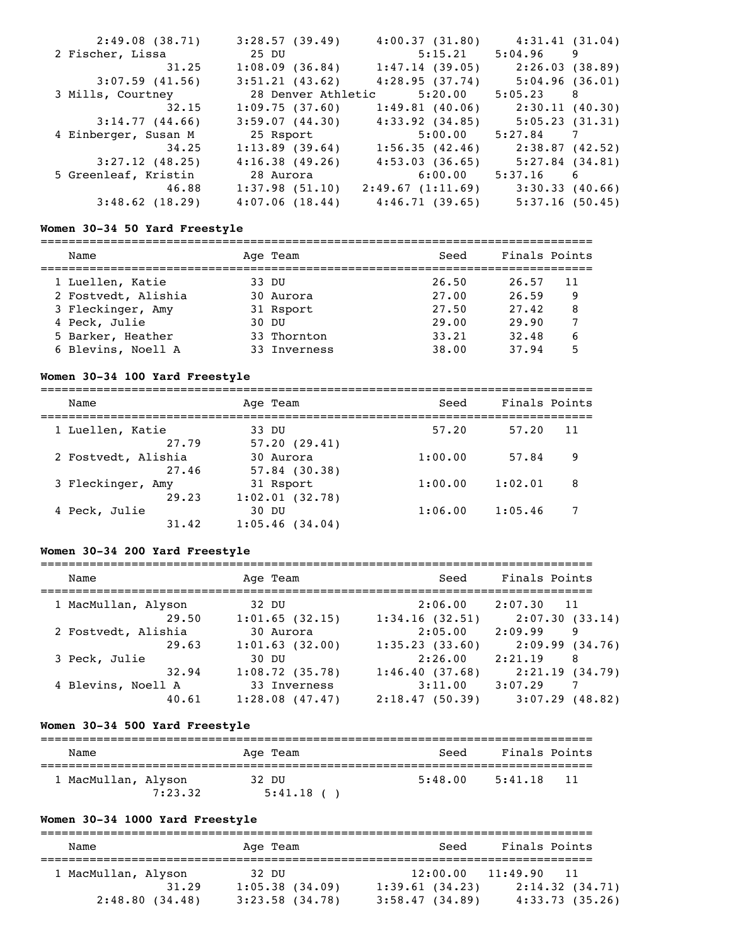| 2:49.08(38.71)       | 3:28.57(39.49)     | 4:00.37(31.80)                      | 4:31.41(31.04)  |  |
|----------------------|--------------------|-------------------------------------|-----------------|--|
| 2 Fischer, Lissa     | 25 DU              | 5:15.21                             | $5:04.96$ 9     |  |
| 31.25                | 1:08.09(36.84)     | 1:47.14(39.05)                      | 2:26.03 (38.89) |  |
| $3:07.59$ (41.56)    | 3:51.21(43.62)     | 4:28.95(37.74)                      | 5:04.96(36.01)  |  |
| 3 Mills, Courtney    | 28 Denver Athletic | 5:20.00                             | 5:05.23 8       |  |
| 32.15                | 1:09.75(37.60)     | 1:49.81(40.06)                      | 2:30.11 (40.30) |  |
| 3:14.77(44.66)       | 3:59.07(44.30)     | 4:33.92(34.85)                      | 5:05.23(31.31)  |  |
| 4 Einberger, Susan M | 25 Rsport          | 5:00.00                             | $5:27.84$ 7     |  |
| 34.25                | 1:13.89(39.64)     | 1:56.35(42.46)                      | 2:38.87 (42.52) |  |
| $3:27.12$ (48.25)    | 4:16.38(49.26)     | 4:53.03(36.65)                      | 5:27.84(34.81)  |  |
| 5 Greenleaf, Kristin | 28 Aurora          | 6:00.00                             | $5:37.16$ 6     |  |
| 46.88                | 1:37.98(51.10)     | $2:49.67$ (1:11.69) 3:30.33 (40.66) |                 |  |
| $3:48.62$ (18.29)    | 4:07.06(18.44)     | 4:46.71(39.65)                      | 5:37.16(50.45)  |  |

### **Women 30-34 50 Yard Freestyle**

=============================================================================== Name **Age Team** Age Team Seed Finals Points =============================================================================== 1 Luellen, Katie 33 DU 26.50 26.57 11 2 Fostvedt, Alishia 30 Aurora 27.00 26.59 9 3 Fleckinger, Amy 31 Rsport 27.50 27.42 8 4 Peck, Julie 30 DU 29.00 29.90 7 5 Barker, Heather 33 Thornton 33.21 32.48 6 6 Blevins, Noell A 33 Inverness 38.00 37.94 5

### **Women 30-34 100 Yard Freestyle**

| Name                         | Age Team                     | Seed    | Finals Points |  |
|------------------------------|------------------------------|---------|---------------|--|
| 1 Luellen, Katie<br>27.79    | 33 DU<br>57.20(29.41)        | 57.20   | 57.20<br>11   |  |
| 2 Fostvedt, Alishia<br>27.46 | 30 Aurora<br>$57.84$ (30.38) | 1:00.00 | 57.84<br>9    |  |
| 3 Fleckinger, Amy<br>29.23   | 31 Rsport<br>1:02.01(32.78)  | 1:00.00 | 1:02.01<br>8  |  |
| 4 Peck, Julie<br>31.42       | 30 DU<br>$1:05.46$ (34.04)   | 1:06.00 | 1:05.46       |  |

### **Women 30-34 200 Yard Freestyle**

| Name                | Age Team       | Seed           | Finals Points              |
|---------------------|----------------|----------------|----------------------------|
| 1 MacMullan, Alyson | 32 DU          | 2:06.00        | 2:07.30<br>11              |
| 29.50               | 1:01.65(32.15) | 1:34.16(32.51) | 2:07.30(33.14)             |
| 2 Fostvedt, Alishia | 30 Aurora      | 2:05.00        | 2:09.99<br>9               |
| 29.63               | 1:01.63(32.00) | 1:35.23(33.60) | 2:09.99(34.76)             |
| 3 Peck, Julie       | 30 DU          | 2:26.00        | 2:21.19<br>8               |
| 32.94               | 1:08.72(35.78) | 1:46.40(37.68) | 2:21.19(34.79)             |
| 4 Blevins, Noell A  | 33 Inverness   | 3:11.00        | 3:07.29<br>$7\phantom{.0}$ |
| 40.61               | 1:28.08(47.47) | 2:18.47(50.39) | 3:07.29(48.82)             |

### **Women 30-34 500 Yard Freestyle**

| Name                |         | Age Team              |         | Seed | Finals Points |      |
|---------------------|---------|-----------------------|---------|------|---------------|------|
| 1 MacMullan, Alyson | 7:23.32 | 32 DU<br>$5:41.18$ () | 5:48.00 |      | 5:41.18       | - 11 |

# **Women 30-34 1000 Yard Freestyle**

| Name                                           | Age Team                                          | Seed                                         | Finals Points                                                   |
|------------------------------------------------|---------------------------------------------------|----------------------------------------------|-----------------------------------------------------------------|
| 1 MacMullan, Alyson<br>31.29<br>2:48.80(34.48) | 32 DU<br>$1:05.38$ $(34.09)$<br>$3:23.58$ (34.78) | 12:00.00<br>1:39.61(34.23)<br>3:58.47(34.89) | 11:49.90<br>$\overline{11}$<br>2:14.32(34.71)<br>4:33.73(35.26) |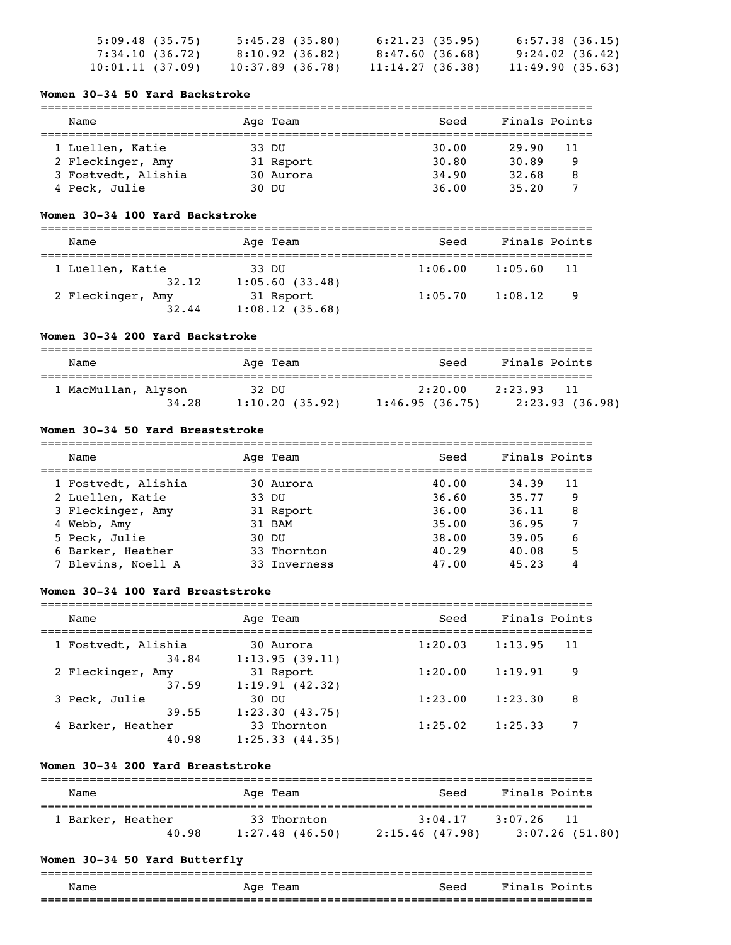| 5:09.48(35.75)  | 5:45.28(35.80)     | 6:21.23(35.95)  | $6:57.38$ (36.15) |  |
|-----------------|--------------------|-----------------|-------------------|--|
| 7:34.10(36.72)  | 8:10.92(36.82)     | 8:47.60(36.68)  | 9:24.02 (36.42)   |  |
| 10:01.11(37.09) | $10:37.89$ (36.78) | 11:14.27(36.38) | 11:49.90(35.63)   |  |

#### **Women 30-34 50 Yard Backstroke**

# =============================================================================== Name Team Age Team Seed Finals Points =============================================================================== 1 Luellen, Katie 33 DU 30.00 29.90 11<br>
2 Fleckinger, Amy 31 Rsport 30.80 30.89 9<br>
3 Fostvedt, Alishia 30 Aurora 34.90 32.68 8 2 Fleckinger, Amy 31 Rsport 30.80 30.89 9<br>3 Fostvedt, Alishia 30 Aurora 34.90 32.68 8<br>4 Peck, Julie 30 DU 36.00 35.20 7 2 Fieckinger, Amy 31 August 2018<br>3 Fostvedt, Alishia 30 Aurora 34.90 32.68 8<br>4 Peck, Julie 30 DU 36.00 35.20 7 4 Peck, Julie

### **Women 30-34 100 Yard Backstroke**

| Name                       | Age Team                    | Seed    | Finals Points  |  |
|----------------------------|-----------------------------|---------|----------------|--|
| 1 Luellen, Katie           | 33 DU                       | 1:06.00 | 1:05.60<br>-11 |  |
| 32.12<br>2 Fleckinger, Amy | 1:05.60(33.48)<br>31 Rsport | 1:05.70 | 1:08.12<br>-9  |  |
| 32.44                      | 1:08.12(35.68)              |         |                |  |

### **Women 30-34 200 Yard Backstroke**

| Name                         | Age Team                | Seed                      | Finals Points                    |
|------------------------------|-------------------------|---------------------------|----------------------------------|
| 1 MacMullan, Alyson<br>34.28 | 32 DU<br>1:10.20(35.92) | 2:20.00<br>1:46.95(36.75) | 2:23.93<br>11<br>2:23.93 (36.98) |

### **Women 30-34 50 Yard Breaststroke**

| Name                | Age Team     | Seed  | Finals Points |    |
|---------------------|--------------|-------|---------------|----|
| 1 Fostvedt, Alishia | 30 Aurora    | 40.00 | 34.39         | 11 |
| 2 Luellen, Katie    | 33 DU        | 36.60 | 35.77         | 9  |
| 3 Fleckinger, Amy   | 31 Rsport    | 36.00 | 36.11         | 8  |
| 4 Webb, Amy         | 31 BAM       | 35.00 | 36.95         |    |
| 5 Peck, Julie       | 30 DU        | 38.00 | 39.05         | 6  |
| 6 Barker, Heather   | 33 Thornton  | 40.29 | 40.08         | 5  |
| 7 Blevins, Noell A  | 33 Inverness | 47.00 | 45.23         |    |

### **Women 30-34 100 Yard Breaststroke**

| Name                         | Age Team                      | Seed    | Finals Points |    |
|------------------------------|-------------------------------|---------|---------------|----|
| 1 Fostvedt, Alishia<br>34.84 | 30 Aurora<br>1:13.95(39.11)   | 1:20.03 | 1:13.95       | 11 |
| 2 Fleckinger, Amy<br>37.59   | 31 Rsport<br>1:19.91(42.32)   | 1:20.00 | 1:19.91       | 9  |
| 3 Peck, Julie<br>39.55       | 30 DU<br>1:23.30(43.75)       | 1:23.00 | 1:23.30       | 8  |
| 4 Barker, Heather<br>40.98   | 33 Thornton<br>1:25.33(44.35) | 1:25.02 | 1:25.33       |    |

### **Women 30-34 200 Yard Breaststroke**

| Name                       | Age Team                         | Seed                       | Finals Points                        |
|----------------------------|----------------------------------|----------------------------|--------------------------------------|
| 1 Barker, Heather<br>40.98 | 33 Thornton<br>$1:27.48$ (46.50) | 3:04.17<br>2:15.46 (47.98) | 3:07.26<br>- 11<br>$3:07.26$ (51.80) |

### **Women 30-34 50 Yard Butterfly**

|      |             | __________________________ |                           |
|------|-------------|----------------------------|---------------------------|
| Name | Age<br>Team | Seed                       | Fina<br>$Point \in$<br>.s |
|      |             | ________________________   | _______________           |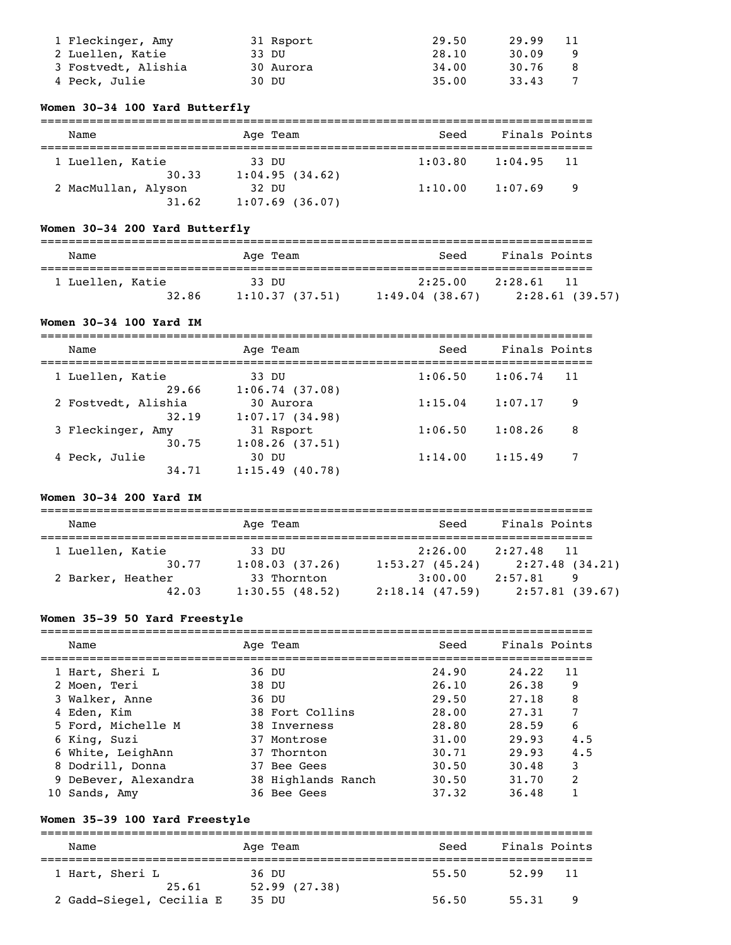| 1 Fleckinger, Amy   | 31 Rsport | 29.50 | 29.99 | -11 |
|---------------------|-----------|-------|-------|-----|
| 2 Luellen, Katie    | 33 DU     | 28.10 | 30.09 |     |
| 3 Fostvedt, Alishia | 30 Aurora | 34.00 | 30.76 |     |
| 4 Peck, Julie       | 30 DU     | 35.00 | 33.43 |     |

### **Women 30-34 100 Yard Butterfly**

| Name                | Age Team          | Seed    | Finals Points |                |
|---------------------|-------------------|---------|---------------|----------------|
|                     |                   |         |               |                |
| 1 Luellen, Katie    | 33 DU             | 1:03.80 | 1:04.95 11    |                |
| 30.33               | 1:04.95(34.62)    |         |               |                |
| 2 MacMullan, Alyson | 32 DU             | 1:10.00 | 1:07.69       | $\overline{9}$ |
| 31.62               | $1:07.69$ (36.07) |         |               |                |

# **Women 30-34 200 Yard Butterfly**

| Name                      | Age Team                | Seed                         | Finals Points                   |
|---------------------------|-------------------------|------------------------------|---------------------------------|
| 1 Luellen, Katie<br>32.86 | 33 DU<br>1:10.37(37.51) | 2:25.00<br>$1:49.04$ (38.67) | 2:28.61<br>11<br>2:28.61(39.57) |

# **Women 30-34 100 Yard IM**

| Name                   | Age Team                   | Seed    | Finals Points |
|------------------------|----------------------------|---------|---------------|
| 1 Luellen, Katie       | 33 DU                      | 1:06.50 | 1:06.74       |
| 29.66                  | 1:06.74(37.08)             |         | 11            |
| 2 Fostvedt, Alishia    | 30 Aurora                  | 1:15.04 | 1:07.17       |
| 32.19                  | 1:07.17(34.98)             |         | 9             |
| 3 Fleckinger, Amy      | 31 Rsport                  | 1:06.50 | 1:08.26       |
| 30.75                  | 1:08.26(37.51)             |         | 8             |
| 4 Peck, Julie<br>34.71 | 30 DU<br>$1:15.49$ (40.78) | 1:14.00 | 1:15.49       |

### **Women 30-34 200 Yard IM**

| Name              | Age Team       | Seed           | Finals Points              |
|-------------------|----------------|----------------|----------------------------|
|                   |                |                |                            |
| 1 Luellen, Katie  | 33 DU          | 2:26.00        | 2:27.48<br>$\overline{11}$ |
| 30.77             | 1:08.03(37.26) | 1:53.27(45.24) | 2:27.48(34.21)             |
| 2 Barker, Heather | 33 Thornton    | 3:00.00        | 2:57.81<br>9               |
| 42.03             | 1:30.55(48.52) | 2:18.14(47.59) | 2:57.81(39.67)             |

# **Women 35-39 50 Yard Freestyle**

| Name                 | Age Team           | Seed  | Finals Points |               |
|----------------------|--------------------|-------|---------------|---------------|
| 1 Hart, Sheri L      | 36 DU              | 24.90 | 24.22         | 11            |
| 2 Moen, Teri         | 38 DU              | 26.10 | 26.38         | 9             |
| 3 Walker, Anne       | 36 DU              | 29.50 | 27.18         | 8             |
| 4 Eden, Kim          | 38 Fort Collins    | 28.00 | 27.31         | 7             |
| 5 Ford, Michelle M   | 38 Inverness       | 28.80 | 28.59         | 6             |
| 6 King, Suzi         | 37 Montrose        | 31.00 | 29.93         | 4.5           |
| 6 White, LeighAnn    | 37 Thornton        | 30.71 | 29.93         | 4.5           |
| 8 Dodrill, Donna     | 37 Bee Gees        | 30.50 | 30.48         | 3             |
| 9 DeBever, Alexandra | 38 Highlands Ranch | 30.50 | 31.70         | $\mathcal{L}$ |
| 10 Sands, Amy        | 36 Bee Gees        | 37.32 | 36.48         |               |

# **Women 35-39 100 Yard Freestyle**

=============================================================================== Name and Age Team and Seed Finals Points =============================================================================== 1 Hart, Sheri L 36 DU 55.50 52.99 11  $25.61$   $52.99$   $(27.38)$ 2 Gadd-Siegel, Cecilia E 35 DU 56.50 55.31 9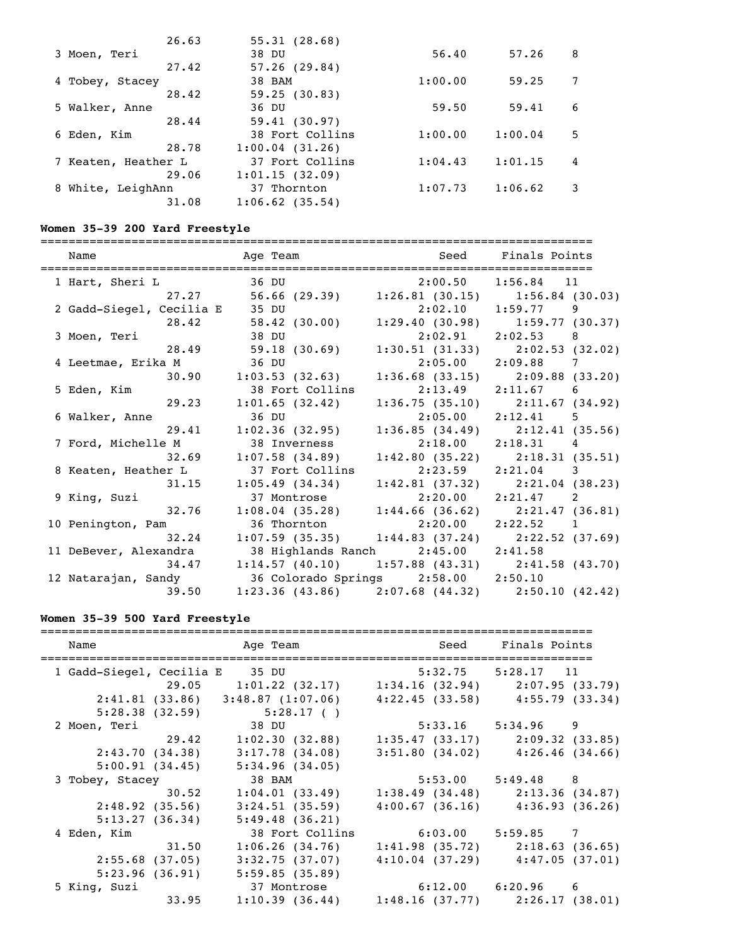|                   | 26.63 | 55.31(28.68)      |         |         |   |
|-------------------|-------|-------------------|---------|---------|---|
| 3 Moen, Teri      |       | 38 DU             | 56.40   | 57.26   | 8 |
|                   | 27.42 | 57.26(29.84)      |         |         |   |
| 4 Tobey, Stacey   |       | 38 BAM            | 1:00.00 | 59.25   |   |
|                   | 28.42 | 59.25(30.83)      |         |         |   |
| 5 Walker, Anne    |       | 36 DU             | 59.50   | 59.41   | 6 |
|                   | 28.44 | 59.41(30.97)      |         |         |   |
| 6 Eden, Kim       |       | 38 Fort Collins   | 1:00.00 | 1:00.04 | 5 |
|                   | 28.78 | 1:00.04(31.26)    |         |         |   |
| Keaten, Heather L |       | 37 Fort Collins   | 1:04.43 | 1:01.15 | 4 |
|                   | 29.06 | 1:01.15(32.09)    |         |         |   |
| 8 White, LeighAnn |       | 37 Thornton       | 1:07.73 | 1:06.62 | 3 |
|                   | 31.08 | $1:06.62$ (35.54) |         |         |   |
|                   |       |                   |         |         |   |

# **Women 35-39 200 Yard Freestyle**

| Name                     |       | Age Team                                              | Seed Finals Points     |                                     |
|--------------------------|-------|-------------------------------------------------------|------------------------|-------------------------------------|
|                          |       |                                                       |                        |                                     |
| 1 Hart, Sheri L          |       | 36 DU                                                 | $2:00.50$ $1:56.84$ 11 |                                     |
|                          |       | 27.27 56.66 (29.39) 1:26.81 (30.15) 1:56.84 (30.03)   |                        |                                     |
| 2 Gadd-Siegel, Cecilia E |       | 35 DU                                                 | $2:02.10$ $1:59.77$ 9  |                                     |
|                          | 28.42 | 58.42 (30.00) 1:29.40 (30.98) 1:59.77 (30.37)         |                        |                                     |
| 3 Moen, Teri             |       | 38 DU                                                 | $2:02.91$ $2:02.53$ 8  |                                     |
|                          |       | 28.49 59.18 (30.69)                                   |                        | $1:30.51$ (31.33) $2:02.53$ (32.02) |
| 4 Leetmae, Erika M       |       | 36 DU                                                 | $2:05.00$ $2:09.88$ 7  |                                     |
|                          | 30.90 | $1:03.53$ (32.63)                                     |                        | $1:36.68$ (33.15) $2:09.88$ (33.20) |
| 5 Eden, Kim              |       | 38 Fort Collins 2:13.49 2:11.67 6                     |                        |                                     |
|                          | 29.23 | 1:01.65(32.42)                                        |                        | $1:36.75(35.10)$ $2:11.67(34.92)$   |
| 6 Walker, Anne           |       | 36 DU                                                 | $2:05.00$ $2:12.41$ 5  |                                     |
|                          |       | 29.41 1:02.36 (32.95) 1:36.85 (34.49) 2:12.41 (35.56) |                        |                                     |
| 7 Ford, Michelle M       |       | 38 Inverness                                          | $2:18.00$ $2:18.31$ 4  |                                     |
|                          | 32.69 | $1:07.58$ (34.89) $1:42.80$ (35.22) $2:18.31$ (35.51) |                        |                                     |
| 8 Keaten, Heather L      |       | 37 Fort Collins 2:23.59 2:21.04 3                     |                        |                                     |
|                          | 31.15 | $1:05.49$ (34.34) $1:42.81$ (37.32) $2:21.04$ (38.23) |                        |                                     |
| 9 King, Suzi             |       | 37 Montrose 2:20.00 2:21.47 2                         |                        |                                     |
|                          | 32.76 | $1:08.04$ (35.28) $1:44.66$ (36.62) $2:21.47$ (36.81) |                        |                                     |
| 10 Penington, Pam        |       | 36 Thornton 2:20.00 2:22.52 1                         |                        |                                     |
|                          | 32.24 | $1:07.59$ (35.35) $1:44.83$ (37.24) $2:22.52$ (37.69) |                        |                                     |
| 11 DeBever, Alexandra    |       | 38 Highlands Ranch 2:45.00 2:41.58                    |                        |                                     |
|                          |       | 34.47 1:14.57 (40.10) 1:57.88 (43.31) 2:41.58 (43.70) |                        |                                     |
| 12 Natarajan, Sandy      |       | 36 Colorado Springs 2:58.00 2:50.10                   |                        |                                     |
|                          | 39.50 | $1:23.36$ (43.86) $2:07.68$ (44.32) $2:50.10$ (42.42) |                        |                                     |
|                          |       |                                                       |                        |                                     |

# **Women 35-39 500 Yard Freestyle**

| Name                                 | Age Team and Seed Finals Points<br>============                           |                       |                                     |
|--------------------------------------|---------------------------------------------------------------------------|-----------------------|-------------------------------------|
| 1 Gadd-Siegel, Cecilia E 35 DU       |                                                                           |                       | $5:32.75$ $5:28.17$ 11              |
|                                      | 29.05 1:01.22 (32.17) 1:34.16 (32.94) 2:07.95 (33.79)                     |                       |                                     |
|                                      | $2:41.81$ (33.86) $3:48.87$ (1:07.06) $4:22.45$ (33.58) $4:55.79$ (33.34) |                       |                                     |
|                                      | $5:28.38(32.59)$ $5:28.17()$                                              |                       |                                     |
| 2 Moen, Teri 38 DU 5:33.16 5:34.96 9 |                                                                           |                       |                                     |
|                                      | 29.42 1:02.30 (32.88)                                                     |                       | $1:35.47$ (33.17) $2:09.32$ (33.85) |
|                                      | 2:43.70 (34.38) 3:17.78 (34.08)                                           |                       | $3:51.80$ (34.02) $4:26.46$ (34.66) |
|                                      | $5:00.91(34.45)$ $5:34.96(34.05)$                                         |                       |                                     |
| 3 Tobey, Stacey                      | 38 BAM                                                                    | $5:53.00$ $5:49.48$ 8 |                                     |
|                                      | $30.52$ $1:04.01$ (33.49)                                                 |                       | $1:38.49$ (34.48) $2:13.36$ (34.87) |
| 2:48.92 (35.56)                      | 3:24.51(35.59)                                                            |                       | $4:00.67$ (36.16) $4:36.93$ (36.26) |
| 5:13.27(36.34)                       | 5:49.48(36.21)                                                            |                       |                                     |
| 4 Eden, Kim                          | 38 Fort Collins                                                           | $6:03.00$ $5:59.85$ 7 |                                     |
|                                      | $31.50$ $1:06.26$ (34.76)                                                 |                       | $1:41.98$ (35.72) $2:18.63$ (36.65) |
| 2:55.68 (37.05)                      | 3:32.75(37.07)                                                            |                       | $4:10.04$ (37.29) $4:47.05$ (37.01) |
|                                      | $5:23.96$ (36.91) $5:59.85$ (35.89)                                       |                       |                                     |
| 5 King, Suzi                         | 37 Montrose                                                               | $6:12.00$ $6:20.96$ 6 |                                     |
| 33.95                                | $1:10.39$ (36.44) $1:48.16$ (37.77) $2:26.17$ (38.01)                     |                       |                                     |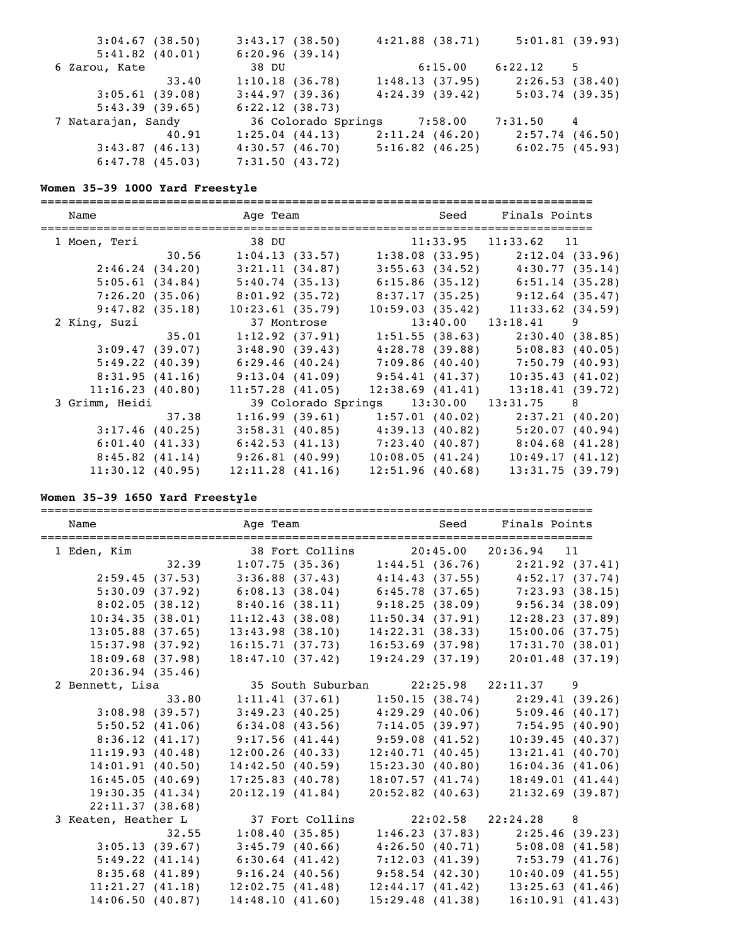| $3:04.67$ (38.50)  | 3:43.17(38.50)              | $4:21.88$ $(38.71)$ | 5:01.81(39.93)    |
|--------------------|-----------------------------|---------------------|-------------------|
| $5:41.82$ (40.01)  | 6:20.96(39.14)              |                     |                   |
| 6 Zarou, Kate      | 38 DU                       | 6:15.00             | 6:22.12<br>5      |
| 33.40              | 1:10.18(36.78)              | 1:48.13(37.95)      | 2:26.53(38.40)    |
| 3:05.61(39.08)     | 3:44.97(39.36)              | 4:24.39(39.42)      | 5:03.74(39.35)    |
| 5:43.39(39.65)     | 6:22.12(38.73)              |                     |                   |
| 7 Natarajan, Sandy | 36 Colorado Springs 7:58.00 |                     | 7:31.50 4         |
| 40.91              | 1:25.04(44.13)              | 2:11.24(46.20)      | $2:57.74$ (46.50) |
| 3:43.87(46.13)     | 4:30.57(46.70)              | 5:16.82(46.25)      | 6:02.75(45.93)    |
| 6:47.78(45.03)     | 7:31.50(43.72)              |                     |                   |

### **Women 35-39 1000 Yard Freestyle**

===============================================================================

| Name            |                | Age Team                                              |                                            | Seed Finals Points                                    |
|-----------------|----------------|-------------------------------------------------------|--------------------------------------------|-------------------------------------------------------|
| 1 Moen, Teri    |                | 38 DU 11:33.95 11:33.62 11                            |                                            |                                                       |
|                 | 30.56          | $1:04.13$ (33.57)                                     |                                            | $1:38.08$ (33.95) $2:12.04$ (33.96)                   |
|                 | 2:46.24(34.20) | 3:21.11(34.87)                                        |                                            | $3:55.63$ (34.52) $4:30.77$ (35.14)                   |
|                 | 5:05.61(34.84) | $5:40.74$ (35.13) 6:15.86 (35.12) 6:51.14 (35.28)     |                                            |                                                       |
|                 | 7:26.20(35.06) | 8:01.92(35.72)                                        |                                            | $8:37.17(35.25)$ $9:12.64(35.47)$                     |
|                 | 9:47.82(35.18) | 10:23.61(35.79)                                       | 10:59.03(35.42)                            | $11:33.62$ (34.59)                                    |
| 2 King, Suzi    |                | 37 Montrose                                           | $13:40.00$ $13:18.41$ 9                    |                                                       |
|                 | 35.01          |                                                       |                                            | $1:12.92$ (37.91) $1:51.55$ (38.63) $2:30.40$ (38.85) |
|                 | 3:09.47(39.07) |                                                       |                                            | $3:48.90(39.43)$ $4:28.78(39.88)$ $5:08.83(40.05)$    |
|                 | 5:49.22(40.39) | $6:29.46$ (40.24) $7:09.86$ (40.40) $7:50.79$ (40.93) |                                            |                                                       |
|                 | 8:31.95(41.16) | $9:13.04$ (41.09) $9:54.41$ (41.37)                   |                                            | 10:35.43(41.02)                                       |
| 11:16.23(40.80) |                | $11:57.28$ (41.05)                                    | 12:38.69(41.41)                            | 13:18.41(39.72)                                       |
| 3 Grimm, Heidi  |                |                                                       | 39 Colorado Springs  13:30.00  13:31.75  8 |                                                       |
|                 | 37.38          | $1:16.99$ (39.61) $1:57.01$ (40.02) $2:37.21$ (40.20) |                                            |                                                       |
|                 | 3:17.46(40.25) |                                                       |                                            | $3:58.31$ (40.85) $4:39.13$ (40.82) $5:20.07$ (40.94) |
|                 | 6:01.40(41.33) | $6:42.53$ (41.13) $7:23.40$ (40.87) $8:04.68$ (41.28) |                                            |                                                       |
|                 | 8:45.82(41.14) | 9:26.81(40.99)                                        | 10:08.05(41.24)                            | 10:49.17(41.12)                                       |
| 11:30.12(40.95) |                | 12:11.28(41.16)                                       | 12:51.96(40.68)                            | 13:31.75(39.79)                                       |

### **Women 35-39 1650 Yard Freestyle**

=============================================================================== Name Team Age Team Seed Finals Points =============================================================================== 1 Eden, Kim 38 Fort Collins 20:45.00 20:36.94 11<br>32.39 1:07.75 (35.36) 1:44.51 (36.76) 2:21.92 (37.41)<br>2:59.45 (37.53) 3:36.88 (37.43) 4:14.43 (37.55) 4:52.17 (37.74) 32.39 1:07.75 (35.36) 1:44.51 (36.76) 2:21.92 (37.41) 2:59.45 (37.53) 3:36.88 (37.43) 4:14.43 (37.55) 4:52.17 (37.74) 5:30.09 (37.92) 6:08.13 (38.04) 6:45.78 (37.65) 7:23.93 (38.15) 8:02.05 (38.12) 8:40.16 (38.11) 9:18.25 (38.09) 9:56.34 (38.09) 10:34.35 (38.01) 11:12.43 (38.08) 11:50.34 (37.91) 12:28.23 (37.89) 13:05.88 (37.65) 13:43.98 (38.10) 14:22.31 (38.33) 15:00.06 (37.75) 15:37.98 (37.92) 16:15.71 (37.73) 16:53.69 (37.98) 17:31.70 (38.01) 18:09.68 (37.98) 18:47.10 (37.42) 19:24.29 (37.19) 20:01.48 (37.19) 20:36.94 (35.46) 2 Bennett, Lisa 35 South Suburban 22:25.98 22:11.37 9 33.80 1:11.41 (37.61) 1:50.15 (38.74) 2:29.41 (39.26) 3:08.98 (39.57) 3:49.23 (40.25) 4:29.29 (40.06) 5:09.46 (40.17) 5:50.52 (41.06) 6:34.08 (43.56) 7:14.05 (39.97) 7:54.95 (40.90) 8:36.12 (41.17) 9:17.56 (41.44) 9:59.08 (41.52) 10:39.45 (40.37) 11:19.93 (40.48) 12:00.26 (40.33) 12:40.71 (40.45) 13:21.41 (40.70) 14:01.91 (40.50) 14:42.50 (40.59) 15:23.30 (40.80) 16:04.36 (41.06) 16:45.05 (40.69) 17:25.83 (40.78) 18:07.57 (41.74) 18:49.01 (41.44) 19:30.35 (41.34) 20:12.19 (41.84) 20:52.82 (40.63) 21:32.69 (39.87) 22:11.37 (38.68) 3 Keaten, Heather L 37 Fort Collins 22:02.58 22:24.28 8 32.55 1:08.40 (35.85) 1:46.23 (37.83) 2:25.46 (39.23) 3:05.13 (39.67) 3:45.79 (40.66) 4:26.50 (40.71) 5:08.08 (41.58) 5:49.22 (41.14) 6:30.64 (41.42) 7:12.03 (41.39) 7:53.79 (41.76) 8:35.68 (41.89) 9:16.24 (40.56) 9:58.54 (42.30) 10:40.09 (41.55) 11:21.27 (41.18) 12:02.75 (41.48) 12:44.17 (41.42) 13:25.63 (41.46) 14:06.50 (40.87) 14:48.10 (41.60) 15:29.48 (41.38) 16:10.91 (41.43)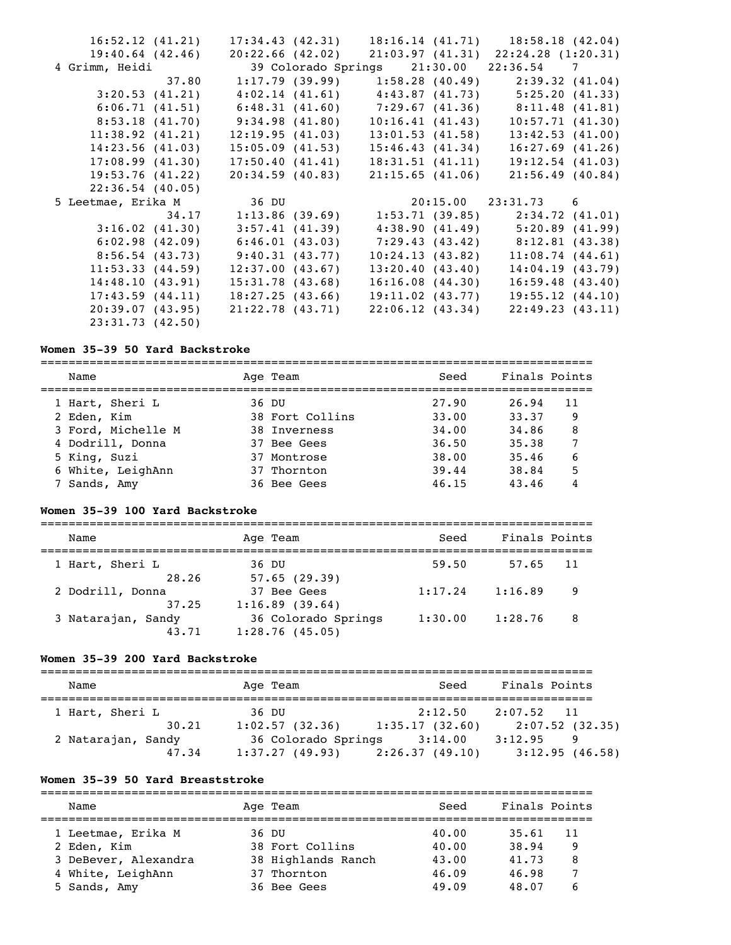| 16:52.12(41.21)    | 17:34.43(42.31)                   |                                                                         | $18:16.14$ $(41.71)$ $18:58.18$ $(42.04)$   |
|--------------------|-----------------------------------|-------------------------------------------------------------------------|---------------------------------------------|
| $19:40.64$ (42.46) | 20:22.66(42.02)                   |                                                                         | $21:03.97$ $(41.31)$ $22:24.28$ $(1:20.31)$ |
| 4 Grimm, Heidi     |                                   | 39 Colorado Springs 21:30.00 22:36.54 7                                 |                                             |
|                    |                                   | $37.80$ 1:17.79 (39.99) 1:58.28 (40.49) 2:39.32 (41.04)                 |                                             |
| 3:20.53(41.21)     |                                   | $4:02.14$ $(41.61)$ $4:43.87$ $(41.73)$ $5:25.20$ $(41.33)$             |                                             |
| 6:06.71(41.51)     |                                   | $6:48.31$ $(41.60)$ $7:29.67$ $(41.36)$ $8:11.48$ $(41.81)$             |                                             |
|                    | 8:53.18 (41.70) 9:34.98 (41.80)   | 10:16.41(41.43)                                                         | 10:57.71(41.30)                             |
| 11:38.92(41.21)    | 12:19.95(41.03)                   | 13:01.53(41.58)                                                         | 13:42.53(41.00)                             |
| 14:23.56(41.03)    | $15:05.09$ (41.53)                | 15:46.43(41.34)                                                         | $16:27.69$ (41.26)                          |
| 17:08.99(41.30)    | 17:50.40(41.41)                   | 18:31.51(41.11)                                                         | 19:12.54(41.03)                             |
| 19:53.76(41.22)    | 20:34.59(40.83)                   | 21:15.65(41.06)                                                         | 21:56.49(40.84)                             |
|                    |                                   |                                                                         |                                             |
| $22:36.54$ (40.05) |                                   |                                                                         |                                             |
| 5 Leetmae, Erika M | 36 DU                             |                                                                         | 20:15.00 23:31.73 6                         |
|                    |                                   | $34.17$ 1:13.86 (39.69) 1:53.71 (39.85) 2:34.72 (41.01)                 |                                             |
| 3:16.02(41.30)     | 3:57.41(41.39)                    |                                                                         | $4:38.90(41.49)$ $5:20.89(41.99)$           |
|                    |                                   | $6:02.98$ (42.09) $6:46.01$ (43.03) $7:29.43$ (43.42) $8:12.81$ (43.38) |                                             |
|                    | $8:56.54$ (43.73) 9:40.31 (43.77) | 10:24.13(43.82)                                                         | 11:08.74(44.61)                             |
| 11:53.33(44.59)    | 12:37.00(43.67)                   | 13:20.40(43.40)                                                         | 14:04.19(43.79)                             |
| 14:48.10(43.91)    | 15:31.78(43.68)                   | 16:16.08(44.30)                                                         | 16:59.48(43.40)                             |
| 17:43.59(44.11)    | 18:27.25(43.66)                   | $19:11.02$ (43.77)                                                      | 19:55.12(44.10)                             |
| 20:39.07(43.95)    | 21:22.78(43.71)                   | 22:06.12(43.34)                                                         | 22:49.23(43.11)                             |

# **Women 35-39 50 Yard Backstroke**

| Name               | Age Team        | Seed  | Finals Points |
|--------------------|-----------------|-------|---------------|
| 1 Hart, Sheri L    | 36 DU           | 27.90 | 26.94<br>11   |
| 2 Eden, Kim        | 38 Fort Collins | 33.00 | 33.37<br>9    |
| 3 Ford, Michelle M | 38 Inverness    | 34.00 | 34.86<br>8    |
| 4 Dodrill, Donna   | 37 Bee Gees     | 36.50 | 35.38         |
| 5 King, Suzi       | 37 Montrose     | 38.00 | 6<br>35.46    |
| 6 White, LeighAnn  | 37 Thornton     | 39.44 | 38.84<br>5    |
| 7 Sands, Amy       | 36 Bee Gees     | 46.15 | 43.46         |

### **Women 35-39 100 Yard Backstroke**

| Name               | Age Team            | Seed    | Finals Points |     |
|--------------------|---------------------|---------|---------------|-----|
| 1 Hart, Sheri L    | 36 DU               | 59.50   | 57.65         | -11 |
| 28.26              | 57.65(29.39)        |         |               |     |
| 2 Dodrill, Donna   | 37 Bee Gees         | 1:17.24 | 1:16.89       | 9   |
| 37.25              | 1:16.89(39.64)      |         |               |     |
| 3 Natarajan, Sandy | 36 Colorado Springs | 1:30.00 | 1:28.76       | - 8 |
| 43.71              | 1:28.76(45.05)      |         |               |     |

### **Women 35-39 200 Yard Backstroke**

| Name               | Age Team            | Seed           | Finals Points          |
|--------------------|---------------------|----------------|------------------------|
| 1 Hart, Sheri L    | 36 DU               | 2:12.50        | 2:07.52<br>$\sqrt{11}$ |
| 30.21              | 1:02.57(32.36)      | 1:35.17(32.60) | 2:07.52(32.35)         |
| 2 Natarajan, Sandy | 36 Colorado Springs | 3:14.00        | 3:12.95<br>9           |
| 47.34              | 1:37.27(49.93)      | 2:26.37(49.10) | 3:12.95(46.58)         |

### **Women 35-39 50 Yard Breaststroke**

=============================================================================== Name Age Team Seed Finals Points =============================================================================== 1 Leetmae, Erika M 36 DU 40.00 35.61 11 2 Eden, Kim 38 Fort Collins 40.00 38.94 9 3 DeBever, Alexandra 38 Highlands Ranch 43.00 41.73 8 4 White, LeighAnn 37 Thornton 46.09 46.98 7 5 Sands, Amy 36 Bee Gees 49.09 48.07 6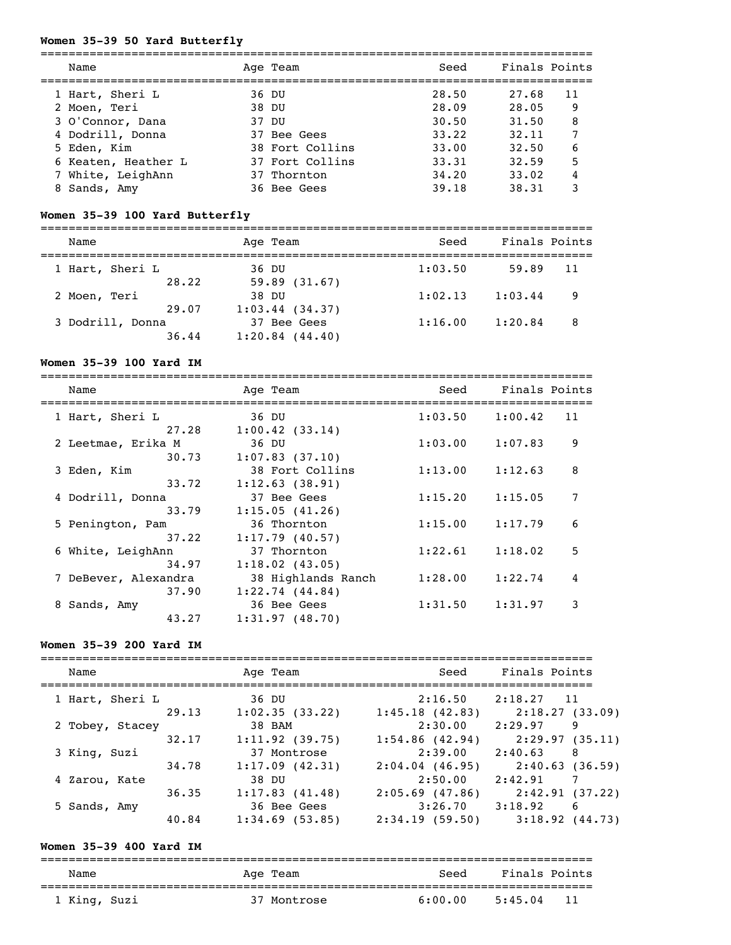# **Women 35-39 50 Yard Butterfly**

| Name                | Age Team        | Seed  | Finals Points |    |
|---------------------|-----------------|-------|---------------|----|
| 1 Hart, Sheri L     | 36 DU           | 28.50 | 27.68         | 11 |
| 2 Moen, Teri        | 38 DU           | 28.09 | 28.05         | 9  |
| 3 O'Connor, Dana    | <u>37 זה</u>    | 30.50 | 31.50         | 8  |
| 4 Dodrill, Donna    | 37 Bee Gees     | 33.22 | 32.11         |    |
| 5 Eden, Kim         | 38 Fort Collins | 33.00 | 32.50         | 6  |
| 6 Keaten, Heather L | 37 Fort Collins | 33.31 | 32.59         | 5  |
| 7 White, LeighAnn   | 37 Thornton     | 34.20 | 33.02         | 4  |
| 8 Sands, Amy        | 36 Bee Gees     | 39.18 | 38.31         | 3  |

# **Women 35-39 100 Yard Butterfly**

===============================================================================

| Name             |       | Age Team            | Seed    | Finals Points |     |
|------------------|-------|---------------------|---------|---------------|-----|
| 1 Hart, Sheri L  |       | 36 DU               | 1:03.50 | 59.89         | -11 |
|                  | 28.22 | 59.89(31.67)        |         |               |     |
| 2 Moen, Teri     |       | 38 DU               | 1:02.13 | 1:03.44       | 9   |
|                  | 29.07 | $1:03.44$ (34.37)   |         |               |     |
| 3 Dodrill, Donna |       | 37 Bee Gees         | 1:16.00 | 1:20.84       | - 8 |
|                  | 36.44 | $1:20.84$ $(44.40)$ |         |               |     |

## **Women 35-39 100 Yard IM**

| Name                 | Age Team           | Seed    | Finals Points |   |
|----------------------|--------------------|---------|---------------|---|
| 1 Hart, Sheri L      | 36 DU              | 1:03.50 | 1:00.42<br>11 |   |
| 27.28                | 1:00.42(33.14)     |         |               |   |
| 2 Leetmae, Erika M   | 36 DU              | 1:03.00 | 1:07.83       | 9 |
| 30.73                | $1:07.83$ (37.10)  |         |               |   |
| 3 Eden, Kim          | 38 Fort Collins    | 1:13.00 | 1:12.63       | 8 |
| 33.72                | 1:12.63(38.91)     |         |               |   |
| 4 Dodrill, Donna     | 37 Bee Gees        | 1:15.20 | 1:15.05       | 7 |
| 33.79                | 1:15.05(41.26)     |         |               |   |
| 5 Penington, Pam     | 36 Thornton        | 1:15.00 | 1:17.79       | 6 |
| 37.22                | $1:17.79$ (40.57)  |         |               |   |
| 6 White, LeighAnn    | 37 Thornton        | 1:22.61 | 1:18.02       | 5 |
| 34.97                | 1:18.02(43.05)     |         |               |   |
| 7 DeBever, Alexandra | 38 Highlands Ranch | 1:28.00 | 1:22.74       | 4 |
| 37.90                | 1:22.74(44.84)     |         |               |   |
| 8 Sands, Amy         | 36 Bee Gees        | 1:31.50 | 1:31.97       | 3 |
| 43.27                | 1:31.97(48.70)     |         |               |   |

### **Women 35-39 200 Yard IM**

| Name            |       |       | Age Team          | Seed              | Finals Points |                     |
|-----------------|-------|-------|-------------------|-------------------|---------------|---------------------|
| 1 Hart, Sheri L |       | 36 DU |                   | 2:16.50           | 2:18.27       | 11                  |
|                 | 29.13 |       | 1:02.35(33.22)    | 1:45.18(42.83)    |               | 2:18.27(33.09)      |
| 2 Tobey, Stacey |       |       | 38 BAM            | 2:30.00           | 2:29.97       | 9                   |
|                 | 32.17 |       | 1:11.92(39.75)    | $1:54.86$ (42.94) |               | 2:29.97(35.11)      |
| 3 King, Suzi    |       |       | 37 Montrose       | 2:39.00           | 2:40.63       | 8                   |
|                 | 34.78 |       | 1:17.09(42.31)    | 2:04.04(46.95)    |               | 2:40.63(36.59)      |
| 4 Zarou, Kate   |       | 38 DU |                   | 2:50.00           | 2:42.91       |                     |
|                 | 36.35 |       | 1:17.83(41.48)    | 2:05.69(47.86)    |               | 2:42.91(37.22)      |
| 5 Sands, Amy    |       |       | 36 Bee Gees       | 3:26.70           | 3:18.92       | 6                   |
|                 | 40.84 |       | $1:34.69$ (53.85) | 2:34.19(59.50)    |               | $3:18.92$ $(44.73)$ |

# **Women 35-39 400 Yard IM**

| Name         | Age Team    | Seed    | Finals Points   |  |  |  |  |
|--------------|-------------|---------|-----------------|--|--|--|--|
| 1 King, Suzi | 37 Montrose | 6:00.00 | - 11<br>5:45.04 |  |  |  |  |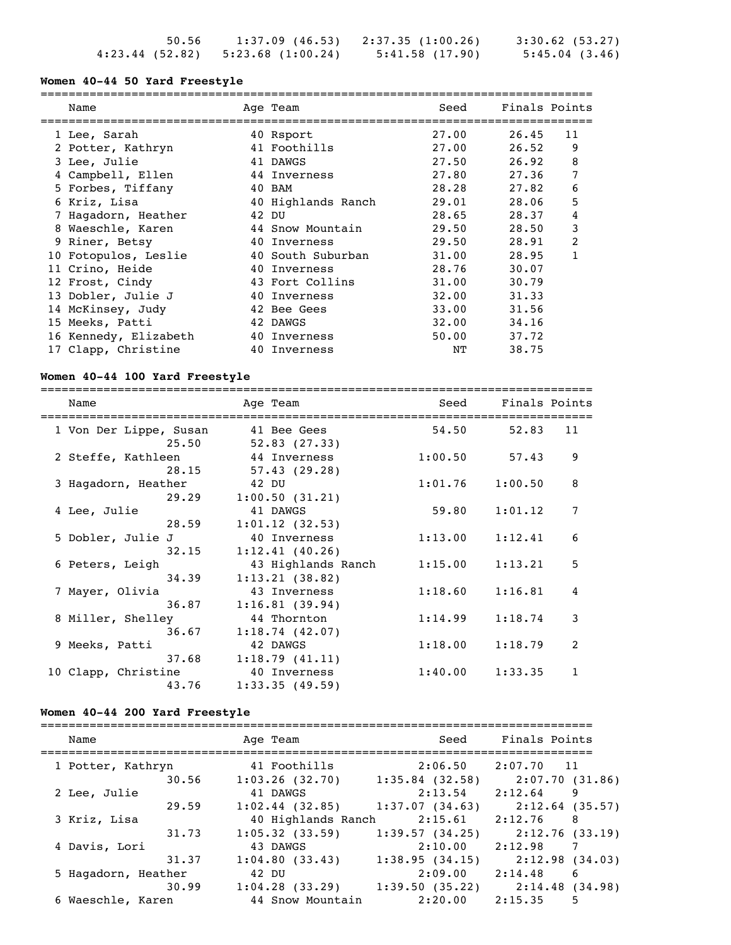| 50.56 |                                     | $1:37.09$ (46.53) $2:37.35$ (1:00.26) | 3:30.62(53.27) |
|-------|-------------------------------------|---------------------------------------|----------------|
|       | $4:23.44$ (52.82) 5:23.68 (1:00.24) | 5:41.58(17.90)                        | 5:45.04(3.46)  |

#### **Women 40-44 50 Yard Freestyle**

===============================================================================

| Name                  | Age Team           | Seed  | Finals Points |    |
|-----------------------|--------------------|-------|---------------|----|
| 1 Lee, Sarah          | 40 Rsport          | 27.00 | 26.45         | 11 |
| 2 Potter, Kathryn     | 41 Foothills       | 27.00 | 26.52         | 9  |
| 3 Lee, Julie          | 41 DAWGS           | 27.50 | 26.92         | 8  |
| 4 Campbell, Ellen     | 44 Inverness       | 27.80 | 27.36         | 7  |
| 5 Forbes, Tiffany     | 40 BAM             | 28.28 | 27.82         | 6  |
| 6 Kriz, Lisa          | 40 Highlands Ranch | 29.01 | 28.06         | 5  |
| Hagadorn, Heather     | 42 DU              | 28.65 | 28.37         | 4  |
| 8 Waeschle, Karen     | 44 Snow Mountain   | 29.50 | 28.50         | 3  |
| 9 Riner, Betsy        | 40 Inverness       | 29.50 | 28.91         | 2  |
| 10 Fotopulos, Leslie  | 40 South Suburban  | 31.00 | 28.95         |    |
| 11 Crino, Heide       | 40 Inverness       | 28.76 | 30.07         |    |
| 12 Frost, Cindy       | 43 Fort Collins    | 31.00 | 30.79         |    |
| 13 Dobler, Julie J    | 40 Inverness       | 32.00 | 31.33         |    |
| 14 McKinsey, Judy     | 42 Bee Gees        | 33.00 | 31.56         |    |
| 15 Meeks, Patti       | 42 DAWGS           | 32.00 | 34.16         |    |
| 16 Kennedy, Elizabeth | 40 Inverness       | 50.00 | 37.72         |    |
| 17 Clapp, Christine   | 40 Inverness       | NΤ    | 38.75         |    |

#### **Women 40-44 100 Yard Freestyle**

=============================================================================== Name Team Age Team Seed Finals Points =============================================================================== 1 Von Der Lippe, Susan 41 Bee Gees 54.50 52.83 11  $25.50$   $52.83$   $(27.33)$  2 Steffe, Kathleen 44 Inverness 1:00.50 57.43 9  $28.15$   $57.43$   $(29.28)$  3 Hagadorn, Heather 42 DU 1:01.76 1:00.50 8 29.29 1:00.50 (31.21) 4 Lee, Julie 41 DAWGS 59.80 1:01.12 7  $28.59$   $1:01.12$   $(32.53)$  5 Dobler, Julie J 40 Inverness 1:13.00 1:12.41 6  $32.15$   $1:12.41$  (40.26) 6 Peters, Leigh 43 Highlands Ranch 1:15.00 1:13.21 5 34.39 1:13.21 (38.82) 7 Mayer, Olivia 43 Inverness 1:18.60 1:16.81 4  $36.87$  1:16.81 (39.94) 8 Miller, Shelley 44 Thornton 1:14.99 1:18.74 3  $36.67$  1:18.74 (42.07) 9 Meeks, Patti 42 DAWGS 1:18.00 1:18.79 2 37.68 1:18.79 (41.11) 10 Clapp, Christine 40 Inverness 1:40.00 1:33.35 1 43.76 1:33.35 (49.59)

#### **Women 40-44 200 Yard Freestyle**

| Name                         | Age Team                                | Seed                         | Finals Points                     |
|------------------------------|-----------------------------------------|------------------------------|-----------------------------------|
| 1 Potter, Kathryn<br>30.56   | 41 Foothills<br>1:03.26(32.70)          | 2:06.50<br>$1:35.84$ (32.58) | $2:07.70$ 11                      |
| 2 Lee, Julie                 | 41 DAWGS                                | 2:13.54                      | 2:07.70(31.86)<br>2:12.64<br>9    |
| 29.59<br>3 Kriz, Lisa        | $1:02.44$ (32.85)<br>40 Highlands Ranch | 1:37.07(34.63)<br>2:15.61    | $2:12.64$ (35.57)<br>2:12.76<br>8 |
| 31.73<br>4 Davis, Lori       | $1:05.32$ (33.59)<br>43 DAWGS           | 1:39.57(34.25)<br>2:10.00    | 2:12.76(33.19)<br>2:12.98         |
| 31.37<br>5 Hagadorn, Heather | 1:04.80(33.43)<br>42 DU                 | 1:38.95(34.15)<br>2:09.00    | 2:12.98(34.03)<br>2:14.48<br>6    |
| 30.99                        | $1:04.28$ (33.29)                       | 1:39.50(35.22)               | 2:14.48(34.98)                    |
| 6 Waeschle, Karen            | 44 Snow Mountain                        | 2:20.00                      | 2:15.35<br>5                      |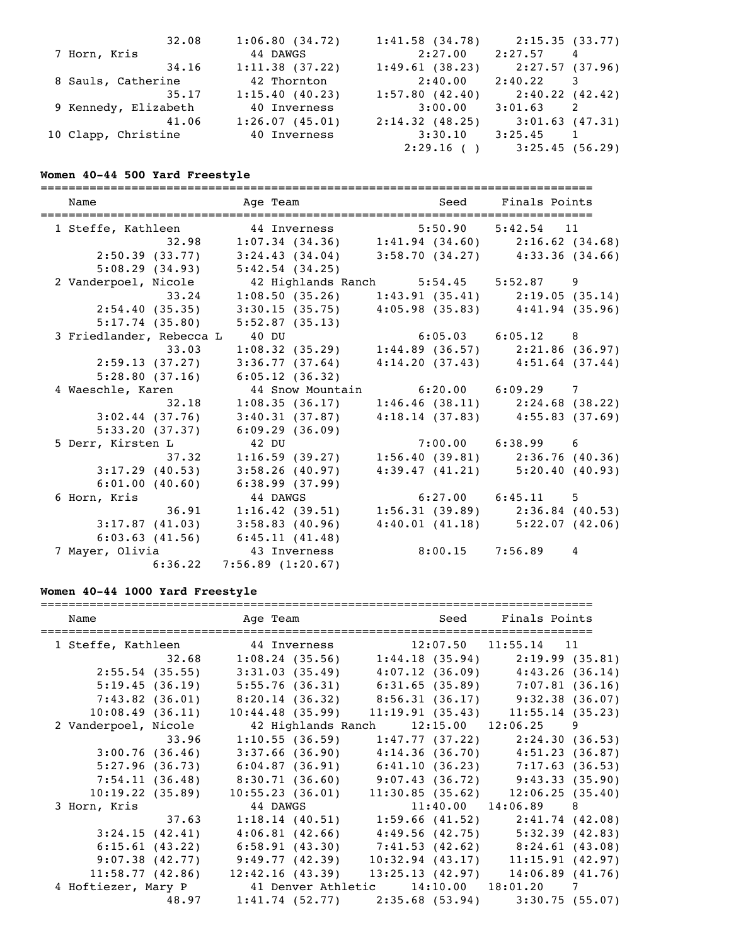| 32.08                | 1:06.80(34.72) | 1:41.58(34.78) | 2:15.35(33.77)  |
|----------------------|----------------|----------------|-----------------|
| 7 Horn, Kris         | 44 DAWGS       | 2:27.00        | 2:27.57<br>4    |
| 34.16                | 1:11.38(37.22) | 1:49.61(38.23) | 2:27.57 (37.96) |
| 8 Sauls, Catherine   | 42 Thornton    | 2:40.00        | 2:40.22<br>3    |
| 35.17                | 1:15.40(40.23) | 1:57.80(42.40) | 2:40.22 (42.42) |
| 9 Kennedy, Elizabeth | 40 Inverness   | 3:00.00        | 3:01.63<br>2    |
| 41.06                | 1:26.07(45.01) | 2:14.32(48.25) | 3:01.63(47.31)  |
| 10 Clapp, Christine  | 40 Inverness   | 3:30.10        | 3:25.45<br>1    |
|                      |                | 2:29.16( )     | 3:25.45(56.29)  |

# **Women 40-44 500 Yard Freestyle**

| Name                     | Age Team                                                | Seed Finals Points    |                                                                            |
|--------------------------|---------------------------------------------------------|-----------------------|----------------------------------------------------------------------------|
|                          | 1 Steffe, Kathleen 44 Inverness 5:50.90 5:42.54 11      |                       |                                                                            |
|                          | 32.98 1:07.34 (34.36) 1:41.94 (34.60) 2:16.62 (34.68)   |                       |                                                                            |
| 2:50.39(33.77)           | $3:24.43$ (34.04) $3:58.70$ (34.27) $4:33.36$ (34.66)   |                       |                                                                            |
| 5:08.29(34.93)           | 5:42.54(34.25)                                          |                       |                                                                            |
| 2 Vanderpoel, Nicole     | 42 Highlands Ranch 5:54.45 5:52.87 9                    |                       |                                                                            |
|                          | 33.24 1:08.50 (35.26) 1:43.91 (35.41) 2:19.05 (35.14)   |                       |                                                                            |
| 2:54.40(35.35)           | $3:30.15$ (35.75) $4:05.98$ (35.83) $4:41.94$ (35.96)   |                       |                                                                            |
| 5:17.74(35.80)           | 5:52.87(35.13)                                          |                       |                                                                            |
| 3 Friedlander, Rebecca L | 40 DU                                                   |                       |                                                                            |
| 33.03                    |                                                         |                       | 40 DU 6:05.03 6:05.12 8<br>1:08.32 (35.29) 1:44.89 (36.57) 2:21.86 (36.97) |
| 2:59.13(37.27)           | 3:36.77(37.64)                                          |                       | $4:14.20(37.43)$ $4:51.64(37.44)$                                          |
| 5:28.80(37.16)           | 6:05.12(36.32)                                          |                       |                                                                            |
| 4 Waeschle, Karen        | 44 Snow Mountain 6:20.00 6:09.29 7                      |                       |                                                                            |
| 32.18                    | 1:08.35(36.17)                                          |                       | $1:46.46$ (38.11) $2:24.68$ (38.22)                                        |
| 3:02.44(37.76)           | 3:40.31(37.87)                                          |                       | $4:18.14$ (37.83) $4:55.83$ (37.69)                                        |
| 5:33.20(37.37)           | 6:09.29(36.09)                                          |                       |                                                                            |
| 5 Derr, Kirsten L        | 42 DU                                                   |                       | $7:00.00$ $6:38.99$ 6                                                      |
| 37.32                    | 1:16.59(39.27)                                          |                       | $1:56.40(39.81)$ $2:36.76(40.36)$                                          |
| 3:17.29(40.53)           | 3:58.26(40.97)                                          |                       | $4:39.47$ (41.21) $5:20.40$ (40.93)                                        |
| 6:01.00(40.60)           | 6:38.99(37.99)                                          |                       |                                                                            |
| 6 Horn, Kris             | 44 DAWGS                                                | $6:27.00$ $6:45.11$ 5 |                                                                            |
|                          | $36.91$ 1:16.42 (39.51) 1:56.31 (39.89) 2:36.84 (40.53) |                       |                                                                            |
| 3:17.87(41.03)           | 3:58.83(40.96)                                          |                       | $4:40.01(41.18)$ $5:22.07(42.06)$                                          |
| 6:03.63(41.56)           | 6:45.11(41.48)                                          |                       |                                                                            |
| 7 Mayer, Olivia          | 43 Inverness                                            | $8:00.15$ 7:56.89 4   |                                                                            |
|                          | $6:36.22$ 7:56.89 (1:20.67)                             |                       |                                                                            |

# **Women 40-44 1000 Yard Freestyle**

| Name                 |                 |                                                       | Age Team Seed                                         | Finals Points           |  |
|----------------------|-----------------|-------------------------------------------------------|-------------------------------------------------------|-------------------------|--|
|                      |                 | 1 Steffe, Kathleen 44 Inverness 12:07.50 11:55.14 11  |                                                       |                         |  |
|                      | 32.68           |                                                       | $1:08.24$ (35.56) $1:44.18$ (35.94) $2:19.99$ (35.81) |                         |  |
|                      | 2:55.54(35.55)  | $3:31.03$ (35.49) $4:07.12$ (36.09) $4:43.26$ (36.14) |                                                       |                         |  |
|                      | 5:19.45(36.19)  | $5:55.76$ (36.31) 6:31.65 (35.89) 7:07.81 (36.16)     |                                                       |                         |  |
|                      | 7:43.82(36.01)  | $8:20.14$ (36.32) $8:56.31$ (36.17) $9:32.38$ (36.07) |                                                       |                         |  |
| 10:08.49(36.11)      |                 | 10:44.48(35.99)                                       | 11:19.91(35.43)                                       | 11:55.14(35.23)         |  |
| 2 Vanderpoel, Nicole |                 |                                                       |                                                       |                         |  |
|                      | 33.96           | 1:10.55(36.59)                                        | $1:47.77$ (37.22) $2:24.30$ (36.53)                   |                         |  |
|                      | 3:00.76(36.46)  | 3:37.66 (36.90)                                       | $4:14.36$ (36.70) $4:51.23$ (36.87)                   |                         |  |
|                      | 5:27.96(36.73)  | $6:04.87$ (36.91)                                     | $6:41.10(36.23)$ $7:17.63(36.53)$                     |                         |  |
|                      | 7:54.11(36.48)  |                                                       | $8:30.71$ (36.60) 9:07.43 (36.72) 9:43.33 (35.90)     |                         |  |
| 10:19.22(35.89)      |                 | 10:55.23(36.01)                                       | 11:30.85(35.62)                                       | 12:06.25(35.40)         |  |
| 3 Horn, Kris         |                 | 44 DAWGS                                              |                                                       | $11:40.00$ $14:06.89$ 8 |  |
|                      | 37.63           |                                                       | $1:18.14$ (40.51) 1:59.66 (41.52) 2:41.74 (42.08)     |                         |  |
|                      | 3:24.15(42.41)  | 4:06.81(42.66)                                        | 4:49.56 (42.75) 5:32.39 (42.83)                       |                         |  |
|                      | 6:15.61(43.22)  | 6:58.91 (43.30)                                       | 7:41.53 (42.62) 8:24.61 (43.08)                       |                         |  |
|                      | 9:07.38(42.77)  | 9:49.77(42.39)                                        | $10:32.94$ (43.17) $11:15.91$ (42.97)                 |                         |  |
|                      | 11:58.77(42.86) | 12:42.16(43.39)                                       | 13:25.13(42.97)                                       | 14:06.89(41.76)         |  |
| 4 Hoftiezer, Mary P  |                 |                                                       | 41 Denver Athletic 14:10.00 18:01.20 7                |                         |  |
|                      | 48.97           | 1:41.74(52.77)                                        | 2:35.68 (53.94) 3:30.75 (55.07)                       |                         |  |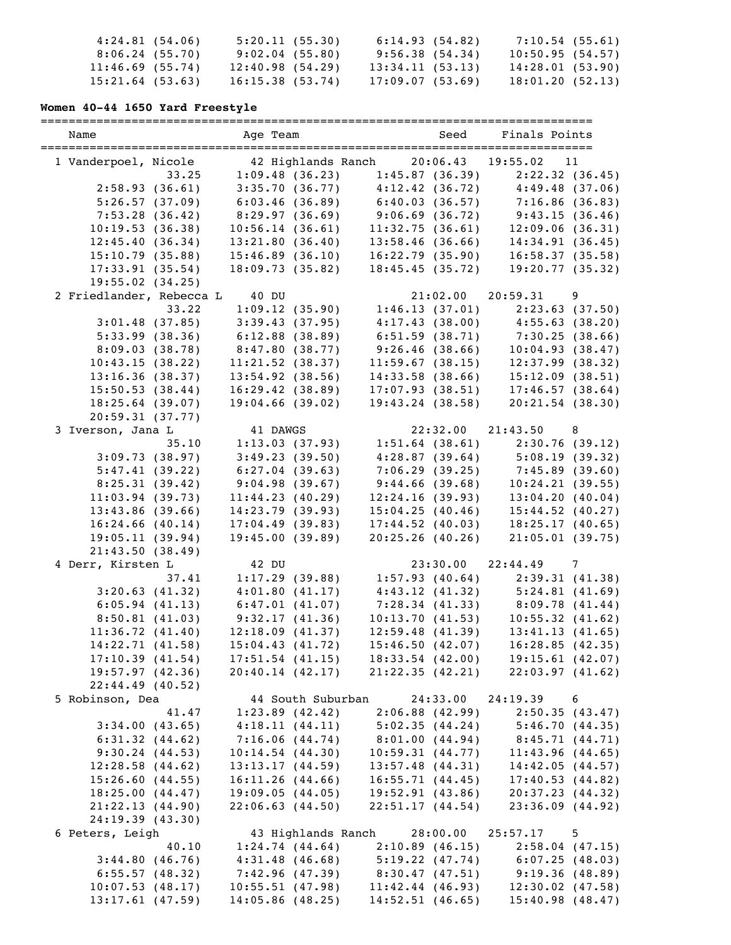| 4:24.81(54.06)     | 5:20.11(55.30)  | 6:14.93(54.82)  | $7:10.54$ (55.61) |  |
|--------------------|-----------------|-----------------|-------------------|--|
| 8:06.24(55.70)     | 9:02.04(55.80)  | 9:56.38(54.34)  | 10:50.95(54.57)   |  |
| 11:46.69(55.74)    | 12:40.98(54.29) | 13:34.11(53.13) | 14:28.01 (53.90)  |  |
| $15:21.64$ (53.63) | 16:15.38(53.74) | 17:09.07(53.69) | 18:01.20(52.13)   |  |

### **Women 40-44 1650 Yard Freestyle**

=============================================================================== Name Team Age Team Seed Finals Points =============================================================================== 1 Vanderpoel, Nicole 42 Highlands Ranch 20:06.43 19:55.02 11 33.25 1:09.48 (36.23) 1:45.87 (36.39) 2:22.32 (36.45) 2:58.93 (36.61) 3:35.70 (36.77) 4:12.42 (36.72) 4:49.48 (37.06) 5:26.57 (37.09) 6:03.46 (36.89) 6:40.03 (36.57) 7:16.86 (36.83) 7:53.28 (36.42) 8:29.97 (36.69) 9:06.69 (36.72) 9:43.15 (36.46) 10:19.53 (36.38) 10:56.14 (36.61) 11:32.75 (36.61) 12:09.06 (36.31) 12:45.40 (36.34) 13:21.80 (36.40) 13:58.46 (36.66) 14:34.91 (36.45) 15:10.79 (35.88) 15:46.89 (36.10) 16:22.79 (35.90) 16:58.37 (35.58) 17:33.91 (35.54) 18:09.73 (35.82) 18:45.45 (35.72) 19:20.77 (35.32) 19:55.02 (34.25) 2 Friedlander, Rebecca L 40 DU 21:02.00 20:59.31 9 33.22 1:09.12 (35.90) 1:46.13 (37.01) 2:23.63 (37.50) 3:01.48 (37.85) 3:39.43 (37.95) 4:17.43 (38.00) 4:55.63 (38.20) 5:33.99 (38.36) 6:12.88 (38.89) 6:51.59 (38.71) 7:30.25 (38.66) 8:09.03 (38.78) 8:47.80 (38.77) 9:26.46 (38.66) 10:04.93 (38.47) 10:43.15 (38.22) 11:21.52 (38.37) 11:59.67 (38.15) 12:37.99 (38.32) 13:16.36 (38.37) 13:54.92 (38.56) 14:33.58 (38.66) 15:12.09 (38.51) 15:50.53 (38.44) 16:29.42 (38.89) 17:07.93 (38.51) 17:46.57 (38.64) 18:25.64 (39.07) 19:04.66 (39.02) 19:43.24 (38.58) 20:21.54 (38.30) 20:59.31 (37.77) 3 Iverson, Jana L 41 DAWGS 22:32.00 21:43.50 8 35.10 1:13.03 (37.93) 1:51.64 (38.61) 2:30.76 (39.12) 3:09.73 (38.97) 3:49.23 (39.50) 4:28.87 (39.64) 5:08.19 (39.32) 5:47.41 (39.22) 6:27.04 (39.63) 7:06.29 (39.25) 7:45.89 (39.60) 8:25.31 (39.42) 9:04.98 (39.67) 9:44.66 (39.68) 10:24.21 (39.55) 11:03.94 (39.73) 11:44.23 (40.29) 12:24.16 (39.93) 13:04.20 (40.04) 13:43.86 (39.66) 14:23.79 (39.93) 15:04.25 (40.46) 15:44.52 (40.27) 16:24.66 (40.14) 17:04.49 (39.83) 17:44.52 (40.03) 18:25.17 (40.65) 19:05.11 (39.94) 19:45.00 (39.89) 20:25.26 (40.26) 21:05.01 (39.75) 21:43.50 (38.49) 4 Derr, Kirsten L 42 DU 23:30.00 22:44.49 7 37.41 1:17.29 (39.88) 1:57.93 (40.64) 2:39.31 (41.38) 3:20.63 (41.32) 4:01.80 (41.17) 4:43.12 (41.32) 5:24.81 (41.69) 6:05.94 (41.13) 6:47.01 (41.07) 7:28.34 (41.33) 8:09.78 (41.44) 8:50.81 (41.03) 9:32.17 (41.36) 10:13.70 (41.53) 10:55.32 (41.62) 11:36.72 (41.40) 12:18.09 (41.37) 12:59.48 (41.39) 13:41.13 (41.65) 14:22.71 (41.58) 15:04.43 (41.72) 15:46.50 (42.07) 16:28.85 (42.35) 17:10.39 (41.54) 17:51.54 (41.15) 18:33.54 (42.00) 19:15.61 (42.07) 19:57.97 (42.36) 20:40.14 (42.17) 21:22.35 (42.21) 22:03.97 (41.62) 22:44.49 (40.52) 5 Robinson, Dea 44 South Suburban 24:33.00 24:19.39 6 41.47 1:23.89 (42.42) 2:06.88 (42.99) 2:50.35 (43.47) 3:34.00 (43.65) 4:18.11 (44.11) 5:02.35 (44.24)<br>6:31.32 (44.62) 7:16.06 (44.74) 8:01.00 (44.94) 6:31.32 (44.62) 7:16.06 (44.74) 8:01.00 (44.94) 8:45.71 (44.71) 9:30.24 (44.53) 10:14.54 (44.30) 10:59.31 (44.77) 11:43.96 (44.65) 12:28.58 (44.62) 13:13.17 (44.59) 13:57.48 (44.31) 14:42.05 (44.57) 15:26.60 (44.55) 16:11.26 (44.66) 16:55.71 (44.45) 17:40.53 (44.82) 18:25.00 (44.47) 19:09.05 (44.05) 19:52.91 (43.86) 20:37.23 (44.32) 21:22.13 (44.90) 22:06.63 (44.50) 22:51.17 (44.54) 23:36.09 (44.92) 24:19.39 (43.30) 6 Peters, Leigh 43 Highlands Ranch 28:00.00 25:57.17 5 40.10 1:24.74 (44.64) 2:10.89 (46.15) 2:58.04 (47.15) 3:44.80 (46.76) 4:31.48 (46.68) 5:19.22 (47.74) 6:07.25 (48.03) 6:55.57 (48.32) 7:42.96 (47.39) 8:30.47 (47.51) 9:19.36 (48.89) 10:07.53 (48.17) 10:55.51 (47.98) 11:42.44 (46.93) 12:30.02 (47.58) 13:17.61 (47.59) 14:05.86 (48.25) 14:52.51 (46.65) 15:40.98 (48.47)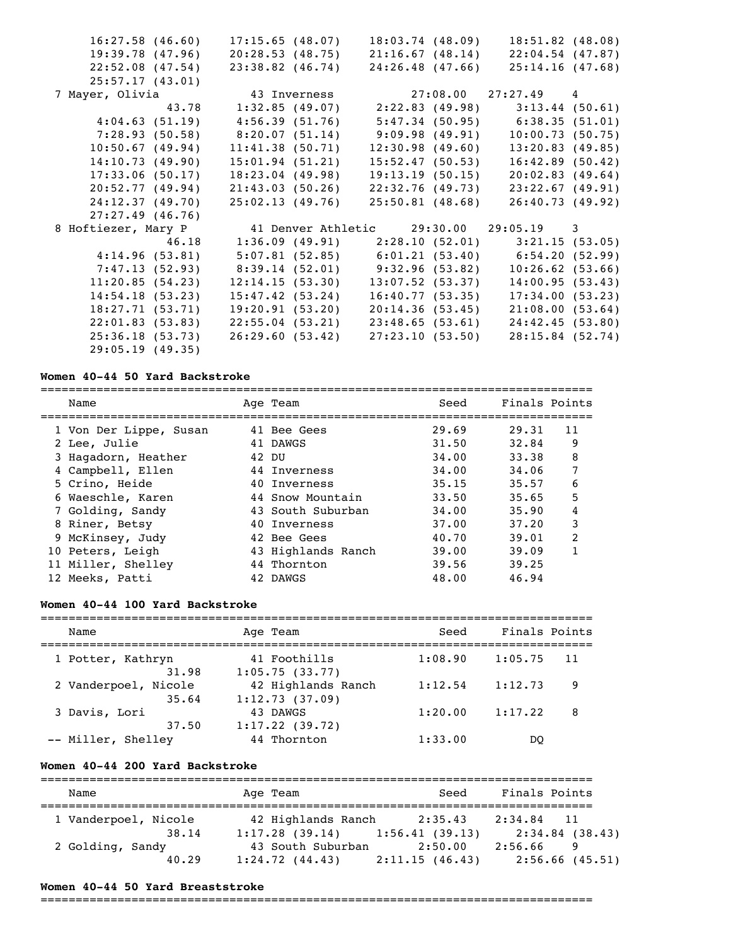| 16:27.58(46.60)     |       |                 | 17:15.65(48.07)    | 18:03.74(48.09)                                       | $18:51.82$ (48.08)                                    |  |
|---------------------|-------|-----------------|--------------------|-------------------------------------------------------|-------------------------------------------------------|--|
| 19:39.78(47.96)     |       |                 | 20:28.53(48.75)    | 21:16.67(48.14)                                       | 22:04.54(47.87)                                       |  |
| 22:52.08(47.54)     |       |                 | $23:38.82$ (46.74) | 24:26.48(47.66)                                       | 25:14.16(47.68)                                       |  |
| 25:57.17(43.01)     |       |                 |                    |                                                       |                                                       |  |
| 7 Mayer, Olivia     |       |                 | 43 Inverness       |                                                       | $27:08.00$ $27:27.49$ 4                               |  |
|                     | 43.78 |                 |                    |                                                       | $1:32.85$ (49.07) $2:22.83$ (49.98) $3:13.44$ (50.61) |  |
| 4:04.63(51.19)      |       |                 | 4:56.39 (51.76)    |                                                       | 5:47.34 (50.95) 6:38.35 (51.01)                       |  |
|                     |       |                 |                    | $7:28.93$ (50.58) $8:20.07$ (51.14) $9:09.98$ (49.91) | 10:00.73(50.75)                                       |  |
| 10:50.67(49.94)     |       |                 | 11:41.38(50.71)    | 12:30.98(49.60)                                       | 13:20.83(49.85)                                       |  |
| 14:10.73(49.90)     |       | 15:01.94(51.21) |                    | 15:52.47(50.53)                                       | 16:42.89(50.42)                                       |  |
| 17:33.06(50.17)     |       | 18:23.04(49.98) |                    | 19:13.19(50.15)                                       | 20:02.83(49.64)                                       |  |
| 20:52.77(49.94)     |       | 21:43.03(50.26) |                    | 22:32.76(49.73)                                       | 23:22.67(49.91)                                       |  |
| 24:12.37(49.70)     |       |                 | 25:02.13(49.76)    | 25:50.81(48.68)                                       | 26:40.73(49.92)                                       |  |
| $27:27.49$ (46.76)  |       |                 |                    |                                                       |                                                       |  |
| 8 Hoftiezer, Mary P |       |                 |                    |                                                       | 41 Denver Athletic 29:30.00 29:05.19 3                |  |
|                     | 46.18 |                 |                    |                                                       | $1:36.09$ (49.91) $2:28.10$ (52.01) $3:21.15$ (53.05) |  |
| 4:14.96(53.81)      |       |                 |                    |                                                       | $5:07.81$ (52.85) 6:01.21 (53.40) 6:54.20 (52.99)     |  |
| 7:47.13 (52.93)     |       |                 |                    | 8:39.14 (52.01) 9:32.96 (53.82)                       | 10:26.62(53.66)                                       |  |
| 11:20.85(54.23)     |       |                 | 12:14.15(53.30)    | $13:07.52$ (53.37)                                    | 14:00.95(53.43)                                       |  |
| 14:54.18(53.23)     |       |                 | 15:47.42(53.24)    | 16:40.77(53.35)                                       | 17:34.00(53.23)                                       |  |
| 18:27.71(53.71)     |       | 19:20.91(53.20) |                    | 20:14.36(53.45)                                       | 21:08.00(53.64)                                       |  |
| 22:01.83(53.83)     |       |                 | 22:55.04(53.21)    | 23:48.65(53.61)                                       | 24:42.45(53.80)                                       |  |
| 25:36.18(53.73)     |       |                 | 26:29.60(53.42)    | 27:23.10(53.50)                                       | 28:15.84(52.74)                                       |  |
| 29:05.19(49.35)     |       |                 |                    |                                                       |                                                       |  |

### **Women 40-44 50 Yard Backstroke**

| Name                   | Age Team           | Seed  | Finals Points |               |
|------------------------|--------------------|-------|---------------|---------------|
| 1 Von Der Lippe, Susan | 41 Bee Gees        | 29.69 | 29.31         | 11            |
| 2 Lee, Julie           | 41 DAWGS           | 31.50 | 32.84         | 9             |
| 3 Hagadorn, Heather    | 42 DU              | 34.00 | 33.38         | 8             |
| 4 Campbell, Ellen      | 44 Inverness       | 34.00 | 34.06         | 7             |
| 5 Crino, Heide         | 40 Inverness       | 35.15 | 35.57         | 6             |
| 6 Waeschle, Karen      | 44 Snow Mountain   | 33.50 | 35.65         | 5             |
| 7 Golding, Sandy       | 43 South Suburban  | 34.00 | 35.90         | 4             |
| 8 Riner, Betsy         | 40 Inverness       | 37.00 | 37.20         | 3             |
| 9 McKinsey, Judy       | 42 Bee Gees        | 40.70 | 39.01         | $\mathcal{P}$ |
| 10 Peters, Leigh       | 43 Highlands Ranch | 39.00 | 39.09         |               |
| 11 Miller, Shelley     | 44 Thornton        | 39.56 | 39.25         |               |
| 12 Meeks, Patti        | 42 DAWGS           | 48.00 | 46.94         |               |

# **Women 40-44 100 Yard Backstroke**

| Name                          | Age Team                             | Seed    | Finals Points  |  |
|-------------------------------|--------------------------------------|---------|----------------|--|
| 1 Potter, Kathryn<br>31.98    | 41 Foothills<br>1:05.75(33.77)       | 1:08.90 | 1:05.75<br>-11 |  |
| 2 Vanderpoel, Nicole<br>35.64 | 42 Highlands Ranch<br>1:12.73(37.09) | 1:12.54 | 1:12.73<br>9   |  |
| 3 Davis, Lori<br>37.50        | 43 DAWGS<br>1:17.22(39.72)           | 1:20.00 | 1:17.22<br>8   |  |
| -- Miller, Shelley            | 44 Thornton                          | 1:33.00 | DO             |  |

### **Women 40-44 200 Yard Backstroke**

| Name                 | Age Team                          | Seed           | Finals Points   |
|----------------------|-----------------------------------|----------------|-----------------|
| 1 Vanderpoel, Nicole | 42 Highlands Ranch                | 2:35.43        | 2:34.84 11      |
| 38.14                | $1:17.28$ (39.14) 1:56.41 (39.13) |                | 2:34.84 (38.43) |
| 2 Golding, Sandy     | 43 South Suburban                 | 2:50.00        | 2:56.66<br>-9   |
| 40.29                | 1:24.72(44.43)                    | 2:11.15(46.43) | 2:56.66(45.51)  |

### **Women 40-44 50 Yard Breaststroke**

===============================================================================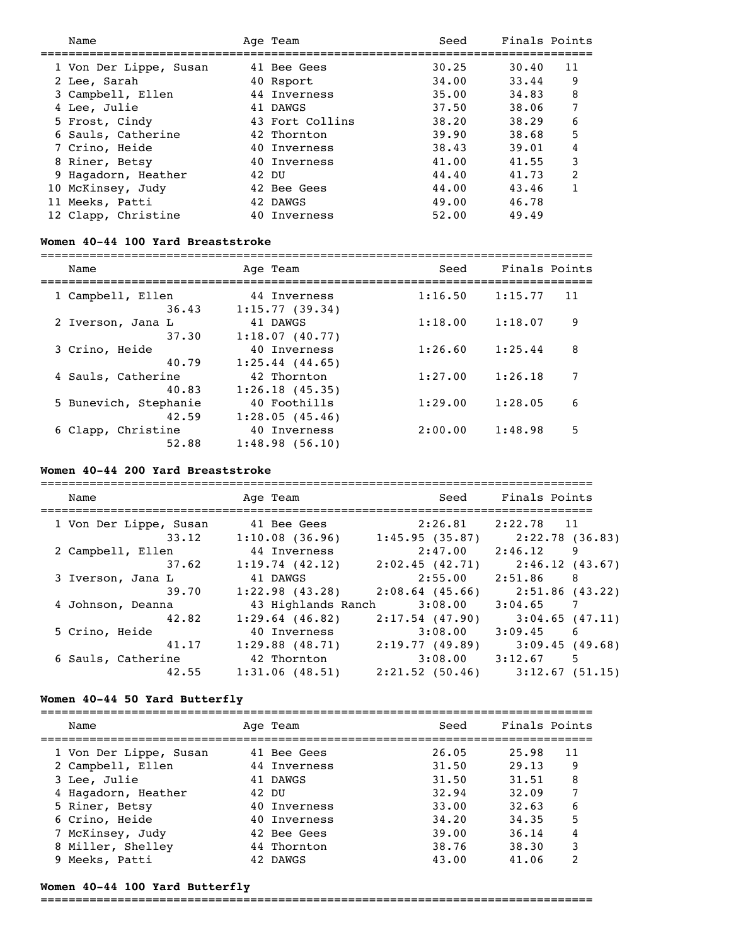| Name                   |       | Age Team        | Seed  | Finals Points |               |
|------------------------|-------|-----------------|-------|---------------|---------------|
|                        |       |                 |       |               |               |
| 1 Von Der Lippe, Susan |       | 41 Bee Gees     | 30.25 | 30.40         | 11            |
| 2 Lee, Sarah           |       | 40 Rsport       | 34.00 | 33.44         | 9             |
| 3 Campbell, Ellen      |       | 44 Inverness    | 35.00 | 34.83         | 8             |
| 4 Lee, Julie           |       | 41 DAWGS        | 37.50 | 38.06         | 7             |
| 5 Frost, Cindy         |       | 43 Fort Collins | 38.20 | 38.29         | 6             |
| 6 Sauls, Catherine     |       | 42 Thornton     | 39.90 | 38.68         | 5             |
| 7 Crino, Heide         |       | 40 Inverness    | 38.43 | 39.01         | 4             |
| 8 Riner, Betsy         |       | 40 Inverness    | 41.00 | 41.55         | 3             |
| 9 Hagadorn, Heather    | 42 DU |                 | 44.40 | 41.73         | $\mathcal{L}$ |
| 10 McKinsey, Judy      |       | 42 Bee Gees     | 44.00 | 43.46         |               |
| 11 Meeks, Patti        |       | 42 DAWGS        | 49.00 | 46.78         |               |
| 12 Clapp, Christine    |       | 40 Inverness    | 52.00 | 49.49         |               |

### **Women 40-44 100 Yard Breaststroke**

| Name                        | Age Team                      | Seed    | Finals Points |
|-----------------------------|-------------------------------|---------|---------------|
| 1 Campbell, Ellen           | 44 Inverness                  | 1:16.50 | 1:15.77       |
| 36.43                       | 1:15.77(39.34)                |         | 11            |
| 2 Iverson, Jana L           | 41 DAWGS                      | 1:18.00 | 9             |
| 37.30                       | 1:18.07(40.77)                |         | 1:18.07       |
| 3 Crino, Heide              | 40 Inverness                  | 1:26.60 | 8             |
| 40.79                       | $1:25.44$ (44.65)             |         | 1:25.44       |
| 4 Sauls, Catherine<br>40.83 | 42 Thornton<br>1:26.18(45.35) | 1:27.00 | 1:26.18       |
| 5 Bunevich, Stephanie       | 40 Foothills                  | 1:29.00 | 1:28.05       |
| 42.59                       | 1:28.05(45.46)                |         | 6             |
| 6 Clapp, Christine          | 40 Inverness                  | 2:00.00 | 5             |
| 52.88                       | 1:48.98(56.10)                |         | 1:48.98       |

# **Women 40-44 200 Yard Breaststroke**

| Name                   |       | Age Team            | Seed              | Finals Points                         |
|------------------------|-------|---------------------|-------------------|---------------------------------------|
| 1 Von Der Lippe, Susan |       | 41 Bee Gees         | 2:26.81           | 2:22.78 11                            |
|                        | 33.12 | 1:10.08(36.96)      | 1:45.95(35.87)    | 2:22.78 (36.83)                       |
| 2 Campbell, Ellen      |       | 44 Inverness        | 2:47.00           | 2:46.12<br>9                          |
|                        | 37.62 | 1:19.74(42.12)      | 2:02.45(42.71)    | 2:46.12(43.67)                        |
| 3 Iverson, Jana L      |       | 41 DAWGS            | 2:55.00           | 2:51.86<br>$\overline{\phantom{1}}$ 8 |
|                        | 39.70 | $1:22.98$ $(43.28)$ | $2:08.64$ (45.66) | 2:51.86 (43.22)                       |
| 4 Johnson, Deanna      |       | 43 Highlands Ranch  | 3:08.00           | $\overline{7}$<br>3:04.65             |
|                        | 42.82 | $1:29.64$ (46.82)   | 2:17.54(47.90)    | 3:04.65(47.11)                        |
| 5 Crino, Heide         |       | 40 Inverness        | 3:08.00           | $3:09.45$ 6                           |
|                        | 41.17 | $1:29.88$ (48.71)   | 2:19.77(49.89)    | 3:09.45(49.68)                        |
| 6 Sauls, Catherine     |       | 42 Thornton         | 3:08.00           | 3:12.67<br>5                          |
|                        | 42.55 | 1:31.06(48.51)      | $2:21.52$ (50.46) | 3:12.67(51.15)                        |

# **Women 40-44 50 Yard Butterfly**

| Name                   | Age Team     | Seed  | Finals Points |    |
|------------------------|--------------|-------|---------------|----|
| 1 Von Der Lippe, Susan | 41 Bee Gees  | 26.05 | 25.98         | 11 |
| 2 Campbell, Ellen      | 44 Inverness | 31.50 | 29.13         | 9  |
| 3 Lee, Julie           | 41 DAWGS     | 31.50 | 31.51         | 8  |
| 4 Hagadorn, Heather    | 42 DU        | 32.94 | 32.09         | 7  |
| 5 Riner, Betsy         | 40 Inverness | 33.00 | 32.63         | 6  |
| 6 Crino, Heide         | 40 Inverness | 34,20 | 34.35         | 5  |
| 7 McKinsey, Judy       | 42 Bee Gees  | 39.00 | 36.14         | 4  |
| 8 Miller, Shelley      | 44 Thornton  | 38.76 | 38.30         | 3  |
| 9 Meeks, Patti         | 42 DAWGS     | 43.00 | 41.06         | 2  |

# **Women 40-44 100 Yard Butterfly**

===============================================================================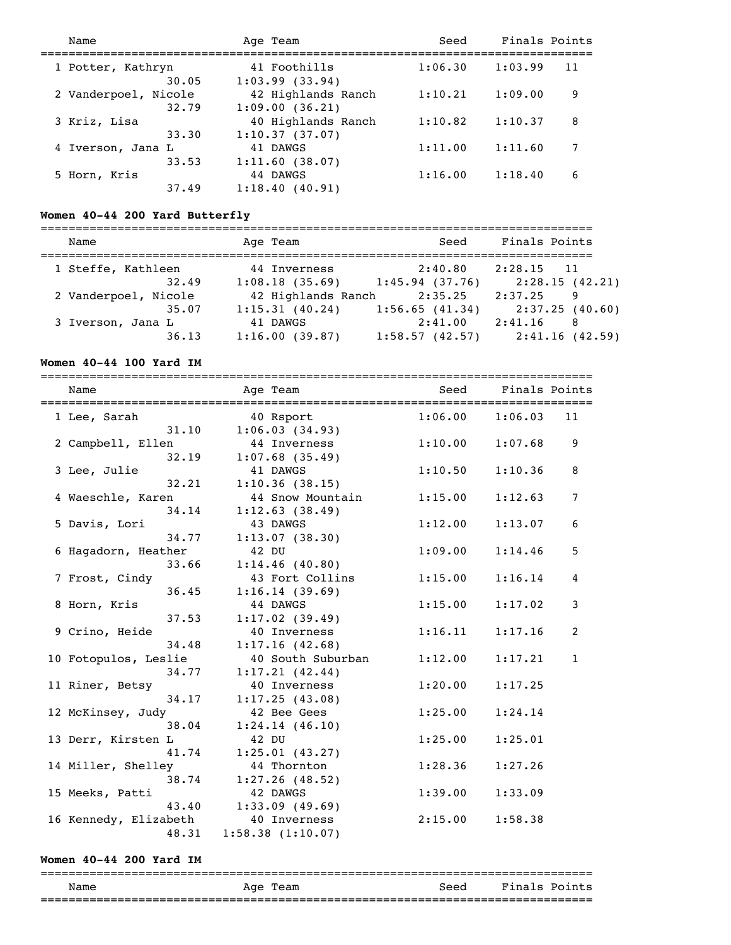| Name                          | Age Team                             | Seed    | Finals Points |    |
|-------------------------------|--------------------------------------|---------|---------------|----|
| 1 Potter, Kathryn<br>30.05    | 41 Foothills<br>1:03.99(33.94)       | 1:06.30 | 1:03.99       | 11 |
| 2 Vanderpoel, Nicole<br>32.79 | 42 Highlands Ranch<br>1:09.00(36.21) | 1:10.21 | 1:09.00       | 9  |
| 3 Kriz, Lisa<br>33.30         | 40 Highlands Ranch<br>1:10.37(37.07) | 1:10.82 | 1:10.37       | 8  |
| 4 Iverson, Jana L<br>33.53    | 41 DAWGS<br>1:11.60(38.07)           | 1:11.00 | 1:11.60       | 7  |
| 5 Horn, Kris<br>37.49         | 44 DAWGS<br>1:18.40(40.91)           | 1:16.00 | 1:18.40       | 6  |

# **Women 40-44 200 Yard Butterfly**

| Name                 | Age Team           | Seed           | Finals Points  |
|----------------------|--------------------|----------------|----------------|
| 1 Steffe, Kathleen   | 44 Inverness       | 2:40.80        | $2:28.15$ 11   |
| 32.49                | 1:08.18(35.69)     | 1:45.94(37.76) | 2:28.15(42.21) |
| 2 Vanderpoel, Nicole | 42 Highlands Ranch | 2:35.25        | 2:37.25<br>9   |
| 35.07                | 1:15.31(40.24)     | 1:56.65(41.34) | 2:37.25(40.60) |
| 3 Iverson, Jana L    | 41 DAWGS           | 2:41.00        | 2:41.16<br>-8  |
| 36.13                | 1:16.00(39.87)     | 1:58.57(42.57) | 2:41.16(42.59) |

# **Women 40-44 100 Yard IM**

| Name                                        | Age Team                                    | Seed Finals Points |                        |                |
|---------------------------------------------|---------------------------------------------|--------------------|------------------------|----------------|
| 1 Lee, Sarah                                | 40 Rsport                                   |                    | $1:06.00$ $1:06.03$ 11 |                |
| 2 Campbell, Ellen                           | $31.10$ $1:06.03$ (34.93)<br>44 Inverness   |                    | $1:10.00$ $1:07.68$    | 9              |
| 3 Lee, Julie                                | $32.19$ $1:07.68$ (35.49)<br>41 DAWGS       | 1:10.50            | 1:10.36                | 8              |
| 4 Waeschle, Karen                           | $32.21$ 1:10.36 (38.15)<br>44 Snow Mountain | 1:15.00            | 1:12.63                | $\overline{7}$ |
| 5 Davis, Lori                               | 34.14 1:12.63 (38.49)<br>43 DAWGS           | 1:12.00            | 1:13.07                | 6              |
| 34.77<br>6 Hagadorn, Heather                | 1:13.07(38.30)<br>42 DU                     | 1:09.00            | 1:14.46                | 5              |
| 33.66<br>7 Frost, Cindy                     | 1:14.46(40.80)<br>43 Fort Collins           | 1:15.00            | 1:16.14                | 4              |
| 36.45<br>8 Horn, Kris                       | 1:16.14(39.69)<br>44 DAWGS                  | 1:15.00            | 1:17.02                | 3              |
| 37.53<br>9 Crino, Heide                     | 1:17.02(39.49)<br>40 Inverness              |                    | $1:16.11$ $1:17.16$    | $\overline{c}$ |
| 34.48<br>10 Fotopulos, Leslie               | 1:17.16(42.68)<br>40 South Suburban         | 1:12.00            | 1:17.21                | $\mathbf{1}$   |
| 34.77<br>11 Riner, Betsy                    | 1:17.21(42.44)<br>40 Inverness              | 1:20.00            | 1:17.25                |                |
| 34.17<br>12 McKinsey, Judy                  | 1:17.25(43.08)<br>42 Bee Gees               | 1:25.00            | 1:24.14                |                |
| 38.04<br>13 Derr, Kirsten L                 | 1:24.14(46.10)<br>42 DU                     | 1:25.00            | 1:25.01                |                |
| 41.74<br>14 Miller, Shelley                 | 1:25.01(43.27)<br>44 Thornton               | 1:28.36            | 1:27.26                |                |
| 15 Meeks, Patti                             | 38.74 1:27.26 (48.52)<br>42 DAWGS           | 1:39.00            | 1:33.09                |                |
| 16 Kennedy, Elizabeth 40 Inverness<br>48.31 | 43.40 1:33.09 (49.69)<br>1:58.38(1:10.07)   | 2:15.00            | 1:58.38                |                |

### **Women 40-44 200 Yard IM**

### =============================================================================== Age Team Seed Finals Points ===============================================================================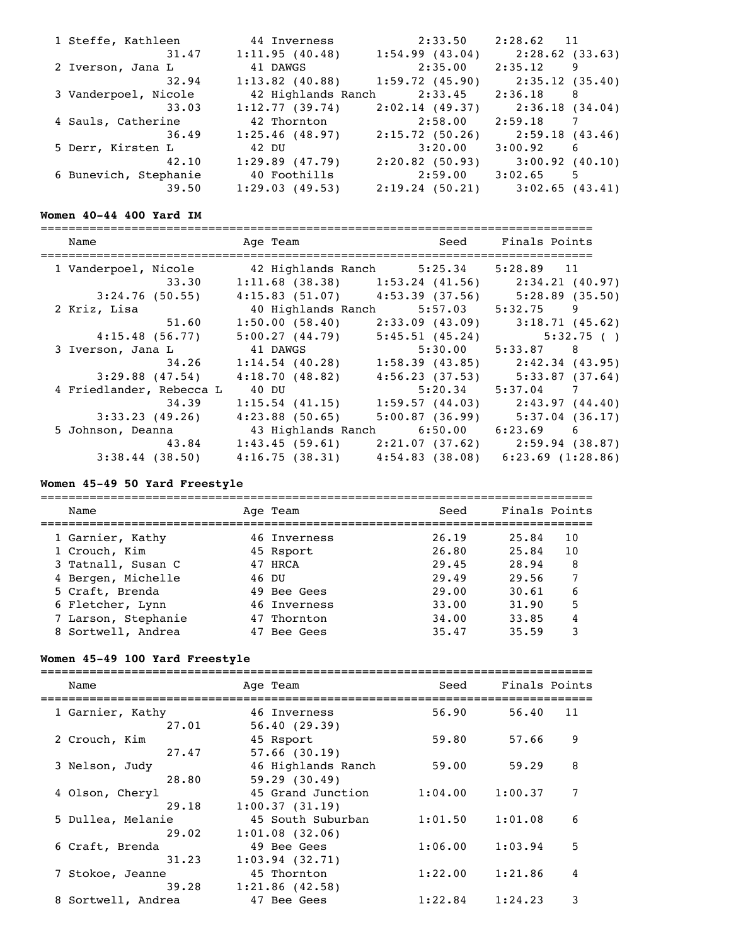| 1 Steffe, Kathleen    | 44 Inverness       | 2:33.50               | 2:28.62 11        |
|-----------------------|--------------------|-----------------------|-------------------|
| 31.47                 | 1:11.95(40.48)     | 1:54.99(43.04)        | 2:28.62(33.63)    |
| 2 Iverson, Jana L     | 41 DAWGS           | 2:35.00               | $2:35.12$ 9       |
| 32.94                 | $1:13.82$ (40.88)  | 1:59.72(45.90)        | 2:35.12(35.40)    |
| 3 Vanderpoel, Nicole  | 42 Highlands Ranch | 2:33.45               | $2:36.18$ 8       |
| 33.03                 | 1:12.77(39.74)     | 2:02.14(49.37)        | 2:36.18 (34.04)   |
| 4 Sauls, Catherine    | 42 Thornton        | $2:58.00$ $2:59.18$ 7 |                   |
| 36.49                 | 1:25.46(48.97)     | 2:15.72(50.26)        | 2:59.18(43.46)    |
| 5 Derr, Kirsten L     | 42 DU              | 3:20.00               | 3:00.92 6         |
| 42.10                 | 1:29.89(47.79)     | 2:20.82(50.93)        | $3:00.92$ (40.10) |
| 6 Bunevich, Stephanie | 40 Foothills       | 2:59.00               | $3:02.65$ 5       |
| 39.50                 | 1:29.03(49.53)     | 2:19.24(50.21)        | $3:02.65$ (43.41) |

## **Women 40-44 400 Yard IM**

| Name                     | Age Team                                              |                | Seed Finals Points                                |
|--------------------------|-------------------------------------------------------|----------------|---------------------------------------------------|
| 1 Vanderpoel, Nicole     | 42 Highlands Ranch 5:25.34                            |                | $5:28.89$ 11                                      |
| 33.30                    |                                                       |                | $1:11.68$ (38.38) 1:53.24 (41.56) 2:34.21 (40.97) |
| $3:24.76$ (50.55)        | $4:15.83$ (51.07) $4:53.39$ (37.56) $5:28.89$ (35.50) |                |                                                   |
| 2 Kriz, Lisa             | 40 Highlands Ranch 5:57.03                            |                | $5:32.75$ 9                                       |
| 51.60                    | 1:50.00(58.40)                                        | 2:33.09(43.09) | 3:18.71(45.62)                                    |
| 4:15.48(56.77)           | 5:00.27(44.79)                                        | 5:45.51(45.24) | 5:32.75( )                                        |
| 3 Iverson, Jana L        | 41 DAWGS                                              | 5:30.00        | $5:33.87$ 8                                       |
| 34.26                    | 1:14.54(40.28)                                        |                | $1:58.39$ (43.85) $2:42.34$ (43.95)               |
| $3:29.88$ (47.54)        | 4:18.70(48.82)                                        | 4:56.23(37.53) | 5:33.87(37.64)                                    |
| 4 Friedlander, Rebecca L | 40 DU                                                 | 5:20.34        | $5:37.04$ 7                                       |
| 34.39                    | 1:15.54(41.15)                                        |                | $1:59.57$ (44.03) 2:43.97 (44.40)                 |
| 3:33.23(49.26)           | $4:23.88$ (50.65)                                     | 5:00.87(36.99) | $5:37.04$ (36.17)                                 |
| 5 Johnson, Deanna        | 43 Highlands Ranch 6:50.00                            |                | $6:23.69$ 6                                       |
| 43.84                    | $1:43.45$ (59.61) $2:21.07$ (37.62) $2:59.94$ (38.87) |                |                                                   |
| $3:38.44$ (38.50)        | 4:16.75(38.31)                                        |                | $4:54.83$ (38.08) 6:23.69 (1:28.86)               |

# **Women 45-49 50 Yard Freestyle**

| Name                | Age Team     | Seed  | Finals Points |    |
|---------------------|--------------|-------|---------------|----|
| 1 Garnier, Kathy    | 46 Inverness | 26.19 | 25.84         | 10 |
| 1 Crouch, Kim       | 45 Rsport    | 26.80 | 25.84         | 10 |
| 3 Tatnall, Susan C  | 47 HRCA      | 29.45 | 28.94         | 8  |
| 4 Bergen, Michelle  | 46 DU        | 29.49 | 29.56         | 7  |
| 5 Craft, Brenda     | 49 Bee Gees  | 29.00 | 30.61         | 6  |
| 6 Fletcher, Lynn    | 46 Inverness | 33.00 | 31.90         | 5  |
| 7 Larson, Stephanie | 47 Thornton  | 34,00 | 33.85         | 4  |
| 8 Sortwell, Andrea  | Bee Gees     | 35.47 | 35.59         |    |

# **Women 45-49 100 Yard Freestyle**

| Name               | Age Team           | Seed    | Finals Points |    |
|--------------------|--------------------|---------|---------------|----|
| 1 Garnier, Kathy   | 46 Inverness       | 56.90   | 56.40         | 11 |
| 27.01              | 56.40(29.39)       |         |               |    |
| 2 Crouch, Kim      | 45 Rsport          | 59.80   | 57.66         | 9  |
| 27.47              | $57.66$ (30.19)    |         |               |    |
| 3 Nelson, Judy     | 46 Highlands Ranch | 59.00   | 59.29         | 8  |
| 28.80              | 59.29(30.49)       |         |               |    |
| 4 Olson, Cheryl    | 45 Grand Junction  | 1:04.00 | 1:00.37       | 7  |
| 29.18              | 1:00.37(31.19)     |         |               |    |
| 5 Dullea, Melanie  | 45 South Suburban  | 1:01.50 | 1:01.08       | 6  |
| 29.02              | 1:01.08(32.06)     |         |               |    |
| 6 Craft, Brenda    | 49 Bee Gees        | 1:06.00 | 1:03.94       | 5  |
| 31.23              | $1:03.94$ (32.71)  |         |               |    |
| 7 Stokoe, Jeanne   | 45 Thornton        | 1:22.00 | 1:21.86       | 4  |
| 39.28              | $1:21.86$ (42.58)  |         |               |    |
| 8 Sortwell, Andrea | 47 Bee Gees        | 1:22.84 | 1:24.23       | 3  |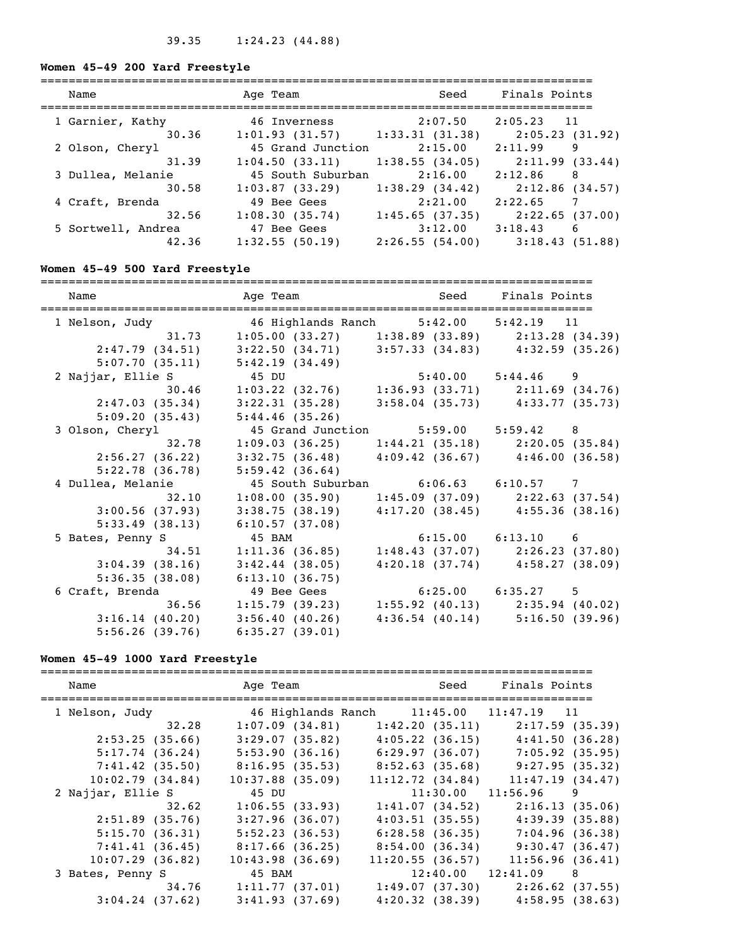# **Women 45-49 200 Yard Freestyle**

| Name               | Age Team          | Seed           | Finals Points              |
|--------------------|-------------------|----------------|----------------------------|
| 1 Garnier, Kathy   | 46 Inverness      | 2:07.50        | 2:05.23<br>11              |
| 30.36              | 1:01.93(31.57)    | 1:33.31(31.38) | 2:05.23 (31.92)            |
| 2 Olson, Cheryl    | 45 Grand Junction | 2:15.00        | 9<br>2:11.99               |
| 31.39              | 1:04.50(33.11)    | 1:38.55(34.05) | 2:11.99(33.44)             |
| 3 Dullea, Melanie  | 45 South Suburban | 2:16.00        | 2:12.86<br>8               |
| 30.58              | 1:03.87(33.29)    | 1:38.29(34.42) | 2:12.86 (34.57)            |
| 4 Craft, Brenda    | 49 Bee Gees       | 2:21.00        | 2:22.65<br>$7\phantom{.0}$ |
| 32.56              | 1:08.30(35.74)    | 1:45.65(37.35) | 2:22.65 (37.00)            |
| 5 Sortwell, Andrea | 47 Bee Gees       | 3:12.00        | 3:18.43<br>6               |
| 42.36              | 1:32.55(50.19)    | 2:26.55(54.00) | 3:18.43(51.88)             |

# **Women 45-49 500 Yard Freestyle**

| Name                                                   | Age Team and Seed Finals Points                                                |                                     |
|--------------------------------------------------------|--------------------------------------------------------------------------------|-------------------------------------|
| -------------------                                    |                                                                                |                                     |
| 1 Nelson, Judy 6 46 Highlands Ranch 5:42.00 5:42.19 11 |                                                                                |                                     |
|                                                        | 31.73   1:05.00   (33.27)   1:38.89   (33.89)   2:13.28   (34.39)              |                                     |
| 2:47.79(34.51)                                         | $3:22.50(34.71)$ $3:57.33(34.83)$ $4:32.59(35.26)$                             |                                     |
| 5:07.70(35.11)                                         | 5:42.19(34.49)                                                                 |                                     |
| 2 Najjar, Ellie S                                      | 45 DU $5:40.00$ $5:44.46$ 9<br>1:03.22 (32.76) 1:36.93 (33.71) 2:11.69 (34.76) |                                     |
| 30.46                                                  |                                                                                |                                     |
| 2:47.03(35.34)                                         | 3:22.31(35.28)                                                                 | $3:58.04$ (35.73) $4:33.77$ (35.73) |
| 5:09.20(35.43)                                         | 5:44.46(35.26)                                                                 |                                     |
| 3 Olson, Cheryl                                        | 45 Grand Junction 5:59.00 5:59.42 8                                            |                                     |
| 32.78                                                  | $1:09.03$ (36.25) $1:44.21$ (35.18) $2:20.05$ (35.84)                          |                                     |
| 2:56.27(36.22)                                         | $3:32.75$ (36.48) $4:09.42$ (36.67) $4:46.00$ (36.58)                          |                                     |
| 5:22.78(36.78)                                         | 5:59.42(36.64)                                                                 |                                     |
| 4 Dullea, Melanie                                      | 45 South Suburban    6:06.63    6:10.57    7                                   |                                     |
| 32.10                                                  | $1:08.00(35.90)$ $1:45.09(37.09)$ $2:22.63(37.54)$                             |                                     |
| 3:00.56(37.93)                                         | $3:38.75$ (38.19) $4:17.20$ (38.45) $4:55.36$ (38.16)                          |                                     |
| 5:33.49(38.13)                                         | 6:10.57(37.08)                                                                 |                                     |
|                                                        | 45 BAM                                                                         | 6:15.00 6:13.10 6                   |
| 5 Bates, Penny S                                       |                                                                                |                                     |
| 34.51                                                  | 1:11.36(36.85)                                                                 | $1:48.43$ (37.07) $2:26.23$ (37.80) |
| 3:04.39(38.16)                                         | $3:42.44$ (38.05)                                                              | $4:20.18$ (37.74) $4:58.27$ (38.09) |
| 5:36.35(38.08)                                         | 6:13.10(36.75)                                                                 |                                     |
| 6 Craft, Brenda                                        | 49 Bee Gees                                                                    | $6:25.00$ $6:35.27$ 5               |
| 36.56                                                  | $1:15.79$ (39.23) $1:55.92$ (40.13) $2:35.94$ (40.02)                          |                                     |
| 3:16.14(40.20)                                         | 3:56.40(40.26)                                                                 | $4:36.54$ (40.14) $5:16.50$ (39.96) |
| 5:56.26(39.76)                                         | 6:35.27(39.01)                                                                 |                                     |

# **Women 45-49 1000 Yard Freestyle**

| Name               | Age Team           | Seed                                    | Finals Points                       |
|--------------------|--------------------|-----------------------------------------|-------------------------------------|
| 1 Nelson, Judy     |                    | 46 Highlands Ranch 11:45.00 11:47.19 11 |                                     |
| 32.28              | 1:07.09(34.81)     | 1:42.20(35.11)                          | 2:17.59(35.39)                      |
| 2:53.25(35.66)     | 3:29.07(35.82)     |                                         | $4:05.22$ (36.15) $4:41.50$ (36.28) |
| 5:17.74(36.24)     | 5:53.90(36.16)     | 6:29.97(36.07)                          | $7:05.92$ (35.95)                   |
| 7:41.42(35.50)     | 8:16.95(35.53)     | 8:52.63(35.68)                          | 9:27.95(35.32)                      |
| 10:02.79(34.84)    | $10:37.88$ (35.09) | 11:12.72(34.84)                         | 11:47.19(34.47)                     |
| 2 Najjar, Ellie S  | 45 DU              |                                         | $11:30.00$ $11:56.96$ 9             |
| 32.62              | 1:06.55(33.93)     | 1:41.07(34.52)                          | 2:16.13(35.06)                      |
| 2:51.89(35.76)     | 3:27.96(36.07)     |                                         | $4:03.51$ (35.55) $4:39.39$ (35.88) |
| 5:15.70(36.31)     | 5:52.23(36.53)     |                                         | $6:28.58$ (36.35) $7:04.96$ (36.38) |
| 7:41.41(36.45)     | 8:17.66(36.25)     |                                         | $8:54.00(36.34)$ 9:30.47 (36.47)    |
| $10:07.29$ (36.82) | 10:43.98(36.69)    | 11:20.55(36.57)                         | 11:56.96(36.41)                     |
| 3 Bates, Penny S   | 45 BAM             |                                         | $12:40.00$ $12:41.09$ 8             |
| 34.76              | 1:11.77(37.01)     |                                         | $1:49.07$ (37.30) $2:26.62$ (37.55) |
| $3:04.24$ (37.62)  | 3:41.93(37.69)     |                                         | $4:20.32$ (38.39) $4:58.95$ (38.63) |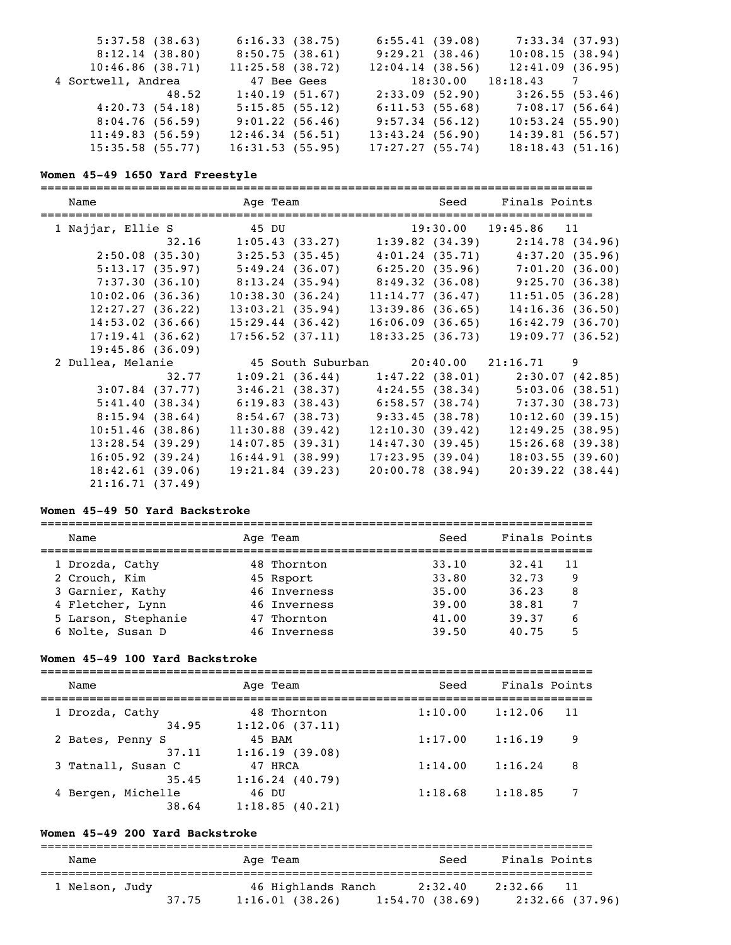| 5:37.58(38.63)     |       | 6:16.33(38.75)  | 6:55.41(39.08)  | 7:33.34 (37.93)         |  |
|--------------------|-------|-----------------|-----------------|-------------------------|--|
| 8:12.14(38.80)     |       | 8:50.75(38.61)  | 9:29.21(38.46)  | 10:08.15(38.94)         |  |
| 10:46.86(38.71)    |       | 11:25.58(38.72) | 12:04.14(38.56) | 12:41.09(36.95)         |  |
| 4 Sortwell, Andrea |       | 47 Bee Gees     |                 | $18:30.00$ $18:18.43$ 7 |  |
|                    | 48.52 | 1:40.19(51.67)  | 2:33.09(52.90)  | 3:26.55(53.46)          |  |
| 4:20.73(54.18)     |       | 5:15.85(55.12)  | 6:11.53(55.68)  | 7:08.17(56.64)          |  |
| 8:04.76(56.59)     |       | 9:01.22(56.46)  | 9:57.34(56.12)  | 10:53.24(55.90)         |  |
| 11:49.83(56.59)    |       | 12:46.34(56.51) | 13:43.24(56.90) | 14:39.81(56.57)         |  |
| 15:35.58(55.77)    |       | 16:31.53(55.95) | 17:27.27(55.74) | 18:18.43(51.16)         |  |

# **Women 45-49 1650 Yard Freestyle**

| Name              |                                                                         | Age Team Seed Finals Points           |                                                       |
|-------------------|-------------------------------------------------------------------------|---------------------------------------|-------------------------------------------------------|
| 1 Najjar, Ellie S | 45 DU 19:30.00 19:45.86 11                                              |                                       |                                                       |
| 32.16             | $1:05.43$ (33.27) $1:39.82$ (34.39)                                     |                                       | 2:14.78(34.96)                                        |
| 2:50.08(35.30)    | 3:25.53(35.45)                                                          |                                       | $4:01.24$ (35.71) $4:37.20$ (35.96)                   |
|                   | $5:13.17$ (35.97) $5:49.24$ (36.07) $6:25.20$ (35.96) $7:01.20$ (36.00) |                                       |                                                       |
|                   | 7:37.30 (36.10) 8:13.24 (35.94) 8:49.32 (36.08) 9:25.70 (36.38)         |                                       |                                                       |
| 10:02.06(36.36)   | 10:38.30(36.24)                                                         | 11:14.77(36.47)                       | 11:51.05(36.28)                                       |
| 12:27.27(36.22)   | 13:03.21(35.94)                                                         | 13:39.86(36.65)                       | 14:16.36(36.50)                                       |
| 14:53.02(36.66)   | 15:29.44(36.42)                                                         | $16:06.09$ (36.65)                    | 16:42.79(36.70)                                       |
| 17:19.41(36.62)   | 17:56.52(37.11)                                                         | 18:33.25(36.73)                       | 19:09.77(36.52)                                       |
| 19:45.86(36.09)   |                                                                         |                                       |                                                       |
| 2 Dullea, Melanie |                                                                         | 45 South Suburban 20:40.00 21:16.71 9 |                                                       |
| 32.77             |                                                                         |                                       | $1:09.21$ (36.44) $1:47.22$ (38.01) $2:30.07$ (42.85) |
| $3:07.84$ (37.77) |                                                                         |                                       | $3:46.21$ (38.37) $4:24.55$ (38.34) $5:03.06$ (38.51) |
| 5:41.40(38.34)    |                                                                         |                                       | $6:19.83$ (38.43) $6:58.57$ (38.74) $7:37.30$ (38.73) |
|                   | $8:15.94$ (38.64) $8:54.67$ (38.73) $9:33.45$ (38.78)                   |                                       | 10:12.60(39.15)                                       |
| 10:51.46(38.86)   | 11:30.88(39.42)                                                         | 12:10.30(39.42)                       | 12:49.25(38.95)                                       |
| 13:28.54(39.29)   | 14:07.85(39.31)                                                         | 14:47.30(39.45)                       | 15:26.68(39.38)                                       |
| 16:05.92(39.24)   | 16:44.91(38.99)                                                         | 17:23.95(39.04)                       | 18:03.55(39.60)                                       |
| 18:42.61(39.06)   | $19:21.84$ (39.23)                                                      | 20:00.78(38.94)                       | $20:39.22$ (38.44)                                    |
| 21:16.71(37.49)   |                                                                         |                                       |                                                       |

# **Women 45-49 50 Yard Backstroke**

| Name                | Age Team     | Seed  | Finals Points |    |
|---------------------|--------------|-------|---------------|----|
| 1 Drozda, Cathy     | 48 Thornton  | 33.10 | 32.41         | 11 |
| 2 Crouch, Kim       | 45 Rsport    | 33.80 | 32.73         | 9  |
| 3 Garnier, Kathy    | 46 Inverness | 35.00 | 36.23         | 8  |
| 4 Fletcher, Lynn    | 46 Inverness | 39.00 | 38.81         |    |
| 5 Larson, Stephanie | 47 Thornton  | 41.00 | 39.37         |    |
| 6 Nolte, Susan D    | 46 Inverness | 39.50 | 40.75         |    |

# **Women 45-49 100 Yard Backstroke**

| Name                        | Age Team                      | Seed    | Finals Points |   |
|-----------------------------|-------------------------------|---------|---------------|---|
| 1 Drozda, Cathy<br>34.95    | 48 Thornton<br>1:12.06(37.11) | 1:10.00 | 1:12.06<br>11 |   |
| 2 Bates, Penny S<br>37.11   | 45 BAM<br>1:16.19(39.08)      | 1:17.00 | 1:16.19       | 9 |
| 3 Tatnall, Susan C<br>35.45 | 47 HRCA<br>1:16.24(40.79)     | 1:14.00 | 1:16.24       | 8 |
| 4 Bergen, Michelle<br>38.64 | 46 DU<br>1:18.85(40.21)       | 1:18.68 | 1:18.85       |   |

# **Women 45-49 200 Yard Backstroke**

| Name           |       | Age Team                             | Seed                      | Finals Points                 |
|----------------|-------|--------------------------------------|---------------------------|-------------------------------|
| 1 Nelson, Judy | 37.75 | 46 Highlands Ranch<br>1:16.01(38.26) | 2:32.40<br>1:54.70(38.69) | 2:32.66 11<br>2:32.66 (37.96) |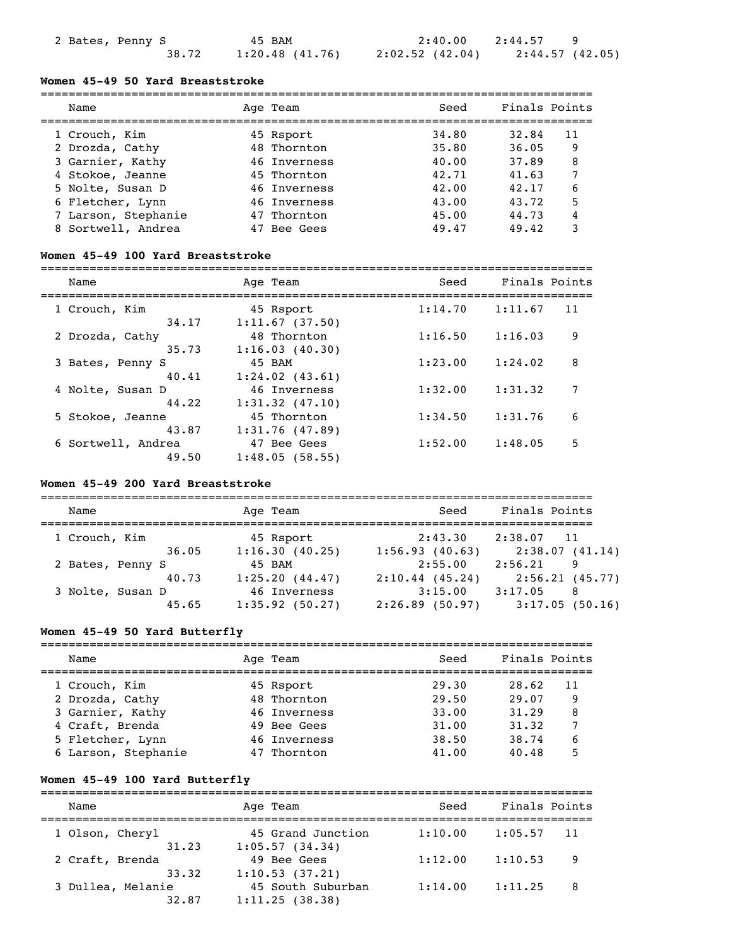### **Women 45-49 50 Yard Breaststroke**

| Name                | Age Team     | Seed  | Finals Points |
|---------------------|--------------|-------|---------------|
| 1 Crouch, Kim       | 45 Rsport    | 34.80 | 11<br>32.84   |
| 2 Drozda, Cathy     | 48 Thornton  | 35.80 | 36.05<br>9    |
| 3 Garnier, Kathy    | 46 Inverness | 40.00 | 8<br>37.89    |
| 4 Stokoe, Jeanne    | 45 Thornton  | 42.71 | 41.63         |
| 5 Nolte, Susan D    | 46 Inverness | 42.00 | 6<br>42.17    |
| 6 Fletcher, Lynn    | 46 Inverness | 43.00 | 5<br>43.72    |
| 7 Larson, Stephanie | 47 Thornton  | 45.00 | 44.73<br>4    |
| 8 Sortwell, Andrea  | Bee Gees     | 49.47 | 49.42         |

### **Women 45-49 100 Yard Breaststroke**

===============================================================================

| Name               | Age Team            | Seed    | Finals Points |    |
|--------------------|---------------------|---------|---------------|----|
| 1 Crouch, Kim      | 45 Rsport           | 1:14.70 | 1:11.67       | 11 |
| 34.17              | 1:11.67(37.50)      |         |               |    |
| 2 Drozda, Cathy    | 48 Thornton         | 1:16.50 | 1:16.03       | 9  |
| 35.73              | 1:16.03(40.30)      |         |               |    |
| 3 Bates, Penny S   | 45 BAM              | 1:23.00 | 1:24.02       | 8  |
| 40.41              | $1:24.02$ $(43.61)$ |         |               |    |
| 4 Nolte, Susan D   | 46 Inverness        | 1:32.00 | 1:31.32       | 7  |
| 44.22              | $1:31.32$ $(47.10)$ |         |               |    |
| 5 Stokoe, Jeanne   | 45 Thornton         | 1:34.50 | 1:31.76       | 6  |
| 43.87              | 1:31.76(47.89)      |         |               |    |
| 6 Sortwell, Andrea | 47 Bee Gees         | 1:52.00 | 1:48.05       | 5  |
| 49.50              | 1:48.05(58.55)      |         |               |    |

### **Women 45-49 200 Yard Breaststroke**

| Name             |       | Age Team          | Seed              | Finals Points              |
|------------------|-------|-------------------|-------------------|----------------------------|
| 1 Crouch, Kim    |       | 45 Rsport         | 2:43.30           | 2:38.07<br>$\overline{11}$ |
|                  | 36.05 | 1:16.30(40.25)    | 1:56.93(40.63)    | 2:38.07(41.14)             |
| 2 Bates, Penny S |       | 45 BAM            | 2:55.00           | 2:56.21<br>9               |
|                  | 40.73 | 1:25.20(44.47)    | $2:10.44$ (45.24) | 2:56.21(45.77)             |
| 3 Nolte, Susan D |       | 46 Inverness      | 3:15.00           | 3:17.05<br>8               |
|                  | 45.65 | $1:35.92$ (50.27) | $2:26.89$ (50.97) | 3:17.05(50.16)             |

### **Women 45-49 50 Yard Butterfly**

| Name                | Age Team     | Seed  | Finals Points |  |
|---------------------|--------------|-------|---------------|--|
| 1 Crouch, Kim       | 45 Rsport    | 29.30 | 28.62<br>11   |  |
| 2 Drozda, Cathy     | 48 Thornton  | 29.50 | 29.07<br>9    |  |
| 3 Garnier, Kathy    | 46 Inverness | 33.00 | 31.29<br>8    |  |
| 4 Craft, Brenda     | 49 Bee Gees  | 31.00 | 31.32         |  |
| 5 Fletcher, Lynn    | 46 Inverness | 38.50 | 38.74         |  |
| 6 Larson, Stephanie | Thornton     | 41.00 | 40.48         |  |

### **Women 45-49 100 Yard Butterfly**

=============================================================================== Name Team Age Team Seed Finals Points =============================================================================== 1 Olson, Cheryl 45 Grand Junction 1:10.00 1:05.57 11  $31.23$   $1:05.57$  (34.34) 2 Craft, Brenda 49 Bee Gees 1:12.00 1:10.53 9 33.32 1:10.53 (37.21) 3 Dullea, Melanie 45 South Suburban 1:14.00 1:11.25 8  $32.87$  1:11.25 (38.38)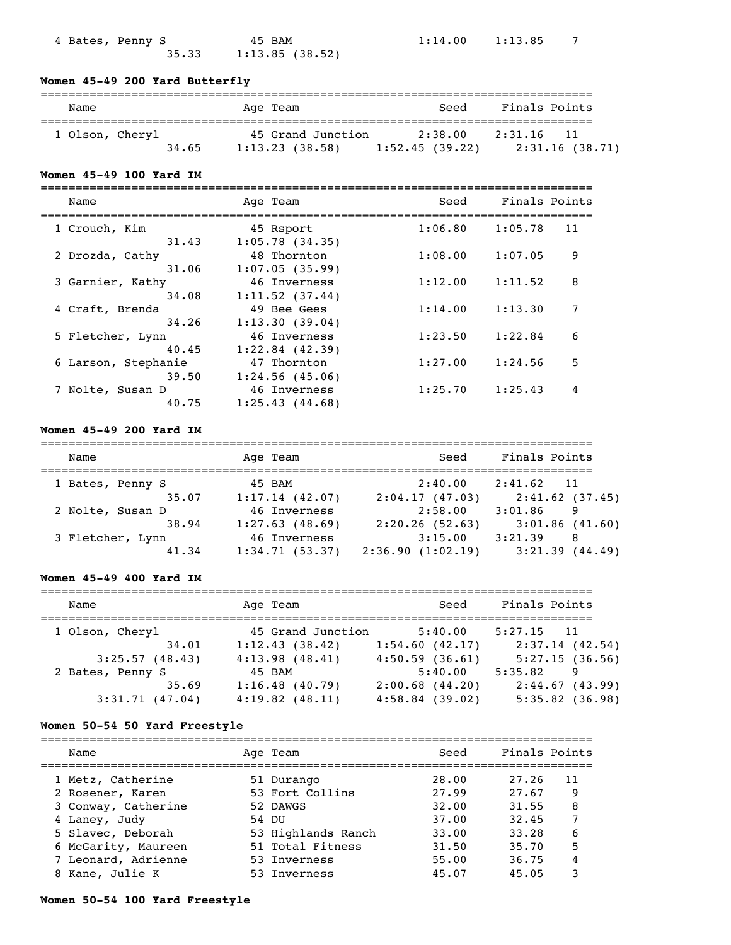| 4 Bates, Penny S |       | 45 BAM         |
|------------------|-------|----------------|
|                  | 35.33 | 1:13.85(38.52) |

 $1:14.00$   $1:13.85$  7

# **Women 45-49 200 Yard Butterfly**

| Name            | Age Team          | Seed           | Finals Points  |
|-----------------|-------------------|----------------|----------------|
| 1 Olson, Cheryl | 45 Grand Junction | 2:38.00        | 2:31.16        |
| 34.65           | 1:13.23(38.58)    | 1:52.45(39.22) | 2:31.16(38.71) |

# **Women 45-49 100 Yard IM**

| Name                | Age Team          | Seed    | Finals Points |    |
|---------------------|-------------------|---------|---------------|----|
| 1 Crouch, Kim       | 45 Rsport         | 1:06.80 | 1:05.78       | 11 |
| 31.43               | 1:05.78(34.35)    |         |               |    |
| 2 Drozda, Cathy     | 48 Thornton       | 1:08.00 | 1:07.05       | 9  |
| 31.06               | 1:07.05(35.99)    |         |               |    |
| 3 Garnier, Kathy    | 46 Inverness      | 1:12.00 | 1:11.52       | 8  |
| 34.08               | 1:11.52(37.44)    |         |               |    |
| 4 Craft, Brenda     | 49 Bee Gees       | 1:14.00 | 1:13.30       | 7  |
| 34.26               | 1:13.30(39.04)    |         |               |    |
| 5 Fletcher, Lynn    | 46 Inverness      | 1:23.50 | 1:22.84       | 6  |
| 40.45               | $1:22.84$ (42.39) |         |               |    |
| 6 Larson, Stephanie | 47 Thornton       | 1:27.00 | 1:24.56       | 5  |
| 39.50               | 1:24.56(45.06)    |         |               |    |
| 7 Nolte, Susan D    | 46 Inverness      | 1:25.70 | 1:25.43       | 4  |
| 40.75               | 1:25.43(44.68)    |         |               |    |

# **Women 45-49 200 Yard IM**

| Name             | Age Team       | Seed             | Finals Points              |
|------------------|----------------|------------------|----------------------------|
| 1 Bates, Penny S | 45 BAM         | 2:40.00          | 2:41.62<br>$\overline{11}$ |
| 35.07            | 1:17.14(42.07) | 2:04.17(47.03)   | 2:41.62(37.45)             |
| 2 Nolte, Susan D | 46 Inverness   | 2:58.00          | 3:01.86<br>9               |
| 38.94            | 1:27.63(48.69) | 2:20.26(52.63)   | 3:01.86(41.60)             |
| 3 Fletcher, Lynn | 46 Inverness   | 3:15.00          | 3:21.39<br>8               |
| 41.34            | 1:34.71(53.37) | 2:36.90(1:02.19) | 3:21.39<br>(44.49)         |

# **Women 45-49 400 Yard IM**

| Name                                        | Age Team                              | Seed                                     | Finals Points                       |
|---------------------------------------------|---------------------------------------|------------------------------------------|-------------------------------------|
| 1 Olson, Cheryl<br>34.01                    | 45 Grand Junction<br>1:12.43(38.42)   | 5:40.00<br>1:54.60(42.17)                | $5:27.15$ 11<br>2:37.14(42.54)      |
| 3:25.57(48.43)                              | 4:13.98(48.41)<br>45 BAM              | 4:50.59(36.61)<br>5:40.00                | 5:27.15(36.56)<br>5:35.82<br>9      |
| 2 Bates, Penny S<br>35.69<br>3:31.71(47.04) | 1:16.48(40.79)<br>$4:19.82$ $(48.11)$ | $2:00.68$ $(44.20)$<br>$4:58.84$ (39.02) | 2:44.67(43.99)<br>$5:35.82$ (36.98) |

# **Women 50-54 50 Yard Freestyle**

| Name                | Age Team           | Seed  | Finals Points |    |
|---------------------|--------------------|-------|---------------|----|
| 1 Metz, Catherine   | 51 Durango         | 28.00 | 27.26         | 11 |
| 2 Rosener, Karen    | 53 Fort Collins    | 27.99 | 27.67         | 9  |
| 3 Conway, Catherine | 52 DAWGS           | 32.00 | 31.55         | 8  |
| 4 Laney, Judy       | 54 DU              | 37.00 | 32.45         |    |
| 5 Slavec, Deborah   | 53 Highlands Ranch | 33.00 | 33.28         | 6  |
| 6 McGarity, Maureen | 51 Total Fitness   | 31.50 | 35.70         | 5  |
| 7 Leonard, Adrienne | 53 Inverness       | 55.00 | 36.75         | 4  |
| 8 Kane, Julie K     | 53 Inverness       | 45.07 | 45.05         | 3  |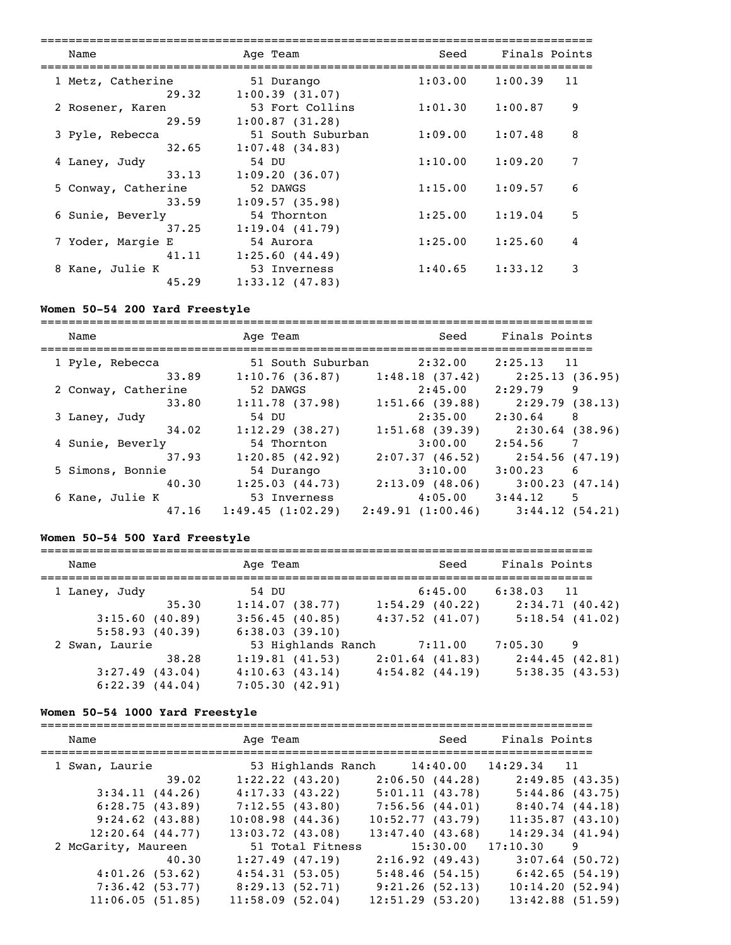| Name                | Age Team          | Seed    | Finals Points |    |
|---------------------|-------------------|---------|---------------|----|
| 1 Metz, Catherine   | 51 Durango        | 1:03.00 | 1:00.39       | 11 |
| 29.32               | 1:00.39(31.07)    |         |               |    |
| 2 Rosener, Karen    | 53 Fort Collins   | 1:01.30 | 1:00.87       | 9  |
| 29.59               | 1:00.87(31.28)    |         |               |    |
| 3 Pyle, Rebecca     | 51 South Suburban | 1:09.00 | 1:07.48       | 8  |
| 32.65               | 1:07.48(34.83)    |         |               |    |
| 4 Laney, Judy       | 54 DU             | 1:10.00 | 1:09.20       | 7  |
| 33.13               | 1:09.20(36.07)    |         |               |    |
| 5 Conway, Catherine | 52 DAWGS          | 1:15.00 | 1:09.57       | 6  |
| 33.59               | 1:09.57(35.98)    |         |               |    |
| 6 Sunie, Beverly    | 54 Thornton       | 1:25.00 | 1:19.04       | 5  |
| 37.25               | 1:19.04(41.79)    |         |               |    |
| 7 Yoder, Margie E   | 54 Aurora         | 1:25.00 | 1:25.60       | 4  |
| 41.11               | 1:25.60(44.49)    |         |               |    |
| 8 Kane, Julie K     | 53 Inverness      | 1:40.65 | 1:33.12       | 3  |
| 45.29               | 1:33.12(47.83)    |         |               |    |

# **Women 50-54 200 Yard Freestyle**

| Name                | Age Team          | Seed              | Finals Points   |
|---------------------|-------------------|-------------------|-----------------|
| 1 Pyle, Rebecca     | 51 South Suburban | 2:32.00           | 2:25.13<br>11   |
| 33.89               | 1:10.76(36.87)    | 1:48.18(37.42)    | 2:25.13(36.95)  |
| 2 Conway, Catherine | 52 DAWGS          | 2:45.00           | 2:29.79<br>9    |
| 33.80               | 1:11.78(37.98)    | 1:51.66(39.88)    | 2:29.79(38.13)  |
| 3 Laney, Judy       | 54 DU             | 2:35.00           | 2:30.64<br>8    |
| 34.02               | $1:12.29$ (38.27) | $1:51.68$ (39.39) | 2:30.64 (38.96) |
| 4 Sunie, Beverly    | 54 Thornton       | 3:00.00           | 7<br>2:54.56    |
| 37.93               | 1:20.85(42.92)    | 2:07.37(46.52)    | 2:54.56 (47.19) |
| 5 Simons, Bonnie    | 54 Durango        | 3:10.00           | 3:00.23<br>-6   |
| 40.30               | 1:25.03(44.73)    | 2:13.09(48.06)    | 3:00.23(47.14)  |
| 6 Kane, Julie K     | 53 Inverness      | 4:05.00           | 3:44.12<br>5    |
| 47.16               | 1:49.45(1:02.29)  | 2:49.91(1:00.46)  | 3:44.12(54.21)  |

# **Women 50-54 500 Yard Freestyle**

| Name              | Age Team           | Seed                | Finals Points  |
|-------------------|--------------------|---------------------|----------------|
| 1 Laney, Judy     | 54 DU              | 6:45.00             | $6:38.03$ 11   |
| 35.30             | 1:14.07(38.77)     | $1:54.29$ (40.22)   | 2:34.71(40.42) |
| 3:15.60(40.89)    | 3:56.45(40.85)     | $4:37.52$ $(41.07)$ | 5:18.54(41.02) |
| 5:58.93(40.39)    | 6:38.03(39.10)     |                     |                |
| 2 Swan, Laurie    | 53 Highlands Ranch | 7:11.00             | 7:05.30<br>9   |
| 38.28             | 1:19.81(41.53)     | $2:01.64$ (41.83)   | 2:44.45(42.81) |
| $3:27.49$ (43.04) | 4:10.63(43.14)     | $4:54.82$ $(44.19)$ | 5:38.35(43.53) |
| 6:22.39(44.04)    | 7:05.30(42.91)     |                     |                |

# **Women 50-54 1000 Yard Freestyle**

| Name                 | Age Team             | Seed               | Finals Points            |
|----------------------|----------------------|--------------------|--------------------------|
| 1 Swan, Laurie       | 53 Highlands Ranch   |                    | $14:40.00$ $14:29.34$ 11 |
| 39.02                | 1:22.22(43.20)       | 2:06.50(44.28)     | 2:49.85(43.35)           |
| 3:34.11(44.26)       | 4:17.33(43.22)       | 5:01.11(43.78)     | 5:44.86(43.75)           |
| 6:28.75(43.89)       | 7:12.55(43.80)       | 7:56.56(44.01)     | 8:40.74(44.18)           |
| $9:24.62$ (43.88)    | 10:08.98(44.36)      | 10:52.77(43.79)    | 11:35.87(43.10)          |
| $12:20.64$ $(44.77)$ | $13:03.72$ $(43.08)$ | 13:47.40(43.68)    | $14:29.34$ $(41.94)$     |
| 2 McGarity, Maureen  | 51 Total Fitness     | 15:30.00           | 17:10.30<br>9            |
| 40.30                | 1:27.49(47.19)       | 2:16.92(49.43)     | $3:07.64$ (50.72)        |
| 4:01.26(53.62)       | 4:54.31(53.05)       | 5:48.46(54.15)     | 6:42.65(54.19)           |
| 7:36.42(53.77)       | 8:29.13(52.71)       | 9:21.26(52.13)     | 10:14.20(52.94)          |
| 11:06.05(51.85)      | 11:58.09(52.04)      | $12:51.29$ (53.20) | $13:42.88$ (51.59)       |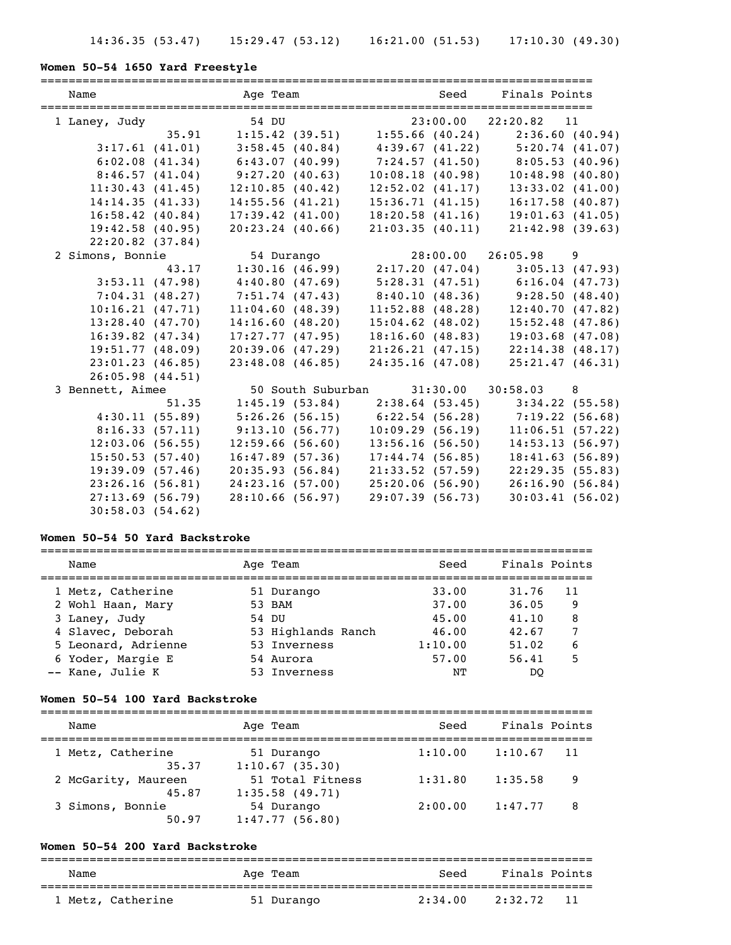# **Women 50-54 1650 Yard Freestyle**

| Name               |                |                    |  |                    | Age Team and Seed Finals Points                                                           |  |
|--------------------|----------------|--------------------|--|--------------------|-------------------------------------------------------------------------------------------|--|
| 1 Laney, Judy      |                | 54 DU              |  |                    |                                                                                           |  |
|                    |                |                    |  |                    | $54$ DU $23:00.00$ $22:20.82$ 11<br>35.91 1:15.42 (39.51) 1:55.66 (40.24) 2:36.60 (40.94) |  |
|                    | 3:17.61(41.01) |                    |  |                    | $3:58.45(40.84)$ $4:39.67(41.22)$ $5:20.74(41.07)$                                        |  |
|                    | 6:02.08(41.34) | 6:43.07(40.99)     |  |                    | $7:24.57$ (41.50) 8:05.53 (40.96)                                                         |  |
| 8:46.57(41.04)     |                | 9:27.20(40.63)     |  | 10:08.18(40.98)    | 10:48.98(40.80)                                                                           |  |
| 11:30.43(41.45)    |                | 12:10.85(40.42)    |  | 12:52.02(41.17)    | $13:33.02$ $(41.00)$                                                                      |  |
| 14:14.35(41.33)    |                | 14:55.56(41.21)    |  | 15:36.71(41.15)    | $16:17.58$ (40.87)                                                                        |  |
| $16:58.42$ (40.84) |                | 17:39.42(41.00)    |  | 18:20.58(41.16)    | 19:01.63(41.05)                                                                           |  |
| 19:42.58(40.95)    |                | $20:23.24$ (40.66) |  | 21:03.35(40.11)    | 21:42.98(39.63)                                                                           |  |
| $22:20.82$ (37.84) |                |                    |  |                    |                                                                                           |  |
| 2 Simons, Bonnie   |                | 54 Durango         |  |                    | 28:00.00 26:05.98 9                                                                       |  |
|                    | 43.17          |                    |  |                    | $1:30.16$ (46.99) $2:17.20$ (47.04) $3:05.13$ (47.93)                                     |  |
| 3:53.11(47.98)     |                | 4:40.80(47.69)     |  |                    | $5:28.31(47.51)$ $6:16.04(47.73)$                                                         |  |
| 7:04.31(48.27)     |                | 7:51.74(47.43)     |  |                    | $8:40.10(48.36)$ $9:28.50(48.40)$                                                         |  |
| 10:16.21(47.71)    |                | 11:04.60(48.39)    |  |                    | $11:52.88$ (48.28) $12:40.70$ (47.82)                                                     |  |
| 13:28.40(47.70)    |                | 14:16.60(48.20)    |  | $15:04.62$ (48.02) | $15:52.48$ (47.86)                                                                        |  |
| $16:39.82$ (47.34) |                | 17:27.77(47.95)    |  | 18:16.60(48.83)    | $19:03.68$ (47.08)                                                                        |  |
| 19:51.77(48.09)    |                | 20:39.06(47.29)    |  | 21:26.21(47.15)    | 22:14.38(48.17)                                                                           |  |
| 23:01.23(46.85)    |                | 23:48.08(46.85)    |  | 24:35.16(47.08)    | 25:21.47(46.31)                                                                           |  |
| 26:05.98(44.51)    |                |                    |  |                    |                                                                                           |  |
| 3 Bennett, Aimee   |                |                    |  |                    | 50 South Suburban 31:30.00 30:58.03 8                                                     |  |
|                    | 51.35          |                    |  |                    | $1:45.19$ (53.84) $2:38.64$ (53.45) $3:34.22$ (55.58)                                     |  |
| 4:30.11(55.89)     |                |                    |  |                    |                                                                                           |  |
| 8:16.33(57.11)     |                |                    |  |                    |                                                                                           |  |
| 12:03.06(56.55)    |                | 12:59.66(56.60)    |  | 13:56.16(56.50)    | 14:53.13(56.97)                                                                           |  |
| 15:50.53(57.40)    |                | 16:47.89(57.36)    |  | 17:44.74(56.85)    | 18:41.63(56.89)                                                                           |  |
| 19:39.09(57.46)    |                | 20:35.93(56.84)    |  | 21:33.52(57.59)    | 22:29.35(55.83)                                                                           |  |
| 23:26.16(56.81)    |                | 24:23.16(57.00)    |  | 25:20.06(56.90)    | 26:16.90(56.84)                                                                           |  |
| 27:13.69(56.79)    |                | 28:10.66(56.97)    |  | 29:07.39(56.73)    | 30:03.41(56.02)                                                                           |  |
| 30:58.03(54.62)    |                |                    |  |                    |                                                                                           |  |

### **Women 50-54 50 Yard Backstroke**

| Name                | Age Team           | Seed    | Finals Points |
|---------------------|--------------------|---------|---------------|
| 1 Metz, Catherine   | 51 Durango         | 33.00   | 31,76<br>11   |
| 2 Wohl Haan, Mary   | 53 BAM             | 37.00   | 36.05<br>9    |
| 3 Laney, Judy       | 54 DU              | 45.00   | 8<br>41,10    |
| 4 Slavec, Deborah   | 53 Highlands Ranch | 46.00   | 42.67         |
| 5 Leonard, Adrienne | 53 Inverness       | 1:10.00 | 6<br>51.02    |
| 6 Yoder, Margie E   | 54 Aurora          | 57.00   | 5<br>56.41    |
| -- Kane, Julie K    | 53 Inverness       | NΤ      | DO            |

### **Women 50-54 100 Yard Backstroke**

| Name                         | Age Team                              | Seed    | Finals Points |    |
|------------------------------|---------------------------------------|---------|---------------|----|
| 1 Metz, Catherine<br>35.37   | 51 Durango<br>1:10.67(35.30)          | 1:10.00 | 1:10.67       | 11 |
| 2 McGarity, Maureen<br>45.87 | 51 Total Fitness<br>$1:35.58$ (49.71) | 1:31.80 | 1:35.58       | 9  |
| 3 Simons, Bonnie<br>50.97    | 54 Durango<br>1:47.77(56.80)          | 2:00.00 | 1:47.77       | 8  |

# **Women 50-54 200 Yard Backstroke**

| Name              | Age Team   | Seed    | Finals Points  |
|-------------------|------------|---------|----------------|
| 1 Metz, Catherine | 51 Durango | 2:34.00 | -11<br>2:32.72 |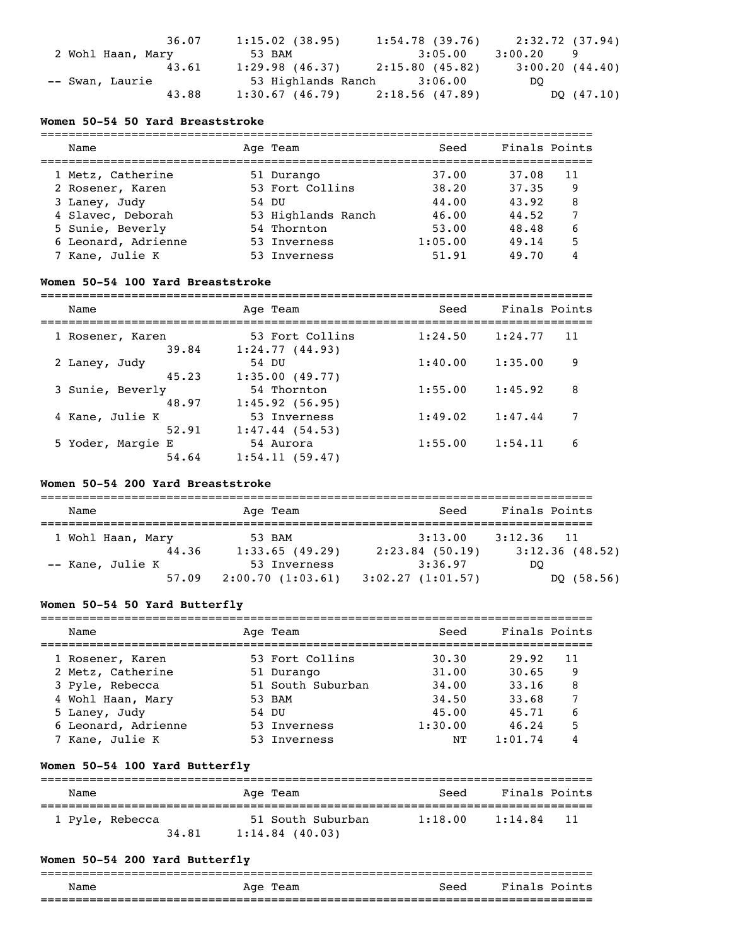|                   | 36.07 | 1:15.02(38.95)                      | $1:54.78$ (39.76) | 2:32.72 (37.94) |
|-------------------|-------|-------------------------------------|-------------------|-----------------|
| 2 Wohl Haan, Mary |       | 53 BAM                              | 3:05.00           | 3:00.20<br>-9   |
|                   | 43.61 | $1:29.98$ (46.37) $2:15.80$ (45.82) |                   | 3:00.20(44.40)  |
| -- Swan, Laurie   |       | 53 Highlands Ranch 3:06.00          |                   | DO.             |
|                   | 43.88 | $1:30.67$ (46.79) $2:18.56$ (47.89) |                   | DQ (47.10)      |

### **Women 50-54 50 Yard Breaststroke**

| Name                | Age Team           | Seed    | Finals Points |  |
|---------------------|--------------------|---------|---------------|--|
| 1 Metz, Catherine   | 51 Durango         | 37.00   | 37.08<br>11   |  |
| 2 Rosener, Karen    | 53 Fort Collins    | 38.20   | 37.35<br>9    |  |
| 3 Laney, Judy       | 54 DU              | 44.00   | 43.92<br>8    |  |
| 4 Slavec, Deborah   | 53 Highlands Ranch | 46.00   | 44.52         |  |
| 5 Sunie, Beverly    | 54 Thornton        | 53.00   | 48.48<br>6    |  |
| 6 Leonard, Adrienne | 53 Inverness       | 1:05.00 | 5<br>49.14    |  |
| 7 Kane, Julie K     | 53 Inverness       | 51.91   | 49.70         |  |

# **Women 50-54 100 Yard Breaststroke**

| Name              | Age Team        | Seed    | Finals Points |
|-------------------|-----------------|---------|---------------|
| 1 Rosener, Karen  | 53 Fort Collins | 1:24.50 | 1:24.77<br>11 |
| 39.84             | 1:24.77(44.93)  |         |               |
| 2 Laney, Judy     | 54 DU           | 1:40.00 | 1:35.00<br>9  |
| 45.23             | 1:35.00(49.77)  |         |               |
| 3 Sunie, Beverly  | 54 Thornton     | 1:55.00 | 8<br>1:45.92  |
| 48.97             | 1:45.92(56.95)  |         |               |
| 4 Kane, Julie K   | 53 Inverness    | 1:49.02 | 1:47.44<br>7  |
| 52.91             | 1:47.44(54.53)  |         |               |
| 5 Yoder, Margie E | 54 Aurora       | 1:55.00 | 1:54.11<br>6  |
| 54.64             | 1:54.11(59.47)  |         |               |

# **Women 50-54 200 Yard Breaststroke**

| Name              | Age Team         | Seed              | Finals Points              |
|-------------------|------------------|-------------------|----------------------------|
| 1 Wohl Haan, Mary | 53 BAM           | 3:13.00           | 3:12.36<br>$\overline{11}$ |
| 44.36             | 1:33.65(49.29)   | $2:23.84$ (50.19) | 3:12.36(48.52)             |
| -- Kane, Julie K  | 53 Inverness     | 3:36.97           | DO                         |
| 57.09             | 2:00.70(1:03.61) | 3:02.27(1:01.57)  | DQ (58.56)                 |

# **Women 50-54 50 Yard Butterfly**

| Name                | Age Team          | Seed    | Finals Points |    |
|---------------------|-------------------|---------|---------------|----|
| 1 Rosener, Karen    | 53 Fort Collins   | 30.30   | 29.92         | 11 |
| 2 Metz, Catherine   | 51 Durango        | 31.00   | 30.65         | 9  |
| 3 Pyle, Rebecca     | 51 South Suburban | 34.00   | 33.16         | 8  |
| 4 Wohl Haan, Mary   | 53 BAM            | 34.50   | 33.68         |    |
| 5 Laney, Judy       | 54 DU             | 45.00   | 45.71         | 6  |
| 6 Leonard, Adrienne | 53 Inverness      | 1:30.00 | 46.24         |    |
| 7 Kane, Julie K     | 53 Inverness      | NΤ      | 1:01.74       |    |

# **Women 50-54 100 Yard Butterfly**

| Name            | Age Team          | Seed    | Finals Points |
|-----------------|-------------------|---------|---------------|
| 1 Pyle, Rebecca | 51 South Suburban | 1:18.00 | 1:14.84       |
| 34.81           | $1:14.84$ (40.03) |         | - 11          |

# **Women 50-54 200 Yard Butterfly**

| Name | Age<br>Team | Seed                       | Fina<br>D∩i<br>.s |
|------|-------------|----------------------------|-------------------|
|      |             | -------------------------- | ______________    |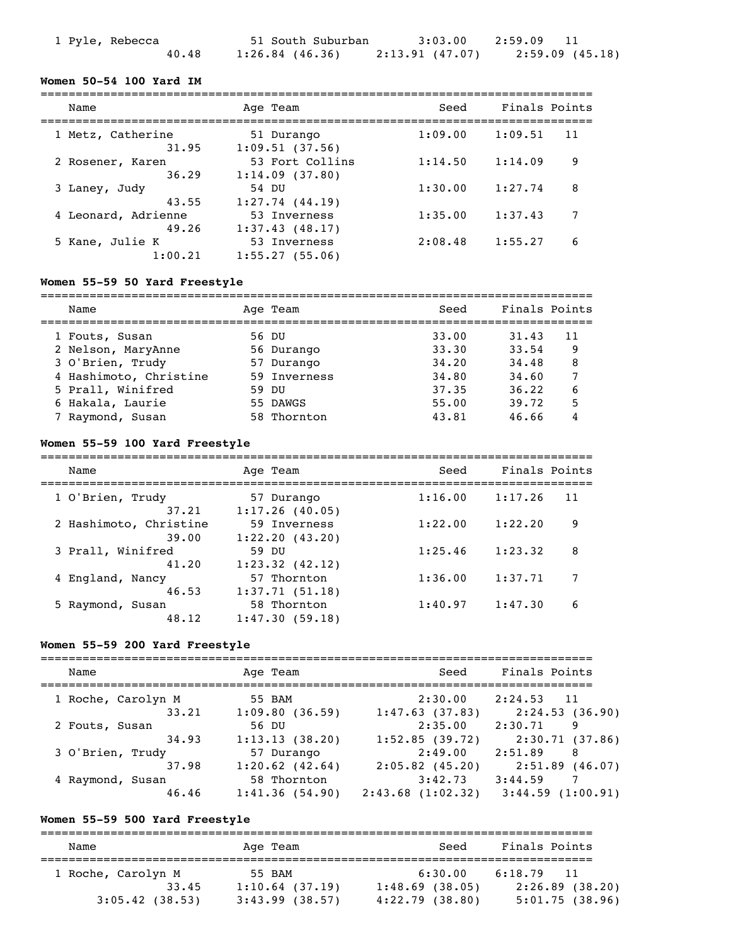| 1 Pyle, Rebecca | 51 South Suburban |                 | $3:03.00$ $2:59.09$ 11 |
|-----------------|-------------------|-----------------|------------------------|
| 40.48           | $1:26.84$ (46.36) | 2:13.91 (47.07) | 2:59.09 (45.18)        |

### **Women 50-54 100 Yard IM**

| Name                | Age Team            | Seed    | Finals Points |
|---------------------|---------------------|---------|---------------|
| 1 Metz, Catherine   | 51 Durango          | 1:09.00 | 1:09.51       |
| 31.95               | 1:09.51(37.56)      |         | 11            |
| 2 Rosener, Karen    | 53 Fort Collins     | 1:14.50 | 1:14.09       |
| 36.29               | 1:14.09(37.80)      |         | 9             |
| 3 Laney, Judy       | 54 DU               | 1:30.00 | 1:27.74       |
| 43.55               | $1:27.74$ $(44.19)$ |         | 8             |
| 4 Leonard, Adrienne | 53 Inverness        | 1:35.00 | 1:37.43       |
| 49.26               | 1:37.43(48.17)      |         | 7             |
| 5 Kane, Julie K     | 53 Inverness        | 2:08.48 | 6             |
| 1:00.21             | 1:55.27(55.06)      |         | 1:55.27       |

### **Women 55-59 50 Yard Freestyle**

| Name                   | Age Team     | Seed  | Finals Points |    |
|------------------------|--------------|-------|---------------|----|
| 1 Fouts, Susan         | 56 DU        | 33.00 | 31.43         | 11 |
| 2 Nelson, MaryAnne     | 56 Durango   | 33.30 | 33.54         | 9  |
| 3 O'Brien, Trudy       | 57 Durango   | 34,20 | 34.48         | 8  |
| 4 Hashimoto, Christine | 59 Inverness | 34.80 | 34.60         |    |
| 5 Prall, Winifred      | 59 DU        | 37.35 | 36.22         | 6  |
| 6 Hakala, Laurie       | 55 DAWGS     | 55.00 | 39.72         | 5  |
| 7 Raymond, Susan       | 58 Thornton  | 43.81 | 46.66         |    |

### **Women 55-59 100 Yard Freestyle**

| Name                   | Age Team            | Seed    | Finals Points |
|------------------------|---------------------|---------|---------------|
|                        |                     |         |               |
| 1 O'Brien, Trudy       | 57 Durango          | 1:16.00 | 1:17.26<br>11 |
| 37.21                  | 1:17.26(40.05)      |         |               |
| 2 Hashimoto, Christine | 59 Inverness        | 1:22.00 | 1:22.20<br>9  |
| 39.00                  | 1:22.20(43.20)      |         |               |
| 3 Prall, Winifred      | 59 DU               | 1:25.46 | 1:23.32<br>8  |
| 41.20                  | $1:23.32$ $(42.12)$ |         |               |
| 4 England, Nancy       | 57 Thornton         | 1:36.00 | 1:37.71<br>7  |
| 46.53                  | 1:37.71(51.18)      |         |               |
| 5 Raymond, Susan       | 58 Thornton         | 1:40.97 | 1:47.30<br>6  |
| 48.12                  | 1:47.30(59.18)      |         |               |

### **Women 55-59 200 Yard Freestyle**

| Name               | Age Team            | Seed              | Finals Points             |
|--------------------|---------------------|-------------------|---------------------------|
| 1 Roche, Carolyn M | 55 BAM              | 2:30.00           | $2:24.53$ 11              |
| 33.21              | 1:09.80(36.59)      | 1:47.63(37.83)    | 2:24.53(36.90)            |
| 2 Fouts, Susan     | 56 DU               | 2:35.00           | 2:30.71<br>9              |
| 34.93              | 1:13.13(38.20)      | 1:52.85(39.72)    | 2:30.71 (37.86)           |
| 3 O'Brien, Trudy   | 57 Durango          | 2:49.00           | 2:51.89<br>-8             |
| 37.98              | $1:20.62$ $(42.64)$ | $2:05.82$ (45.20) | $2:51.89$ (46.07)         |
| 4 Raymond, Susan   | 58 Thornton         | 3:42.73           | 3:44.59<br>$\overline{7}$ |
| 46.46              | 1:41.36(54.90)      | 2:43.68(1:02.32)  | $3:44.59$ $(1:00.91)$     |

# **Women 55-59 500 Yard Freestyle**

=============================================================================== Name Mage Team Age Team Seed Finals Points =============================================================================== 1 Roche, Carolyn M 55 BAM 6:30.00 6:18.79 11 33.45 1:10.64 (37.19) 1:48.69 (38.05) 2:26.89 (38.20) 3:05.42 (38.53) 3:43.99 (38.57) 4:22.79 (38.80) 5:01.75 (38.96)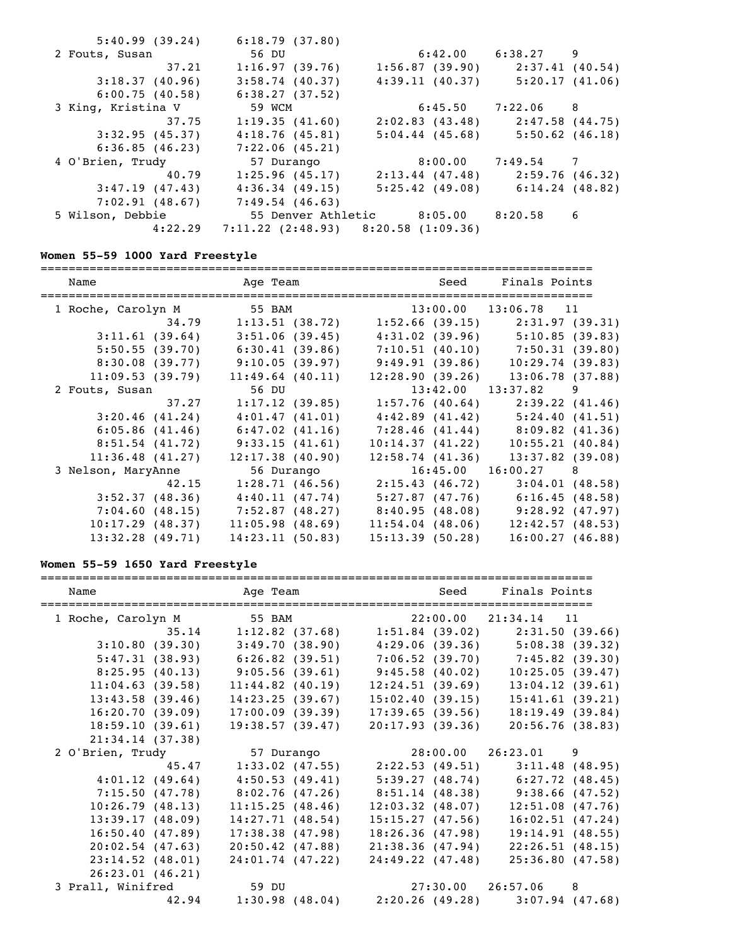| 5:40.99(39.24)     | 6:18.79(37.80)                              |                                      |                |  |
|--------------------|---------------------------------------------|--------------------------------------|----------------|--|
| 2 Fouts, Susan     | 56 DU                                       | $6:42.00$ $6:38.27$ 9                |                |  |
| 37.21              | 1:16.97(39.76)                              | $1:56.87$ (39.90) $2:37.41$ (40.54)  |                |  |
| 3:18.37(40.96)     | 3:58.74(40.37)                              | 4:39.11(40.37)                       | 5:20.17(41.06) |  |
| 6:00.75(40.58)     | 6:38.27(37.52)                              |                                      |                |  |
| 3 King, Kristina V | 59 WCM                                      | 6:45.50                              | 7:22.06 8      |  |
| 37.75              | 1:19.35(41.60)                              | $2:02.83$ (43.48) $2:47.58$ (44.75)  |                |  |
| 3:32.95(45.37)     | 4:18.76(45.81)                              | $5:04.44$ (45.68) $5:50.62$ (46.18)  |                |  |
| 6:36.85(46.23)     | 7:22.06(45.21)                              |                                      |                |  |
| 4 O'Brien, Trudy   | 57 Durango                                  | 8:00.00                              | 7:49.54 7      |  |
| 40.79              | 1:25.96(45.17)                              | $2:13.44$ (47.48) $2:59.76$ (46.32)  |                |  |
| 3:47.19(47.43)     | 4:36.34(49.15)                              | $5:25.42$ (49.08) 6:14.24 (48.82)    |                |  |
| 7:02.91(48.67)     | $7:49.54$ (46.63)                           |                                      |                |  |
| 5 Wilson, Debbie   |                                             | 55 Denver Athletic 8:05.00 8:20.58 6 |                |  |
| 4:22.29            | $7:11.22$ $(2:48.93)$ $8:20.58$ $(1:09.36)$ |                                      |                |  |

# **Women 55-59 1000 Yard Freestyle**

| Name               | Age Team           |                          | Seed Finals Points                      |
|--------------------|--------------------|--------------------------|-----------------------------------------|
| 1 Roche, Carolyn M | 55 BAM             | $13:00.00$ $13:06.78$ 11 |                                         |
| 34.79              | 1:13.51 (38.72)    |                          | $1:52.66$ (39.15) $2:31.97$ (39.31)     |
| 3:11.61(39.64)     | 3:51.06(39.45)     |                          | $4:31.02$ (39.96) $5:10.85$ (39.83)     |
| 5:50.55(39.70)     | 6:30.41(39.86)     |                          | $7:10.51$ (40.10) $7:50.31$ (39.80)     |
| 8:30.08(39.77)     | 9:10.05(39.97)     | 9:49.91(39.86)           | 10:29.74(39.83)                         |
| 11:09.53(39.79)    | $11:49.64$ (40.11) | 12:28.90(39.26)          | 13:06.78(37.88)                         |
| 2 Fouts, Susan     | 56 DU              | $13:42.00$ $13:37.82$ 9  |                                         |
| 37.27              | 1:17.12(39.85)     |                          | $1:57.76$ (40.64) $2:39.22$ (41.46)     |
| 3:20.46(41.24)     | 4:01.47(41.01)     |                          | $4:42.89$ $(41.42)$ $5:24.40$ $(41.51)$ |
| 6:05.86(41.46)     | $6:47.02$ (41.16)  |                          | 7:28.46 (41.44) 8:09.82 (41.36)         |
| $8:51.54$ (41.72)  | 9:33.15(41.61)     | 10:14.37(41.22)          | 10:55.21(40.84)                         |
| 11:36.48(41.27)    | 12:17.38(40.90)    | $12:58.74$ $(41.36)$     | $13:37.82$ (39.08)                      |
| 3 Nelson, MaryAnne | 56 Durango         | $16:45.00$ $16:00.27$ 8  |                                         |
| 42.15              | 1:28.71(46.56)     | 2:15.43(46.72)           | 3:04.01(48.58)                          |
| 3:52.37(48.36)     | 4:40.11(47.74)     |                          | $5:27.87$ (47.76) 6:16.45 (48.58)       |
| 7:04.60(48.15)     | 7:52.87 (48.27)    |                          | $8:40.95(48.08)$ $9:28.92(47.97)$       |
| $10:17.29$ (48.37) | 11:05.98(48.69)    | $11:54.04$ (48.06)       | 12:42.57(48.53)                         |
| $13:32.28$ (49.71) | 14:23.11(50.83)    | 15:13.39(50.28)          | 16:00.27(46.88)                         |
|                    |                    |                          |                                         |

# **Women 55-59 1650 Yard Freestyle**

| Name                                           |                                                                 |                    |                    |                    | Age Team and Seed Finals Points                       |                    |
|------------------------------------------------|-----------------------------------------------------------------|--------------------|--------------------|--------------------|-------------------------------------------------------|--------------------|
| 1 Roche, Carolyn M 55 BAM 22:00.00 21:34.14 11 |                                                                 |                    |                    |                    |                                                       |                    |
|                                                |                                                                 |                    |                    |                    | 35.14 1:12.82 (37.68) 1:51.84 (39.02) 2:31.50 (39.66) |                    |
| 3:10.80(39.30)                                 |                                                                 |                    |                    |                    | $3:49.70(38.90)$ $4:29.06(39.36)$ $5:08.38(39.32)$    |                    |
|                                                | 5:47.31 (38.93) 6:26.82 (39.51) 7:06.52 (39.70) 7:45.82 (39.30) |                    |                    |                    |                                                       |                    |
|                                                | $8:25.95(40.13)$ $9:05.56(39.61)$ $9:45.58(40.02)$              |                    |                    |                    | 10:25.05(39.47)                                       |                    |
| 11:04.63(39.58)                                |                                                                 |                    | $11:44.82$ (40.19) | 12:24.51(39.69)    |                                                       | $13:04.12$ (39.61) |
| 13:43.58(39.46)                                |                                                                 | 14:23.25(39.67)    |                    | 15:02.40(39.15)    |                                                       | 15:41.61(39.21)    |
| 16:20.70(39.09)                                |                                                                 | $17:00.09$ (39.39) |                    | 17:39.65(39.56)    |                                                       | 18:19.49(39.84)    |
| 18:59.10(39.61)                                |                                                                 | 19:38.57(39.47)    |                    | 20:17.93(39.36)    |                                                       | 20:56.76(38.83)    |
| 21:34.14(37.38)                                |                                                                 |                    |                    |                    |                                                       |                    |
| 2 O'Brien, Trudy                               |                                                                 | 57 Durango         |                    |                    | 28:00.00 26:23.01 9                                   |                    |
|                                                | 45.47 1:33.02 (47.55) 2:22.53 (49.51) 3:11.48 (48.95)           |                    |                    |                    |                                                       |                    |
| 4:01.12(49.64)                                 |                                                                 |                    |                    |                    | $4:50.53$ (49.41) $5:39.27$ (48.74) $6:27.72$ (48.45) |                    |
|                                                | 7:15.50 (47.78) 8:02.76 (47.26) 8:51.14 (48.38) 9:38.66 (47.52) |                    |                    |                    |                                                       |                    |
| 10:26.79(48.13)                                |                                                                 |                    | 11:15.25(48.46)    | $12:03.32$ (48.07) | 12:51.08(47.76)                                       |                    |
| 13:39.17(48.09)                                |                                                                 | 14:27.71(48.54)    |                    | 15:15.27(47.56)    |                                                       | 16:02.51(47.24)    |
| 16:50.40(47.89)                                |                                                                 | 17:38.38(47.98)    |                    | 18:26.36(47.98)    |                                                       | 19:14.91(48.55)    |
| 20:02.54(47.63)                                |                                                                 |                    | $20:50.42$ (47.88) | 21:38.36(47.94)    |                                                       | 22:26.51(48.15)    |
| 23:14.52(48.01)                                |                                                                 |                    | 24:01.74 (47.22)   | 24:49.22 (47.48)   |                                                       | 25:36.80(47.58)    |
| 26:23.01(46.21)                                |                                                                 |                    |                    |                    |                                                       |                    |
| 3 Prall, Winifred                              |                                                                 | 59 DU              |                    |                    | 27:30.00 26:57.06 8                                   |                    |
|                                                |                                                                 |                    |                    |                    | 42.94 1:30.98 (48.04) 2:20.26 (49.28) 3:07.94 (47.68) |                    |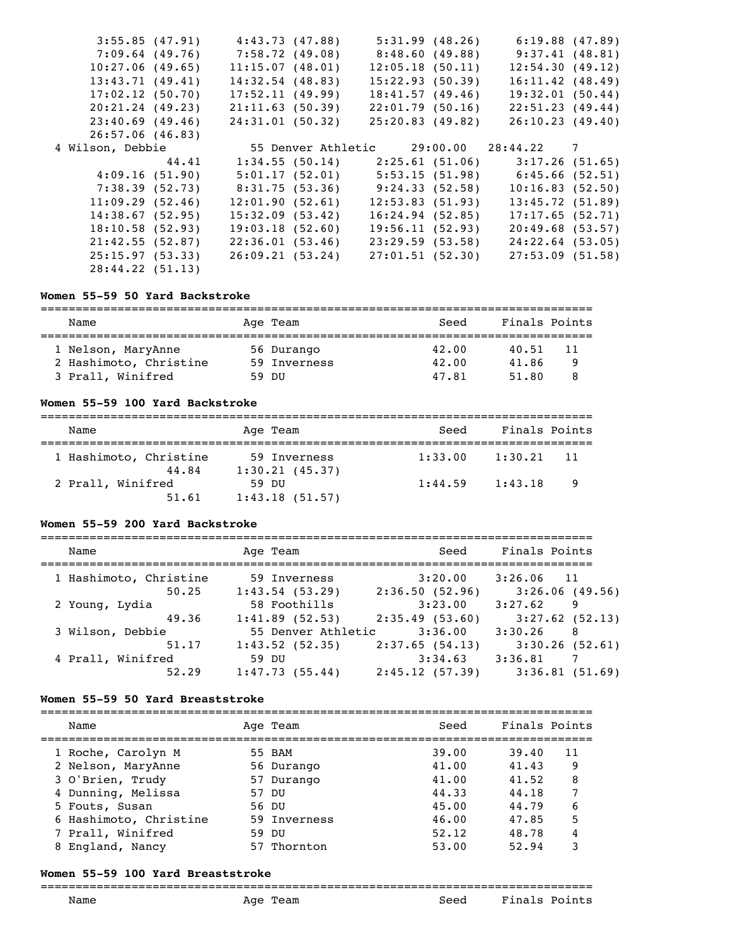| 3:55.85(47.91)   |       | 4:43.73 (47.88)    |                                 | 5:31.99(48.26) | 6:19.88(47.89)                                        |  |
|------------------|-------|--------------------|---------------------------------|----------------|-------------------------------------------------------|--|
| 7:09.64 (49.76)  |       | 7:58.72 (49.08)    | 8:48.60 (49.88)                 |                | 9:37.41(48.81)                                        |  |
| 10:27.06(49.65)  |       | 11:15.07(48.01)    | 12:05.18(50.11)                 |                | 12:54.30(49.12)                                       |  |
| 13:43.71(49.41)  |       | $14:32.54$ (48.83) | 15:22.93(50.39)                 |                | 16:11.42(48.49)                                       |  |
| 17:02.12(50.70)  |       | 17:52.11(49.99)    | 18:41.57(49.46)                 |                | 19:32.01(50.44)                                       |  |
| 20:21.24(49.23)  |       | 21:11.63(50.39)    | 22:01.79(50.16)                 |                | 22:51.23(49.44)                                       |  |
| 23:40.69(49.46)  |       | 24:31.01 (50.32)   | $25:20.83$ (49.82)              |                | 26:10.23(49.40)                                       |  |
| 26:57.06(46.83)  |       |                    |                                 |                |                                                       |  |
| 4 Wilson, Debbie |       |                    |                                 |                | 55 Denver Athletic 29:00.00 28:44.22 7                |  |
|                  | 44.41 |                    |                                 |                | $1:34.55$ (50.14) $2:25.61$ (51.06) $3:17.26$ (51.65) |  |
| 4:09.16(51.90)   |       | 5:01.17 (52.01)    |                                 |                | $5:53.15(51.98)$ $6:45.66(52.51)$                     |  |
| 7:38.39 (52.73)  |       |                    | 8:31.75 (53.36) 9:24.33 (52.58) |                | 10:16.83(52.50)                                       |  |
| 11:09.29(52.46)  |       | 12:01.90(52.61)    | 12:53.83(51.93)                 |                | 13:45.72(51.89)                                       |  |
| 14:38.67(52.95)  |       | 15:32.09(53.42)    | 16:24.94(52.85)                 |                | 17:17.65(52.71)                                       |  |
| 18:10.58(52.93)  |       | 19:03.18(52.60)    | 19:56.11(52.93)                 |                | 20:49.68(53.57)                                       |  |
| 21:42.55(52.87)  |       | 22:36.01(53.46)    | 23:29.59(53.58)                 |                | 24:22.64(53.05)                                       |  |
| 25:15.97(53.33)  |       | 26:09.21 (53.24)   | 27:01.51 (52.30)                |                | 27:53.09(51.58)                                       |  |
| 28:44.22(51.13)  |       |                    |                                 |                |                                                       |  |
|                  |       |                    |                                 |                |                                                       |  |

### **Women 55-59 50 Yard Backstroke**

| Name                   | Age Team     | Seed  | Finals Points |  |
|------------------------|--------------|-------|---------------|--|
|                        |              |       |               |  |
| 1 Nelson, MaryAnne     | 56 Durango   | 42.00 | 40.51<br>-11  |  |
| 2 Hashimoto, Christine | 59 Inverness | 42.00 | 41.86<br>q    |  |
| 3 Prall, Winifred      | 59 DU        | 47.81 | 51.80         |  |

### **Women 55-59 100 Yard Backstroke**

| Name                   | Age Team       | Seed    | Finals Points |
|------------------------|----------------|---------|---------------|
| 1 Hashimoto, Christine | 59 Inverness   | 1:33.00 | 1:30.21       |
| 44.84                  | 1:30.21(45.37) |         | - 11          |
| 2 Prall, Winifred      | 59 DU          | 1:44.59 | 1:43.18       |
| 51.61                  | 1:43.18(51.57) |         | - 9           |

### **Women 55-59 200 Yard Backstroke**

| Name                   | Age Team           | Seed           | Finals Points             |
|------------------------|--------------------|----------------|---------------------------|
| 1 Hashimoto, Christine | 59 Inverness       | 3:20.00        | $3:26.06$ 11              |
| 50.25                  | 1:43.54(53.29)     | 2:36.50(52.96) | 3:26.06(49.56)            |
| 2 Young, Lydia         | 58 Foothills       | 3:23.00        | 3:27.62<br>9              |
| 49.36                  | $1:41.89$ (52.53)  | 2:35.49(53.60) | 3:27.62(52.13)            |
| 3 Wilson, Debbie       | 55 Denver Athletic | 3:36.00        | 3:30.26<br>-8             |
| 51.17                  | 1:43.52(52.35)     | 2:37.65(54.13) | $3:30.26$ (52.61)         |
| 4 Prall, Winifred      | 59 DU              | 3:34.63        | 3:36.81<br>$\overline{7}$ |
| 52.29                  | 1:47.73(55.44)     | 2:45.12(57.39) | 3:36.81(51.69)            |

# **Women 55-59 50 Yard Breaststroke**

| Name                   | Age Team      |              | Seed  | Finals Points |    |
|------------------------|---------------|--------------|-------|---------------|----|
| 1 Roche, Carolyn M     | 55 BAM        |              | 39.00 | 39.40         | 11 |
| 2 Nelson, MaryAnne     | 56 Durango    |              | 41.00 | 41.43         | 9  |
| 3 O'Brien, Trudy       | 57 Durango    |              | 41.00 | 41.52         | 8  |
| 4 Dunning, Melissa     | <u>וזח 57</u> |              | 44.33 | 44.18         |    |
| 5 Fouts, Susan         | 56 DU         |              | 45.00 | 44.79         | 6  |
| 6 Hashimoto, Christine |               | 59 Inverness | 46.00 | 47.85         | 5  |
| 7 Prall, Winifred      | 59 DU         |              | 52.12 | 48.78         | 4  |
| England, Nancy         |               | 57 Thornton  | 53.00 | 52.94         | 3  |

## **Women 55-59 100 Yard Breaststroke**

# ===============================================================================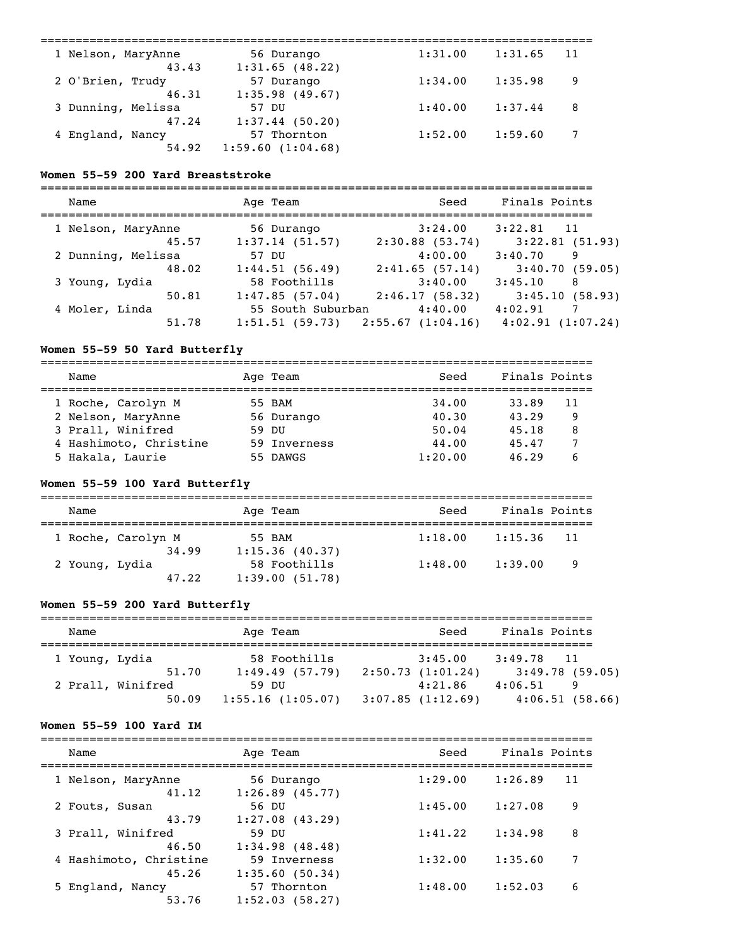| 1 Nelson, MaryAnne | 56 Durango        | 1:31.00 | 1:31.65 | 11 |
|--------------------|-------------------|---------|---------|----|
| 43.43              | 1:31.65(48.22)    |         |         |    |
| 2 O'Brien, Trudy   | 57 Durango        | 1:34.00 | 1:35.98 | 9  |
| 46.31              | 1:35.98(49.67)    |         |         |    |
| 3 Dunning, Melissa | <u>וזח 57</u>     | 1:40.00 | 1:37.44 | 8  |
| 47.24              | $1:37.44$ (50.20) |         |         |    |
| 4 England, Nancy   | 57 Thornton       | 1:52.00 | 1:59.60 | 7  |
| 54.92              | 1:59.60(1:04.68)  |         |         |    |
|                    |                   |         |         |    |

### **Women 55-59 200 Yard Breaststroke**

| Name               | Age Team          | Seed              | Finals Points             |
|--------------------|-------------------|-------------------|---------------------------|
|                    |                   |                   |                           |
| 1 Nelson, MaryAnne | 56 Durango        | 3:24.00           | $3:22.81$ 11              |
| 45.57              | 1:37.14(51.57)    | $2:30.88$ (53.74) | $3:22.81$ (51.93)         |
| 2 Dunning, Melissa | 57 DU             | 4:00.00           | 3:40.70<br>9              |
| 48.02              | 1:44.51(56.49)    | 2:41.65(57.14)    | 3:40.70(59.05)            |
| 3 Young, Lydia     | 58 Foothills      | 3:40.00           | 3:45.10<br>-8             |
| 50.81              | 1:47.85(57.04)    | 2:46.17(58.32)    | 3:45.10(58.93)            |
| 4 Moler, Linda     | 55 South Suburban | 4:40.00           | 4:02.91<br>$\overline{7}$ |
| 51.78              | 1:51.51(59.73)    | 2:55.67(1:04.16)  | 4:02.91(1:07.24)          |

# **Women 55-59 50 Yard Butterfly**

| Name                   |       | Age Team     | Seed    | Finals Points |    |
|------------------------|-------|--------------|---------|---------------|----|
|                        |       |              |         |               |    |
| 1 Roche, Carolyn M     |       | 55 BAM       | 34.00   | 33.89         | 11 |
| 2 Nelson, MaryAnne     |       | 56 Durango   | 40.30   | 43.29         | 9  |
| 3 Prall, Winifred      | 59 DU |              | 50.04   | 45.18         | 8  |
| 4 Hashimoto, Christine |       | 59 Inverness | 44.00   | 45.47         |    |
| 5 Hakala, Laurie       |       | 55 DAWGS     | 1:20.00 | 46.29         |    |

# **Women 55-59 100 Yard Butterfly**

| Name                        | Age Team                       | Seed    | Finals Points  |  |  |  |  |
|-----------------------------|--------------------------------|---------|----------------|--|--|--|--|
| 1 Roche, Carolyn M<br>34.99 | 55 BAM<br>1:15.36(40.37)       | 1:18.00 | $1:15.36$ 11   |  |  |  |  |
| 2 Young, Lydia<br>47.22     | 58 Foothills<br>1:39.00(51.78) | 1:48.00 | 1:39.00<br>- 9 |  |  |  |  |

# **Women 55-59 200 Yard Butterfly**

| Name           |                            | Age Team |                                | Seed                        | Finals Points                  |
|----------------|----------------------------|----------|--------------------------------|-----------------------------|--------------------------------|
| 1 Young, Lydia | 51.70                      |          | 58 Foothills<br>1:49.49(57.79) | 3:45.00<br>2:50.73(1:01.24) | 3:49.78 11<br>3:49.78(59.05)   |
|                | 2 Prall, Winifred<br>50.09 | 59 DU    | 1:55.16(1:05.07)               | 4:21.86<br>3:07.85(1:12.69) | 4:06.51<br>9<br>4:06.51(58.66) |

## **Women 55-59 100 Yard IM**

| Name                   | Age Team          | Seed    | Finals Points |
|------------------------|-------------------|---------|---------------|
| 1 Nelson, MaryAnne     | 56 Durango        | 1:29.00 | 1:26.89       |
| 41.12                  | $1:26.89$ (45.77) |         | 11            |
| 2 Fouts, Susan         | 56 DU             | 1:45.00 | 1:27.08       |
| 43.79                  | $1:27.08$ (43.29) |         | 9             |
| 3 Prall, Winifred      | 59 DU             | 1:41.22 | 8             |
| 46.50                  | 1:34.98(48.48)    |         | 1:34.98       |
| 4 Hashimoto, Christine | 59 Inverness      | 1:32.00 | 1:35.60       |
| 45.26                  | 1:35.60(50.34)    |         | 7             |
| 5 England, Nancy       | 57 Thornton       | 1:48.00 | 6             |
| 53.76                  | 1:52.03(58.27)    |         | 1:52.03       |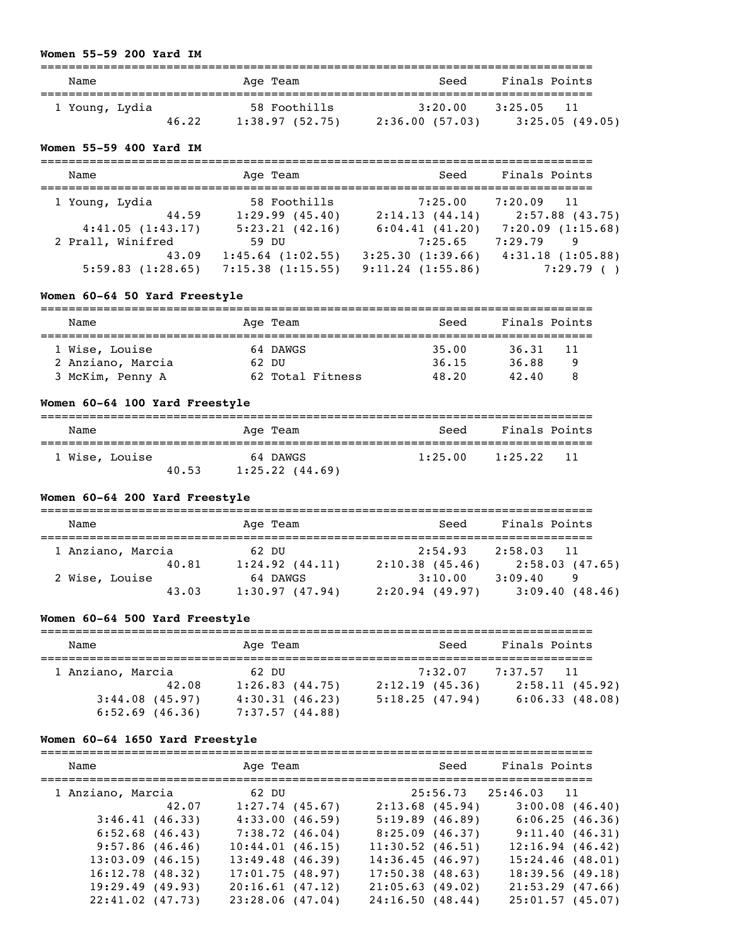### **Women 55-59 200 Yard IM**

| Name           |       | Age Team                       | Seed                      | Finals Points                   |
|----------------|-------|--------------------------------|---------------------------|---------------------------------|
| 1 Young, Lydia | 46.22 | 58 Foothills<br>1:38.97(52.75) | 3:20.00<br>2:36.00(57.03) | 3:25.05<br>11<br>3:25.05(49.05) |

# **Women 55-59 400 Yard IM**

| Name              | Age Team              | Seed                  | Finals Points         |
|-------------------|-----------------------|-----------------------|-----------------------|
| 1 Young, Lydia    | 58 Foothills          | 7:25.00               | $7:20.09$ 11          |
| 44.59             | 1:29.99(45.40)        | 2:14.13(44.14)        | 2:57.88(43.75)        |
| 4:41.05(1:43.17)  | 5:23.21(42.16)        | 6:04.41(41.20)        | 7:20.09(1:15.68)      |
| 2 Prall, Winifred | 59 DU                 | 7:25.65               | 7:29.79<br>9          |
| 43.09             | $1:45.64$ $(1:02.55)$ | 3:25.30(1:39.66)      | $4:31.18$ $(1:05.88)$ |
| 5:59.83(1:28.65)  | $7:15.38$ $(1:15.55)$ | $9:11.24$ $(1:55.86)$ | 7:29.79()             |

# **Women 60-64 50 Yard Freestyle**

| Name              | Age Team |                  | Seed  | Finals Points |    |
|-------------------|----------|------------------|-------|---------------|----|
| 1 Wise, Louise    |          | 64 DAWGS         | 35.00 | 36.31         | 11 |
| 2 Anziano, Marcia | 62 DU    |                  | 36.15 | 36.88         | q  |
| 3 McKim, Penny A  |          | 62 Total Fitness | 48.20 | 42.40         |    |

# **Women 60-64 100 Yard Freestyle**

| Name           |       | Age Team                        | Seed    | Finals Points   |
|----------------|-------|---------------------------------|---------|-----------------|
| 1 Wise, Louise | 40.53 | 64 DAWGS<br>$1:25.22$ $(44.69)$ | 1:25.00 | 1:25.22<br>- 11 |

# **Women 60-64 200 Yard Freestyle**

| Name              |       |       | Age Team                   | Seed                      | Finals Points                  |
|-------------------|-------|-------|----------------------------|---------------------------|--------------------------------|
| 1 Anziano, Marcia |       | 62 DU |                            | 2:54.93                   | 2:58.03<br>11                  |
|                   | 40.81 |       | 1:24.92(44.11)             | 2:10.38(45.46)            | 2:58.03(47.65)                 |
| 2 Wise, Louise    | 43.03 |       | 64 DAWGS<br>1:30.97(47.94) | 3:10.00<br>2:20.94(49.97) | 3:09.40<br>9<br>3:09.40(48.46) |

# **Women 60-64 500 Yard Freestyle**

| Name                                   | Age Team                         | Seed                      | Finals Points                |
|----------------------------------------|----------------------------------|---------------------------|------------------------------|
| 1 Anziano, Marcia<br>42.08             | 62 DU<br>1:26.83(44.75)          | 7:32.07<br>2:12.19(45.36) | 7:37.57 11<br>2:58.11(45.92) |
| $3:44.08$ (45.97)<br>$6:52.69$ (46.36) | 4:30.31(46.23)<br>7:37.57(44.88) | 5:18.25(47.94)            | 6:06.33(48.08)               |

# **Women 60-64 1650 Yard Freestyle**

| Name                 | Age Team           | Seed               | Finals Points        |
|----------------------|--------------------|--------------------|----------------------|
| 1 Anziano, Marcia    | 62 DU              |                    | 25:56.73 25:46.03 11 |
| 42.07                | $1:27.74$ (45.67)  | $2:13.68$ (45.94)  | $3:00.08$ (46.40)    |
| 3:46.41(46.33)       | 4:33.00(46.59)     | 5:19.89(46.89)     | 6:06.25(46.36)       |
| $6:52.68$ $(46.43)$  | 7:38.72(46.04)     | 8:25.09(46.37)     | 9:11.40(46.31)       |
| $9:57.86$ (46.46)    | 10:44.01(46.15)    | $11:30.52$ (46.51) | $12:16.94$ $(46.42)$ |
| $13:03.09$ (46.15)   | $13:49.48$ (46.39) | 14:36.45(46.97)    | $15:24.46$ (48.01)   |
| 16:12.78(48.32)      | 17:01.75(48.97)    | $17:50.38$ (48.63) | 18:39.56(49.18)      |
| 19:29.49(49.93)      | 20:16.61(47.12)    | 21:05.63(49.02)    | $21:53.29$ (47.66)   |
| $22:41.02$ $(47.73)$ | $23:28.06$ (47.04) | 24:16.50(48.44)    | 25:01.57(45.07)      |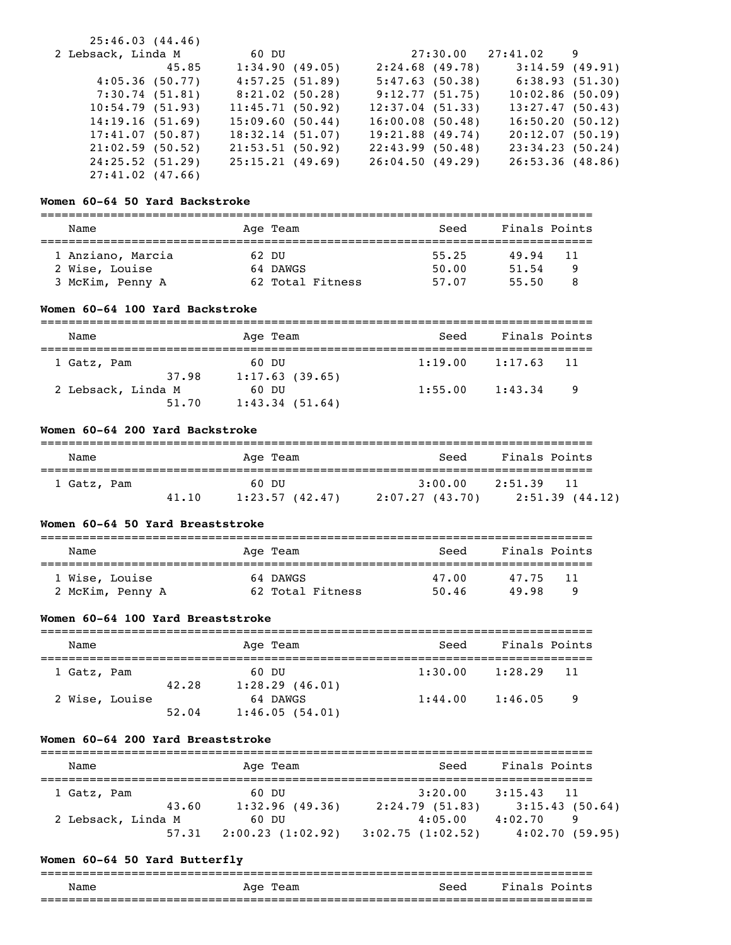| 25:46.03(44.46)    |       |                 |              |                    |                         |  |
|--------------------|-------|-----------------|--------------|--------------------|-------------------------|--|
| 2 Lebsack, Linda M |       |                 | 60 DU 200 AM |                    | $27:30.00$ $27:41.02$ 9 |  |
|                    | 45.85 | 1:34.90(49.05)  |              | 2:24.68(49.78)     | 3:14.59(49.91)          |  |
| 4:05.36(50.77)     |       | 4:57.25(51.89)  |              | 5:47.63(50.38)     | 6:38.93(51.30)          |  |
| 7:30.74(51.81)     |       | 8:21.02(50.28)  |              | 9:12.77(51.75)     | 10:02.86(50.09)         |  |
| 10:54.79(51.93)    |       | 11:45.71(50.92) |              | 12:37.04(51.33)    | 13:27.47(50.43)         |  |
| 14:19.16(51.69)    |       | 15:09.60(50.44) |              | 16:00.08(50.48)    | 16:50.20(50.12)         |  |
| 17:41.07(50.87)    |       | 18:32.14(51.07) |              | $19:21.88$ (49.74) | 20:12.07(50.19)         |  |
| 21:02.59(50.52)    |       | 21:53.51(50.92) |              | 22:43.99(50.48)    | 23:34.23(50.24)         |  |
| 24:25.52(51.29)    |       | 25:15.21(49.69) |              | 26:04.50(49.29)    | 26:53.36(48.86)         |  |
| $27:41.02$ (47.66) |       |                 |              |                    |                         |  |

### **Women 60-64 50 Yard Backstroke**

| Name                                                    | Age Team |                              | Seed                    | Finals Points           |               |
|---------------------------------------------------------|----------|------------------------------|-------------------------|-------------------------|---------------|
| 1 Anziano, Marcia<br>2 Wise, Louise<br>3 McKim, Penny A | 62 DU    | 64 DAWGS<br>62 Total Fitness | 55.25<br>50.00<br>57.07 | 49.94<br>51.54<br>55.50 | -11<br>9<br>я |

### **Women 60-64 100 Yard Backstroke**

| Name               | Age Team       | Seed    | Finals Points  |  |
|--------------------|----------------|---------|----------------|--|
| 1 Gatz, Pam        | 60 DU          | 1:19.00 | 1:17.63<br>-11 |  |
| 37.98              | 1:17.63(39.65) |         |                |  |
| 2 Lebsack, Linda M | 60 DU          | 1:55.00 | 1:43.34<br>- 9 |  |
| 51.70              | 1:43.34(51.64) |         |                |  |

# **Women 60-64 200 Yard Backstroke**

| Name        |       | Age Team                | Seed                       | Finals Points                                |
|-------------|-------|-------------------------|----------------------------|----------------------------------------------|
| 1 Gatz, Pam | 41.10 | 60 DU<br>1:23.57(42.47) | 3:00.00<br>2:07.27 (43.70) | 2:51.39<br>$\overline{11}$<br>2:51.39(44.12) |

### **Women 60-64 50 Yard Breaststroke**

| Name                               | Age Team                     | Seed           | Finals Points             |  |
|------------------------------------|------------------------------|----------------|---------------------------|--|
| 1 Wise, Louise<br>2 McKim, Penny A | 64 DAWGS<br>62 Total Fitness | 47.00<br>50.46 | 47.75<br>11<br>49.98<br>Q |  |

### **Women 60-64 100 Yard Breaststroke**

| Name        |                |                | Age Team                                     | Seed    | Finals Points             |
|-------------|----------------|----------------|----------------------------------------------|---------|---------------------------|
| 1 Gatz, Pam |                |                | 60 DU                                        | 1:30.00 | 1:28.29<br>-11            |
|             | 2 Wise, Louise | 42.28<br>52.04 | 1:28.29(46.01)<br>64 DAWGS<br>1:46.05(54.01) | 1:44.00 | 1:46.05<br>$\overline{9}$ |

## **Women 60-64 200 Yard Breaststroke**

| Name                        | Age Team                | Seed                      | Finals Points                  |
|-----------------------------|-------------------------|---------------------------|--------------------------------|
| 1 Gatz, Pam                 | 60 DU                   | 3:20.00                   | 3:15.43<br>$\overline{11}$     |
| 43.60<br>2 Lebsack, Linda M | 1:32.96(49.36)<br>60 DU | 2:24.79(51.83)<br>4:05.00 | 3:15.43(50.64)<br>4:02.70<br>9 |
| 57.31                       | 2:00.23(1:02.92)        | 3:02.75(1:02.52)          | 4:02.70(59.95)                 |

# **Women 60-64 50 Yard Butterfly**

|      |             | __________________________ |                           |
|------|-------------|----------------------------|---------------------------|
| Name | Age<br>Team | Seed                       | Fina<br>$Point \in$<br>.s |
|      |             | ________________________   | _______________           |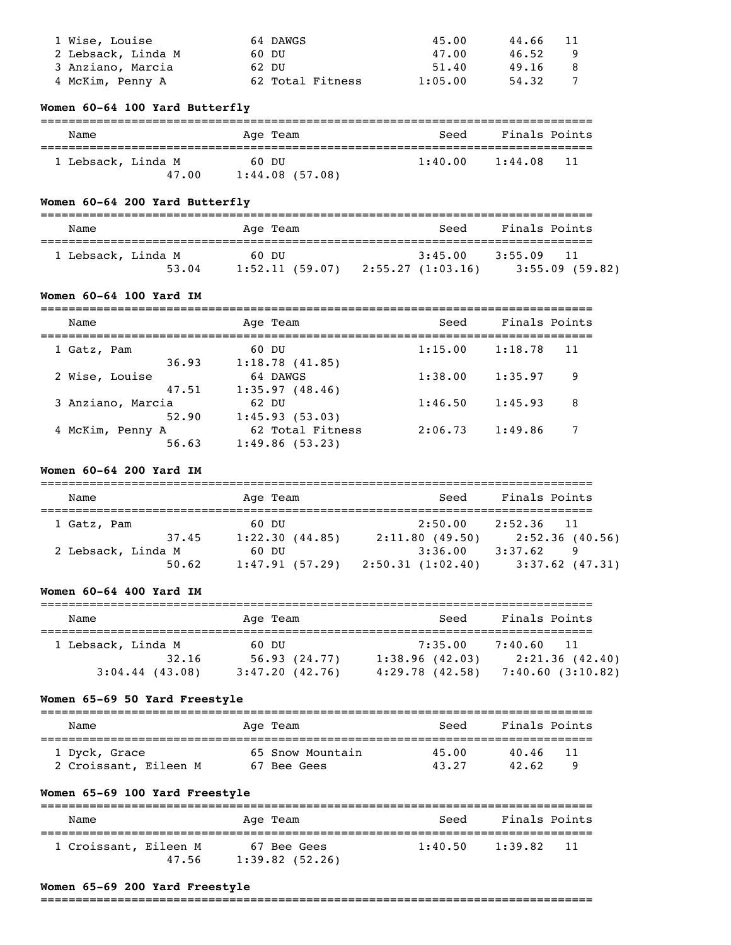| 1 Wise, Louise     | 64 DAWGS         | 45.00   | 44.66 | -11 |
|--------------------|------------------|---------|-------|-----|
| 2 Lebsack, Linda M | 60 DU            | 47.00   | 46.52 |     |
| 3 Anziano, Marcia  | 62 DU            | 51.40   | 49.16 |     |
| 4 McKim, Penny A   | 62 Total Fitness | 1:05.00 | 54.32 |     |

# **Women 60-64 100 Yard Butterfly**

| Name               | Age Team       | Seed    | Finals Points |
|--------------------|----------------|---------|---------------|
| 1 Lebsack, Linda M | 60 DU          | 1:40.00 | 1:44.08       |
| 47.00              | 1:44.08(57.08) |         | -11           |

# **Women 60-64 200 Yard Butterfly**

| Name                        | Age Team                | Seed                        | Finals Points                       |
|-----------------------------|-------------------------|-----------------------------|-------------------------------------|
| 1 Lebsack, Linda M<br>53.04 | 60 DU<br>1:52.11(59.07) | 3:45.00<br>2:55.27(1:03.16) | 3:55.09<br>-11<br>$3:55.09$ (59.82) |

# **Women 60-64 100 Yard IM**

| Name                               | Age Team                                             | Seed    | Finals Points |    |
|------------------------------------|------------------------------------------------------|---------|---------------|----|
| 1 Gatz, Pam                        | 60 DU                                                | 1:15.00 | 1:18.78       | 11 |
| 36.93<br>2 Wise, Louise            | 1:18.78(41.85)<br>64 DAWGS                           | 1:38.00 | 1:35.97       | 9  |
| 47.51<br>3 Anziano, Marcia         | 1:35.97(48.46)<br>62 DU                              | 1:46.50 | 1:45.93       | 8  |
| 52.90<br>4 McKim, Penny A<br>56.63 | 1:45.93(53.03)<br>62 Total Fitness<br>1:49.86(53.23) | 2:06.73 | 1:49.86       |    |

### **Women 60-64 200 Yard IM**

| Name               | Age Team       | Seed             | Finals Points     |
|--------------------|----------------|------------------|-------------------|
| 1 Gatz, Pam        | 60 DU          | 2:50.00          | $2:52.36$ 11      |
| 37.45              | 1:22.30(44.85) | 2:11.80(49.50)   | 2:52.36(40.56)    |
| 2 Lebsack, Linda M | 60 DU          | 3:36.00          | 3:37.62<br>9      |
| 50.62              | 1:47.91(57.29) | 2:50.31(1:02.40) | $3:37.62$ (47.31) |

# **Women 60-64 400 Yard IM**

| Name                                             | Age Team                                | Seed                                             | Finals Points                                       |
|--------------------------------------------------|-----------------------------------------|--------------------------------------------------|-----------------------------------------------------|
| 1 Lebsack, Linda M<br>32.16<br>$3:04.44$ (43.08) | 60 DU<br>56.93(24.77)<br>3:47.20(42.76) | 7:35.00<br>1:38.96(42.03)<br>$4:29.78$ $(42.58)$ | 7:40.60<br>11<br>2:21.36(42.40)<br>7:40.60(3:10.82) |

### **Women 65-69 50 Yard Freestyle**

| Name                  | Age Team         | Seed  | Finals Points |
|-----------------------|------------------|-------|---------------|
| 1 Dyck, Grace         | 65 Snow Mountain | 45.00 | 40.46<br>-11  |
| 2 Croissant, Eileen M | 67 Bee Gees      | 43.27 | 42.62         |

# **Women 65-69 100 Yard Freestyle**

| Name                  |       | Age Team                         | Seed    | Finals Points   |
|-----------------------|-------|----------------------------------|---------|-----------------|
| 1 Croissant, Eileen M | 47.56 | 67 Bee Gees<br>$1:39.82$ (52.26) | 1:40.50 | 1:39.82<br>- 11 |

### **Women 65-69 200 Yard Freestyle**

===============================================================================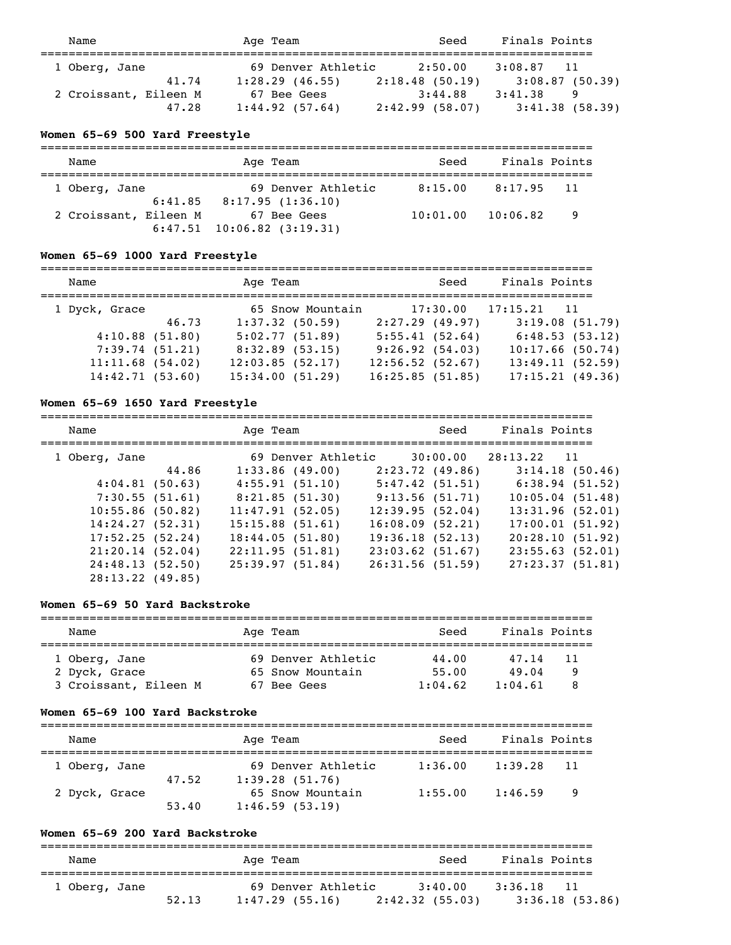| Name                  | Age Team           | Seed           | Finals Points  |
|-----------------------|--------------------|----------------|----------------|
| 1 Oberg, Jane         | 69 Denver Athletic | 2:50.00        | $3:08.87$ 11   |
| 41.74                 | $1:28.29$ (46.55)  | 2:18.48(50.19) | 3:08.87(50.39) |
| 2 Croissant, Eileen M | 67 Bee Gees        | 3:44.88        | 3:41.38<br>-9  |
| 47.28                 | 1:44.92(57.64)     | 2:42.99(58.07) | 3:41.38(58.39) |

# **Women 65-69 500 Yard Freestyle**

| Name                  | Age Team                                       | Seed     | Finals Points |      |
|-----------------------|------------------------------------------------|----------|---------------|------|
| 1 Oberg, Jane         | 69 Denver Athletic                             |          | 8:17.95       | - 11 |
| 2 Croissant, Eileen M | $6:41.85$ $8:17.95$ $(1:36.10)$<br>67 Bee Gees | 10:01:00 | 10:06.82      | - 9  |
|                       | $6:47.51$ 10:06.82 (3:19.31)                   |          |               |      |

# **Women 65-69 1000 Yard Freestyle**

| Name                                                                      |       | Age Team                                                                  |                  |                                                                        | Seed     | Finals Points |                                                                            |
|---------------------------------------------------------------------------|-------|---------------------------------------------------------------------------|------------------|------------------------------------------------------------------------|----------|---------------|----------------------------------------------------------------------------|
| 1 Dyck, Grace                                                             | 46.73 | $1:37.32$ (50.59)                                                         | 65 Snow Mountain | 2:27.29(49.97)                                                         | 17:30.00 | $17:15.21$ 11 | 3:19.08(51.79)                                                             |
| $4:10.88$ (51.80)<br>7:39.74(51.21)<br>11:11.68(54.02)<br>14:42.71(53.60) |       | 5:02.77(51.89)<br>$8:32.89$ (53.15)<br>12:03.85(52.17)<br>15:34.00(51.29) |                  | 5:55.41(52.64)<br>9:26.92(54.03)<br>12:56.52(52.67)<br>16:25.85(51.85) |          |               | 6:48.53(53.12)<br>$10:17.66$ (50.74)<br>13:49.11(52.59)<br>17:15.21(49.36) |

# **Women 65-69 1650 Yard Freestyle**

| Name               |       | Age Team           |  | Seed               | Finals Points            |                 |
|--------------------|-------|--------------------|--|--------------------|--------------------------|-----------------|
| 1 Oberg, Jane      |       | 69 Denver Athletic |  |                    | $30:00.00$ $28:13.22$ 11 |                 |
|                    | 44.86 | 1:33.86(49.00)     |  | 2:23.72(49.86)     |                          | 3:14.18(50.46)  |
| 4:04.81(50.63)     |       | 4:55.91(51.10)     |  | 5:47.42(51.51)     |                          | 6:38.94(51.52)  |
| 7:30.55(51.61)     |       | 8:21.85(51.30)     |  | 9:13.56(51.71)     |                          | 10:05.04(51.48) |
| $10:55.86$ (50.82) |       | 11:47.91(52.05)    |  | 12:39.95(52.04)    |                          | 13:31.96(52.01) |
| 14:24.27(52.31)    |       | $15:15.88$ (51.61) |  | $16:08.09$ (52.21) |                          | 17:00.01(51.92) |
| 17:52.25(52.24)    |       | 18:44.05(51.80)    |  | 19:36.18(52.13)    |                          | 20:28.10(51.92) |
| 21:20.14(52.04)    |       | 22:11.95(51.81)    |  | $23:03.62$ (51.67) |                          | 23:55.63(52.01) |
| 24:48.13(52.50)    |       | 25:39.97(51.84)    |  | 26:31.56(51.59)    |                          | 27:23.37(51.81) |
| $28:13.22$ (49.85) |       |                    |  |                    |                          |                 |

# **Women 65-69 50 Yard Backstroke**

| Name                  | Age Team           | Seed    | Finals Points |
|-----------------------|--------------------|---------|---------------|
|                       |                    |         |               |
| 1 Oberg, Jane         | 69 Denver Athletic | 44.00   | 47.14<br>11   |
| 2 Dyck, Grace         | 65 Snow Mountain   | 55.00   | 49.04<br>Q    |
| 3 Croissant, Eileen M | 67 Bee Gees        | 1:04.62 | 1:04.61       |

### **Women 65-69 100 Yard Backstroke**

| Name          |       | Age Team                             | Seed    | Finals Points |     |
|---------------|-------|--------------------------------------|---------|---------------|-----|
| 1 Oberg, Jane | 47.52 | 69 Denver Athletic<br>1:39.28(51.76) | 1:36.00 | 1:39.28       | -11 |
| 2 Dyck, Grace | 53.40 | 65 Snow Mountain<br>1:46.59(53.19)   | 1:55.00 | 1:46.59       | - 9 |

### **Women 65-69 200 Yard Backstroke**

| Name          |       | Age Team           | Seed            | Finals Points  |
|---------------|-------|--------------------|-----------------|----------------|
| 1 Oberg, Jane |       | 69 Denver Athletic | 3:40.00         | 3:36.18<br>11  |
|               | 52.13 | $1:47.29$ (55.16)  | 2:42.32 (55.03) | 3:36.18(53.86) |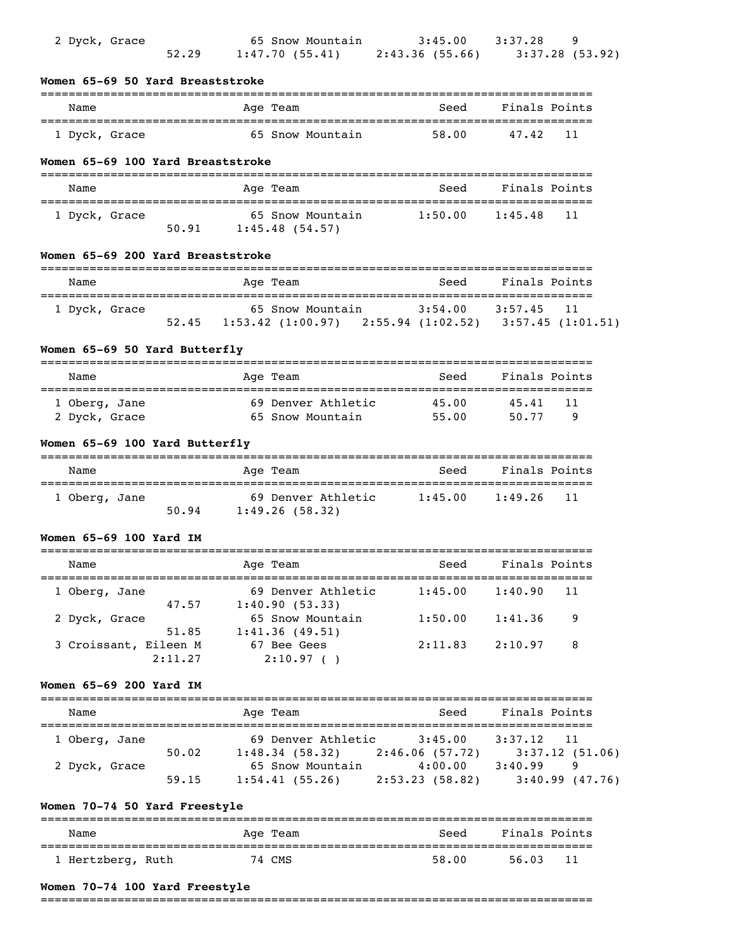| 2 Dyck, Grace                     | 52.29                    | 65 Snow Mountain 3:45.00 3:37.28<br>$1:47.70(55.41)$ $2:43.36(55.66)$ $3:37.28(53.92)$                                                                                               |                     |                    | 9       |
|-----------------------------------|--------------------------|--------------------------------------------------------------------------------------------------------------------------------------------------------------------------------------|---------------------|--------------------|---------|
| Women 65-69 50 Yard Breaststroke  |                          |                                                                                                                                                                                      |                     |                    |         |
| Name                              |                          | Age Team                                                                                                                                                                             | Seed                | Finals Points      |         |
| 1 Dyck, Grace                     |                          | 65 Snow Mountain 58.00                                                                                                                                                               |                     | 47.42              | 11      |
| Women 65-69 100 Yard Breaststroke |                          |                                                                                                                                                                                      |                     |                    |         |
| Name                              |                          | Age Team                                                                                                                                                                             | Seed                | Finals Points      |         |
| 1 Dyck, Grace                     | 50.91    1:45.48 (54.57) | 65 Snow Mountain 1:50.00                                                                                                                                                             |                     | 1:45.48            | 11      |
| Women 65-69 200 Yard Breaststroke |                          |                                                                                                                                                                                      |                     |                    |         |
| Name                              |                          | Age Team                                                                                                                                                                             | Seed                | Finals Points      |         |
| 1 Dyck, Grace                     |                          | 65 Snow Mountain 3:54.00 3:57.45<br>52.45 1:53.42 (1:00.97) 2:55.94 (1:02.52) 3:57.45 (1:01.51)                                                                                      |                     |                    | 11      |
| Women 65-69 50 Yard Butterfly     |                          |                                                                                                                                                                                      |                     |                    |         |
| Name                              |                          | Age Team                                                                                                                                                                             | Seed                | Finals Points      |         |
| 1 Oberg, Jane<br>2 Dyck, Grace    |                          | 69 Denver Athletic<br>65 Snow Mountain                                                                                                                                               | 45.00<br>55.00      | 45.41<br>50.77     | 11<br>9 |
| Women 65-69 100 Yard Butterfly    |                          |                                                                                                                                                                                      |                     |                    |         |
| Name                              |                          | Age Team                                                                                                                                                                             | Seed                | Finals Points      |         |
| 1 Oberg, Jane                     | 50.94 1:49.26 (58.32)    | 69 Denver Athletic 1:45.00 1:49.26                                                                                                                                                   |                     |                    | 11      |
| Women 65-69 100 Yard IM           |                          |                                                                                                                                                                                      |                     |                    |         |
| Name                              | Age Team                 |                                                                                                                                                                                      | Seed Finals Points  |                    |         |
| 1 Oberg, Jane                     |                          | 69 Denver Athletic                                                                                                                                                                   | $1:45.00$ $1:40.90$ |                    | 11      |
| 2 Dyck, Grace                     | 47.57 1:40.90 (53.33)    | 65 Snow Mountain 1:50.00 1:41.36                                                                                                                                                     |                     |                    | 9       |
| 3 Croissant, Eileen M             | 51.85<br>2:11.27         | 1:41.36(49.51)<br>67 Bee Gees<br>2:10.97(                                                                                                                                            | $2:11.83$ $2:10.97$ |                    | 8       |
| Women 65-69 200 Yard IM           |                          |                                                                                                                                                                                      |                     |                    |         |
| Name                              |                          | Age Team                                                                                                                                                                             | Seed                | Finals Points      |         |
| 1 Oberg, Jane<br>2 Dyck, Grace    |                          | 69 Denver Athletic 3:45.00 3:37.12<br>50.02 1:48.34 (58.32) 2:46.06 (57.72) 3:37.12 (51.06)<br>65 Snow Mountain 4:00.00 3:40.99 9<br>1:54.41 (55.26) 2:53.23 (58.82) 3:40.99 (47.76) |                     |                    | 11      |
|                                   | 59.15                    |                                                                                                                                                                                      |                     |                    |         |
| Women 70-74 50 Yard Freestyle     |                          |                                                                                                                                                                                      |                     |                    |         |
| Name                              |                          | Age Team                                                                                                                                                                             |                     | Seed Finals Points |         |
| 1 Hertzberg, Ruth                 |                          | 74 CMS                                                                                                                                                                               | 58.00               | 56.03              | 11      |

# **Women 70-74 100 Yard Freestyle**

===============================================================================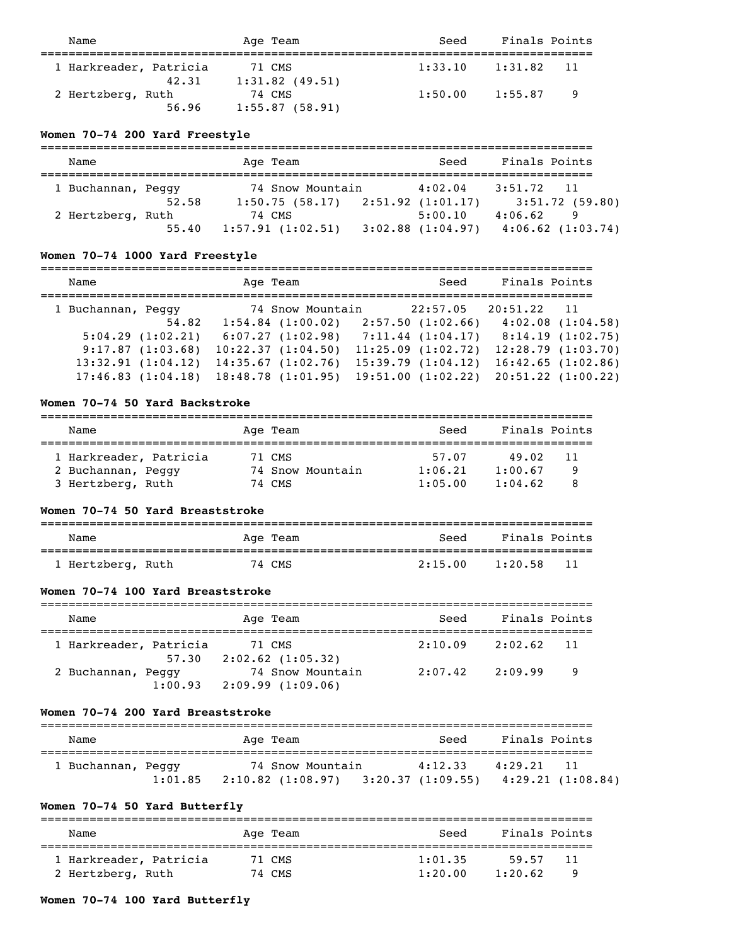| Name                       | Age Team                    | Seed    | Finals Points |                |
|----------------------------|-----------------------------|---------|---------------|----------------|
| 1 Harkreader, Patricia     | 71 CMS                      | 1:33.10 | 1:31.82 11    |                |
| 42.31<br>2 Hertzberg, Ruth | $1:31.82$ (49.51)<br>74 CMS | 1:50.00 | 1:55.87       | $\overline{9}$ |
| 56.96                      | 1:55.87(58.91)              |         |               |                |

### **Women 70-74 200 Yard Freestyle**

| Name               |       | Age Team                           | Seed                             | Finals Points |                                      |
|--------------------|-------|------------------------------------|----------------------------------|---------------|--------------------------------------|
| 1 Buchannan, Peggy | 52.58 | 74 Snow Mountain<br>1:50.75(58.17) | 4:02.04<br>2:51.92(1:01.17)      | 3:51.72       | $\overline{11}$<br>$3:51.72$ (59.80) |
| 2 Hertzberg, Ruth  | 55.40 | 74 CMS<br>1:57.91(1:02.51)         | 5:00.10<br>$3:02.88$ $(1:04.97)$ | 4:06.62       | 9<br>$4:06.62$ $(1:03.74)$           |

# **Women 70-74 1000 Yard Freestyle**

| Name                                  | Age Team                                  | Seed                                   | Finals Points |                                        |
|---------------------------------------|-------------------------------------------|----------------------------------------|---------------|----------------------------------------|
| 1 Buchannan, Peggy<br>54.82           | 74 Snow Mountain<br>$1:54.84$ $(1:00.02)$ | 22:57.05<br>2:57.50(1:02.66)           | 20:51.22      | 11<br>4:02.08(1:04.58)                 |
| $5:04.29$ $(1:02.21)$                 | 6:07.27(1:02.98)                          | 7:11.44(1:04.17)                       |               | 8:14.19(1:02.75)                       |
| 9:17.87(1:03.68)<br>13:32.91(1:04.12) | 10:22.37(1:04.50)<br>14:35.67(1:02.76)    | 11:25.09(1:02.72)<br>15:39.79(1:04.12) |               | 12:28.79(1:03.70)<br>16:42.65(1:02.86) |
| 17:46.83(1:04.18)                     | 18:48.78(1:01.95)                         | 19:51.00(1:02.22)                      |               | $20:51.22$ $(1:00.22)$                 |

#### **Women 70-74 50 Yard Backstroke**

| Name                   | Age Team         | Finals Points<br>Seed   |  |
|------------------------|------------------|-------------------------|--|
|                        |                  |                         |  |
| 1 Harkreader, Patricia | 71 CMS           | 57.07<br>49.02<br>11    |  |
| 2 Buchannan, Peggy     | 74 Snow Mountain | 1:00.67<br>1:06.21<br>q |  |
| 3 Hertzberg, Ruth      | 74 CMS           | 1:04.62<br>1:05.00      |  |

### **Women 70-74 50 Yard Breaststroke**

| Name              | Age Team | Seed    | Finals Points   |  |
|-------------------|----------|---------|-----------------|--|
|                   |          |         |                 |  |
| 1 Hertzberg, Ruth | 74 CMS   | 2:15.00 | 1:20.58<br>- 11 |  |

### **Women 70-74 100 Yard Breaststroke**

| Name                   | Age Team            | Seed    | Finals Points   |  |  |
|------------------------|---------------------|---------|-----------------|--|--|
| 1 Harkreader, Patricia | 71 CMS              | 2:10.09 | 2:02.62         |  |  |
| 57.30                  | $2:02.62$ (1:05.32) |         | $\overline{11}$ |  |  |
| 2 Buchannan, Peggy     | 74 Snow Mountain    | 2:07.42 | 2:09.99         |  |  |
| 1:00.93                | 2:09.99(1:09.06)    |         | $\overline{9}$  |  |  |

#### **Women 70-74 200 Yard Breaststroke**

| Name               |         | Age Team                                                        | Seed    | Finals Points |                        |
|--------------------|---------|-----------------------------------------------------------------|---------|---------------|------------------------|
| 1 Buchannan, Peggy | 1:01.85 | 74 Snow Mountain<br>$2:10.82$ $(1:08.97)$ $3:20.37$ $(1:09.55)$ | 4:12.33 | 4:29.21       | 11<br>4:29.21(1:08.84) |

# **Women 70-74 50 Yard Butterfly**

| Name                                        | Age Team         | Seed               | Finals Points          |
|---------------------------------------------|------------------|--------------------|------------------------|
| 1 Harkreader, Patricia<br>2 Hertzberg, Ruth | 71 CMS<br>74 CMS | 1:01.35<br>1:20.00 | 59.57<br>11<br>1:20.62 |

# **Women 70-74 100 Yard Butterfly**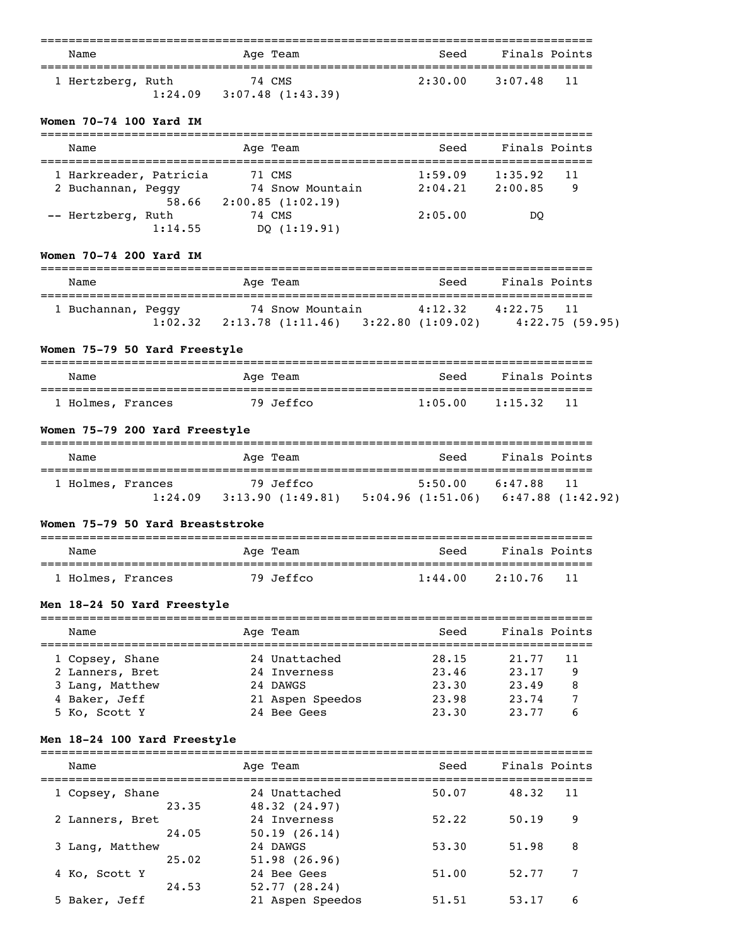| Name              |         | Age Team                   | Seed    | Finals Points |  |
|-------------------|---------|----------------------------|---------|---------------|--|
| 1 Hertzberg, Ruth | 1:24.09 | 74 CMS<br>3:07.48(1:43.39) | 2:30.00 | 3:07.48 11    |  |

### **Women 70-74 100 Yard IM**

| Name                   | Age Team         | Seed    | Finals Points |
|------------------------|------------------|---------|---------------|
| 1 Harkreader, Patricia | 71 CMS           | 1:59.09 | 1:35.92<br>11 |
| 2 Buchannan, Peggy     | 74 Snow Mountain | 2:04.21 | 2:00.85<br>9  |
| 58.66                  | 2:00.85(1:02.19) |         |               |
| -- Hertzberg, Ruth     | 74 CMS           | 2:05.00 | DO            |
| 1:14.55                | DO $(1:19.91)$   |         |               |

### **Women 70-74 200 Yard IM**

| Name               |         | Age Team                             | Seed                        | Finals Points |                |
|--------------------|---------|--------------------------------------|-----------------------------|---------------|----------------|
| 1 Buchannan, Peggy | 1:02.32 | 74 Snow Mountain<br>2:13.78(1:11.46) | 4:12.32<br>3:22.80(1:09.02) | 4:22.75       | 4:22.75(59.95) |

# **Women 75-79 50 Yard Freestyle**

| Name              | Age Team  | Seed    | Finals Points   |
|-------------------|-----------|---------|-----------------|
| 1 Holmes, Frances | 79 Jeffco | 1:05.00 | - 11<br>1:15.32 |

# **Women 75-79 200 Yard Freestyle**

| Name              |         | Age Team          | Seed                                  | Finals Points   |
|-------------------|---------|-------------------|---------------------------------------|-----------------|
| 1 Holmes, Frances |         | 79 Jeffco         | 5:50.00                               | 6:47.88<br>- 11 |
|                   | 1:24.09 | 3:13.90 (1:49.81) | $5:04.96$ (1:51.06) 6:47.88 (1:42.92) |                 |

### **Women 75-79 50 Yard Breaststroke**

| Name              | Age Team  | Finals Points<br>Seed      |
|-------------------|-----------|----------------------------|
| 1 Holmes, Frances | 79 Jeffco | - 11<br>1:44.00<br>2:10.76 |

# **Men 18-24 50 Yard Freestyle**

| Name            | Age Team         | Seed  | Finals Points |  |
|-----------------|------------------|-------|---------------|--|
|                 |                  |       |               |  |
| 1 Copsey, Shane | 24 Unattached    | 28.15 | 21.77<br>11   |  |
| 2 Lanners, Bret | 24 Inverness     | 23.46 | 23.17<br>9    |  |
| 3 Lang, Matthew | 24 DAWGS         | 23.30 | 23.49<br>8    |  |
| 4 Baker, Jeff   | 21 Aspen Speedos | 23.98 | 23.74         |  |
| 5 Ko, Scott Y   | 24 Bee Gees      | 23.30 | 23.77         |  |

# **Men 18-24 100 Yard Freestyle**

| Name            |       | Age Team                       | Seed  | Finals Points |     |
|-----------------|-------|--------------------------------|-------|---------------|-----|
| 1 Copsey, Shane | 23.35 | 24 Unattached<br>48.32 (24.97) | 50.07 | 48.32         | -11 |
| 2 Lanners, Bret | 24.05 | 24 Inverness<br>50.19(26.14)   | 52.22 | 50.19         | 9   |
| 3 Lang, Matthew | 25.02 | 24 DAWGS<br>51.98(26.96)       | 53.30 | 51.98         | 8   |
| 4 Ko, Scott Y   | 24.53 | 24 Bee Gees<br>52.77(28.24)    | 51.00 | 52.77         |     |
| 5 Baker, Jeff   |       | 21 Aspen Speedos               | 51.51 | 53.17         | 6   |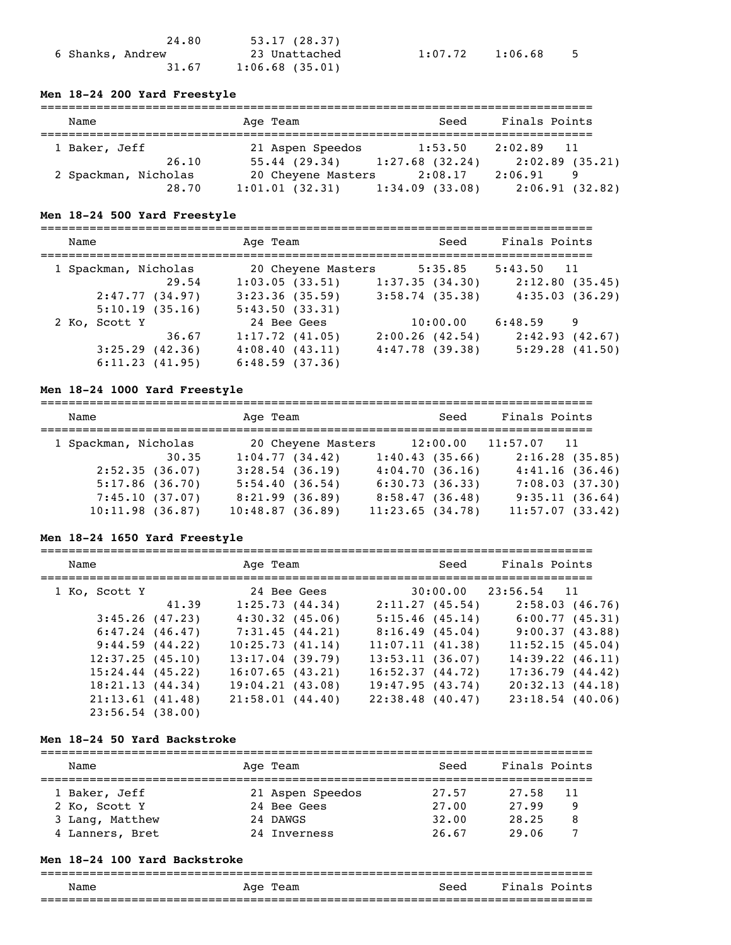|                  | 24.80 | 53.17(28.37)      |
|------------------|-------|-------------------|
| 6 Shanks, Andrew |       | 23 Unattached     |
|                  | 31.67 | $1:06.68$ (35.01) |

 $1:07.72$   $1:06.68$  5

#### **Men 18-24 200 Yard Freestyle**

| Name                 | Age Team                        | Seed           | Finals Points  |
|----------------------|---------------------------------|----------------|----------------|
| 1 Baker, Jeff        | 21 Aspen Speedos                | 1:53.50        | $2:02.89$ 11   |
| 26.10                | $55.44$ (29.34) 1:27.68 (32.24) |                | 2:02.89(35.21) |
| 2 Spackman, Nicholas | 20 Cheyene Masters              | 2:08.17        | 2:06.91<br>9   |
| 28.70                | 1:01.01(32.31)                  | 1:34.09(33.08) | 2:06.91(32.82) |

#### **Men 18-24 500 Yard Freestyle**

=============================================================================== Name and Age Team and Seed Finals Points =============================================================================== 1 Spackman, Nicholas 20 Cheyene Masters 5:35.85 5:43.50 11 29.54 1:03.05 (33.51) 1:37.35 (34.30) 2:12.80 (35.45) 2:47.77 (34.97) 3:23.36 (35.59) 3:58.74 (35.38) 4:35.03 (36.29) 5:10.19 (35.16) 5:43.50 (33.31) 2 Ko, Scott Y 24 Bee Gees 10:00.00 6:48.59 9 36.67 1:17.72 (41.05) 2:00.26 (42.54) 2:42.93 (42.67) 3:25.29 (42.36) 4:08.40 (43.11) 4:47.78 (39.38) 5:29.28 (41.50) 6:11.23 (41.95) 6:48.59 (37.36)

#### **Men 18-24 1000 Yard Freestyle**

| Name                 | Age Team           | Seed            | Finals Points            |
|----------------------|--------------------|-----------------|--------------------------|
|                      |                    |                 |                          |
| 1 Spackman, Nicholas | 20 Cheyene Masters |                 | $12:00.00$ $11:57.07$ 11 |
| 30.35                | 1:04.77(34.42)     | 1:40.43(35.66)  | 2:16.28(35.85)           |
| 2:52.35(36.07)       | $3:28.54$ (36.19)  | 4:04.70(36.16)  | 4:41.16(36.46)           |
| 5:17.86(36.70)       | 5:54.40(36.54)     | 6:30.73(36.33)  | 7:08.03(37.30)           |
| 7:45.10(37.07)       | 8:21.99(36.89)     | 8:58.47(36.48)  | 9:35.11(36.64)           |
| 10:11.98(36.87)      | 10:48.87(36.89)    | 11:23.65(34.78) | 11:57.07(33.42)          |

#### **Men 18-24 1650 Yard Freestyle**

| Name               |       | Age Team |                    | Seed                     | Finals Points |                      |  |
|--------------------|-------|----------|--------------------|--------------------------|---------------|----------------------|--|
| 1 Ko, Scott Y      |       |          | 24 Bee Gees        | $30:00.00$ $23:56.54$ 11 |               |                      |  |
|                    | 41.39 |          | 1:25.73(44.34)     | 2:11.27(45.54)           |               | 2:58.03(46.76)       |  |
| $3:45.26$ (47.23)  |       |          | 4:30.32(45.06)     | 5:15.46(45.14)           |               | 6:00.77(45.31)       |  |
| 6:47.24(46.47)     |       |          | 7:31.45(44.21)     | 8:16.49(45.04)           |               | 9:00.37(43.88)       |  |
| 9:44.59(44.22)     |       |          | 10:25.73(41.14)    | 11:07.11(41.38)          |               | 11:52.15(45.04)      |  |
| 12:37.25(45.10)    |       |          | $13:17.04$ (39.79) | 13:53.11(36.07)          |               | $14:39.22$ $(46.11)$ |  |
| $15:24.44$ (45.22) |       |          | $16:07.65$ (43.21) | 16:52.37(44.72)          |               | 17:36.79(44.42)      |  |
| 18:21.13(44.34)    |       |          | 19:04.21(43.08)    | 19:47.95(43.74)          |               | 20:32.13(44.18)      |  |
| 21:13.61(41.48)    |       |          | 21:58.01(44.40)    | $22:38.48$ (40.47)       |               | $23:18.54$ (40.06)   |  |
| $23:56.54$ (38.00) |       |          |                    |                          |               |                      |  |

#### **Men 18-24 50 Yard Backstroke**

| Name                                                                 | Age Team                                                    | Seed                             | Finals Points                                     |  |
|----------------------------------------------------------------------|-------------------------------------------------------------|----------------------------------|---------------------------------------------------|--|
| 1 Baker, Jeff<br>2 Ko, Scott Y<br>3 Lang, Matthew<br>4 Lanners, Bret | 21 Aspen Speedos<br>24 Bee Gees<br>24 DAWGS<br>24 Inverness | 27.57<br>27.00<br>32.00<br>26.67 | 27.58<br>-11<br>27.99<br>9<br>28.25<br>8<br>29.06 |  |

#### **Men 18-24 100 Yard Backstroke**

| Name | Age<br>Team | Seed                            | Finals<br>Points |
|------|-------------|---------------------------------|------------------|
|      |             | _______________________________ |                  |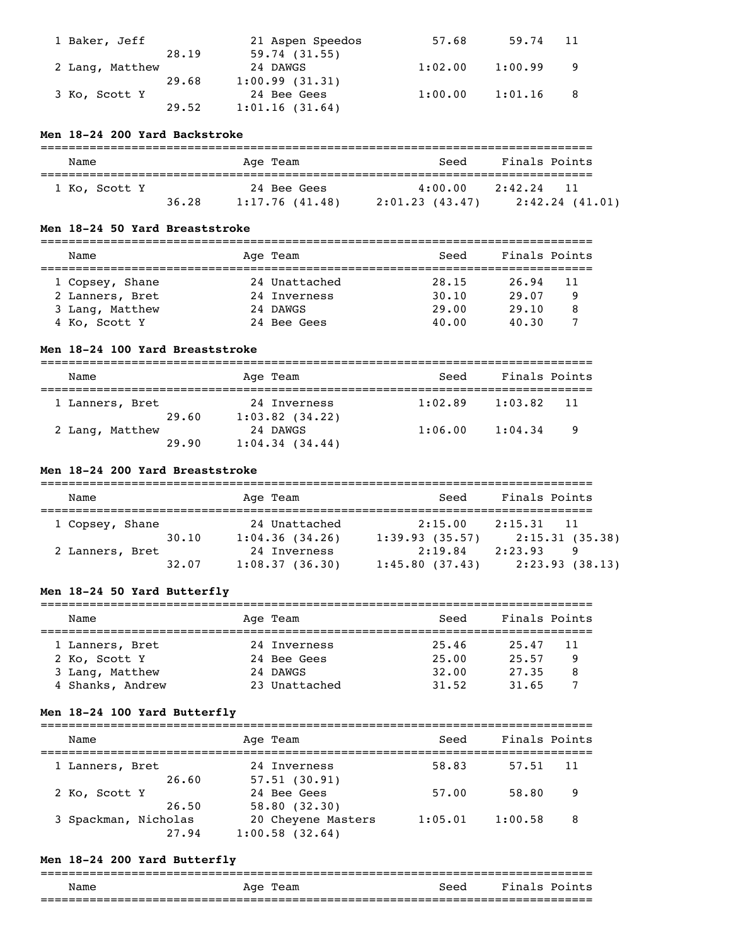| 1 Baker, Jeff   | 21 Aspen Speedos | 57.68   | 59.74   | -11 |
|-----------------|------------------|---------|---------|-----|
| 28.19           | 59.74(31.55)     |         |         |     |
| 2 Lang, Matthew | 24 DAWGS         | 1:02.00 | 1:00.99 |     |
| 29.68           | 1:00.99(31.31)   |         |         |     |
| 3 Ko, Scott Y   | 24 Bee Gees      | 1:00.00 | 1:01.16 | - 8 |
| 29.52           | 1:01.16(31.64)   |         |         |     |

### **Men 18-24 200 Yard Backstroke**

| Name          |       | Age Team                      | Seed                       | Finals Points                      |
|---------------|-------|-------------------------------|----------------------------|------------------------------------|
| 1 Ko, Scott Y | 36.28 | 24 Bee Gees<br>1:17.76(41.48) | 4:00.00<br>2:01.23 (43.47) | 2:42.24<br>- 11<br>2:42.24 (41.01) |

### **Men 18-24 50 Yard Breaststroke**

| Name            | Age Team      | Seed  | Finals Points |     |
|-----------------|---------------|-------|---------------|-----|
| 1 Copsey, Shane | 24 Unattached | 28.15 | 26.94         | -11 |
| 2 Lanners, Bret | 24 Inverness  | 30.10 | 29.07         | 9   |
| 3 Lang, Matthew | 24 DAWGS      | 29.00 | 29.10         | 8   |
| 4 Ko, Scott Y   | 24 Bee Gees   | 40.00 | 40.30         |     |

### **Men 18-24 100 Yard Breaststroke**

| Name                     | Age Team                            | Seed    | Finals Points  |  |  |
|--------------------------|-------------------------------------|---------|----------------|--|--|
| 1 Lanners, Bret<br>29.60 | 24 Inverness<br>$1:03.82$ $(34.22)$ | 1:02.89 | 1:03.82<br>-11 |  |  |
| 2 Lang, Matthew<br>29.90 | 24 DAWGS<br>1:04.34(34.44)          | 1:06.00 | 1:04.34<br>- 9 |  |  |

### **Men 18-24 200 Yard Breaststroke**

| Name            |       | Age Team       | Seed           | Finals Points   |
|-----------------|-------|----------------|----------------|-----------------|
| 1 Copsey, Shane |       | 24 Unattached  | 2:15.00        | 2:15.31<br>- 11 |
|                 | 30.10 | 1:04.36(34.26) | 1:39.93(35.57) | 2:15.31(35.38)  |
| 2 Lanners, Bret |       | 24 Inverness   | 2:19.84        | 2:23.93<br>9    |
|                 | 32.07 | 1:08.37(36.30) | 1:45.80(37.43) | 2:23.93(38.13)  |

# **Men 18-24 50 Yard Butterfly**

| Name             | Age Team      | Seed  | Finals Points |  |
|------------------|---------------|-------|---------------|--|
| 1 Lanners, Bret  | 24 Inverness  | 25.46 | 25.47<br>11   |  |
| 2 Ko, Scott Y    | 24 Bee Gees   | 25.00 | 25.57<br>9    |  |
| 3 Lang, Matthew  | 24 DAWGS      | 32.00 | 8<br>27.35    |  |
| 4 Shanks, Andrew | 23 Unattached | 31.52 | 31.65         |  |

# **Men 18-24 100 Yard Butterfly**

| Name                          | Age Team                                  | Seed    | Finals Points |  |
|-------------------------------|-------------------------------------------|---------|---------------|--|
| 1 Lanners, Bret<br>26.60      | 24 Inverness<br>57.51(30.91)              | 58.83   | 57.51<br>11   |  |
| 2 Ko, Scott Y<br>26.50        | 24 Bee Gees<br>58.80(32.30)               | 57.00   | 58.80<br>9    |  |
| 3 Spackman, Nicholas<br>27.94 | 20 Cheyene Masters<br>$1:00.58$ $(32.64)$ | 1:05.01 | 1:00.58<br>8  |  |

# **Men 18-24 200 Yard Butterfly**

| Name | Age<br>Team | Seed | Fina.<br>Points<br>.s |
|------|-------------|------|-----------------------|
|      |             |      | ________________      |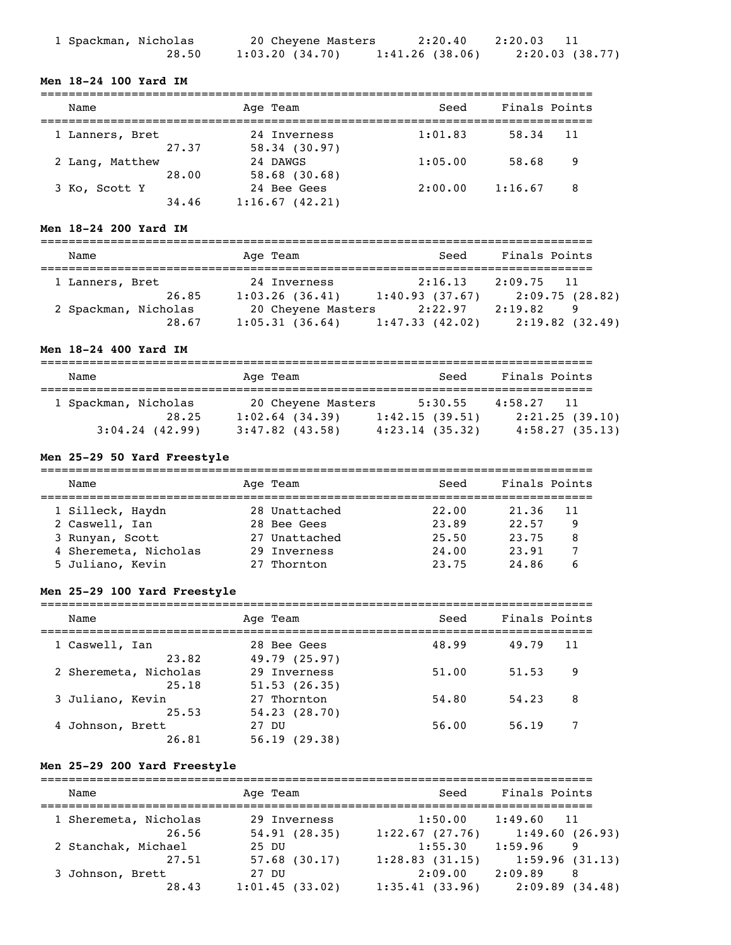| 1 Spackman, Nicholas | 20 Cheyene Masters | 2:20.40           | 2:20.03        |
|----------------------|--------------------|-------------------|----------------|
| 28.50                | 1:03.20(34.70)     | $1:41.26$ (38.06) | 2:20.03(38.77) |

### **Men 18-24 100 Yard IM**

| Name                     | Age Team                    | Seed    | Finals Points |
|--------------------------|-----------------------------|---------|---------------|
| 1 Lanners, Bret          | 24 Inverness                | 1:01.83 | 58.34<br>11   |
| 27.37                    | 58.34(30.97)                |         |               |
| 2 Lang, Matthew<br>28.00 | 24 DAWGS<br>$58.68$ (30.68) | 1:05.00 | 58.68<br>9    |
| 3 Ko, Scott Y            | 24 Bee Gees                 | 2:00.00 | 1:16.67<br>8  |
| 34.46                    | 1:16.67(42.21)              |         |               |

### **Men 18-24 200 Yard IM**

| Name                          | Age Team                             | Seed                      | Finals Points                  |
|-------------------------------|--------------------------------------|---------------------------|--------------------------------|
| 1 Lanners, Bret<br>26.85      | 24 Inverness<br>1:03.26(36.41)       | 2:16.13<br>1:40.93(37.67) | $2:09.75$ 11<br>2:09.75(28.82) |
| 2 Spackman, Nicholas<br>28.67 | 20 Cheyene Masters<br>1:05.31(36.64) | 2:22.97<br>1:47.33(42.02) | 2:19.82<br>9<br>2:19.82(32.49) |

### **Men 18-24 400 Yard IM**

| Name                 | Age Team           | Seed           | Finals Points  |
|----------------------|--------------------|----------------|----------------|
| 1 Spackman, Nicholas | 20 Cheyene Masters | 5:30.55        | $4:58.27$ 11   |
| 28.25                | $1:02.64$ (34.39)  | 1:42.15(39.51) | 2:21.25(39.10) |
| $3:04.24$ (42.99)    | $3:47.82$ (43.58)  | 4:23.14(35.32) | 4:58.27(35.13) |

# **Men 25-29 50 Yard Freestyle**

| Name                  | Age Team      | Seed  | Finals Points |
|-----------------------|---------------|-------|---------------|
| 1 Silleck, Haydn      | 28 Unattached | 22.00 | 21.36<br>11   |
| 2 Caswell, Ian        | 28 Bee Gees   | 23.89 | 22.57<br>9    |
| 3 Runyan, Scott       | 27 Unattached | 25.50 | 23.75<br>8    |
| 4 Sheremeta, Nicholas | 29 Inverness  | 24,00 | 23.91         |
| 5 Juliano, Kevin      | 27 Thornton   | 23.75 | 24.86<br>6    |

# **Men 25-29 100 Yard Freestyle**

| Name                      | Age Team                  | Seed  | Finals Points |
|---------------------------|---------------------------|-------|---------------|
| 1 Caswell, Ian            | 28 Bee Gees               | 48.99 | 49.79         |
| 23.82                     | 49.79 (25.97)             |       | 11            |
| 2 Sheremeta, Nicholas     | 29 Inverness              | 51.00 | 51.53         |
| 25.18                     | 51.53(26.35)              |       | 9             |
| 3 Juliano, Kevin          | 27 Thornton               | 54.80 | 54.23         |
| 25.53                     | 54.23(28.70)              |       | 8             |
| 4 Johnson, Brett<br>26.81 | 27 DU<br>56.19<br>(29.38) | 56.00 | 56.19         |

# **Men 25-29 200 Yard Freestyle**

| Name                           | Age Team                     | Seed                      | Finals Points                  |
|--------------------------------|------------------------------|---------------------------|--------------------------------|
| 1 Sheremeta, Nicholas<br>26.56 | 29 Inverness<br>54.91(28.35) | 1:50.00<br>1:22.67(27.76) | $1:49.60$ 11<br>1:49.60(26.93) |
| 2 Stanchak, Michael<br>27.51   | 25 DU<br>$57.68$ (30.17)     | 1:55.30<br>1:28.83(31.15) | 1:59.96<br>9<br>1:59.96(31.13) |
| 3 Johnson, Brett<br>28.43      | 27 DU<br>1:01.45(33.02)      | 2:09.00<br>1:35.41(33.96) | 2:09.89<br>8<br>2:09.89(34.48) |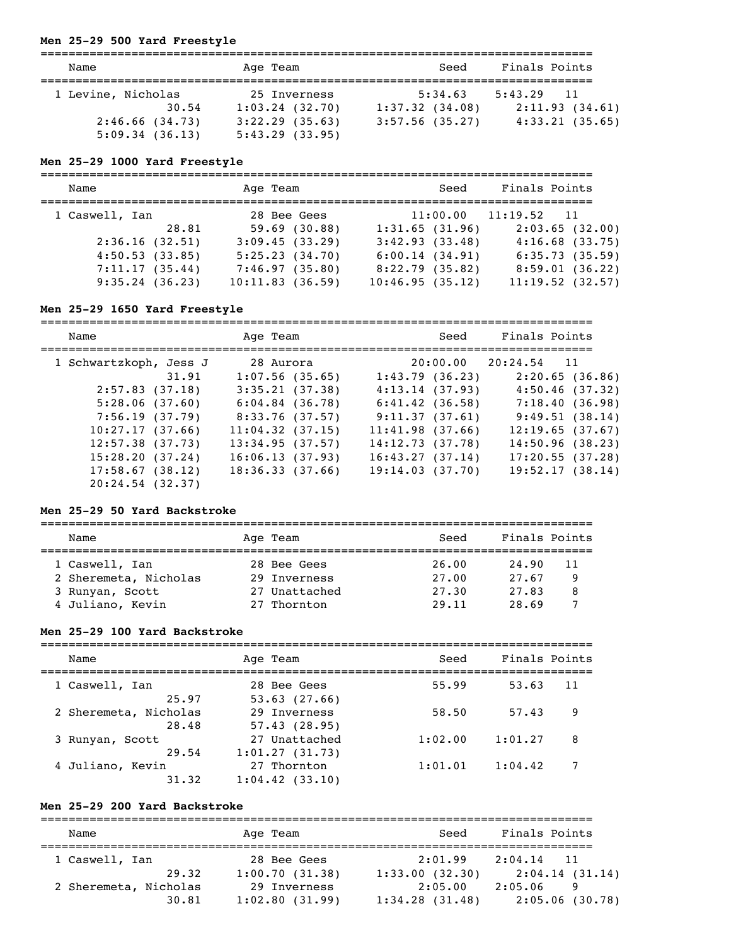# **Men 25-29 500 Yard Freestyle**

| Name                                                   |       | Age Team                                                                 | Seed                                           | Finals Points                                                  |
|--------------------------------------------------------|-------|--------------------------------------------------------------------------|------------------------------------------------|----------------------------------------------------------------|
| 1 Levine, Nicholas<br>2:46.66(34.73)<br>5:09.34(36.13) | 30.54 | 25 Inverness<br>$1:03.24$ (32.70)<br>$3:22.29$ (35.63)<br>5:43.29(33.95) | 5:34.63<br>1:37.32(34.08)<br>$3:57.56$ (35.27) | 5:43.29<br>$\overline{11}$<br>2:11.93(34.61)<br>4:33.21(35.65) |

# **Men 25-29 1000 Yard Freestyle**

| Name           | Age Team        | Seed            | Finals Points            |
|----------------|-----------------|-----------------|--------------------------|
| 1 Caswell, Ian | 28 Bee Gees     |                 | $11:00.00$ $11:19.52$ 11 |
| 28.81          | 59.69(30.88)    | 1:31.65(31.96)  | 2:03.65(32.00)           |
| 2:36.16(32.51) | 3:09.45(33.29)  | 3:42.93(33.48)  | $4:16.68$ $(33.75)$      |
| 4:50.53(33.85) | 5:25.23(34.70)  | 6:00.14(34.91)  | 6:35.73(35.59)           |
| 7:11.17(35.44) | 7:46.97(35.80)  | 8:22.79(35.82)  | 8:59.01(36.22)           |
| 9:35.24(36.23) | 10:11.83(36.59) | 10:46.95(35.12) | 11:19.52(32.57)          |

# **Men 25-29 1650 Yard Freestyle**

| Name                   | Age Team            | Seed                | Finals Points            |
|------------------------|---------------------|---------------------|--------------------------|
| 1 Schwartzkoph, Jess J | 28 Aurora           |                     | $20:00.00$ $20:24.54$ 11 |
| 31.91                  | $1:07.56$ (35.65)   | 1:43.79(36.23)      | 2:20.65(36.86)           |
| 2:57.83(37.18)         | 3:35.21(37.38)      | 4:13.14(37.93)      | 4:50.46(37.32)           |
| 5:28.06(37.60)         | $6:04.84$ $(36.78)$ | $6:41.42$ $(36.58)$ | 7:18.40(36.98)           |
| 7:56.19(37.79)         | 8:33.76 (37.57)     | 9:11.37(37.61)      | 9:49.51(38.14)           |
| 10:27.17(37.66)        | $11:04.32$ (37.15)  | 11:41.98(37.66)     | 12:19.65(37.67)          |
| $12:57.38$ (37.73)     | 13:34.95(37.57)     | 14:12.73(37.78)     | 14:50.96(38.23)          |
| 15:28.20(37.24)        | 16:06.13(37.93)     | 16:43.27(37.14)     | 17:20.55(37.28)          |
| 17:58.67(38.12)        | 18:36.33(37.66)     | 19:14.03(37.70)     | 19:52.17(38.14)          |
| 20:24.54(32.37)        |                     |                     |                          |

### **Men 25-29 50 Yard Backstroke**

| Name                  | Age Team      | Seed  | Finals Points |
|-----------------------|---------------|-------|---------------|
| 1 Caswell, Ian        | 28 Bee Gees   | 26.00 | 24.90<br>11   |
| 2 Sheremeta, Nicholas | 29 Inverness  | 27.00 | 27.67<br>9    |
| 3 Runyan, Scott       | 27 Unattached | 27.30 | 27.83<br>8    |
| 4 Juliano, Kevin      | 27 Thornton   | 29.11 | 28.69         |

# **Men 25-29 100 Yard Backstroke**

| Name                      | Age Team                           | Seed    | Finals Points |
|---------------------------|------------------------------------|---------|---------------|
| 1 Caswell, Ian            | 28 Bee Gees                        | 55.99   | 53.63         |
| 25.97                     | $53.63$ $(27.66)$                  |         | 11            |
| 2 Sheremeta, Nicholas     | 29 Inverness                       | 58.50   | 9             |
| 28.48                     | 57.43(28.95)                       |         | 57.43         |
| 3 Runyan, Scott           | 27 Unattached                      | 1:02.00 | 1:01.27       |
| 29.54                     | 1:01.27(31.73)                     |         | 8             |
| 4 Juliano, Kevin<br>31.32 | 27 Thornton<br>$1:04.42$ $(33.10)$ | 1:01.01 | 1:04.42       |

### **Men 25-29 200 Yard Backstroke**

| Name                  | Age Team       | Seed           | Finals Points              |
|-----------------------|----------------|----------------|----------------------------|
| 1 Caswell, Ian        | 28 Bee Gees    | 2:01.99        | 2:04.14<br>$\overline{11}$ |
| 29.32                 | 1:00.70(31.38) | 1:33.00(32.30) | 2:04.14(31.14)             |
| 2 Sheremeta, Nicholas | 29 Inverness   | 2:05.00        | 2:05.06<br>9               |
| 30.81                 | 1:02.80(31.99) | 1:34.28(31.48) | 2:05.06(30.78)             |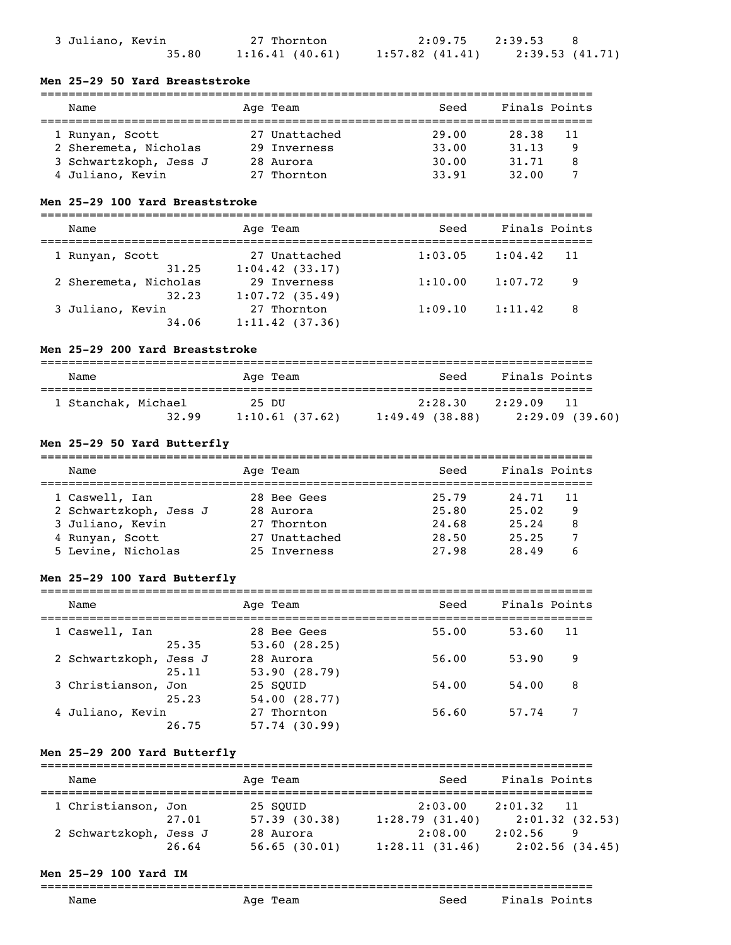| 3 Juliano, Kevin |       | 27 Thornton    |
|------------------|-------|----------------|
|                  | 35.80 | 1:16.41(40.61) |

### **Men 25-29 50 Yard Breaststroke**

| Name                   | Age Team      | Seed  | Finals Points |    |
|------------------------|---------------|-------|---------------|----|
| 1 Runyan, Scott        | 27 Unattached | 29.00 | 28.38         | 11 |
| 2 Sheremeta, Nicholas  | 29 Inverness  | 33.00 | 31, 13        | q  |
| 3 Schwartzkoph, Jess J | 28 Aurora     | 30.00 | 31,71         | 8  |
| 4 Juliano, Kevin       | 27 Thornton   | 33.91 | 32.00         |    |

### **Men 25-29 100 Yard Breaststroke**

| Name                      | Age Team                          | Seed    | Finals Points  |  |
|---------------------------|-----------------------------------|---------|----------------|--|
| 1 Runyan, Scott<br>31.25  | 27 Unattached                     | 1:03.05 | 1:04.42<br>-11 |  |
| 2 Sheremeta, Nicholas     | $1:04.42$ (33.17)<br>29 Inverness | 1:10.00 | 1:07.72<br>9   |  |
| 32.23<br>3 Juliano, Kevin | 1:07.72(35.49)<br>27 Thornton     | 1:09.10 | 1:11.42<br>8   |  |
| 34.06                     | $1:11.42$ (37.36)                 |         |                |  |

### **Men 25-29 200 Yard Breaststroke**

| Name                         | Age Team                | Seed                      | Finals Points                   |
|------------------------------|-------------------------|---------------------------|---------------------------------|
| 1 Stanchak, Michael<br>32.99 | 25 DU<br>1:10.61(37.62) | 2:28.30<br>1:49.49(38.88) | 2:29.09<br>11<br>2:29.09(39.60) |

### **Men 25-29 50 Yard Butterfly**

| Name                   | Age Team      | Seed  | Finals Points |    |
|------------------------|---------------|-------|---------------|----|
| 1 Caswell, Ian         | 28 Bee Gees   | 25.79 | 24.71         | 11 |
| 2 Schwartzkoph, Jess J | 28 Aurora     | 25.80 | 25.02         | 9  |
| 3 Juliano, Kevin       | 27 Thornton   | 24.68 | 25.24         | 8  |
| 4 Runyan, Scott        | 27 Unattached | 28.50 | 25.25         |    |
| 5 Levine, Nicholas     | 25 Inverness  | 27.98 | 28.49         |    |

### **Men 25-29 100 Yard Butterfly**

| Name                |                 | Age Team                       | Seed  | Finals Points |    |
|---------------------|-----------------|--------------------------------|-------|---------------|----|
| 1 Caswell, Ian      | 25.35           | 28 Bee Gees<br>53.60(28.25)    | 55.00 | 53.60         | 11 |
| 2 Schwartzkoph,     | Jess J<br>25.11 | 28 Aurora<br>53.90(28.79)      | 56.00 | 53.90         | 9  |
| 3 Christianson, Jon | 25.23           | 25 SOUID<br>54.00(28.77)       | 54.00 | 54.00         | 8  |
| 4 Juliano, Kevin    | 26.75           | 27 Thornton<br>$57.74$ (30.99) | 56.60 | 57.74         |    |

### **Men 25-29 200 Yard Butterfly**

| Name                   |       | Age Team                  | Seed                      | Finals Points                   |  |
|------------------------|-------|---------------------------|---------------------------|---------------------------------|--|
| 1 Christianson, Jon    | 27.01 | 25 SOUID<br>57.39(30.38)  | 2:03.00<br>1:28.79(31.40) | 2:01.32<br>11<br>2:01.32(32.53) |  |
| 2 Schwartzkoph, Jess J | 26.64 | 28 Aurora<br>56.65(30.01) | 2:08.00<br>1:28.11(31.46) | 2:02.56<br>9<br>2:02.56(34.45)  |  |

### **Men 25-29 100 Yard IM**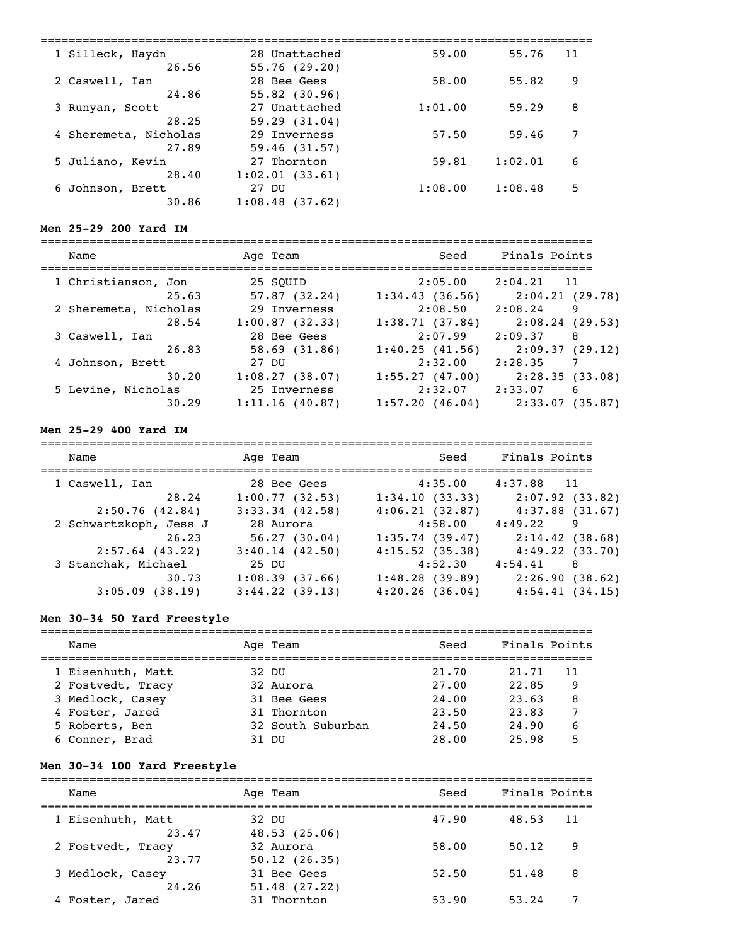| 1 Silleck, Haydn         | 28 Unattached                 | 59.00   | 55.76   | 11 |
|--------------------------|-------------------------------|---------|---------|----|
| 26.56                    | 55.76(29.20)                  |         |         |    |
| 2 Caswell, Ian           | 28 Bee Gees                   | 58.00   | 55.82   | 9  |
| 24.86                    | 55.82(30.96)<br>27 Unattached | 1:01.00 | 59.29   | 8  |
| 3 Runyan, Scott<br>28.25 | 59.29(31.04)                  |         |         |    |
| 4 Sheremeta, Nicholas    | 29 Inverness                  | 57.50   | 59.46   | 7  |
| 27.89                    | 59.46(31.57)                  |         |         |    |
| 5 Juliano, Kevin         | 27 Thornton                   | 59.81   | 1:02.01 | 6  |
| 28.40                    | 1:02.01(33.61)                |         |         |    |
| 6 Johnson, Brett         | 27 DU                         | 1:08.00 | 1:08.48 | 5  |
| 30.86                    | 1:08.48(37.62)                |         |         |    |
|                          |                               |         |         |    |

### **Men 25-29 200 Yard IM**

| Name                  | Age Team       | Seed           | Finals Points              |
|-----------------------|----------------|----------------|----------------------------|
| 1 Christianson, Jon   | 25 SOUID       | 2:05.00        | $2:04.21$ 11               |
| 25.63                 | 57.87(32.24)   | 1:34.43(36.56) | 2:04.21(29.78)             |
| 2 Sheremeta, Nicholas | 29 Inverness   | 2:08.50        | 2:08.24<br>9               |
| 28.54                 | 1:00.87(32.33) | 1:38.71(37.84) | 2:08.24(29.53)             |
| 3 Caswell, Ian        | 28 Bee Gees    | 2:07.99        | 2:09.37<br>8               |
| 26.83                 | 58.69(31.86)   | 1:40.25(41.56) | 2:09.37(29.12)             |
| 4 Johnson, Brett      | 27 DU          | 2:32.00        | 2:28.35<br>$7\phantom{.0}$ |
| 30.20                 | 1:08.27(38.07) | 1:55.27(47.00) | 2:28.35(33.08)             |
| 5 Levine, Nicholas    | 25 Inverness   | 2:32.07        | 2:33.07<br>6               |
| 30.29                 | 1:11.16(40.87) | 1:57.20(46.04) | 2:33.07(35.87)             |

### **Men 25-29 400 Yard IM**

| Name                   | Age Team            | Seed              | Finals Points       |
|------------------------|---------------------|-------------------|---------------------|
| 1 Caswell, Ian         | 28 Bee Gees         | 4:35.00           | $4:37.88$ 11        |
| 28.24                  | 1:00.77(32.53)      | 1:34.10(33.33)    | 2:07.92 (33.82)     |
| 2:50.76(42.84)         | $3:33.34$ $(42.58)$ | 4:06.21(32.87)    | $4:37.88$ $(31.67)$ |
| 2 Schwartzkoph, Jess J | 28 Aurora           | 4:58.00           | 4:49.22<br>9        |
| 26.23                  | 56.27(30.04)        | 1:35.74(39.47)    | 2:14.42(38.68)      |
| $2:57.64$ (43.22)      | 3:40.14(42.50)      | $4:15.52$ (35.38) | 4:49.22(33.70)      |
| 3 Stanchak, Michael    | 25 DU               | 4:52.30           | 4:54.41<br>8        |
| 30.73                  | 1:08.39(37.66)      | 1:48.28(39.89)    | 2:26.90(38.62)      |
| $3:05.09$ (38.19)      | $3:44.22$ (39.13)   | $4:20.26$ (36.04) | 4:54.41(34.15)      |

# **Men 30-34 50 Yard Freestyle**

| Name              | Age Team          | Seed  | Finals Points |    |
|-------------------|-------------------|-------|---------------|----|
| 1 Eisenhuth, Matt | 32 DU             | 21,70 | 21.71         | 11 |
|                   |                   |       |               |    |
| 2 Fostvedt, Tracy | 32 Aurora         | 27.00 | 22.85         | 9  |
| 3 Medlock, Casey  | 31 Bee Gees       | 24.00 | 23.63         | 8  |
| 4 Foster, Jared   | 31 Thornton       | 23.50 | 23.83         |    |
| 5 Roberts, Ben    | 32 South Suburban | 24.50 | 24.90         | 6  |
| 6 Conner, Brad    | - DI J            | 28.00 | 25.98         |    |

# **Men 30-34 100 Yard Freestyle**

| Name              | Age Team     | Seed  | Finals Points |
|-------------------|--------------|-------|---------------|
| 1 Eisenhuth, Matt | 32 DU        | 47.90 | 48.53         |
| 23.47             | 48.53(25.06) |       | 11            |
| 2 Fostvedt, Tracy | 32 Aurora    | 58.00 | 50.12         |
| 23.77             | 50.12(26.35) |       | 9             |
| 3 Medlock, Casey  | 31 Bee Gees  | 52.50 | 51.48         |
| 24.26             | 51.48(27.22) |       | 8             |
| 4 Foster, Jared   | 31 Thornton  | 53.90 | 53.24         |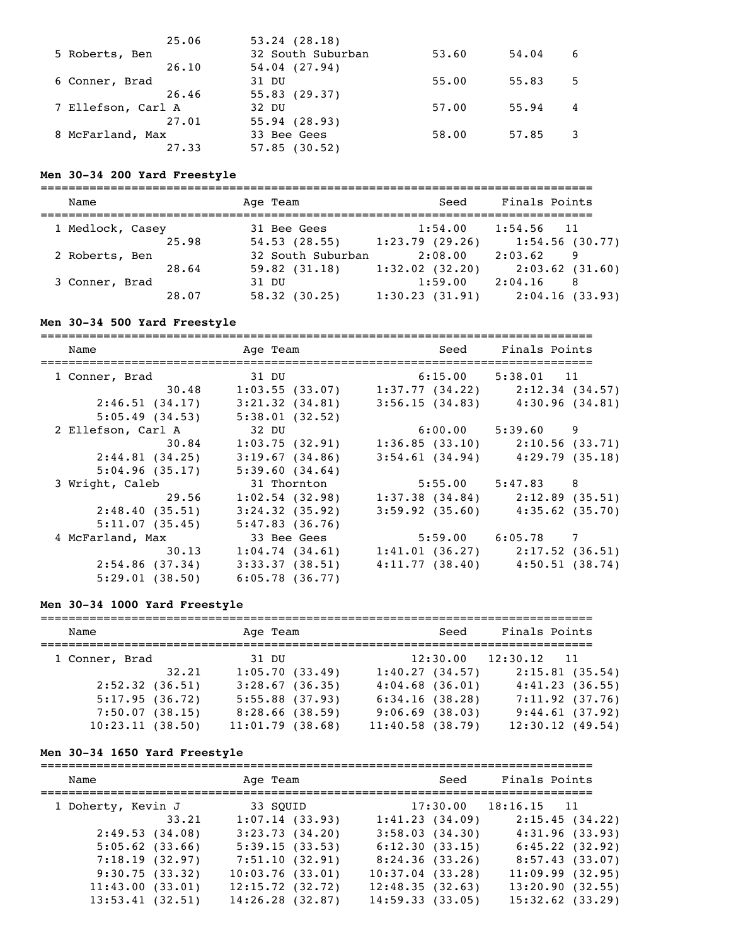| 25.06              | $53.24$ $(28.18)$ |       |       |   |
|--------------------|-------------------|-------|-------|---|
| 5 Roberts, Ben     | 32 South Suburban | 53.60 | 54.04 | 6 |
| 26.10              | $54.04$ $(27.94)$ |       |       |   |
| 6 Conner, Brad     | 31 DU             | 55.00 | 55.83 | 5 |
| 26.46              | 55.83(29.37)      |       |       |   |
| 7 Ellefson, Carl A | 32 DU             | 57.00 | 55.94 | 4 |
| 27.01              | 55.94(28.93)      |       |       |   |
| 8 McFarland, Max   | 33 Bee Gees       | 58.00 | 57.85 |   |
| 27.33              | 57.85(30.52)      |       |       |   |

#### **Men 30-34 200 Yard Freestyle**

| Name             | Age Team          | Seed           | Finals Points     |
|------------------|-------------------|----------------|-------------------|
| 1 Medlock, Casey | 31 Bee Gees       | 1:54.00        | $1:54.56$ 11      |
| 25.98            | 54.53(28.55)      | 1:23.79(29.26) | 1:54.56(30.77)    |
| 2 Roberts, Ben   | 32 South Suburban | 2:08.00        | 2:03.62<br>9      |
| 28.64            | $59.82$ $(31.18)$ | 1:32.02(32.20) | $2:03.62$ (31.60) |
| 3 Conner, Brad   | 31 DU             | 1:59.00        | 2:04.16<br>-8     |
| 28.07            | 58.32(30.25)      | 1:30.23(31.91) | 2:04.16(33.93)    |

### **Men 30-34 500 Yard Freestyle**

=============================================================================== Name and Age Team and Seed Finals Points =============================================================================== 1 Conner, Brad 31 DU 6:15.00 5:38.01 11 30.48 1:03.55 (33.07) 1:37.77 (34.22) 2:12.34 (34.57) 2:46.51 (34.17) 3:21.32 (34.81) 3:56.15 (34.83) 4:30.96 (34.81) 5:05.49 (34.53) 5:38.01 (32.52) 2 Ellefson, Carl A 32 DU 6:00.00 5:39.60 9 30.84 1:03.75 (32.91) 1:36.85 (33.10) 2:10.56 (33.71) 2:44.81 (34.25) 3:19.67 (34.86) 3:54.61 (34.94) 4:29.79 (35.18) 5:04.96 (35.17) 5:39.60 (34.64) 3 Wright, Caleb 31 Thornton 5:55.00 5:47.83 8 29.56 1:02.54 (32.98) 1:37.38 (34.84) 2:12.89 (35.51) 2:48.40 (35.51) 3:24.32 (35.92) 3:59.92 (35.60) 4:35.62 (35.70) 5:11.07 (35.45) 5:47.83 (36.76) 4 McFarland, Max 33 Bee Gees 5:59.00 6:05.78 7 30.13 1:04.74 (34.61) 1:41.01 (36.27) 2:17.52 (36.51) 2:54.86 (37.34) 3:33.37 (38.51) 4:11.77 (38.40) 4:50.51 (38.74) 5:29.01 (38.50) 6:05.78 (36.77)

### **Men 30-34 1000 Yard Freestyle**

| Name              |       | Age Team        |  | Seed                | Finals Points |                 |  |
|-------------------|-------|-----------------|--|---------------------|---------------|-----------------|--|
| 1 Conner, Brad    |       | 31 DU           |  | 12:30.00            | $12:30.12$ 11 |                 |  |
|                   | 32.21 | 1:05.70(33.49)  |  | 1:40.27(34.57)      |               | 2:15.81(35.54)  |  |
| $2:52.32$ (36.51) |       | 3:28.67(36.35)  |  | $4:04.68$ $(36.01)$ |               | 4:41.23(36.55)  |  |
| 5:17.95(36.72)    |       | 5:55.88(37.93)  |  | 6:34.16(38.28)      |               | 7:11.92(37.76)  |  |
| 7:50.07(38.15)    |       | 8:28.66(38.59)  |  | $9:06.69$ (38.03)   |               | 9:44.61(37.92)  |  |
| 10:23.11(38.50)   |       | 11:01.79(38.68) |  | 11:40.58(38.79)     |               | 12:30.12(49.54) |  |

#### **Men 30-34 1650 Yard Freestyle**

| Name               | Age Team           | Seed               | Finals Points      |
|--------------------|--------------------|--------------------|--------------------|
| 1 Doherty, Kevin J | 33 SOUID           | 17:30.00           | $18:16.15$ 11      |
| 33.21              | 1:07.14(33.93)     | 1:41.23(34.09)     | 2:15.45(34.22)     |
| 2:49.53(34.08)     | 3:23.73(34.20)     | 3:58.03(34.30)     | 4:31.96(33.93)     |
| $5:05.62$ (33.66)  | 5:39.15(33.53)     | 6:12.30(33.15)     | 6:45.22(32.92)     |
| 7:18.19(32.97)     | 7:51.10(32.91)     | 8:24.36(33.26)     | 8:57.43(33.07)     |
| 9:30.75(33.32)     | $10:03.76$ (33.01) | $10:37.04$ (33.28) | 11:09.99(32.95)    |
| 11:43.00(33.01)    | 12:15.72(32.72)    | 12:48.35(32.63)    | 13:20.90(32.55)    |
| $13:53.41$ (32.51) | $14:26.28$ (32.87) | 14:59.33(33.05)    | $15:32.62$ (33.29) |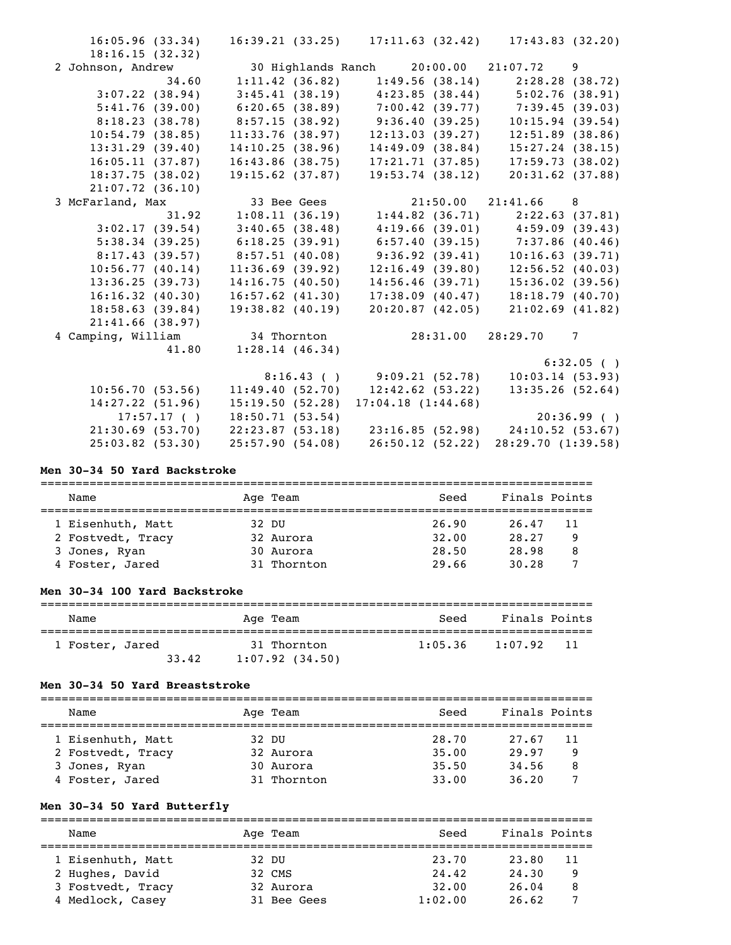| 16:05.96(33.34)                      |                      |                                     | $16:39.21$ (33.25) $17:11.63$ (32.42) $17:43.83$ (32.20)                                                       |
|--------------------------------------|----------------------|-------------------------------------|----------------------------------------------------------------------------------------------------------------|
| 18:16.15(32.32)<br>2 Johnson, Andrew |                      |                                     |                                                                                                                |
| 34.60                                |                      |                                     | $1:11.42$ (36.82) $1:49.56$ (38.14) $2:28.28$ (38.72)                                                          |
|                                      |                      |                                     |                                                                                                                |
| 3:07.22(38.94)<br>5:41.76(39.00)     |                      |                                     | $3:45.41$ (38.19) $4:23.85$ (38.44) $5:02.76$ (38.91)<br>$6:20.65$ (38.89) $7:00.42$ (39.77) $7:39.45$ (39.03) |
|                                      |                      |                                     |                                                                                                                |
| 8:18.23(38.78)                       |                      | 8:57.15 (38.92) 9:36.40 (39.25)     | 10:15.94(39.54)                                                                                                |
| 10:54.79(38.85)                      | 11:33.76(38.97)      | 12:13.03(39.27)                     | 12:51.89(38.86)                                                                                                |
| 13:31.29(39.40)                      | 14:10.25(38.96)      | 14:49.09(38.84)                     | $15:27.24$ (38.15)                                                                                             |
| 16:05.11(37.87)                      | 16:43.86(38.75)      | 17:21.71(37.85)                     | 17:59.73(38.02)                                                                                                |
| 18:37.75(38.02)                      | $19:15.62$ (37.87)   | 19:53.74(38.12)                     | $20:31.62$ (37.88)                                                                                             |
| $21:07.72$ (36.10)                   |                      |                                     |                                                                                                                |
| 3 McFarland, Max                     | 33 Bee Gees          |                                     | 21:50.00 21:41.66 8                                                                                            |
| 31.92                                |                      |                                     | $1:08.11$ (36.19) $1:44.82$ (36.71) $2:22.63$ (37.81)                                                          |
| 3:02.17(39.54)                       | 3:40.65(38.48)       |                                     | $4:19.66$ (39.01) $4:59.09$ (39.43)                                                                            |
| 5:38.34(39.25)                       | 6:18.25(39.91)       |                                     | $6:57.40(39.15)$ $7:37.86(40.46)$                                                                              |
| 8:17.43(39.57)                       | $8:57.51$ (40.08)    | 9:36.92(39.41)                      | 10:16.63(39.71)                                                                                                |
| 10:56.77(40.14)                      | 11:36.69(39.92)      | 12:16.49(39.80)                     | $12:56.52$ (40.03)                                                                                             |
| 13:36.25(39.73)                      | 14:16.75(40.50)      | 14:56.46(39.71)                     | 15:36.02(39.56)                                                                                                |
| 16:16.32(40.30)                      | $16:57.62$ $(41.30)$ | 17:38.09(40.47)                     | 18:18.79(40.70)                                                                                                |
| 18:58.63(39.84)                      | $19:38.82$ (40.19)   | 20:20.87(42.05)                     | $21:02.69$ (41.82)                                                                                             |
| $21:41.66$ (38.97)                   |                      |                                     |                                                                                                                |
| 4 Camping, William                   | 34 Thornton          |                                     | 28:31.00 28:29.70<br>$7\phantom{.0}$                                                                           |
| 41.80                                | 1:28.14(46.34)       |                                     |                                                                                                                |
|                                      |                      |                                     | $6:32.05$ ()                                                                                                   |
|                                      |                      | $8:16.43$ ( ) $9:09.21$ (52.78)     | 10:03.14(53.93)                                                                                                |
| 10:56.70(53.56)                      |                      | $11:49.40(52.70)$ $12:42.62(53.22)$ | 13:35.26(52.64)                                                                                                |
| 14:27.22(51.96)                      | 15:19.50(52.28)      | 17:04.18(1:44.68)                   |                                                                                                                |
| 17:57.17(                            | 18:50.71(53.54)      |                                     | 20:36.99( )                                                                                                    |
| 21:30.69(53.70)                      |                      |                                     | 22:23.87 (53.18) 23:16.85 (52.98) 24:10.52 (53.67)                                                             |
| $25:03.82$ (53.30)                   | 25:57.90(54.08)      | 26:50.12(52.22)                     | 28:29.70(1:39.58)                                                                                              |
|                                      |                      |                                     |                                                                                                                |

### **Men 30-34 50 Yard Backstroke**

| Name              | Age Team    | Seed  | Finals Points |  |  |  |
|-------------------|-------------|-------|---------------|--|--|--|
|                   |             |       |               |  |  |  |
| 1 Eisenhuth, Matt | 32 DU       | 26.90 | 26.47<br>11   |  |  |  |
| 2 Fostvedt, Tracy | 32 Aurora   | 32.00 | 28.27<br>q    |  |  |  |
| 3 Jones, Ryan     | 30 Aurora   | 28.50 | 28.98<br>8    |  |  |  |
| 4 Foster, Jared   | 31 Thornton | 29.66 | 30.28         |  |  |  |

# **Men 30-34 100 Yard Backstroke**

| Name            | Age Team          | Seed    | Finals Points |
|-----------------|-------------------|---------|---------------|
| 1 Foster, Jared | 31 Thornton       | 1:05.36 | 1:07.92       |
| 33.42           | $1:07.92$ (34.50) |         | -11           |

### **Men 30-34 50 Yard Breaststroke**

|  | Name              |       | Age Team    | Seed  | Finals Points |    |
|--|-------------------|-------|-------------|-------|---------------|----|
|  | 1 Eisenhuth, Matt | 32 DU |             | 28.70 | 27.67         | 11 |
|  | 2 Fostvedt, Tracy |       | 32 Aurora   | 35.00 | 29.97         | 9  |
|  | 3 Jones, Ryan     |       | 30 Aurora   | 35.50 | 34.56         | 8  |
|  | 4 Foster, Jared   |       | 31 Thornton | 33.00 | 36.20         |    |

# **Men 30-34 50 Yard Butterfly**

| Name              | Age Team    | Seed    | Finals Points |
|-------------------|-------------|---------|---------------|
|                   |             |         |               |
| 1 Eisenhuth, Matt | 32 DU       | 23.70   | 23.80<br>11   |
| 2 Hughes, David   | 32 CMS      | 24.42   | 24,30<br>9    |
| 3 Fostvedt, Tracy | 32 Aurora   | 32.00   | 26.04<br>8    |
| 4 Medlock, Casey  | 31 Bee Gees | 1:02.00 | 26.62         |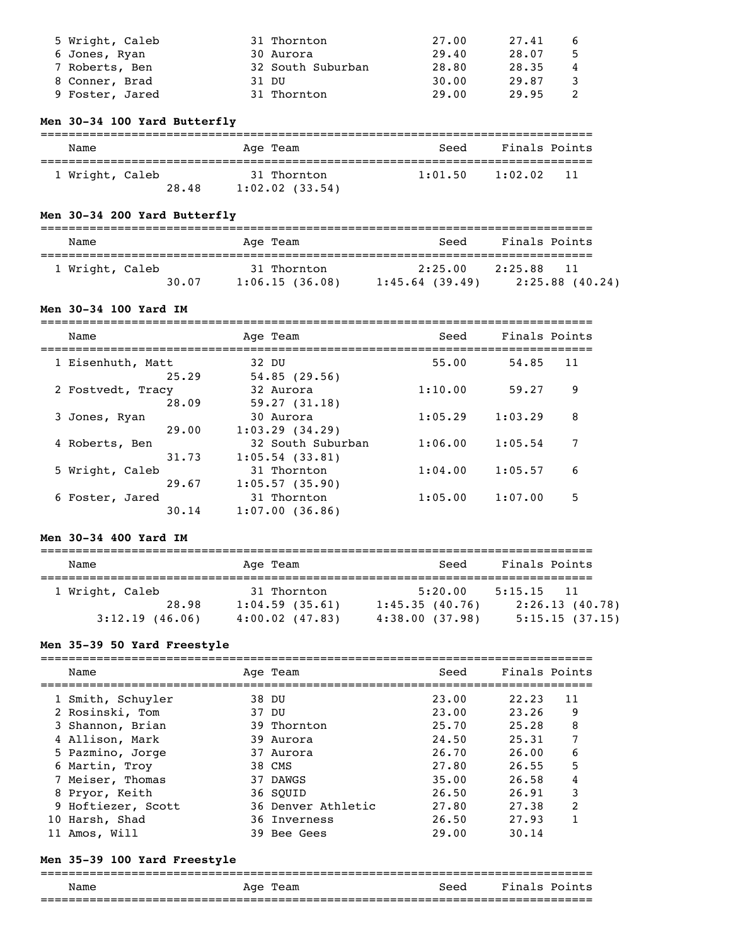| 5 Wright, Caleb | 31 Thornton       | 27.00 | 27.41 | 6. |
|-----------------|-------------------|-------|-------|----|
| 6 Jones, Ryan   | 30 Aurora         | 29.40 | 28.07 | 5. |
| 7 Roberts, Ben  | 32 South Suburban | 28.80 | 28.35 | 4  |
| 8 Conner, Brad  | 31 DU             | 30.00 | 29.87 |    |
| 9 Foster, Jared | 31 Thornton       | 29.00 | 29.95 |    |

### **Men 30-34 100 Yard Butterfly**

| Name            | Age Team            | Seed    | Finals Points  |
|-----------------|---------------------|---------|----------------|
|                 |                     |         |                |
| 1 Wright, Caleb | 31 Thornton         | 1:01.50 | 1:02.02<br>-11 |
| 28.48           | $1:02.02$ $(33.54)$ |         |                |

### **Men 30-34 200 Yard Butterfly**

| Name            |       | Age Team                      | Seed                         | Finals Points                      |
|-----------------|-------|-------------------------------|------------------------------|------------------------------------|
| 1 Wright, Caleb | 30.07 | 31 Thornton<br>1:06.15(36.08) | 2:25.00<br>$1:45.64$ (39.49) | 2:25.88<br>11<br>$2:25.88$ (40.24) |

### **Men 30-34 100 Yard IM**

| Name                       | Age Team                               | Seed    | Finals Points |    |
|----------------------------|----------------------------------------|---------|---------------|----|
| 1 Eisenhuth, Matt<br>25.29 | 32 DU<br>54.85(29.56)                  | 55.00   | 54.85         | 11 |
| 2 Fostvedt, Tracy<br>28.09 | 32 Aurora<br>59.27(31.18)              | 1:10.00 | 59.27         | 9  |
| 3 Jones, Ryan<br>29.00     | 30 Aurora<br>1:03.29(34.29)            | 1:05.29 | 1:03.29       | 8  |
| 4 Roberts, Ben<br>31.73    | 32 South Suburban<br>$1:05.54$ (33.81) | 1:06.00 | 1:05.54       |    |
| 5 Wright, Caleb<br>29.67   | 31 Thornton<br>1:05.57(35.90)          | 1:04.00 | 1:05.57       | 6  |
| 6 Foster, Jared<br>30.14   | 31 Thornton<br>1:07.00(36.86)          | 1:05.00 | 1:07.00       | 5  |

### **Men 30-34 400 Yard IM**

| Name                                          | Age Team                                             | Seed                                        | Finals Points                                       |
|-----------------------------------------------|------------------------------------------------------|---------------------------------------------|-----------------------------------------------------|
| 1 Wright, Caleb<br>28.98<br>$3:12.19$ (46.06) | 31 Thornton<br>1:04.59(35.61)<br>$4:00.02$ $(47.83)$ | 5:20.00<br>1:45.35(40.76)<br>4:38.00(37.98) | 5:15.15<br>- 11<br>2:26.13(40.78)<br>5:15.15(37.15) |

### **Men 35-39 50 Yard Freestyle**

| Name               | Age Team           | Seed  | Finals Points |               |
|--------------------|--------------------|-------|---------------|---------------|
| 1 Smith, Schuyler  | 38 DU              | 23.00 | 22.23         | 11            |
| 2 Rosinski, Tom    | 37 DU              | 23.00 | 23.26         | 9             |
| 3 Shannon, Brian   | 39 Thornton        | 25.70 | 25.28         | 8             |
| 4 Allison, Mark    | 39 Aurora          | 24.50 | 25.31         | 7             |
| 5 Pazmino, Jorge   | 37 Aurora          | 26.70 | 26.00         | 6             |
| 6 Martin, Troy     | 38 CMS             | 27.80 | 26.55         | 5             |
| 7 Meiser, Thomas   | 37 DAWGS           | 35.00 | 26.58         | 4             |
| 8 Pryor, Keith     | 36 SOUID           | 26.50 | 26.91         | 3             |
| 9 Hoftiezer, Scott | 36 Denver Athletic | 27.80 | 27.38         | $\mathcal{P}$ |
| 10 Harsh, Shad     | 36 Inverness       | 26.50 | 27.93         |               |
| Amos, Will         | 39 Bee Gees        | 29.00 | 30.14         |               |

### **Men 35-39 100 Yard Freestyle**

### =============================================================================== Age Team Seed Finals Points ===============================================================================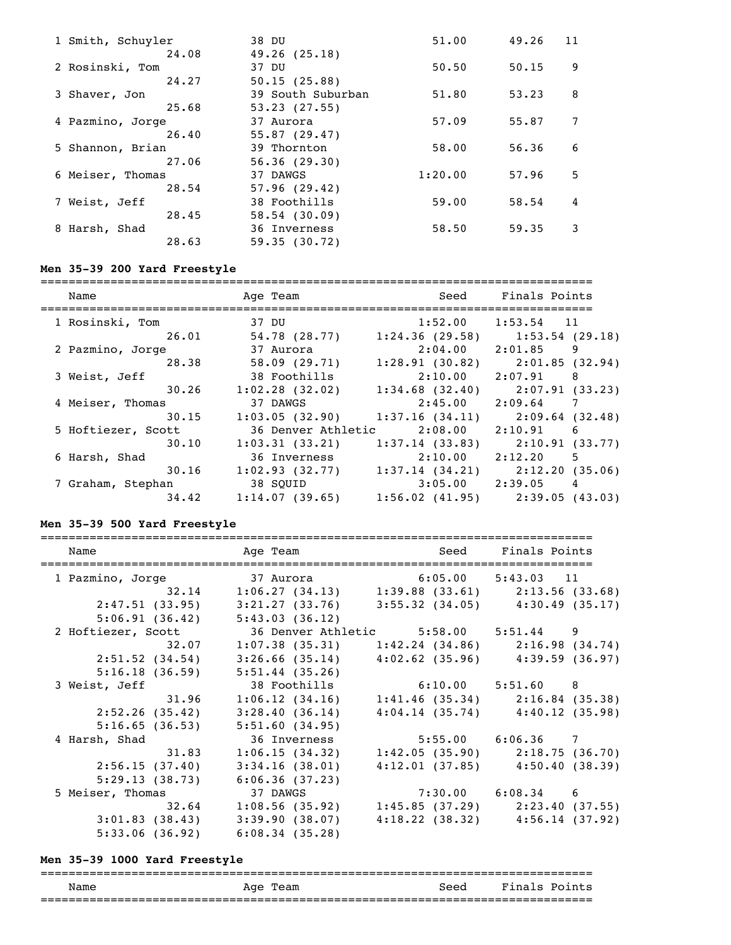| 1 Smith, Schuyler | 38 DU             | 51.00   | 49.26 | 11 |
|-------------------|-------------------|---------|-------|----|
| 24.08             | 49.26(25.18)      |         |       |    |
| 2 Rosinski, Tom   | 37 DU             | 50.50   | 50.15 | 9  |
| 24.27             | 50.15(25.88)      |         |       |    |
| 3 Shaver, Jon     | 39 South Suburban | 51.80   | 53.23 | 8  |
| 25.68             | 53.23(27.55)      |         |       |    |
| 4 Pazmino, Jorge  | 37 Aurora         | 57.09   | 55.87 | 7  |
| 26.40             | 55.87(29.47)      |         |       |    |
| 5 Shannon, Brian  | 39 Thornton       | 58.00   | 56.36 | 6  |
| 27.06             | 56.36(29.30)      |         |       |    |
| 6 Meiser, Thomas  | 37 DAWGS          | 1:20.00 | 57.96 | 5  |
| 28.54             | 57.96(29.42)      |         |       |    |
| 7 Weist, Jeff     | 38 Foothills      | 59.00   | 58.54 | 4  |
| 28.45             | 58.54(30.09)      |         |       |    |
| 8 Harsh, Shad     | 36 Inverness      | 58.50   | 59.35 | 3  |
| 28.63             | 59.35(30.72)      |         |       |    |
|                   |                   |         |       |    |

# **Men 35-39 200 Yard Freestyle**

| Name               | Age Team           | Seed                | Finals Points                       |
|--------------------|--------------------|---------------------|-------------------------------------|
| 1 Rosinski, Tom    | 37 DU              | 1:52.00             | $1:53.54$ 11                        |
| 26.01              | 54.78(28.77)       | 1:24.36(29.58)      | $1:53.54$ (29.18)                   |
| 2 Pazmino, Jorge   | 37 Aurora          | $2:04.00$ $2:01.85$ | 9                                   |
| 28.38              | 58.09(29.71)       | 1:28.91(30.82)      | 2:01.85(32.94)                      |
| 3 Weist, Jeff      | 38 Foothills       | 2:10.00             | 2:07.91<br>8                        |
| 30.26              | 1:02.28(32.02)     | $1:34.68$ (32.40)   | 2:07.91(33.23)                      |
| 4 Meiser, Thomas   | 37 DAWGS           | 2:45.00             | 2:09.64<br>$\overline{7}$           |
| 30.15              | 1:03.05(32.90)     | 1:37.16(34.11)      | 2:09.64 (32.48)                     |
| 5 Hoftiezer, Scott | 36 Denver Athletic | 2:08.00             | 2:10.91<br>-6                       |
| 30.10              | 1:03.31(33.21)     | 1:37.14(33.83)      | 2:10.91(33.77)                      |
| 6 Harsh, Shad      | 36 Inverness       | 2:10.00             | 2:12.20<br>5                        |
| 30.16              | 1:02.93(32.77)     | 1:37.14(34.21)      | 2:12.20(35.06)                      |
| 7 Graham, Stephan  | 38 SOUID           |                     | $3:05.00$ $2:39.05$ 4               |
| 34.42              | 1:14.07(39.65)     |                     | $1:56.02$ (41.95) $2:39.05$ (43.03) |

### **Men 35-39 500 Yard Freestyle**

| Name               |                | Age Team and Seed Finals Points                         |                                     |  |
|--------------------|----------------|---------------------------------------------------------|-------------------------------------|--|
|                    |                | 1 Pazmino, Jorge 37 Aurora 6:05.00 5:43.03 11           |                                     |  |
|                    |                | 32.14 1:06.27 (34.13) 1:39.88 (33.61) 2:13.56 (33.68)   |                                     |  |
| 2:47.51 (33.95)    |                | $3:21.27$ (33.76) $3:55.32$ (34.05) $4:30.49$ (35.17)   |                                     |  |
|                    |                | $5:06.91(36.42)$ $5:43.03(36.12)$                       |                                     |  |
| 2 Hoftiezer, Scott |                | 36 Denver Athletic 5:58.00 5:51.44 9                    |                                     |  |
|                    | 32.07          | $1:07.38$ (35.31) $1:42.24$ (34.86) $2:16.98$ (34.74)   |                                     |  |
| $2:51.52$ (34.54)  |                | $3:26.66$ (35.14) $4:02.62$ (35.96) $4:39.59$ (36.97)   |                                     |  |
| 5:16.18(36.59)     |                | 5:51.44(35.26)                                          |                                     |  |
| 3 Weist, Jeff      |                | 38 Foothills 6:10.00 5:51.60 8                          |                                     |  |
|                    | 31.96          | $1:06.12$ (34.16) $1:41.46$ (35.34) $2:16.84$ (35.38)   |                                     |  |
| 2:52.26(35.42)     |                | 3:28.40(36.14)                                          | $4:04.14$ (35.74) $4:40.12$ (35.98) |  |
|                    | 5:16.65(36.53) | 5:51.60(34.95)                                          |                                     |  |
| 4 Harsh, Shad      |                | 36 Inverness                                            | $5:55.00$ $6:06.36$ 7               |  |
|                    | 31.83          | $1:06.15(34.32)$ $1:42.05(35.90)$ $2:18.75(36.70)$      |                                     |  |
| 2:56.15(37.40)     |                | 3:34.16(38.01)                                          | $4:12.01$ (37.85) $4:50.40$ (38.39) |  |
| 5:29.13(38.73)     |                | 6:06.36(37.23)                                          |                                     |  |
| 5 Meiser, Thomas   |                | 37 DAWGS                                                | $7:30.00$ $6:08.34$ 6               |  |
|                    |                | $32.64$ 1:08.56 (35.92) 1:45.85 (37.29) 2:23.40 (37.55) |                                     |  |
| 3:01.83(38.43)     |                | 3:39.90(38.07)                                          | $4:18.22$ (38.32) $4:56.14$ (37.92) |  |
| 5:33.06(36.92)     |                | 6:08.34(35.28)                                          |                                     |  |

### **Men 35-39 1000 Yard Freestyle**

### =============================================================================== Age Team Seed Finals Points ===============================================================================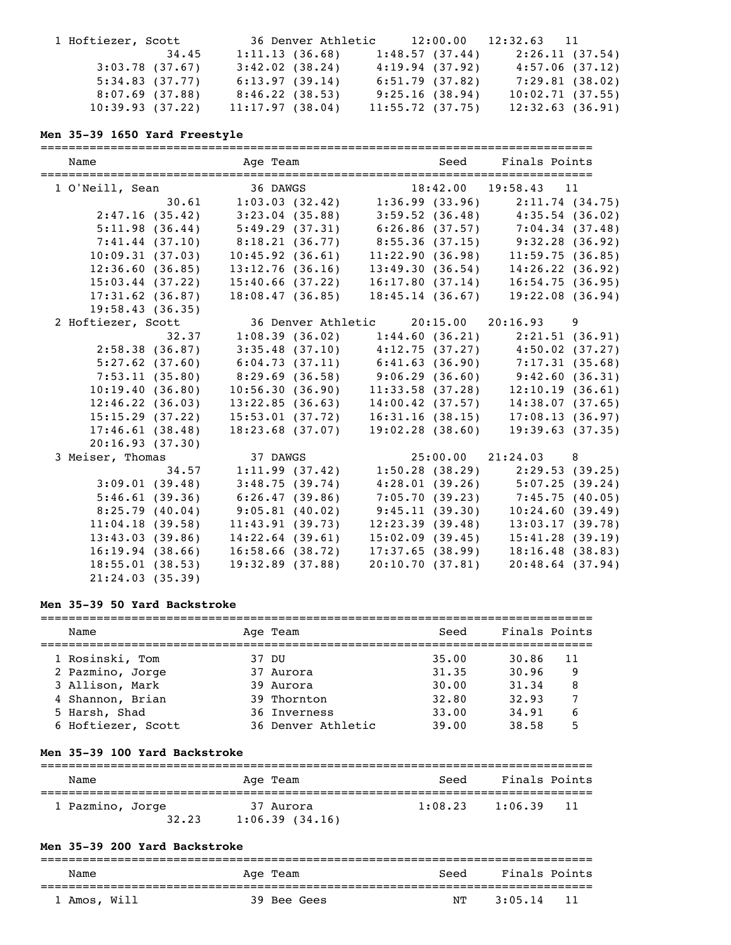| 1 Hoftiezer, Scott | 36 Denver Athletic      | 12:00.00        | $12:32.63$ 11   |
|--------------------|-------------------------|-----------------|-----------------|
|                    | 1:11.13(36.68)<br>34.45 | 1:48.57(37.44)  | 2:26.11(37.54)  |
| $3:03.78$ (37.67)  | 3:42.02(38.24)          | 4:19.94(37.92)  | 4:57.06(37.12)  |
| 5:34.83(37.77)     | 6:13.97(39.14)          | 6:51.79(37.82)  | 7:29.81(38.02)  |
| $8:07.69$ (37.88)  | 8:46.22(38.53)          | 9:25.16(38.94)  | 10:02.71(37.55) |
| 10:39.93(37.22)    | 11:17.97(38.04)         | 11:55.72(37.75) | 12:32.63(36.91) |

#### **Men 35-39 1650 Yard Freestyle**

=============================================================================== Name and Age Team Seed Finals Points =============================================================================== 1 O'Neill, Sean 36 DAWGS 18:42.00 19:58.43 11 30.61 1:03.03 (32.42) 1:36.99 (33.96) 2:11.74 (34.75) 2:47.16 (35.42) 3:23.04 (35.88) 3:59.52 (36.48) 4:35.54 (36.02) 5:11.98 (36.44) 5:49.29 (37.31) 6:26.86 (37.57) 7:04.34 (37.48) 7:41.44 (37.10) 8:18.21 (36.77) 8:55.36 (37.15) 9:32.28 (36.92) 10:09.31 (37.03) 10:45.92 (36.61) 11:22.90 (36.98) 11:59.75 (36.85) 12:36.60 (36.85) 13:12.76 (36.16) 13:49.30 (36.54) 14:26.22 (36.92) 15:03.44 (37.22) 15:40.66 (37.22) 16:17.80 (37.14) 16:54.75 (36.95) 17:31.62 (36.87) 18:08.47 (36.85) 18:45.14 (36.67) 19:22.08 (36.94) 19:58.43 (36.35) 2 Hoftiezer, Scott 36 Denver Athletic 20:15.00 20:16.93 9 32.37 1:08.39 (36.02) 1:44.60 (36.21) 2:21.51 (36.91) 2:58.38 (36.87) 3:35.48 (37.10) 4:12.75 (37.27) 4:50.02 (37.27) 5:27.62 (37.60) 6:04.73 (37.11) 6:41.63 (36.90) 7:17.31 (35.68) 7:53.11 (35.80) 8:29.69 (36.58) 9:06.29 (36.60) 9:42.60 (36.31) 10:19.40 (36.80) 10:56.30 (36.90) 11:33.58 (37.28) 12:10.19 (36.61) 12:46.22 (36.03) 13:22.85 (36.63) 14:00.42 (37.57) 14:38.07 (37.65) 15:15.29 (37.22) 15:53.01 (37.72) 16:31.16 (38.15) 17:08.13 (36.97) 17:46.61 (38.48) 18:23.68 (37.07) 19:02.28 (38.60) 19:39.63 (37.35) 20:16.93 (37.30) 3 Meiser, Thomas 37 DAWGS 25:00.00 21:24.03 8 34.57 1:11.99 (37.42) 1:50.28 (38.29) 2:29.53 (39.25) 3:09.01 (39.48) 3:48.75 (39.74) 4:28.01 (39.26) 5:07.25 (39.24) 5:46.61 (39.36) 6:26.47 (39.86) 7:05.70 (39.23) 7:45.75 (40.05) 8:25.79 (40.04) 9:05.81 (40.02) 9:45.11 (39.30) 10:24.60 (39.49) 11:04.18 (39.58) 11:43.91 (39.73) 12:23.39 (39.48) 13:03.17 (39.78) 13:43.03 (39.86) 14:22.64 (39.61) 15:02.09 (39.45) 15:41.28 (39.19) 16:19.94 (38.66) 16:58.66 (38.72) 17:37.65 (38.99) 18:16.48 (38.83) 18:55.01 (38.53) 19:32.89 (37.88) 20:10.70 (37.81) 20:48.64 (37.94) 21:24.03 (35.39)

### **Men 35-39 50 Yard Backstroke**

| Name               | Age Team           | Seed  | Finals Points |  |
|--------------------|--------------------|-------|---------------|--|
| 1 Rosinski, Tom    | 37 DU              | 35.00 | 30.86<br>11   |  |
| 2 Pazmino, Jorge   | 37 Aurora          | 31.35 | 30.96<br>9    |  |
| 3 Allison, Mark    | 39 Aurora          | 30.00 | 31.34<br>8    |  |
| 4 Shannon, Brian   | 39 Thornton        | 32.80 | 32.93         |  |
| 5 Harsh, Shad      | 36 Inverness       | 33.00 | 34.91<br>6    |  |
| 6 Hoftiezer, Scott | 36 Denver Athletic | 39.00 | 38.58         |  |

#### **Men 35-39 100 Yard Backstroke**

| Name             | Age Team       | Seed    | Finals Points   |
|------------------|----------------|---------|-----------------|
| 1 Pazmino, Jorge | 37 Aurora      | 1:08.23 | 1:06.39         |
| 32.23            | 1:06.39(34.16) |         | $\overline{11}$ |

#### **Men 35-39 200 Yard Backstroke**

| Name         | Age Team    | Seed | Finals Points |
|--------------|-------------|------|---------------|
| 1 Amos, Will | 39 Bee Gees | NТ   | 11<br>3:05.14 |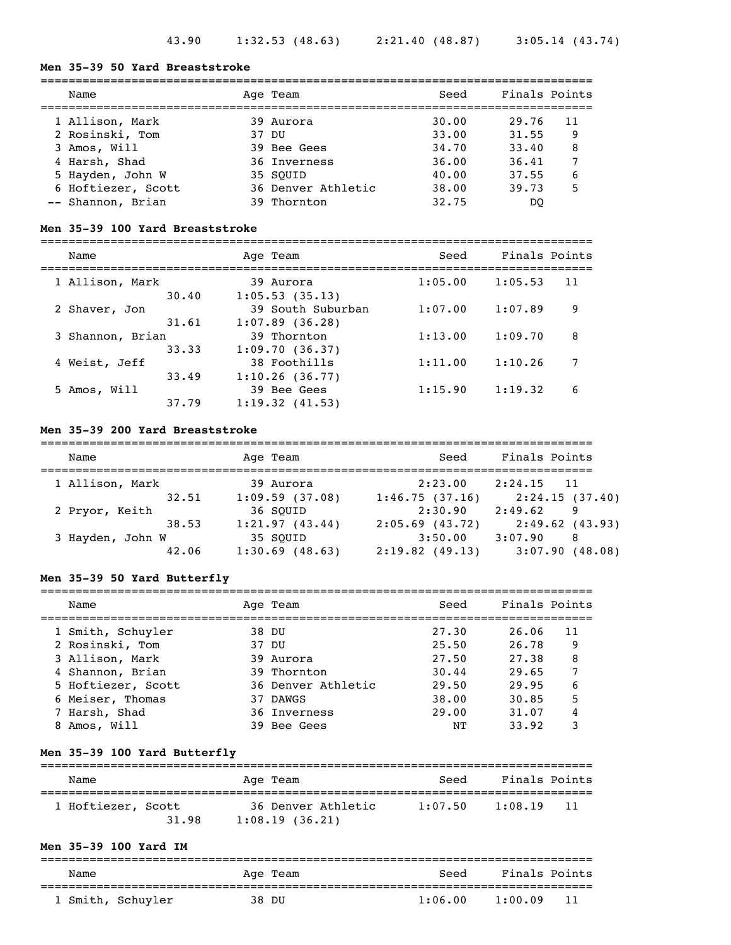# **Men 35-39 50 Yard Breaststroke**

| Name               | Age Team           | Seed  | Finals Points |    |
|--------------------|--------------------|-------|---------------|----|
| 1 Allison, Mark    | 39 Aurora          | 30.00 | 29.76         | 11 |
| 2 Rosinski, Tom    | 37 DU              | 33.00 | 31.55         | 9  |
| 3 Amos, Will       | 39 Bee Gees        | 34.70 | 33.40         | 8  |
| 4 Harsh, Shad      | 36 Inverness       | 36.00 | 36.41         |    |
| 5 Hayden, John W   | 35 SOUID           | 40.00 | 37.55         | 6  |
| 6 Hoftiezer, Scott | 36 Denver Athletic | 38.00 | 39.73         | 5  |
| -- Shannon, Brian  | 39 Thornton        | 32.75 | DO            |    |

#### **Men 35-39 100 Yard Breaststroke**

=============================================================================== Age Team Seed Finals Points

| Name             |       | Age ream          | seea    | rinais roints |    |
|------------------|-------|-------------------|---------|---------------|----|
| 1 Allison, Mark  |       | 39 Aurora         | 1:05.00 | 1:05.53       | 11 |
|                  | 30.40 | 1:05.53(35.13)    |         |               |    |
| 2 Shaver, Jon    |       | 39 South Suburban | 1:07.00 | 1:07.89       | 9  |
|                  | 31.61 | $1:07.89$ (36.28) |         |               |    |
| 3 Shannon, Brian |       | 39 Thornton       | 1:13.00 | 1:09.70       | 8  |
|                  | 33.33 | 1:09.70(36.37)    |         |               |    |
| 4 Weist, Jeff    |       | 38 Foothills      | 1:11.00 | 1:10.26       | 7  |
|                  | 33.49 | 1:10.26(36.77)    |         |               |    |
| 5 Amos, Will     |       | 39 Bee Gees       | 1:15.90 | 1:19.32       | 6  |
|                  | 37.79 | 1:19.32(41.53)    |         |               |    |
|                  |       |                   |         |               |    |

### **Men 35-39 200 Yard Breaststroke**

| Name             | Age Team          | Seed              | Finals Points  |
|------------------|-------------------|-------------------|----------------|
| 1 Allison, Mark  | 39 Aurora         | 2:23.00           | $2:24.15$ 11   |
| 32.51            | 1:09.59(37.08)    | 1:46.75(37.16)    | 2:24.15(37.40) |
| 2 Pryor, Keith   | 36 SOUID          | 2:30.90           | 2:49.62<br>9   |
| 38.53            | 1:21.97(43.44)    | $2:05.69$ (43.72) | 2:49.62(43.93) |
| 3 Hayden, John W | 35 SOUID          | 3:50.00           | 3:07.90<br>-8  |
| 42.06            | $1:30.69$ (48.63) | 2:19.82(49.13)    | 3:07.90(48.08) |

### **Men 35-39 50 Yard Butterfly**

| Name               | Age Team           | Seed  | Finals Points |    |
|--------------------|--------------------|-------|---------------|----|
| 1 Smith, Schuyler  | 38 DU              | 27.30 | 26.06         | 11 |
| 2 Rosinski, Tom    | 37 DU              | 25.50 | 26.78         | 9  |
| 3 Allison, Mark    | 39 Aurora          | 27.50 | 27.38         | 8  |
| 4 Shannon, Brian   | 39 Thornton        | 30.44 | 29.65         |    |
| 5 Hoftiezer, Scott | 36 Denver Athletic | 29.50 | 29.95         | 6  |
| 6 Meiser, Thomas   | 37 DAWGS           | 38.00 | 30.85         | 5  |
| 7 Harsh, Shad      | 36 Inverness       | 29.00 | 31.07         |    |
| 8 Amos, Will       | 39 Bee Gees        | NΤ    | 33.92         | 3  |

#### **Men 35-39 100 Yard Butterfly**

| Name                        | Age Team                             | Seed    | Finals Points |  |
|-----------------------------|--------------------------------------|---------|---------------|--|
| 1 Hoftiezer, Scott<br>31.98 | 36 Denver Athletic<br>1:08.19(36.21) | 1:07.50 | 1:08.19<br>11 |  |

### **Men 35-39 100 Yard IM**

| Name |                   | Age Team | Seed    | Finals Points  |  |
|------|-------------------|----------|---------|----------------|--|
|      | . Smith, Schuyler | 38 DU    | 1:06.00 | -11<br>1:00.09 |  |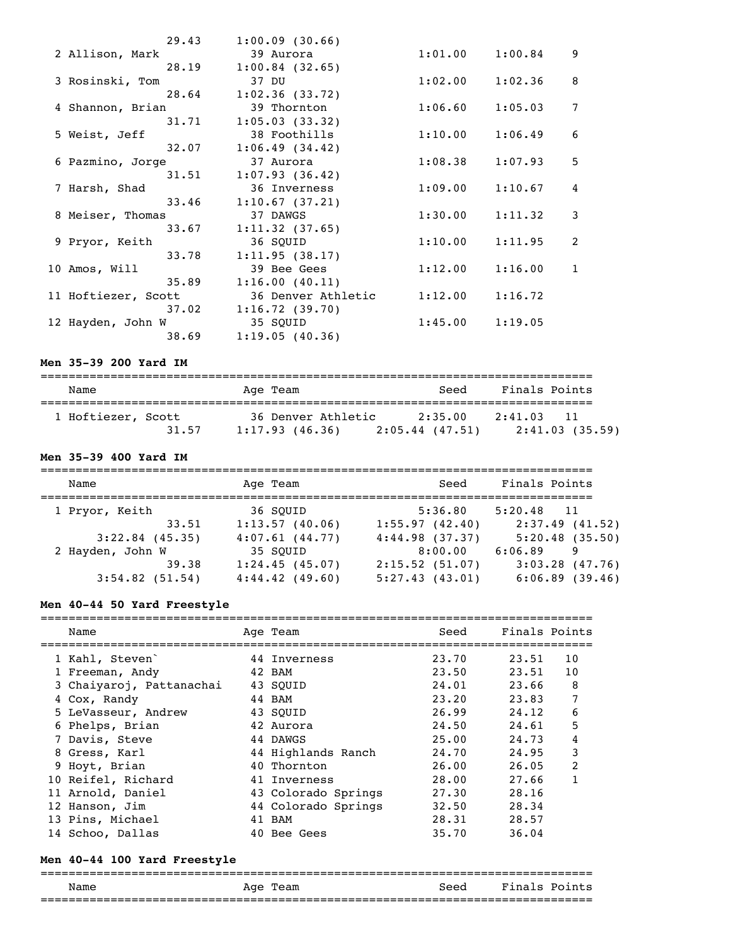|                     | 29.43 | 1:00.09(30.66)          |         |         |              |
|---------------------|-------|-------------------------|---------|---------|--------------|
| 2 Allison, Mark     |       | 39 Aurora               | 1:01.00 | 1:00.84 | 9            |
|                     | 28.19 | $1:00.84$ (32.65)       |         |         |              |
| 3 Rosinski, Tom     |       | 37 DU                   | 1:02.00 | 1:02.36 | 8            |
|                     | 28.64 | 1:02.36(33.72)          |         |         |              |
| 4 Shannon, Brian    |       | 39 Thornton             | 1:06.60 | 1:05.03 | 7            |
|                     | 31.71 | 1:05.03(33.32)          |         |         |              |
| 5 Weist, Jeff       |       | 38 Foothills            | 1:10.00 | 1:06.49 | 6            |
|                     | 32.07 | 1:06.49(34.42)          |         |         |              |
| 6 Pazmino, Jorge    |       | 37 Aurora               | 1:08.38 | 1:07.93 | 5            |
|                     | 31.51 | 1:07.93(36.42)          |         |         |              |
| 7 Harsh, Shad       |       | 36 Inverness            | 1:09.00 | 1:10.67 | 4            |
|                     | 33.46 | 1:10.67(37.21)          |         |         |              |
| 8 Meiser, Thomas    |       | 37 DAWGS                | 1:30.00 | 1:11.32 | 3            |
|                     | 33.67 | 1:11.32(37.65)          |         |         |              |
| 9 Pryor, Keith      |       | 36 SQUID                | 1:10.00 | 1:11.95 | 2            |
|                     | 33.78 | 1:11.95(38.17)          |         |         |              |
| 10 Amos, Will       |       | 39 Bee Gees             | 1:12.00 | 1:16.00 | $\mathbf{1}$ |
|                     | 35.89 | 1:16.00(40.11)          |         |         |              |
| 11 Hoftiezer, Scott |       | 36 Denver Athletic      | 1:12.00 | 1:16.72 |              |
|                     |       | $37.02$ 1:16.72 (39.70) |         |         |              |
| 12 Hayden, John W   |       | 35 SQUID                | 1:45.00 | 1:19.05 |              |
|                     | 38.69 | 1:19.05(40.36)          |         |         |              |

### **Men 35-39 200 Yard IM**

| Name               |       | Age Team       |                    | Seed                         | Finals Points |                |
|--------------------|-------|----------------|--------------------|------------------------------|---------------|----------------|
| 1 Hoftiezer, Scott | 31.57 | 1:17.93(46.36) | 36 Denver Athletic | 2:35.00<br>$2:05.44$ (47.51) | 2:41.03       | 2:41.03(35.59) |

### **Men 35-39 400 Yard IM**

| Name              | Age Team          | Seed           | Finals Points     |
|-------------------|-------------------|----------------|-------------------|
| 1 Pryor, Keith    | 36 SOUID          | 5:36.80        | $5:20.48$ 11      |
| 33.51             | 1:13.57(40.06)    | 1:55.97(42.40) | $2:37.49$ (41.52) |
| $3:22.84$ (45.35) | 4:07.61(44.77)    | 4:44.98(37.37) | 5:20.48(35.50)    |
| 2 Hayden, John W  | 35 SOUID          | 8:00.00        | 6:06.89<br>9      |
| 39.38             | 1:24.45(45.07)    | 2:15.52(51.07) | $3:03.28$ (47.76) |
| $3:54.82$ (51.54) | $4:44.42$ (49.60) | 5:27.43(43.01) | 6:06.89(39.46)    |

### **Men 40-44 50 Yard Freestyle**

| Name                     | Age Team            | Seed  | Finals Points |                |
|--------------------------|---------------------|-------|---------------|----------------|
| 1 Kahl, Steven           | 44 Inverness        | 23.70 | 23.51         | 10             |
| 1 Freeman, Andy          | 42 BAM              | 23.50 | 23.51         | 10             |
| 3 Chaiyaroj, Pattanachai | 43 SOUID            | 24.01 | 23.66         | 8              |
| 4 Cox, Randy             | 44 BAM              | 23.20 | 23.83         | 7              |
| 5 LeVasseur, Andrew      | 43 SOUID            | 26.99 | 24.12         | 6              |
| 6 Phelps, Brian          | 42 Aurora           | 24.50 | 24.61         | 5              |
| 7 Davis, Steve           | 44 DAWGS            | 25.00 | 24.73         | 4              |
| 8 Gress, Karl            | 44 Highlands Ranch  | 24.70 | 24.95         | 3              |
| 9 Hoyt, Brian            | 40 Thornton         | 26.00 | 26.05         | $\overline{2}$ |
| 10 Reifel, Richard       | 41 Inverness        | 28.00 | 27.66         |                |
| 11 Arnold, Daniel        | 43 Colorado Springs | 27.30 | 28.16         |                |
| 12 Hanson, Jim           | 44 Colorado Springs | 32.50 | 28.34         |                |
| 13 Pins, Michael         | 41 BAM              | 28.31 | 28.57         |                |
| 14 Schoo, Dallas         | 40 Bee Gees         | 35.70 | 36.04         |                |

### **Men 40-44 100 Yard Freestyle**

### =============================================================================== Name Mage Team Age Team Seed Finals Points ===============================================================================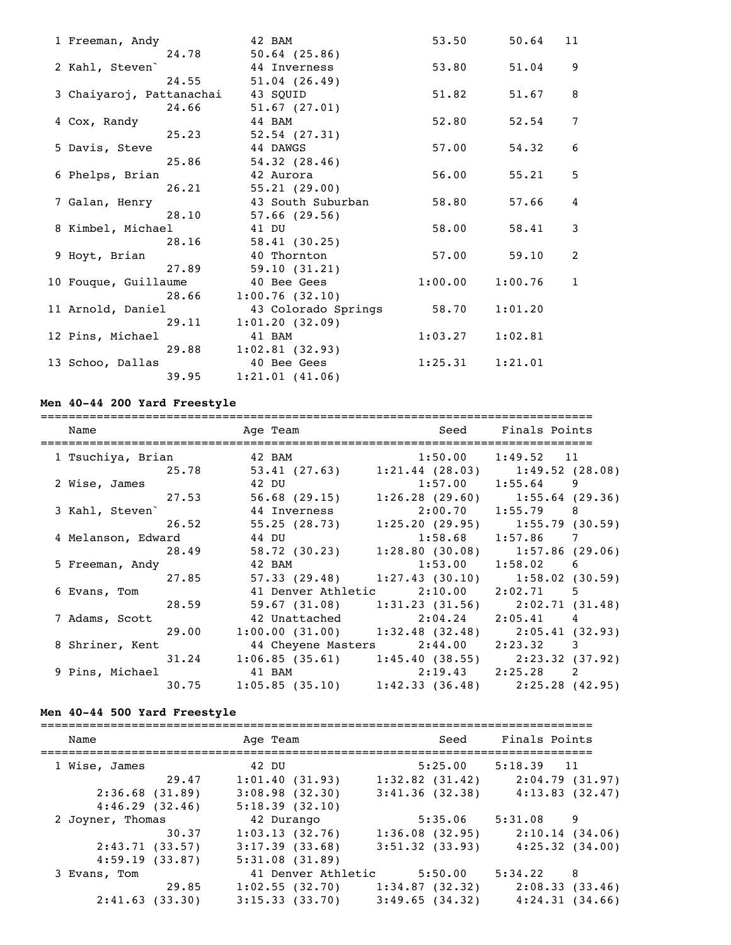| 1 Freeman, Andy          | 42 BAM              | 53.50   | 50.64   | 11           |
|--------------------------|---------------------|---------|---------|--------------|
| 24.78                    | $50.64$ (25.86)     |         |         |              |
| 2 Kahl, Steven           | 44 Inverness        | 53.80   | 51.04   | 9            |
| 24.55                    | 51.04(26.49)        |         |         |              |
| 3 Chaiyaroj, Pattanachai | 43 SQUID            | 51.82   | 51.67   | 8            |
| 24.66                    | 51.67(27.01)        |         |         |              |
| 4 Cox, Randy             | 44 BAM              | 52.80   | 52.54   | 7            |
| 25.23                    | 52.54(27.31)        |         |         |              |
| 5 Davis, Steve           | 44 DAWGS            | 57.00   | 54.32   | 6            |
| 25.86                    | 54.32(28.46)        |         |         |              |
| 6 Phelps, Brian          | 42 Aurora           | 56.00   | 55.21   | 5            |
| 26.21                    | 55.21(29.00)        |         |         |              |
| 7 Galan, Henry           | 43 South Suburban   | 58.80   | 57.66   | 4            |
| 28.10                    | $57.66$ (29.56)     |         |         |              |
| 8 Kimbel, Michael        | 41 DU               | 58.00   | 58.41   | 3            |
| 28.16                    | 58.41(30.25)        |         |         |              |
| 9 Hoyt, Brian            | 40 Thornton         | 57.00   | 59.10   | 2            |
| 27.89                    | 59.10(31.21)        |         |         |              |
| 10 Fouque, Guillaume     | 40 Bee Gees         | 1:00.00 | 1:00.76 | $\mathbf{1}$ |
| 28.66                    | 1:00.76(32.10)      |         |         |              |
| 11 Arnold, Daniel        | 43 Colorado Springs | 58.70   | 1:01.20 |              |
| 29.11                    | 1:01.20(32.09)      |         |         |              |
| 12 Pins, Michael         | 41 BAM              | 1:03.27 | 1:02.81 |              |
| 29.88                    | 1:02.81(32.93)      |         |         |              |
| 13 Schoo, Dallas         | 40 Bee Gees         | 1:25.31 | 1:21.01 |              |
| 39.95                    | 1:21.01(41.06)      |         |         |              |

# **Men 40-44 200 Yard Freestyle**

| Name            |                    | Age Team and Seed Finals Points<br>___________________________________                      |                                      |                                               |
|-----------------|--------------------|---------------------------------------------------------------------------------------------|--------------------------------------|-----------------------------------------------|
|                 |                    | 1 Tsuchiya, Brian $\begin{array}{ccc} 42 & \text{BAM} & 1:50.00 & 1:49.52 & 11 \end{array}$ |                                      |                                               |
|                 |                    | 25.78 53.41 (27.63) 1:21.44 (28.03) 1:49.52 (28.08)                                         |                                      |                                               |
| 2 Wise, James   |                    | 42 DU 1:57.00 1:55.64 9                                                                     |                                      |                                               |
|                 |                    | 27.53 56.68 (29.15) 1:26.28 (29.60) 1:55.64 (29.36)                                         |                                      |                                               |
| 3 Kahl, Steven` |                    | 44 Inverness 2:00.70 1:55.79 8                                                              |                                      |                                               |
|                 |                    | 26.52 55.25 (28.73) 1:25.20 (29.95) 1:55.79 (30.59)                                         |                                      |                                               |
|                 | 4 Melanson, Edward | 44 DU                                                                                       | 1:58.68 1:57.86 7                    |                                               |
|                 | 28.49              |                                                                                             |                                      | 58.72 (30.23) 1:28.80 (30.08) 1:57.86 (29.06) |
|                 | 5 Freeman, Andy    | 42 BAM 1:53.00 1:58.02 6                                                                    |                                      |                                               |
|                 |                    | 27.85 57.33 (29.48) 1:27.43 (30.10) 1:58.02 (30.59)                                         |                                      |                                               |
| 6 Evans, Tom    |                    |                                                                                             | 41 Denver Athletic 2:10.00 2:02.71 5 |                                               |
|                 |                    | 28.59 59.67 (31.08) 1:31.23 (31.56) 2:02.71 (31.48)                                         |                                      |                                               |
| 7 Adams, Scott  |                    | 42 Unattached 2:04.24 2:05.41 4                                                             |                                      |                                               |
|                 |                    | 29.00 1:00.00 (31.00) 1:32.48 (32.48) 2:05.41 (32.93)                                       |                                      |                                               |
|                 | 8 Shriner, Kent    | 44 Cheyene Masters 2:44.00 2:23.32 3                                                        |                                      |                                               |
|                 |                    | $31.24$ 1:06.85 (35.61) 1:45.40 (38.55) 2:23.32 (37.92)                                     |                                      |                                               |
|                 |                    | 9 Pins, Michael 41 BAM 2:19.43 2:25.28 2                                                    |                                      |                                               |
|                 |                    | $30.75$ 1:05.85 (35.10) 1:42.33 (36.48) 2:25.28 (42.95)                                     |                                      |                                               |

# **Men 40-44 500 Yard Freestyle**

| Name                | Age Team           | Seed                | Finals Points                         |
|---------------------|--------------------|---------------------|---------------------------------------|
| 1 Wise, James       | 42 DU              | 5:25.00             | $5:18.39$ 11                          |
| 29.47               | 1:01.40(31.93)     | $1:32.82$ $(31.42)$ | 2:04.79(31.97)                        |
| $2:36.68$ $(31.89)$ | 3:08.98(32.30)     | 3:41.36(32.38)      | 4:13.83(32.47)                        |
| 4:46.29(32.46)      | 5:18.39(32.10)     |                     |                                       |
| 2 Joyner, Thomas    | 42 Durango         | 5:35.06             | 5:31.08<br>$\overline{9}$             |
| 30.37               | 1:03.13(32.76)     | 1:36.08(32.95)      | 2:10.14(34.06)                        |
| 2:43.71(33.57)      | $3:17.39$ (33.68)  | $3:51.32$ (33.93)   | 4:25.32(34.00)                        |
| 4:59.19(33.87)      | 5:31.08(31.89)     |                     |                                       |
| 3 Evans, Tom        | 41 Denver Athletic | 5:50.00             | 5:34.22<br>$\overline{\phantom{1}}$ 8 |
| 29.85               | 1:02.55(32.70)     | 1:34.87(32.32)      | 2:08.33(33.46)                        |
| 2:41.63(33.30)      | 3:15.33(33.70)     | 3:49.65(34.32)      | 4:24.31(34.66)                        |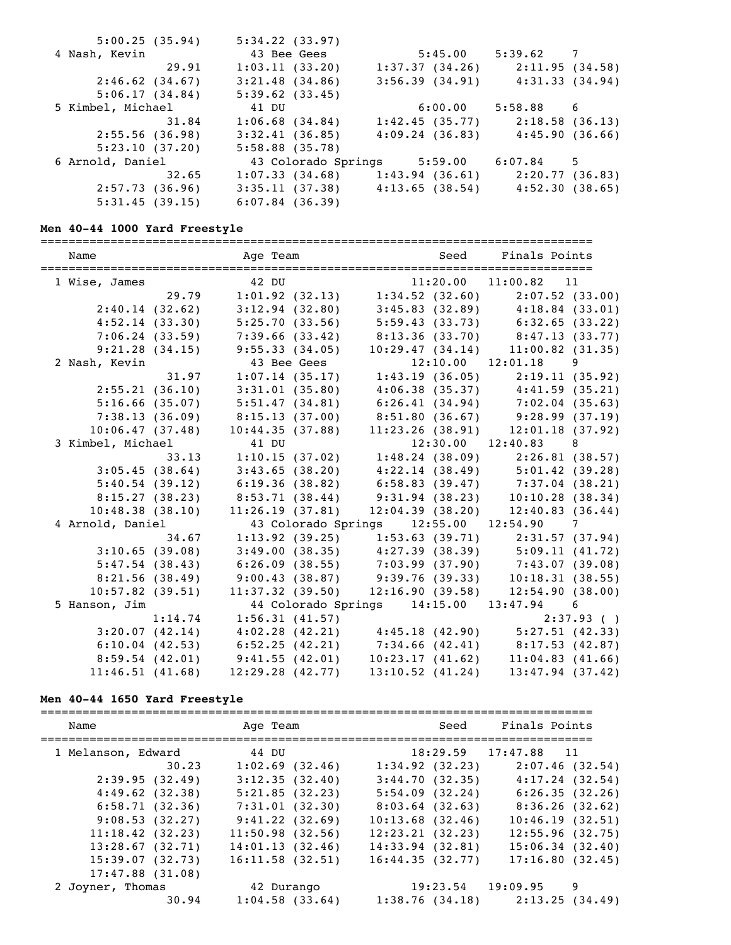| 5:00.25(35.94)    | 5:34.22(33.97)                                        |                                     |                |   |
|-------------------|-------------------------------------------------------|-------------------------------------|----------------|---|
| 4 Nash, Kevin     | 43 Bee Gees                                           | 5:45.00                             | 5:39.62 7      |   |
| 29.91             | 1:03.11(33.20)                                        | 1:37.37(34.26)                      | 2:11.95(34.58) |   |
| 2:46.62(34.67)    | $3:21.48$ (34.86)                                     | 3:56.39(34.91)                      | 4:31.33(34.94) |   |
| 5:06.17(34.84)    | 5:39.62(33.45)                                        |                                     |                |   |
| 5 Kimbel, Michael | 41 DU                                                 | 6:00.00                             | $5:58.88$ 6    |   |
| 31.84             | $1:06.68$ $(34.84)$                                   | 1:42.45(35.77)                      | 2:18.58(36.13) |   |
| 2:55.56(36.98)    | 3:32.41(36.85)                                        | 4:09.24(36.83)                      | 4:45.90(36.66) |   |
| 5:23.10(37.20)    | $5:58.88$ (35.78)                                     |                                     |                |   |
| 6 Arnold, Daniel  | 43 Colorado Springs 5:59.00                           |                                     | 6:07.84        | 5 |
| 32.65             | 1:07.33(34.68)                                        | $1:43.94$ (36.61) $2:20.77$ (36.83) |                |   |
| 2:57.73(36.96)    | $3:35.11$ (37.38) $4:13.65$ (38.54) $4:52.30$ (38.65) |                                     |                |   |
| 5:31.45(39.15)    | $6:07.84$ (36.39)                                     |                                     |                |   |

### **Men 40-44 1000 Yard Freestyle**

| Name               |         | Age Team       |                      |                                                       | Seed           | Finals Points                         |                |
|--------------------|---------|----------------|----------------------|-------------------------------------------------------|----------------|---------------------------------------|----------------|
| 1 Wise, James      |         | 42 DU          |                      |                                                       | 11:20.00       | $11:00.82$ 11                         |                |
|                    | 29.79   |                | 1:01.92(32.13)       |                                                       |                | $1:34.52$ (32.60) $2:07.52$ (33.00)   |                |
| 2:40.14(32.62)     |         |                | $3:12.94$ (32.80)    |                                                       |                | $3:45.83$ (32.89) $4:18.84$ (33.01)   |                |
| 4:52.14(33.30)     |         |                | 5:25.70(33.56)       |                                                       |                | $5:59.43(33.73)$ $6:32.65(33.22)$     |                |
| 7:06.24(33.59)     |         |                | 7:39.66(33.42)       |                                                       |                | $8:13.36$ (33.70) $8:47.13$ (33.77)   |                |
| 9:21.28(34.15)     |         |                | 9:55.33(34.05)       |                                                       |                | $10:29.47(34.14)$ $11:00.82(31.35)$   |                |
| 2 Nash, Kevin      |         |                | 43 Bee Gees          |                                                       |                | 12:10.00 12:01.18 9                   |                |
|                    | 31.97   |                | 1:07.14(35.17)       |                                                       |                | $1:43.19$ (36.05) $2:19.11$ (35.92)   |                |
| 2:55.21(36.10)     |         |                | 3:31.01(35.80)       |                                                       |                | $4:06.38$ (35.37) $4:41.59$ (35.21)   |                |
| 5:16.66(35.07)     |         |                | 5:51.47(34.81)       |                                                       |                | $6:26.41(34.94)$ $7:02.04(35.63)$     |                |
| 7:38.13(36.09)     |         |                | 8:15.13(37.00)       |                                                       |                | $8:51.80(36.67)$ 9:28.99 (37.19)      |                |
| 10:06.47(37.48)    |         |                | 10:44.35(37.88)      |                                                       |                | $11:23.26$ (38.91) $12:01.18$ (37.92) |                |
| 3 Kimbel, Michael  |         | 41 DU          |                      |                                                       |                | $12:30.00$ $12:40.83$                 | 8              |
|                    | 33.13   |                | 1:10.15(37.02)       |                                                       |                | $1:48.24$ (38.09) $2:26.81$ (38.57)   |                |
| 3:05.45(38.64)     |         |                | 3:43.65(38.20)       |                                                       |                | $4:22.14$ (38.49) $5:01.42$ (39.28)   |                |
| 5:40.54(39.12)     |         |                | 6:19.36(38.82)       |                                                       |                | $6:58.83$ (39.47) $7:37.04$ (38.21)   |                |
| 8:15.27(38.23)     |         |                | 8:53.71(38.44)       |                                                       | 9:31.94(38.23) | 10:10.28(38.34)                       |                |
| 10:48.38(38.10)    |         |                | 11:26.19(37.81)      | 12:04.39(38.20)                                       |                | 12:40.83(36.44)                       |                |
| 4 Arnold, Daniel   |         |                |                      |                                                       |                |                                       |                |
|                    | 34.67   |                | 1:13.92(39.25)       |                                                       |                | $1:53.63$ (39.71) $2:31.57$ (37.94)   |                |
| 3:10.65(39.08)     |         |                |                      | $3:49.00(38.35)$ $4:27.39(38.39)$ $5:09.11(41.72)$    |                |                                       |                |
| 5:47.54(38.43)     |         |                |                      | $6:26.09$ (38.55) $7:03.99$ (37.90) $7:43.07$ (39.08) |                |                                       |                |
| 8:21.56(38.49)     |         |                | 9:00.43(38.87)       | 9:39.76(39.33)                                        |                | 10:18.31(38.55)                       |                |
| $10:57.82$ (39.51) |         |                | $11:37.32$ (39.50)   | 12:16.90(39.58)                                       |                | 12:54.90(38.00)                       |                |
| 5 Hanson, Jim      |         |                |                      | 44 Colorado Springs  14:15.00  13:47.94               |                |                                       | 6              |
|                    | 1:14.74 |                | 1:56.31(41.57)       |                                                       |                |                                       | 2:37.93( )     |
| 3:20.07(42.14)     |         |                | 4:02.28(42.21)       | 4:45.18(42.90)                                        |                |                                       | 5:27.51(42.33) |
| 6:10.04(42.53)     |         | 6:52.25(42.21) |                      | 7:34.66(42.41)                                        |                | 8:17.53(42.87)                        |                |
| 8:59.54(42.01)     |         | 9:41.55(42.01) |                      | 10:23.17(41.62)                                       |                | 11:04.83(41.66)                       |                |
| 11:46.51(41.68)    |         |                | $12:29.28$ $(42.77)$ | $13:10.52$ $(41.24)$                                  |                | $13:47.94$ (37.42)                    |                |

# **Men 40-44 1650 Yard Freestyle**

| Name                 | Age Team           | Seed               | Finals Points                       |
|----------------------|--------------------|--------------------|-------------------------------------|
| 1 Melanson, Edward   | 44 DU              |                    | 18:29.59 17:47.88 11                |
| 30.23                | 1:02.69(32.46)     | 1:34.92(32.23)     | 2:07.46(32.54)                      |
| 2:39.95(32.49)       | 3:12.35(32.40)     | 3:44.70(32.35)     | 4:17.24(32.54)                      |
| 4:49.62(32.38)       | 5:21.85(32.23)     | 5:54.09(32.24)     | 6:26.35(32.26)                      |
| 6:58.71(32.36)       | 7:31.01(32.30)     | $8:03.64$ (32.63)  | 8:36.26(32.62)                      |
| 9:08.53(32.27)       | 9:41.22(32.69)     | $10:13.68$ (32.46) | 10:46.19(32.51)                     |
| 11:18.42(32.23)      | $11:50.98$ (32.56) | 12:23.21(32.23)    | 12:55.96(32.75)                     |
| 13:28.67(32.71)      | 14:01.13(32.46)    | $14:33.94$ (32.81) | 15:06.34(32.40)                     |
| 15:39.07(32.73)      | $16:11.58$ (32.51) | 16:44.35(32.77)    | 17:16.80(32.45)                     |
| $17:47.88$ $(31.08)$ |                    |                    |                                     |
| 2 Joyner, Thomas     | 42 Durango         |                    | $19:23.54$ $19:09.95$<br>9          |
| 30.94                | $1:04.58$ (33.64)  |                    | $1:38.76$ (34.18) $2:13.25$ (34.49) |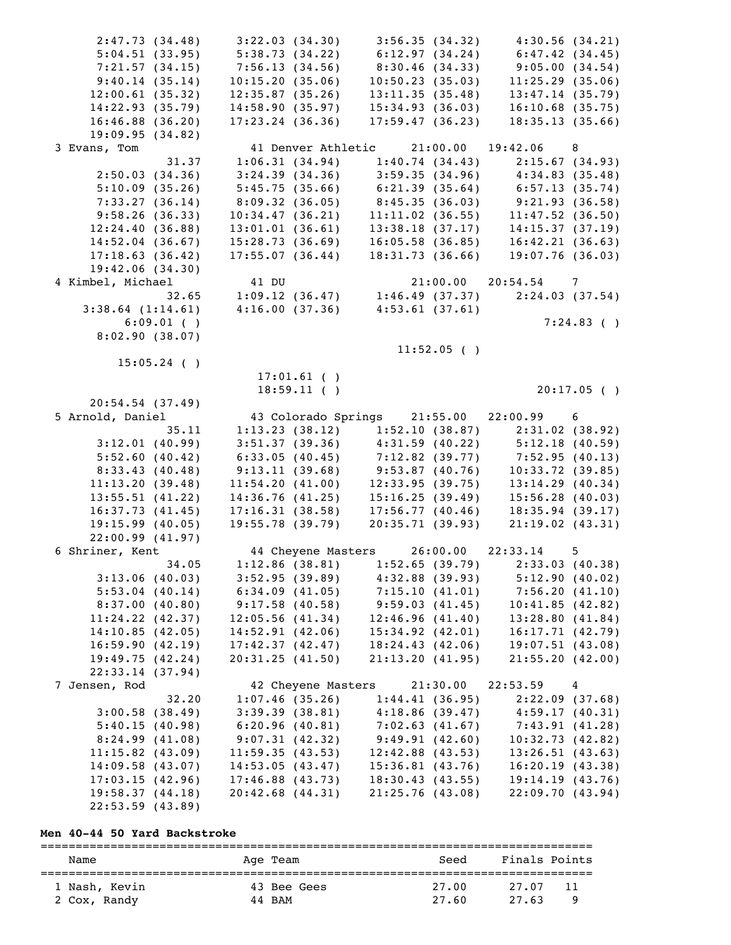| 2:47.73(34.48)                        | 3:22.03(34.30)                                                                   | 3:56.35(34.32)                                               | 4:30.56(34.21)                                        |
|---------------------------------------|----------------------------------------------------------------------------------|--------------------------------------------------------------|-------------------------------------------------------|
| 5:04.51(33.95)                        | 5:38.73 (34.22)                                                                  | 6:12.97(34.24)                                               | 6:47.42(34.45)                                        |
| 7:21.57(34.15)                        | 7:56.13(34.56)                                                                   | 8:30.46(34.33)                                               | 9:05.00(34.54)                                        |
| 9:40.14(35.14)                        | 10:15.20(35.06)                                                                  | 10:50.23(35.03)                                              | 11:25.29(35.06)                                       |
| 12:00.61(35.32)                       | 12:35.87(35.26)                                                                  | 13:11.35(35.48)                                              | 13:47.14(35.79)                                       |
| 14:22.93(35.79)                       | 14:58.90(35.97)                                                                  | 15:34.93(36.03)                                              | $16:10.68$ (35.75)                                    |
| $16:46.88$ (36.20)                    | $17:23.24$ (36.36)                                                               | 17:59.47(36.23)                                              | 18:35.13(35.66)                                       |
|                                       |                                                                                  |                                                              |                                                       |
| 19:09.95(34.82)                       |                                                                                  |                                                              |                                                       |
| 3 Evans, Tom                          |                                                                                  | 41 Denver Athletic 21:00.00 19:42.06 8                       |                                                       |
| 31.37                                 |                                                                                  |                                                              | $1:06.31(34.94)$ $1:40.74(34.43)$ $2:15.67(34.93)$    |
| 2:50.03(34.36)                        |                                                                                  |                                                              | $3:24.39(34.36)$ $3:59.35(34.96)$ $4:34.83(35.48)$    |
| 5:10.09(35.26)                        |                                                                                  |                                                              | $5:45.75(35.66)$ $6:21.39(35.64)$ $6:57.13(35.74)$    |
| 7:33.27(36.14)                        |                                                                                  |                                                              | $8:09.32$ (36.05) $8:45.35$ (36.03) $9:21.93$ (36.58) |
| 9:58.26(36.33)                        | 10:34.47(36.21)                                                                  |                                                              | $11:11.02$ (36.55) $11:47.52$ (36.50)                 |
| 12:24.40(36.88)                       | 13:01.01(36.61)                                                                  | 13:38.18(37.17)                                              | 14:15.37(37.19)                                       |
| 14:52.04(36.67)                       | 15:28.73(36.69)                                                                  | 16:05.58(36.85)                                              | 16:42.21(36.63)                                       |
| 17:18.63(36.42)                       | 17:55.07(36.44)                                                                  | 18:31.73(36.66)                                              | 19:07.76(36.03)                                       |
| 19:42.06(34.30)                       |                                                                                  |                                                              |                                                       |
| 4 Kimbel, Michael                     |                                                                                  |                                                              |                                                       |
| 32.65                                 | 41 DU $21:00.00$ $20:54.54$ 7<br>1:09.12 (36.47) 1:46.49 (37.37) 2:24.03 (37.54) |                                                              |                                                       |
|                                       | $4:16.00(37.36)$ $4:53.61(37.61)$                                                |                                                              |                                                       |
| $3:38.64$ $(1:14.61)$                 |                                                                                  |                                                              |                                                       |
| $6:09.01$ ()                          |                                                                                  |                                                              | $7:24.83$ ()                                          |
| 8:02.90(38.07)                        |                                                                                  |                                                              |                                                       |
|                                       |                                                                                  | $11:52.05$ ()                                                |                                                       |
| $15:05.24$ ()                         |                                                                                  |                                                              |                                                       |
|                                       | $17:01.61$ ()                                                                    |                                                              |                                                       |
|                                       | $18:59.11$ ()                                                                    |                                                              | $20:17.05$ ()                                         |
| 20:54.54(37.49)                       |                                                                                  |                                                              |                                                       |
| 5 Arnold, Daniel                      |                                                                                  | 43 Colorado Springs 21:55.00 22:00.99 6                      |                                                       |
|                                       |                                                                                  |                                                              |                                                       |
| 35.11                                 |                                                                                  |                                                              |                                                       |
|                                       |                                                                                  |                                                              | $1:13.23$ (38.12) $1:52.10$ (38.87) $2:31.02$ (38.92) |
| 3:12.01(40.99)                        |                                                                                  |                                                              | $3:51.37$ (39.36) $4:31.59$ (40.22) $5:12.18$ (40.59) |
| 5:52.60(40.42)                        | 6:33.05(40.45)                                                                   |                                                              | $7:12.82$ (39.77) $7:52.95$ (40.13)                   |
| 8:33.43(40.48)                        | 9:13.11(39.68)                                                                   | 9:53.87(40.76)                                               | $10:33.72$ (39.85)                                    |
| 11:13.20(39.48)                       | 11:54.20(41.00)                                                                  | 12:33.95(39.75)                                              | 13:14.29(40.34)                                       |
| 13:55.51(41.22)                       | 14:36.76(41.25)                                                                  |                                                              | $15:56.28$ (40.03)                                    |
| 16:37.73(41.45)                       | 17:16.31(38.58)                                                                  | $(39.75)$<br>15:16.25 (39.49)<br>17:56 77<br>17:56.77(40.46) | 18:35.94(39.17)                                       |
| 19:15.99(40.05)                       | 19:55.78(39.79)                                                                  | 20:35.71 (39.93)                                             | $21:19.02$ $(43.31)$                                  |
| 22:00.99(41.97)                       |                                                                                  |                                                              |                                                       |
| 6 Shriner, Kent                       |                                                                                  |                                                              |                                                       |
| 34.05                                 |                                                                                  | $1:12.86$ (38.81) 1:52.65 (39.79)                            | 2:33.03(40.38)                                        |
| 3:13.06(40.03)                        | 3:52.95(39.89)                                                                   | 4:32.88 (39.93)                                              | 5:12.90(40.02)                                        |
| 5:53.04(40.14)                        | 6:34.09(41.05)                                                                   | 7:15.10(41.01)                                               | 7:56.20(41.10)                                        |
| 8:37.00(40.80)                        | 9:17.58(40.58)                                                                   | 9:59.03(41.45)                                               | 10:41.85(42.82)                                       |
| $11:24.22$ $(42.37)$                  | 12:05.56(41.34)                                                                  | 12:46.96(41.40)                                              |                                                       |
|                                       |                                                                                  |                                                              |                                                       |
| 14:10.85(42.05)                       | 14:52.91(42.06)                                                                  | $15:34.92$ $(42.01)$                                         | 13:28.80(41.84)<br>16:17.71(42.79)                    |
| 16:59.90(42.19)                       | 17:42.37(42.47)                                                                  | 18:24.43(42.06)                                              | 19:07.51(43.08)                                       |
| 19:49.75(42.24)                       | 20:31.25(41.50)                                                                  | 21:13.20(41.95)                                              | 21:55.20(42.00)                                       |
| 22:33.14(37.94)                       |                                                                                  |                                                              |                                                       |
| 7 Jensen, Rod                         | 42 Cheyene Masters                                                               | 21:30.00                                                     | 22:53.59<br>$\overline{4}$                            |
| 32.20                                 | 1:07.46(35.26)                                                                   | 1:44.41(36.95)                                               | 2:22.09(37.68)                                        |
| 3:00.58(38.49)                        | 3:39.39(38.81)                                                                   | 4:18.86(39.47)                                               | 4:59.17(40.31)                                        |
| 5:40.15(40.98)                        | 6:20.96(40.81)                                                                   | 7:02.63(41.67)                                               | 7:43.91(41.28)                                        |
| 8:24.99(41.08)                        | 9:07.31(42.32)                                                                   | 9:49.91(42.60)                                               | 10:32.73(42.82)                                       |
| $11:15.82$ (43.09)                    | 11:59.35(43.53)                                                                  | $12:42.88$ (43.53)                                           | 13:26.51(43.63)                                       |
| 14:09.58(43.07)                       | 14:53.05(43.47)                                                                  | 15:36.81(43.76)                                              | 16:20.19(43.38)                                       |
| 17:03.15(42.96)                       | $17:46.88$ (43.73)                                                               | 18:30.43(43.55)                                              | 19:14.19(43.76)                                       |
| 19:58.37(44.18)<br>$22:53.59$ (43.89) | 20:42.68(44.31)                                                                  | 21:25.76(43.08)                                              | 22:09.70(43.94)                                       |

# **Men 40-44 50 Yard Backstroke**

| Name          | Age Team    | Seed  | Finals Points |  |
|---------------|-------------|-------|---------------|--|
| 1 Nash, Kevin | 43 Bee Gees | 27.00 | 27.07<br>11   |  |
| 2 Cox, Randy  | 44 BAM      | 27.60 | 27.63<br>Q    |  |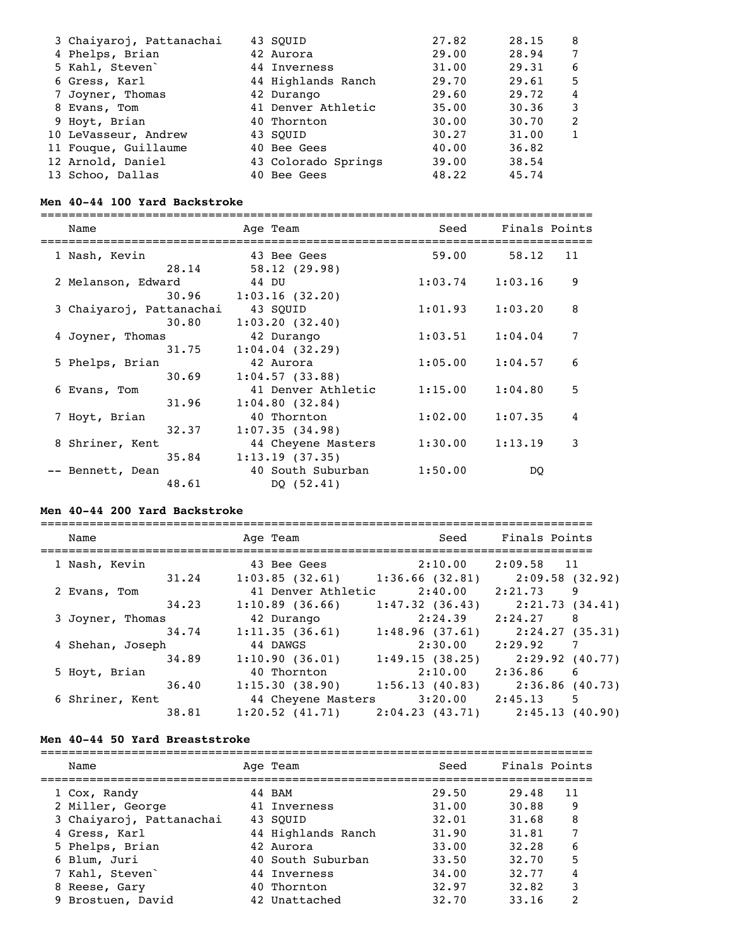| 3 Chaiyaroj, Pattanachai | 43 SOUID            | 27.82 | 28.15 | 8 |
|--------------------------|---------------------|-------|-------|---|
| 4 Phelps, Brian          | 42 Aurora           | 29.00 | 28.94 |   |
| 5 Kahl, Steven           | 44 Inverness        | 31.00 | 29.31 | 6 |
| 6 Gress, Karl            | 44 Highlands Ranch  | 29.70 | 29.61 | 5 |
| 7 Joyner, Thomas         | 42 Durango          | 29.60 | 29.72 | 4 |
| 8 Evans, Tom             | 41 Denver Athletic  | 35.00 | 30.36 | 3 |
| 9 Hoyt, Brian            | 40 Thornton         | 30.00 | 30.70 | 2 |
| 10 LeVasseur, Andrew     | 43 SOUID            | 30.27 | 31.00 |   |
| 11 Fouque, Guillaume     | 40 Bee Gees         | 40.00 | 36.82 |   |
| 12 Arnold, Daniel        | 43 Colorado Springs | 39.00 | 38.54 |   |
| 13 Schoo, Dallas         | 40 Bee Gees         | 48.22 | 45.74 |   |

### **Men 40-44 100 Yard Backstroke**

| Name                      | Age Team                        | Seed    | Finals Points |
|---------------------------|---------------------------------|---------|---------------|
| 1 Nash, Kevin             | 43 Bee Gees                     | 59.00   | 58.12         |
| 28.14                     | 58.12(29.98)                    |         | 11            |
| 2 Melanson, Edward        | 44 DU                           | 1:03.74 | 9<br>1:03.16  |
| 30.96                     | 1:03.16(32.20)                  | 1:01.93 | 8             |
| 3 Chaiyaroj, Pattanachai  | 43 SOUID                        |         | 1:03.20       |
| 30.80                     | 1:03.20(32.40)                  | 1:03.51 | 7             |
| 4 Joyner, Thomas          | 42 Durango                      |         | 1:04.04       |
| 31.75                     | 1:04.04(32.29)                  | 1:05.00 | 6             |
| 5 Phelps, Brian           | 42 Aurora                       |         | 1:04.57       |
| 30.69                     | 1:04.57(33.88)                  | 1:15.00 | 5             |
| 6 Evans, Tom              | 41 Denver Athletic              |         | 1:04.80       |
| 31.96                     | 1:04.80(32.84)                  | 1:02.00 | 4             |
| 7 Hoyt, Brian             | 40 Thornton                     |         | 1:07.35       |
| 32.37                     | 1:07.35(34.98)                  | 1:30.00 | 3             |
| 8 Shriner, Kent           | 44 Cheyene Masters              |         | 1:13.19       |
| 35.84                     | 1:13.19(37.35)                  |         |               |
| -- Bennett, Dean<br>48.61 | 40 South Suburban<br>DQ (52.41) | 1:50.00 | DO            |

### **Men 40-44 200 Yard Backstroke**

| Name             | Age Team                          | Seed              | Finals Points              |
|------------------|-----------------------------------|-------------------|----------------------------|
| 1 Nash, Kevin    | 43 Bee Gees                       | 2:10.00           | $2:09.58$ 11               |
| 31.24            | $1:03.85$ (32.61) 1:36.66 (32.81) |                   | 2:09.58 (32.92)            |
| 2 Evans, Tom     | 41 Denver Athletic                | 2:40.00           | 2:21.73<br>9               |
| 34.23            | 1:10.89(36.66)                    | 1:47.32(36.43)    | 2:21.73(34.41)             |
| 3 Joyner, Thomas | 42 Durango                        | 2:24.39           | 2:24.27<br>8               |
| 34.74            | 1:11.35(36.61)                    | 1:48.96(37.61)    | 2:24.27 (35.31)            |
| 4 Shehan, Joseph | 44 DAWGS                          | 2:30.00           | 2:29.92<br>7               |
| 34.89            | 1:10.90(36.01)                    | 1:49.15(38.25)    | $2:29.92$ (40.77)          |
| 5 Hoyt, Brian    | 40 Thornton                       | 2:10.00           | 2:36.86<br>$6\overline{6}$ |
| 36.40            | $1:15.30(38.90)$ $1:56.13(40.83)$ |                   | 2:36.86 (40.73)            |
| 6 Shriner, Kent  | 44 Cheyene Masters                | $3:20.00$ 2:45.13 | 5                          |
| 38.81            | $1:20.52$ $(41.71)$               | 2:04.23(43.71)    | 2:45.13(40.90)             |

### **Men 40-44 50 Yard Breaststroke**

| Name                     | Age Team           | Seed  | Finals Points |    |
|--------------------------|--------------------|-------|---------------|----|
| 1 Cox, Randy             | 44 BAM             | 29.50 | 29.48         | 11 |
| 2 Miller, George         | 41 Inverness       | 31.00 | 30.88         | 9  |
| 3 Chaiyaroj, Pattanachai | 43 SOUID           | 32.01 | 31.68         | 8  |
| 4 Gress, Karl            | 44 Highlands Ranch | 31.90 | 31.81         |    |
| 5 Phelps, Brian          | 42 Aurora          | 33.00 | 32.28         | 6  |
| 6 Blum, Juri             | 40 South Suburban  | 33.50 | 32.70         | 5  |
| 7 Kahl, Steven           | 44 Inverness       | 34,00 | 32.77         | 4  |
| 8 Reese, Gary            | 40 Thornton        | 32.97 | 32.82         | 3  |
| 9 Brostuen, David        | 42 Unattached      | 32.70 | 33.16         | 2  |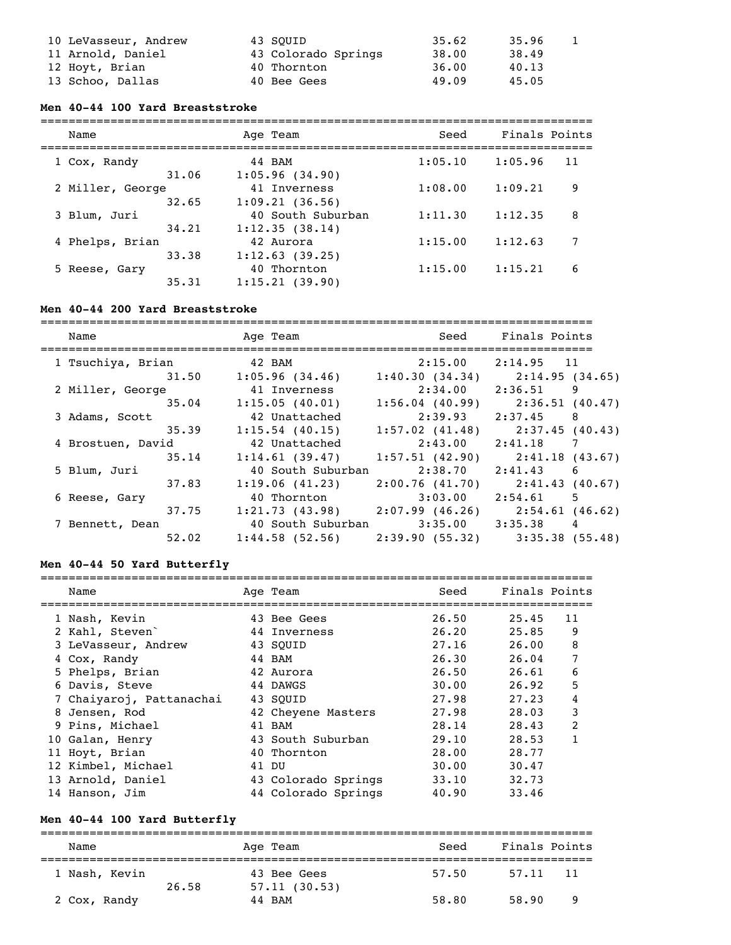| 10 LeVasseur, Andrew | 43 SOUID            | 35.62 | 35.96 |  |
|----------------------|---------------------|-------|-------|--|
| 11 Arnold, Daniel    | 43 Colorado Springs | 38.00 | 38.49 |  |
| 12 Hoyt, Brian       | 40 Thornton         | 36.00 | 40.13 |  |
| 13 Schoo, Dallas     | 40 Bee Gees         | 49.09 | 45.05 |  |

### **Men 40-44 100 Yard Breaststroke**

| Name             | Age Team          | Seed    | Finals Points |    |
|------------------|-------------------|---------|---------------|----|
| 1 Cox, Randy     | 44 BAM            | 1:05.10 | 1:05.96       | 11 |
| 31.06            | 1:05.96(34.90)    |         |               |    |
| 2 Miller, George | 41 Inverness      | 1:08.00 | 1:09.21       | 9  |
| 32.65            | 1:09.21(36.56)    |         |               |    |
| 3 Blum, Juri     | 40 South Suburban | 1:11.30 | 1:12.35       | 8  |
| 34.21            | 1:12.35(38.14)    |         |               |    |
| 4 Phelps, Brian  | 42 Aurora         | 1:15.00 | 1:12.63       | 7  |
| 33.38            | 1:12.63(39.25)    |         |               |    |
| 5 Reese, Gary    | 40 Thornton       | 1:15.00 | 1:15.21       | 6  |
| 35.31            | 1:15.21(39.90)    |         |               |    |

### **Men 40-44 200 Yard Breaststroke**

| Name<br>-------------------------------- |       | Age Team          |                                     | Seed Finals Points |    |
|------------------------------------------|-------|-------------------|-------------------------------------|--------------------|----|
| 1 Tsuchiya, Brian                        |       | 42 BAM            | 2:15.00                             | 2:14.95 11         |    |
|                                          | 31.50 | 1:05.96(34.46)    | 1:40.30(34.34)                      | 2:14.95(34.65)     |    |
| 2 Miller, George                         |       | 41 Inverness      | 2:34.00 2:36.51                     |                    | 9  |
|                                          | 35.04 | 1:15.05(40.01)    | 1:56.04(40.99)                      | 2:36.51(40.47)     |    |
| 3 Adams, Scott                           |       | 42 Unattached     | 2:39.93                             | 2:37.45            | 8  |
|                                          | 35.39 | $1:15.54$ (40.15) | $1:57.02$ $(41.48)$                 | 2:37.45(40.43)     |    |
| 4 Brostuen, David                        |       | 42 Unattached     | 2:43.00                             | 2:41.18            |    |
|                                          | 35.14 | 1:14.61(39.47)    | 1:57.51(42.90)                      | 2:41.18(43.67)     |    |
| 5 Blum, Juri                             |       | 40 South Suburban | 2:38.70 2:41.43                     |                    | -6 |
|                                          | 37.83 | 1:19.06(41.23)    | 2:00.76(41.70)                      | 2:41.43(40.67)     |    |
| 6 Reese, Gary                            |       | 40 Thornton       | 3:03.00                             | 2:54.61            | 5  |
|                                          | 37.75 |                   | $1:21.73$ (43.98) $2:07.99$ (46.26) | 2:54.61(46.62)     |    |
| 7 Bennett, Dean                          |       |                   | 40 South Suburban 3:35.00 3:35.38   |                    | 4  |
|                                          | 52.02 | 1:44.58(52.56)    | 2:39.90(55.32)                      | 3:35.38(55.48)     |    |

### **Men 40-44 50 Yard Butterfly**

| Name                        | Age Team            | Seed  | Finals Points |                |
|-----------------------------|---------------------|-------|---------------|----------------|
| 1 Nash, Kevin               | 43 Bee Gees         | 26.50 | 25.45         | 11             |
| 2 Kahl, Steven <sup>-</sup> | 44 Inverness        | 26.20 | 25.85         | 9              |
| 3 LeVasseur, Andrew         | 43 SOUID            | 27.16 | 26.00         | 8              |
| 4 Cox, Randy                | 44 BAM              | 26.30 | 26.04         | 7              |
| 5 Phelps, Brian             | 42 Aurora           | 26.50 | 26.61         | 6              |
| 6 Davis, Steve              | 44 DAWGS            | 30.00 | 26.92         | 5              |
| 7 Chaiyaroj, Pattanachai    | 43 SOUID            | 27.98 | 27.23         | 4              |
| 8 Jensen, Rod               | 42 Cheyene Masters  | 27.98 | 28.03         | 3              |
| 9 Pins, Michael             | 41 BAM              | 28.14 | 28.43         | $\overline{2}$ |
| 10 Galan, Henry             | 43 South Suburban   | 29.10 | 28.53         |                |
| 11 Hoyt, Brian              | 40 Thornton         | 28.00 | 28.77         |                |
| 12 Kimbel, Michael          | 41 DU               | 30.00 | 30.47         |                |
| 13 Arnold, Daniel           | 43 Colorado Springs | 33.10 | 32.73         |                |
| 14 Hanson, Jim              | 44 Colorado Springs | 40.90 | 33.46         |                |

### **Men 40-44 100 Yard Butterfly**

=============================================================================== Name Age Team Seed Finals Points =============================================================================== 1 Nash, Kevin  $26.58$   $57.11$  (30.53) 2 Cox, Randy 44 BAM 58.80 58.90 9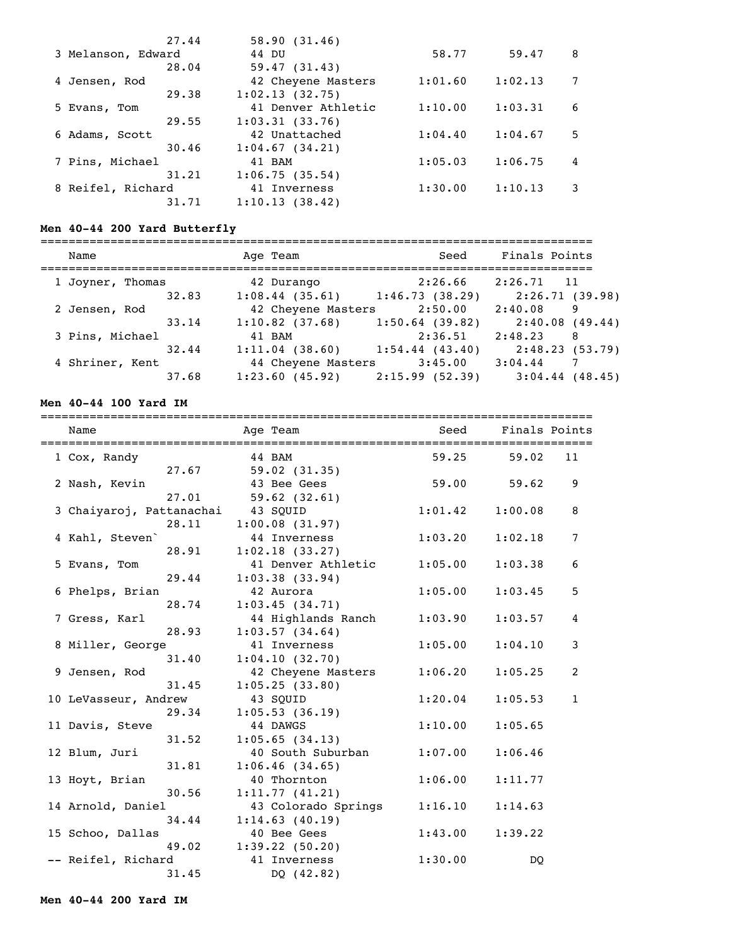| 27.44              | 58.90(31.46)       |         |         |   |
|--------------------|--------------------|---------|---------|---|
| 3 Melanson, Edward | 44 DU              | 58.77   | 59.47   | 8 |
| 28.04              | 59.47(31.43)       |         |         |   |
| 4 Jensen, Rod      | 42 Cheyene Masters | 1:01.60 | 1:02.13 |   |
| 29.38              | 1:02.13(32.75)     |         |         |   |
| 5 Evans, Tom       | 41 Denver Athletic | 1:10.00 | 1:03.31 | 6 |
| 29.55              | 1:03.31(33.76)     |         |         |   |
| 6 Adams, Scott     | 42 Unattached      | 1:04.40 | 1:04.67 | 5 |
| 30.46              | 1:04.67(34.21)     |         |         |   |
| 7 Pins, Michael    | 41 BAM             | 1:05.03 | 1:06.75 | 4 |
| 31.21              | 1:06.75(35.54)     |         |         |   |
| 8 Reifel, Richard  | 41 Inverness       | 1:30.00 | 1:10.13 | 3 |
| 31.71              | 1:10.13(38.42)     |         |         |   |

# **Men 40-44 200 Yard Butterfly**

| Name             | Age Team           | Seed                | Finals Points     |
|------------------|--------------------|---------------------|-------------------|
| 1 Joyner, Thomas | 42 Durango         | 2:26.66             | 2:26.71<br>11     |
| 32.83            | 1:08.44(35.61)     | 1:46.73(38.29)      | 2:26.71 (39.98)   |
| 2 Jensen, Rod    | 42 Cheyene Masters | 2:50.00             | 2:40.08<br>9      |
| 33.14            | $1:10.82$ (37.68)  | $1:50.64$ (39.82)   | 2:40.08(49.44)    |
| 3 Pins, Michael  | 41 BAM             | 2:36.51             | 2:48.23<br>8      |
| 32.44            | 1:11.04(38.60)     | $1:54.44$ $(43.40)$ | 2:48.23(53.79)    |
| 4 Shriner, Kent  | 44 Cheyene Masters | 3:45.00             | 3:04.44           |
| 37.68            | 1:23.60(45.92)     | 2:15.99(52.39)      | $3:04.44$ (48.45) |

# **Men 40-44 100 Yard IM**

| Name<br>====================================== |       | Age Team<br>------------------------------------- | Seed Finals Points |                 |              |
|------------------------------------------------|-------|---------------------------------------------------|--------------------|-----------------|--------------|
| 1 Cox, Randy                                   |       | 44 BAM                                            |                    | 59.25 59.02     | 11           |
|                                                | 27.67 | 59.02 (31.35)                                     |                    |                 |              |
| 2 Nash, Kevin                                  |       | 43 Bee Gees                                       |                    | $59.00$ $59.62$ | 9            |
|                                                | 27.01 | 59.62(32.61)                                      |                    |                 |              |
| 3 Chaiyaroj, Pattanachai 43 SQUID              |       |                                                   | 1:01.42            | 1:00.08         | 8            |
|                                                | 28.11 | 1:00.08(31.97)                                    |                    |                 |              |
| 4 Kahl, Steven                                 |       | 44 Inverness                                      | 1:03.20            | 1:02.18         | 7            |
|                                                | 28.91 | 1:02.18(33.27)                                    |                    |                 |              |
| 5 Evans, Tom                                   |       | 41 Denver Athletic                                | 1:05.00            | 1:03.38         | 6            |
|                                                | 29.44 | 1:03.38(33.94)                                    |                    |                 |              |
| 6 Phelps, Brian                                |       | 42 Aurora                                         | 1:05.00            | 1:03.45         | 5            |
|                                                | 28.74 | 1:03.45(34.71)                                    |                    |                 |              |
| 7 Gress, Karl                                  |       | 44 Highlands Ranch                                | 1:03.90            | 1:03.57         | 4            |
|                                                | 28.93 | 1:03.57(34.64)                                    |                    |                 |              |
| 8 Miller, George                               |       | 41 Inverness                                      | 1:05.00            | 1:04.10         | 3            |
|                                                | 31.40 | 1:04.10(32.70)                                    |                    |                 |              |
| 9 Jensen, Rod                                  |       | 42 Cheyene Masters                                | 1:06.20            | 1:05.25         | 2            |
|                                                | 31.45 | 1:05.25(33.80)                                    |                    |                 |              |
| 10 LeVasseur, Andrew                           |       | 43 SOUID                                          | 1:20.04            | 1:05.53         | $\mathbf{1}$ |
|                                                | 29.34 | 1:05.53(36.19)                                    |                    |                 |              |
| 11 Davis, Steve                                |       | 44 DAWGS                                          | 1:10.00            | 1:05.65         |              |
|                                                | 31.52 | 1:05.65(34.13)                                    |                    |                 |              |
| 12 Blum, Juri                                  |       | 40 South Suburban                                 | 1:07.00            | 1:06.46         |              |
|                                                | 31.81 | 1:06.46(34.65)                                    |                    |                 |              |
| 13 Hoyt, Brian                                 |       | 40 Thornton                                       | 1:06.00            | 1:11.77         |              |
|                                                | 30.56 | 1:11.77(41.21)                                    |                    |                 |              |
| 14 Arnold, Daniel                              |       | 43 Colorado Springs                               | 1:16.10            | 1:14.63         |              |
|                                                | 34.44 | 1:14.63(40.19)                                    |                    |                 |              |
| 15 Schoo, Dallas                               |       | 40 Bee Gees                                       | 1:43.00            | 1:39.22         |              |
|                                                | 49.02 | 1:39.22(50.20)                                    |                    |                 |              |
| -- Reifel, Richard                             |       | 41 Inverness                                      | 1:30.00            | DO.             |              |
|                                                | 31.45 | DQ (42.82)                                        |                    |                 |              |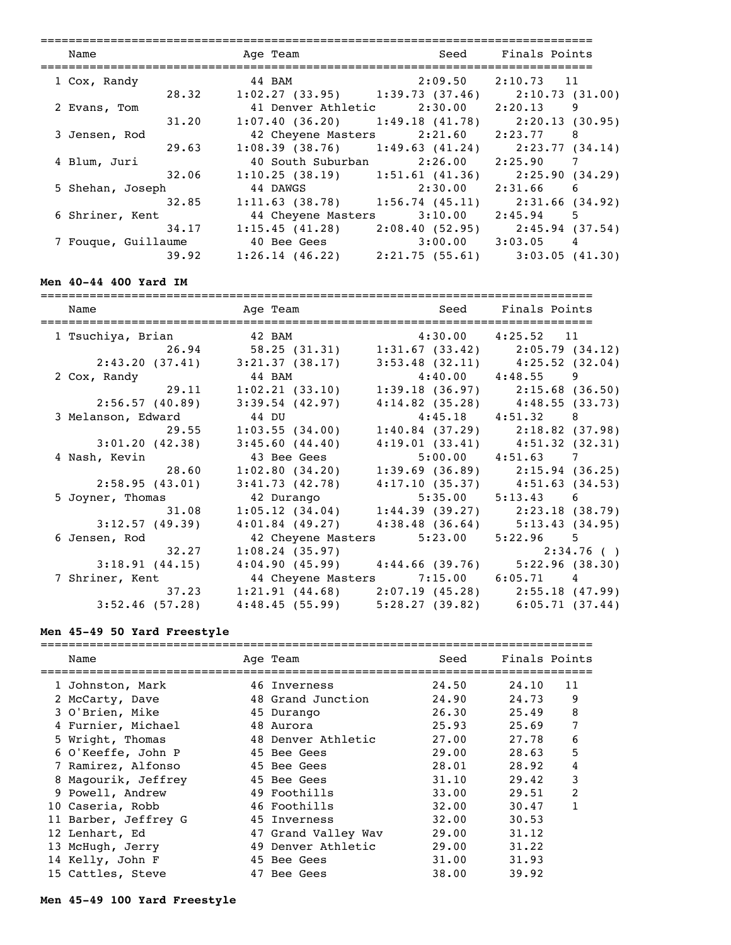| Name                |       | Age Team           |                                                       | Seed Finals Points    |   |
|---------------------|-------|--------------------|-------------------------------------------------------|-----------------------|---|
|                     |       |                    |                                                       |                       |   |
| 1 Cox, Randy        |       |                    | 44 BAM 2:09.50 2:10.73 11                             |                       |   |
|                     | 28.32 |                    | $1:02.27$ (33.95) $1:39.73$ (37.46) $2:10.73$ (31.00) |                       |   |
| 2 Evans, Tom        |       |                    | 41 Denver Athletic 2:30.00 2:20.13                    |                       | 9 |
|                     | 31.20 |                    | $1:07.40(36.20)$ $1:49.18(41.78)$                     | 2:20.13(30.95)        |   |
| 3 Jensen, Rod       |       |                    | 42 Cheyene Masters 2:21.60                            | $2:23.77$ 8           |   |
|                     | 29.63 |                    | $1:08.39$ (38.76) $1:49.63$ (41.24)                   | 2:23.77 (34.14)       |   |
| 4 Blum, Juri        |       |                    | 40 South Suburban 2:26.00 2:25.90                     | $\overline{7}$        |   |
|                     | 32.06 |                    | $1:10.25(38.19)$ $1:51.61(41.36)$                     | 2:25.90(34.29)        |   |
| 5 Shehan, Joseph    |       | 44 DAWGS           | 2:30.00                                               | $2:31.66$ 6           |   |
|                     | 32.85 |                    | $1:11.63$ (38.78) $1:56.74$ (45.11) $2:31.66$ (34.92) |                       |   |
| 6 Shriner, Kent     |       | 44 Cheyene Masters | 3:10.00                                               | $2:45.94$ 5           |   |
|                     | 34.17 |                    | $1:15.45$ (41.28) $2:08.40$ (52.95)                   | 2:45.94 (37.54)       |   |
| 7 Fouque, Guillaume |       | 40 Bee Gees        |                                                       | $3:00.00$ $3:03.05$ 4 |   |
|                     | 39.92 |                    | $1:26.14$ (46.22) $2:21.75$ (55.61) $3:03.05$ (41.30) |                       |   |

# **Men 40-44 400 Yard IM**

| Name               | Age Team                             | Seed Finals Points    |                                                       |
|--------------------|--------------------------------------|-----------------------|-------------------------------------------------------|
| 1 Tsuchiya, Brian  | 42 BAM 4:30.00 4:25.52 11            |                       |                                                       |
| 26.94              | 58.25 (31.31)                        |                       | $1:31.67$ (33.42) $2:05.79$ (34.12)                   |
| 2:43.20(37.41)     | 3:21.37(38.17)                       |                       | $3:53.48$ (32.11) $4:25.52$ (32.04)                   |
| 2 Cox, Randy       | $44$ BAM                             | $4:40.00$ $4:48.55$ 9 |                                                       |
| 29.11              | 1:02.21(33.10)                       |                       | $1:39.18$ (36.97) $2:15.68$ (36.50)                   |
| 2:56.57(40.89)     | 3:39.54(42.97)                       |                       | $4:14.82$ (35.28) $4:48.55$ (33.73)                   |
| 3 Melanson, Edward | 44 DU                                | $4:45.18$ $4:51.32$ 8 |                                                       |
| 29.55              | 1:03.55(34.00)                       |                       | $1:40.84$ (37.29) $2:18.82$ (37.98)                   |
| 3:01.20(42.38)     | 3:45.60(44.40)                       |                       | $4:19.01(33.41)$ $4:51.32(32.31)$                     |
| 4 Nash, Kevin      | 43 Bee Gees                          | 5:00.00               | 4:51.63 7                                             |
| 28.60              | 1:02.80(34.20)                       |                       | $1:39.69$ (36.89) $2:15.94$ (36.25)                   |
| 2:58.95(43.01)     |                                      |                       | $3:41.73$ (42.78) $4:17.10$ (35.37) $4:51.63$ (34.53) |
| 5 Joyner, Thomas   | 42 Durango                           | $5:35.00$ $5:13.43$ 6 |                                                       |
| 31.08              |                                      |                       | $1:05.12$ (34.04) $1:44.39$ (39.27) $2:23.18$ (38.79) |
| 3:12.57(49.39)     | $4:01.84$ (49.27)                    |                       | $4:38.48(36.64)$ 5:13.43 (34.95)                      |
| 6 Jensen, Rod      | 42 Cheyene Masters 5:23.00           |                       | $5:22.96$ 5                                           |
| 32.27              | 1:08.24(35.97)                       |                       | 2:34.76(                                              |
| 3:18.91(44.15)     |                                      |                       | $4:04.90(45.99)$ $4:44.66(39.76)$ $5:22.96(38.30)$    |
| 7 Shriner, Kent    | 44 Cheyene Masters 7:15.00 6:05.71 4 |                       |                                                       |
| 37.23              |                                      |                       | $1:21.91$ (44.68) $2:07.19$ (45.28) $2:55.18$ (47.99) |
| 3:52.46(57.28)     |                                      |                       | $4:48.45(55.99)$ $5:28.27(39.82)$ $6:05.71(37.44)$    |

# **Men 45-49 50 Yard Freestyle**

| Name                 | Age Team            | Seed  | Finals Points |               |
|----------------------|---------------------|-------|---------------|---------------|
| 1 Johnston, Mark     | 46 Inverness        | 24.50 | 24,10         | 11            |
| 2 McCarty, Dave      | 48 Grand Junction   | 24.90 | 24.73         | 9             |
| 3 O'Brien, Mike      | 45 Durango          | 26.30 | 25.49         | 8             |
| 4 Furnier, Michael   | 48 Aurora           | 25.93 | 25.69         | 7             |
| 5 Wright, Thomas     | 48 Denver Athletic  | 27.00 | 27.78         | 6             |
| 6 O'Keeffe, John P   | 45 Bee Gees         | 29.00 | 28.63         | 5             |
| 7 Ramirez, Alfonso   | 45 Bee Gees         | 28.01 | 28.92         | 4             |
| 8 Magourik, Jeffrey  | 45 Bee Gees         | 31.10 | 29.42         | 3             |
| 9 Powell, Andrew     | 49 Foothills        | 33.00 | 29.51         | $\mathcal{L}$ |
| 10 Caseria, Robb     | 46 Foothills        | 32.00 | 30.47         |               |
| 11 Barber, Jeffrey G | 45 Inverness        | 32.00 | 30.53         |               |
| 12 Lenhart, Ed       | 47 Grand Valley Wav | 29.00 | 31.12         |               |
| 13 McHugh, Jerry     | 49 Denver Athletic  | 29.00 | 31.22         |               |
| 14 Kelly, John F     | 45 Bee Gees         | 31.00 | 31.93         |               |
| 15 Cattles, Steve    | 47 Bee Gees         | 38.00 | 39.92         |               |

# **Men 45-49 100 Yard Freestyle**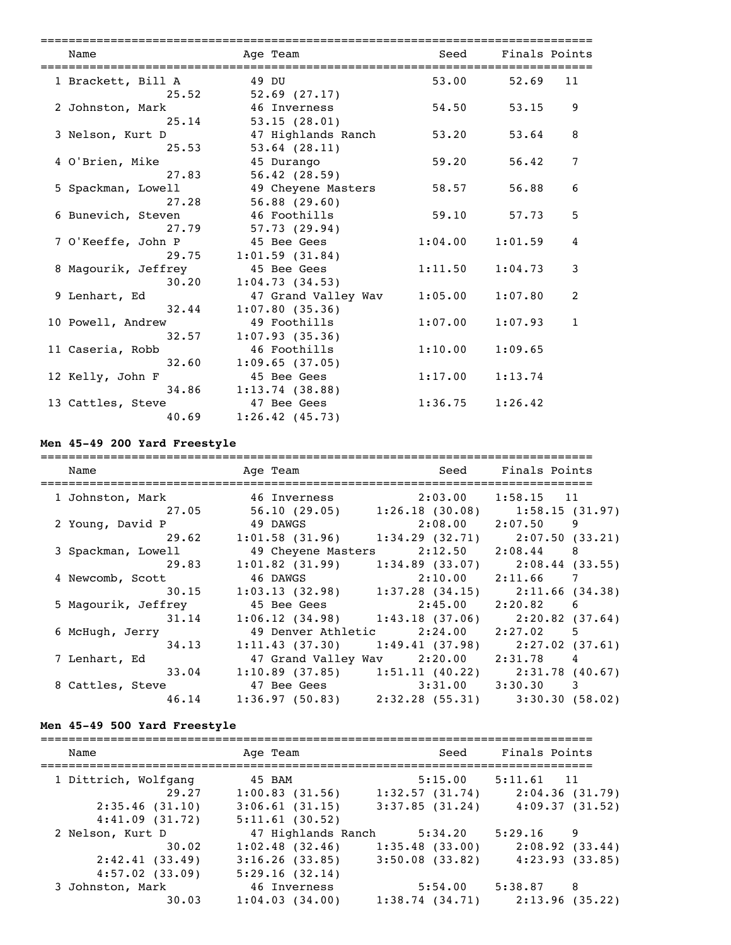| Name                         | Age Team                              | Seed                | Finals Points             |
|------------------------------|---------------------------------------|---------------------|---------------------------|
| 1 Brackett, Bill A           | 49 DU                                 |                     | 53.00 52.69<br>11         |
| 25.52<br>2 Johnston, Mark    | $52.69$ $(27.17)$<br>46 Inverness     | 54.50               | 9<br>53.15                |
| 25.14<br>3 Nelson, Kurt D    | 53.15(28.01)<br>47 Highlands Ranch    | 53.20               | 8<br>53.64                |
| 25.53<br>4 O'Brien, Mike     | $53.64$ $(28.11)$<br>45 Durango       | 59.20               | 7<br>56.42                |
| 27.83<br>5 Spackman, Lowell  | 56.42(28.59)<br>49 Cheyene Masters    | 58.57               | 6<br>56.88                |
| 27.28<br>6 Bunevich, Steven  | 56.88(29.60)<br>46 Foothills          | 59.10               | 5<br>57.73                |
| 27.79<br>7 O'Keeffe, John P  | 57.73 (29.94)<br>45 Bee Gees          | 1:04.00             | $\overline{4}$<br>1:01.59 |
| 29.75<br>8 Magourik, Jeffrey | 1:01.59(31.84)<br>45 Bee Gees         | 1:11.50             | 3<br>1:04.73              |
| 30.20<br>9 Lenhart, Ed       | 1:04.73(34.53)<br>47 Grand Valley Wav | 1:05.00             | 2<br>1:07.80              |
| 32.44<br>10 Powell, Andrew   | 1:07.80(35.36)<br>49 Foothills        | 1:07.00             | 1:07.93<br>$\mathbf{1}$   |
| 32.57<br>11 Caseria, Robb    | 1:07.93(35.36)<br>46 Foothills        | 1:10.00             | 1:09.65                   |
| 32.60<br>12 Kelly, John F    | 1:09.65(37.05)<br>45 Bee Gees         | 1:17.00             | 1:13.74                   |
| 34.86<br>13 Cattles, Steve   | 1:13.74(38.88)<br>47 Bee Gees         | $1:36.75$ $1:26.42$ |                           |
| 40.69                        | 1:26.42(45.73)                        |                     |                           |

# **Men 45-49 200 Yard Freestyle**

| Name                         | Age Team                                              | Seed                                | Finals Points                       |
|------------------------------|-------------------------------------------------------|-------------------------------------|-------------------------------------|
| 1 Johnston, Mark 6 Inverness |                                                       | 2:03.00 1:58.15 11                  |                                     |
| 27.05                        | 56.10 (29.05)                                         |                                     | $1:26.18$ (30.08) $1:58.15$ (31.97) |
| 2 Young, David P             | 49 DAWGS                                              | $2:08.00$ $2:07.50$ 9               |                                     |
|                              | 29.62 1:01.58 (31.96) 1:34.29 (32.71) 2:07.50 (33.21) |                                     |                                     |
| 3 Spackman, Lowell           | 49 Cheyene Masters                                    | $2:12.50$ $2:08.44$ 8               |                                     |
| 29.83                        | $1:01.82$ (31.99)                                     | $1:34.89$ (33.07)                   | 2:08.44 (33.55)                     |
| 4 Newcomb, Scott             | 46 DAWGS                                              | $2:10.00$ $2:11.66$ 7               |                                     |
| 30.15                        | 1:03.13(32.98)                                        | $1:37.28$ (34.15)                   | 2:11.66 (34.38)                     |
| 5 Magourik, Jeffrey          | 45 Bee Gees                                           | $2:45.00$ $2:20.82$ 6               |                                     |
| 31.14                        | $1:06.12$ (34.98) $1:43.18$ (37.06)                   |                                     | 2:20.82 (37.64)                     |
| 6 McHugh, Jerry              |                                                       | 49 Denver Athletic 2:24.00 2:27.02  | 5 <sup>5</sup>                      |
| 34.13                        | 1:11.43(37.30)                                        | 1:49.41(37.98)                      | 2:27.02 (37.61)                     |
| 7 Lenhart, Ed                |                                                       | 47 Grand Valley Wav 2:20.00 2:31.78 | 4                                   |
| 33.04                        | $1:10.89$ (37.85)                                     |                                     | $1:51.11$ (40.22) $2:31.78$ (40.67) |
| 8 Cattles, Steve             | 47 Bee Gees                                           | $3:31.00$ $3:30.30$ 3               |                                     |
| 46.14                        | $1:36.97$ (50.83) $2:32.28$ (55.31) $3:30.30$ (58.02) |                                     |                                     |

# **Men 45-49 500 Yard Freestyle**

| Name                                                              | Age Team                                                                 | Seed                                                    | Finals Points                                       |
|-------------------------------------------------------------------|--------------------------------------------------------------------------|---------------------------------------------------------|-----------------------------------------------------|
| 1 Dittrich, Wolfgang<br>29.27<br>2:35.46(31.10)<br>4:41.09(31.72) | 45 BAM<br>1:00.83(31.56)<br>3:06.61(31.15)<br>5:11.61(30.52)             | $5:15.00$ $5:11.61$<br>1:32.57(31.74)<br>3:37.85(31.24) | $\overline{11}$<br>2:04.36(31.79)<br>4:09.37(31.52) |
| 2 Nelson, Kurt D<br>30.02<br>2:42.41(33.49)<br>4:57.02(33.09)     | 47 Highlands Ranch<br>1:02.48(32.46)<br>3:16.26(33.85)<br>5:29.16(32.14) | 5:34.20<br>1:35.48(33.00)<br>$3:50.08$ (33.82)          | 5:29.16<br>9<br>2:08.92(33.44)<br>4:23.93(33.85)    |
| 3 Johnston, Mark<br>30.03                                         | 46 Inverness<br>1:04.03(34.00)                                           | 5:54.00<br>1:38.74(34.71)                               | 5:38.87<br>8<br>2:13.96(35.22)                      |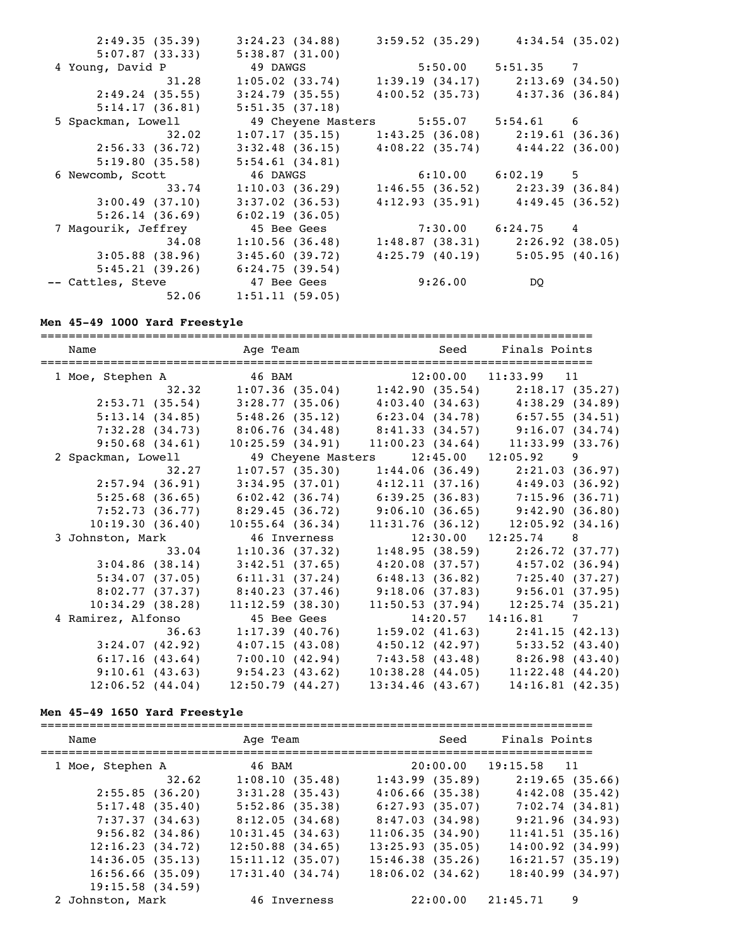| 2:49.35(35.39)                | 3:24.23(34.88)                                                                      | $3:59.52$ (35.29) $4:34.54$ (35.02) |  |
|-------------------------------|-------------------------------------------------------------------------------------|-------------------------------------|--|
| 5:07.87(33.33)                | 5:38.87(31.00)                                                                      |                                     |  |
| 4 Young, David P              | 49 DAWGS 5:50.00 5:51.35 7                                                          |                                     |  |
| 31.28                         | $1:05.02$ (33.74)                                                                   | $1:39.19(34.17)$ $2:13.69(34.50)$   |  |
| 2:49.24(35.55)                | 3:24.79(35.55)                                                                      | $4:00.52$ (35.73) $4:37.36$ (36.84) |  |
| 5:14.17(36.81)                | 5:51.35(37.18)                                                                      |                                     |  |
| 5 Spackman, Lowell            | 49 Cheyene Masters 5:55.07 5:54.61 6                                                |                                     |  |
|                               | $32.02$ 1:07.17 (35.15) 1:43.25 (36.08) 2:19.61 (36.36)                             |                                     |  |
| 2:56.33 (36.72)               | $3:32.48$ (36.15) $4:08.22$ (35.74) $4:44.22$ (36.00)                               |                                     |  |
| 5:19.80(35.58)                | 5:54.61(34.81)                                                                      |                                     |  |
|                               |                                                                                     |                                     |  |
| 6 Newcomb, Scott              |                                                                                     |                                     |  |
| 33.74                         | 46 DAWGS 6:10.00 6:02.19 5<br>$1:10.03$ (36.29) $1:46.55$ (36.52) $2:23.39$ (36.84) |                                     |  |
| 3:00.49(37.10)                | $3:37.02$ (36.53)                                                                   | $4:12.93(35.91)$ $4:49.45(36.52)$   |  |
| 5:26.14(36.69)                | 6:02.19(36.05)                                                                      |                                     |  |
| 7 Magourik, Jeffrey           | 45 Bee Gees                                                                         | $7:30.00$ $6:24.75$ 4               |  |
| 34.08                         | 1:10.56(36.48)                                                                      | $1:48.87$ (38.31) $2:26.92$ (38.05) |  |
| $3:05.88$ (38.96)             | 3:45.60(39.72)                                                                      | $4:25.79$ (40.19) $5:05.95$ (40.16) |  |
|                               | $5:45.21(39.26)$ $6:24.75(39.54)$                                                   |                                     |  |
| -- Cattles, Steve 47 Bee Gees |                                                                                     | $9:26.00$ DQ                        |  |

### **Men 45-49 1000 Yard Freestyle**

=============================================================================== Name Team Age Team Seed Finals Points =============================================================================== 1 Moe, Stephen A 46 BAM 12:00.00 11:33.99 11 32.32 1:07.36 (35.04) 1:42.90 (35.54) 2:18.17 (35.27) 2:53.71 (35.54) 3:28.77 (35.06) 4:03.40 (34.63) 4:38.29 (34.89) 5:13.14 (34.85) 5:48.26 (35.12) 6:23.04 (34.78) 6:57.55 (34.51) 7:32.28 (34.73) 8:06.76 (34.48) 8:41.33 (34.57) 9:16.07 (34.74) 9:50.68 (34.61) 10:25.59 (34.91) 11:00.23 (34.64) 11:33.99 (33.76) 2 Spackman, Lowell 49 Cheyene Masters 12:45.00 12:05.92 9 32.27 1:07.57 (35.30) 1:44.06 (36.49) 2:21.03 (36.97) 2:57.94 (36.91) 3:34.95 (37.01) 4:12.11 (37.16) 4:49.03 (36.92) 5:25.68 (36.65) 6:02.42 (36.74) 6:39.25 (36.83) 7:15.96 (36.71) 7:52.73 (36.77) 8:29.45 (36.72) 9:06.10 (36.65) 9:42.90 (36.80) 10:19.30 (36.40) 10:55.64 (36.34) 11:31.76 (36.12) 12:05.92 (34.16) 3 Johnston, Mark 46 Inverness 12:30.00 12:25.74 8<br>3 3 .04 1:10.36 (37.32) 1:48.95 (38.59) 2:26.72 33.04 1:10.36 (37.32) 1:48.95 (38.59) 2:26.72 (37.77) 3:04.86 (38.14) 3:42.51 (37.65) 4:20.08 (37.57) 4:57.02 (36.94) 5:34.07 (37.05) 6:11.31 (37.24) 6:48.13 (36.82) 7:25.40 (37.27) 8:02.77 (37.37) 8:40.23 (37.46) 9:18.06 (37.83) 9:56.01 (37.95) 10:34.29 (38.28) 11:12.59 (38.30) 11:50.53 (37.94) 12:25.74 (35.21) 4 Ramirez, Alfonso 45 Bee Gees 14:20.57 14:16.81 7 36.63 1:17.39 (40.76) 1:59.02 (41.63) 2:41.15 (42.13) 3:24.07 (42.92) 4:07.15 (43.08) 4:50.12 (42.97) 5:33.52 (43.40) 6:17.16 (43.64) 7:00.10 (42.94) 7:43.58 (43.48) 8:26.98 (43.40) 9:10.61 (43.63) 9:54.23 (43.62) 10:38.28 (44.05) 11:22.48 (44.20) 12:06.52 (44.04) 12:50.79 (44.27) 13:34.46 (43.67) 14:16.81 (42.35)

#### **Men 45-49 1650 Yard Freestyle**

| Name               | Age Team           | Seed                 | Finals Points        |   |
|--------------------|--------------------|----------------------|----------------------|---|
| 1 Moe, Stephen A   | 46 BAM             |                      | 20:00.00 19:15.58 11 |   |
| 32.62              | 1:08.10(35.48)     | 1:43.99(35.89)       | 2:19.65(35.66)       |   |
| 2:55.85(36.20)     | $3:31.28$ (35.43)  | 4:06.66(35.38)       | 4:42.08(35.42)       |   |
| 5:17.48(35.40)     | $5:52.86$ (35.38)  | 6:27.93(35.07)       | 7:02.74(34.81)       |   |
| 7:37.37(34.63)     | 8:12.05(34.68)     | 8:47.03(34.98)       | 9:21.96(34.93)       |   |
| 9:56.82(34.86)     | 10:31.45(34.63)    | 11:06.35(34.90)      | 11:41.51(35.16)      |   |
| 12:16.23(34.72)    | $12:50.88$ (34.65) | $13:25.93$ (35.05)   | $14:00.92$ $(34.99)$ |   |
| 14:36.05(35.13)    | $15:11.12$ (35.07) | 15:46.38(35.26)      | 16:21.57(35.19)      |   |
| 16:56.66(35.09)    | 17:31.40(34.74)    | $18:06.02$ $(34.62)$ | 18:40.99(34.97)      |   |
| $19:15.58$ (34.59) |                    |                      |                      |   |
| 2 Johnston, Mark   | 46 Inverness       | 22:00.00             | 21:45.71             | 9 |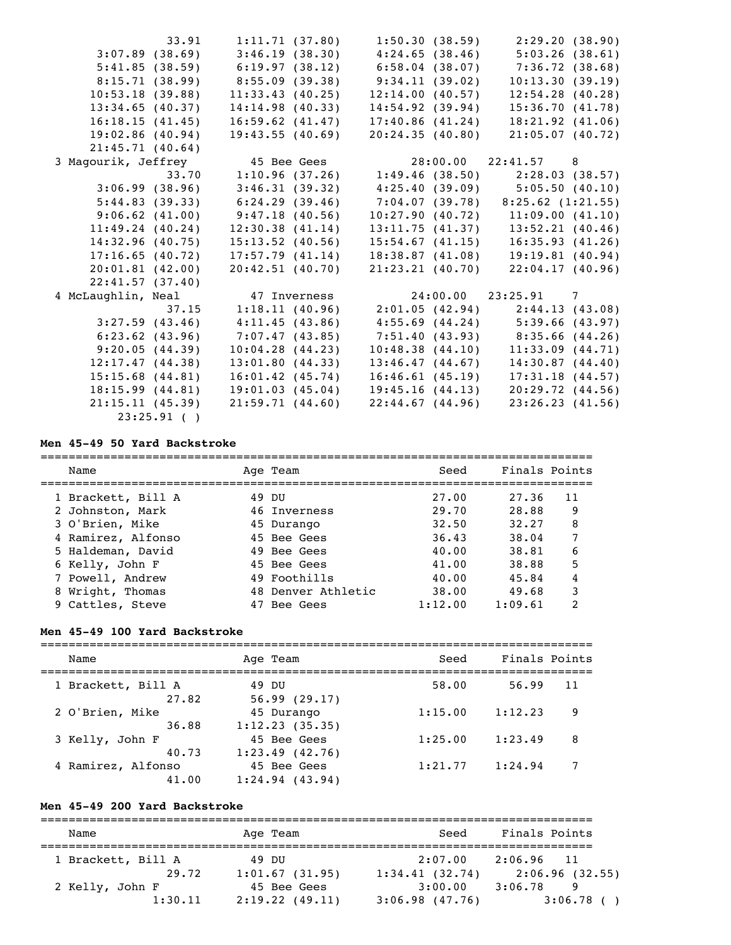|                      | 33.91           | 1:11.71(37.80)       | 1:50.30(38.59)    | 2:29.20 (38.90)                                       |
|----------------------|-----------------|----------------------|-------------------|-------------------------------------------------------|
| $3:07.89$ (38.69)    |                 |                      |                   | $3:46.19$ (38.30) $4:24.65$ (38.46) $5:03.26$ (38.61) |
| 5:41.85(38.59)       |                 | 6:19.97(38.12)       | $6:58.04$ (38.07) | 7:36.72(38.68)                                        |
| 8:15.71 (38.99)      |                 | 8:55.09(39.38)       | 9:34.11(39.02)    | 10:13.30(39.19)                                       |
| 10:53.18(39.88)      |                 | 11:33.43(40.25)      | 12:14.00(40.57)   | $12:54.28$ (40.28)                                    |
| 13:34.65(40.37)      |                 | 14:14.98(40.33)      | 14:54.92(39.94)   | 15:36.70(41.78)                                       |
| 16:18.15(41.45)      |                 | 16:59.62(41.47)      | 17:40.86(41.24)   | 18:21.92(41.06)                                       |
| 19:02.86(40.94)      |                 | 19:43.55(40.69)      | 20:24.35(40.80)   | 21:05.07(40.72)                                       |
| 21:45.71(40.64)      |                 |                      |                   |                                                       |
| 3 Magourik, Jeffrey  |                 | 45 Bee Gees          |                   | 28:00.00 22:41.57 8                                   |
|                      | 33.70           |                      |                   | $1:10.96$ (37.26) $1:49.46$ (38.50) $2:28.03$ (38.57) |
| 3:06.99(38.96)       |                 |                      |                   | $3:46.31$ (39.32) $4:25.40$ (39.09) $5:05.50$ (40.10) |
| 5:44.83(39.33)       |                 | 6:24.29(39.46)       |                   | $7:04.07(39.78)$ $8:25.62(1:21.55)$                   |
| 9:06.62(41.00)       |                 | 9:47.18(40.56)       | 10:27.90(40.72)   | 11:09.00(41.10)                                       |
|                      | 11:49.24(40.24) | 12:30.38(41.14)      | 13:11.75(41.37)   | 13:52.21(40.46)                                       |
| 14:32.96(40.75)      |                 | $15:13.52$ (40.56)   | 15:54.67(41.15)   | 16:35.93(41.26)                                       |
| 17:16.65(40.72)      |                 | 17:57.79(41.14)      | 18:38.87(41.08)   | 19:19.81(40.94)                                       |
| 20:01.81(42.00)      |                 | 20:42.51(40.70)      | 21:23.21(40.70)   | 22:04.17(40.96)                                       |
| 22:41.57(37.40)      |                 |                      |                   |                                                       |
| 4 McLaughlin, Neal   |                 | 47 Inverness         |                   | 24:00.00 23:25.91 7                                   |
|                      | 37.15           |                      |                   | $1:18.11$ (40.96) $2:01.05$ (42.94) $2:44.13$ (43.08) |
| $3:27.59$ $(43.46)$  |                 | 4:11.45(43.86)       |                   | $4:55.69$ (44.24) $5:39.66$ (43.97)                   |
| $6:23.62$ $(43.96)$  |                 | 7:07.47(43.85)       |                   | $7:51.40$ (43.93) 8:35.66 (44.26)                     |
| 9:20.05(44.39)       |                 | $10:04.28$ $(44.23)$ | 10:48.38(44.10)   | 11:33.09(44.71)                                       |
| 12:17.47(44.38)      |                 | 13:01.80(44.33)      | 13:46.47(44.67)   | 14:30.87(44.40)                                       |
| $15:15.68$ $(44.81)$ |                 | 16:01.42(45.74)      | 16:46.61(45.19)   | 17:31.18(44.57)                                       |
| 18:15.99(44.81)      |                 | 19:01.03(45.04)      | 19:45.16(44.13)   | 20:29.72(44.56)                                       |
| 21:15.11(45.39)      |                 | 21:59.71(44.60)      | 22:44.67(44.96)   | 23:26.23(41.56)                                       |
| 23:25.91(            |                 |                      |                   |                                                       |

### **Men 45-49 50 Yard Backstroke**

| Name               | Age Team           | Seed    | Finals Points |
|--------------------|--------------------|---------|---------------|
| 1 Brackett, Bill A | 49 DU              | 27.00   | 27.36<br>11   |
| 2 Johnston, Mark   | 46 Inverness       | 29.70   | 28.88<br>9    |
| 3 O'Brien, Mike    | 45 Durango         | 32.50   | 8<br>32.27    |
| 4 Ramirez, Alfonso | 45 Bee Gees        | 36.43   | 7<br>38.04    |
| 5 Haldeman, David  | 49 Bee Gees        | 40.00   | 6<br>38.81    |
| 6 Kelly, John F    | 45 Bee Gees        | 41.00   | 5<br>38.88    |
| 7 Powell, Andrew   | 49 Foothills       | 40.00   | 4<br>45.84    |
| 8 Wright, Thomas   | 48 Denver Athletic | 38.00   | 3<br>49.68    |
| 9 Cattles, Steve   | Bee Gees           | 1:12.00 | 2<br>1:09.61  |

# **Men 45-49 100 Yard Backstroke**

| Name               | Age Team            | Seed    | Finals Points |
|--------------------|---------------------|---------|---------------|
| 1 Brackett, Bill A | 49 DU               | 58.00   | 56.99         |
| 27.82              | 56.99(29.17)        |         | 11            |
| 2 O'Brien, Mike    | 45 Durango          | 1:15.00 | 1:12.23       |
| 36.88              | 1:12.23(35.35)      |         | 9             |
| 3 Kelly, John F    | 45 Bee Gees         | 1:25.00 | 1:23.49       |
| 40.73              | $1:23.49$ $(42.76)$ |         | 8             |
| 4 Ramirez, Alfonso | 45 Bee Gees         | 1:21.77 | 1:24.94       |
| 41.00              | 1:24.94(43.94)      |         | 7             |

# **Men 45-49 200 Yard Backstroke**

| Name               | Age Team       | Seed              | Finals Points  |
|--------------------|----------------|-------------------|----------------|
| 1 Brackett, Bill A | 49 DU          | 2:07.00           | 2:06.96 11     |
| 29.72              | 1:01.67(31.95) | 1:34.41(32.74)    | 2:06.96(32.55) |
| 2 Kelly, John F    | 45 Bee Gees    | 3:00.00           | 3:06.78<br>9   |
| 1:30.11            | 2:19.22(49.11) | $3:06.98$ (47.76) | $3:06.78$ (    |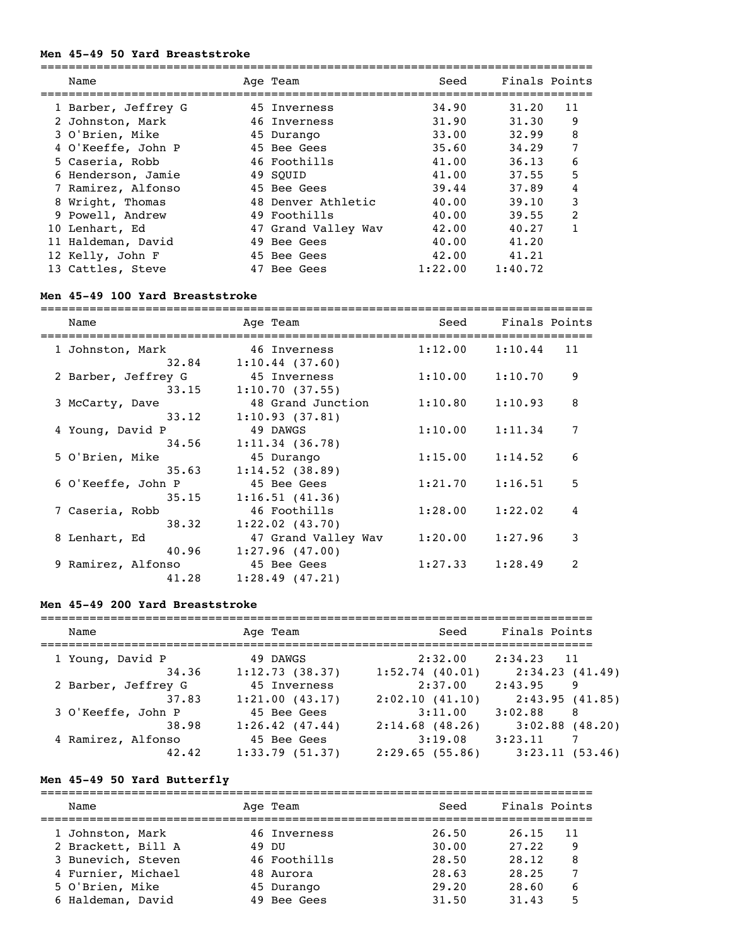#### **Men 45-49 50 Yard Breaststroke**

| Name                | Age Team            | Seed    | Finals Points |                |
|---------------------|---------------------|---------|---------------|----------------|
| 1 Barber, Jeffrey G | 45 Inverness        | 34.90   | 31.20         | 11             |
| 2 Johnston, Mark    | 46 Inverness        | 31.90   | 31.30         | 9              |
| 3 O'Brien, Mike     | 45 Durango          | 33.00   | 32.99         | 8              |
| 4 O'Keeffe, John P  | 45 Bee Gees         | 35.60   | 34.29         | 7              |
| 5 Caseria, Robb     | 46 Foothills        | 41.00   | 36.13         | 6              |
| 6 Henderson, Jamie  | 49 SOUID            | 41.00   | 37.55         | 5              |
| 7 Ramirez, Alfonso  | 45 Bee Gees         | 39.44   | 37.89         | 4              |
| 8 Wright, Thomas    | 48 Denver Athletic  | 40.00   | 39.10         | 3              |
| 9 Powell, Andrew    | 49 Foothills        | 40.00   | 39.55         | $\overline{2}$ |
| 10 Lenhart, Ed      | 47 Grand Valley Wav | 42.00   | 40.27         |                |
| 11 Haldeman, David  | 49 Bee Gees         | 40.00   | 41.20         |                |
| 12 Kelly, John F    | 45 Bee Gees         | 42.00   | 41.21         |                |
| 13 Cattles, Steve   | 47 Bee Gees         | 1:22.00 | 1:40.72       |                |

#### **Men 45-49 100 Yard Breaststroke**

=============================================================================== Name Mage Team Seed Finals Points =============================================================================== 1 Johnston, Mark 46 Inverness 1:12.00 1:10.44 11  $32.84$   $1:10.44$  (37.60) 2 Barber, Jeffrey G 45 Inverness 1:10.00 1:10.70 9  $33.15$  1:10.70 (37.55) 3 McCarty, Dave 48 Grand Junction 1:10.80 1:10.93 8 33.12 1:10.93 (37.81) 4 Young, David P 49 DAWGS 1:10.00 1:11.34 7 34.56 1:11.34 (36.78) 5 O'Brien, Mike 45 Durango 1:15.00 1:14.52 6  $35.63$  1:14.52 (38.89) 6 O'Keeffe, John P 45 Bee Gees 1:21.70 1:16.51 5  $35.15$   $1:16.51$   $(41.36)$  7 Caseria, Robb 46 Foothills 1:28.00 1:22.02 4 38.32 1:22.02 (43.70) 8 Lenhart, Ed 47 Grand Valley Wav 1:20.00 1:27.96 3 40.96 1:27.96 (47.00) 9 Ramirez, Alfonso 45 Bee Gees 1:27.33 1:28.49 2 41.28 1:28.49 (47.21)

#### **Men 45-49 200 Yard Breaststroke**

| Name                | Age Team            | Seed              | Finals Points             |
|---------------------|---------------------|-------------------|---------------------------|
| 1 Young, David P    | 49 DAWGS            | 2:32.00           | $2:34.23$ 11              |
| 34.36               | 1:12.73(38.37)      | 1:52.74(40.01)    | 2:34.23 (41.49)           |
| 2 Barber, Jeffrey G | 45 Inverness        | 2:37.00           | 2:43.95<br>-9             |
| 37.83               | 1:21.00(43.17)      | 2:02.10(41.10)    | 2:43.95(41.85)            |
| 3 O'Keeffe, John P  | 45 Bee Gees         | 3:11.00           | 3:02.88<br>-8             |
| 38.98               | $1:26.42$ $(47.44)$ | $2:14.68$ (48.26) | $3:02.88$ (48.20)         |
| 4 Ramirez, Alfonso  | 45 Bee Gees         | 3:19.08           | 3:23.11<br>$\overline{7}$ |
| 42.42               | 1:33.79(51.37)      | 2:29.65(55.86)    | 3:23.11(53.46)            |

#### **Men 45-49 50 Yard Butterfly**

=============================================================================== Name Team Age Team Seed Finals Points =============================================================================== 1 Johnston, Mark 46 Inverness 26.50 26.15 11 2 Brackett, Bill A 49 DU 30.00 27.22 9 3 Bunevich, Steven 46 Foothills 28.50 28.12 8 4 Furnier, Michael 48 Aurora 28.63 28.25 7 5 O'Brien, Mike 45 Durango 29.20 28.60 6 6 Haldeman, David 49 Bee Gees 31.50 31.43 5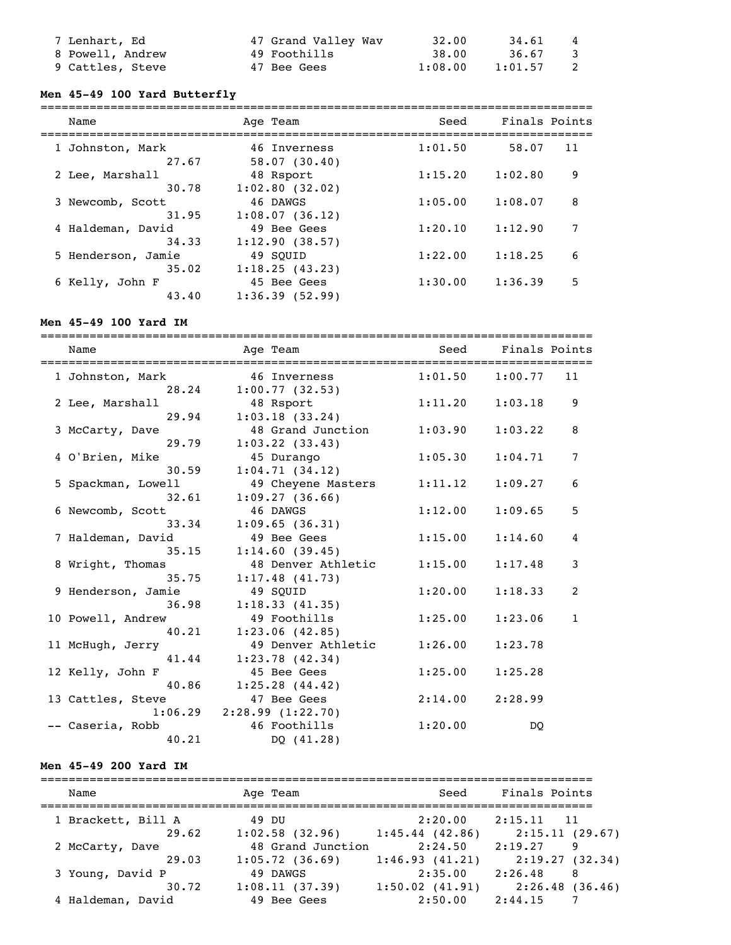| 7 Lenhart, Ed    | 47 Grand Valley Wav | 32.00   | 34.61   | $\overline{4}$          |
|------------------|---------------------|---------|---------|-------------------------|
| 8 Powell, Andrew | 49 Foothills        | 38.00   | 36.67   | $\overline{\mathbf{3}}$ |
| 9 Cattles, Steve | 47 Bee Gees         | 1:08.00 | 1:01.57 | $\overline{2}$          |

#### **Men 45-49 100 Yard Butterfly**

| Name                       | Age Team                      | Seed    | Finals Points |
|----------------------------|-------------------------------|---------|---------------|
| 1 Johnston, Mark           | 46 Inverness                  | 1:01.50 | 58.07         |
| 27.67                      | 58.07(30.40)                  |         | 11            |
| 2 Lee, Marshall            | 48 Rsport                     | 1:15.20 | 9             |
| 30.78                      | 1:02.80(32.02)                |         | 1:02.80       |
| 3 Newcomb, Scott           | 46 DAWGS                      | 1:05.00 | 8             |
| 31.95                      | 1:08.07(36.12)                |         | 1:08.07       |
| 4 Haldeman, David<br>34.33 | 49 Bee Gees<br>1:12.90(38.57) | 1:20.10 | 1:12.90       |
| 5 Henderson, Jamie         | 49 SOUID                      | 1:22.00 | 1:18.25       |
| 35.02                      | 1:18.25(43.23)                |         | 6             |
| 6 Kelly, John F            | 45 Bee Gees                   | 1:30.00 | 5             |
| 43.40                      | 1:36.39(52.99)                |         | 1:36.39       |

### **Men 45-49 100 Yard IM**

=============================================================================== Name Team Age Team Seed Finals Points =============================================================================== 1 Johnston, Mark 46 Inverness 1:01.50 1:00.77 11 28.24 1:00.77 (32.53) 2 Lee, Marshall 48 Rsport 1:11.20 1:03.18 9 29.94 1:03.18 (33.24) 48 Grand Junction 1:03.90 1:03.22 8 29.79 1:03.22 (33.43) 4 O'Brien, Mike 45 Durango 1:05.30 1:04.71 7 30.59 1:04.71 (34.12) 49 Cheyene Masters 1:11.12 1:09.27 6  $32.61$   $1:09.27$  (36.66) 6 Newcomb, Scott 46 DAWGS 1:12.00 1:09.65 5  $33.34$  1:09.65 (36.31) 7 Haldeman, David 49 Bee Gees 1:15.00 1:14.60 4 35.15 1:14.60 (39.45)<br>8 Wright, Thomas 48 Denver Athl 48 Denver Athletic 1:15.00 1:17.48 3 35.75 1:17.48 (41.73) 9 Henderson, Jamie 49 SQUID 1:20.00 1:18.33 2  $36.98$  1:18.33 (41.35)<br>  $7 \t 49 F00+133$  10 Powell, Andrew 49 Foothills 1:25.00 1:23.06 1 40.21 1:23.06 (42.85) 49 Denver Athletic 1:26.00 1:23.78 41.44 1:23.78 (42.34) 12 Kelly, John F 45 Bee Gees 1:25.00 1:25.28<br>40.86 1:25.28 (44.42)  $1:25.28$   $(44.42)$  13 Cattles, Steve 47 Bee Gees 2:14.00 2:28.99 1:06.29 2:28.99 (1:22.70)<br>bb 46 Foothills -- Caseria, Robb  $46$  Foothills  $1:20.00$  DQ 40.21 DQ (41.28)

### **Men 45-49 200 Yard IM**

| Name                        | Age Team                            | Seed                           | Finals Points                  |   |
|-----------------------------|-------------------------------------|--------------------------------|--------------------------------|---|
| 1 Brackett, Bill A<br>29.62 | 49 DU<br>$1:02.58$ (32.96)          | 2:20.00<br>1:45.44(42.86)      | $2:15.11$ 11<br>2:15.11(29.67) |   |
| 2 McCarty, Dave<br>29.03    | 48 Grand Junction<br>1:05.72(36.69) | 2:24.50<br>1:46.93(41.21)      | 2:19.27<br>2:19.27(32.34)      | 9 |
| 3 Young, David P            | 49 DAWGS                            | 2:35.00                        | 2:26.48                        | 8 |
| 30.72<br>4 Haldeman, David  | 1:08.11(37.39)<br>49 Bee Gees       | $1:50.02$ $(41.91)$<br>2:50.00 | 2:26.48(36.46)<br>2:44.15      |   |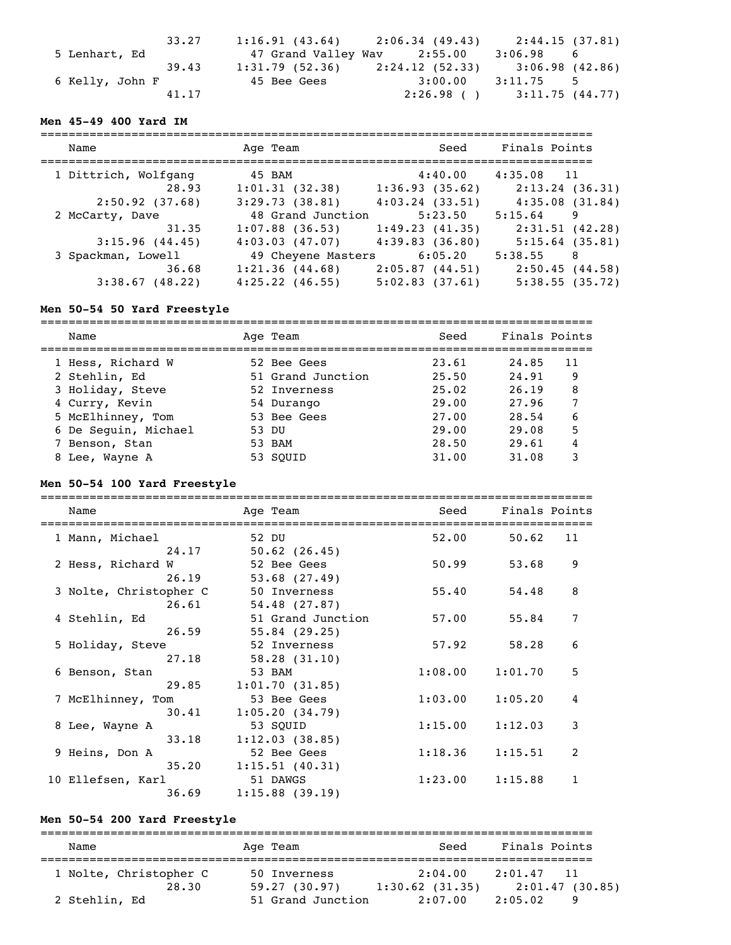| 33.27           |                   | $1:16.91$ (43.64) $2:06.34$ (49.43) $2:44.15$ (37.81) |           |    |
|-----------------|-------------------|-------------------------------------------------------|-----------|----|
| 5 Lenhart, Ed   |                   | 47 Grand Valley Wav 2:55.00                           | 3:06.98   | -6 |
| 39.43           | $1:31.79$ (52.36) | $2:24.12$ (52.33) 3:06.98 (42.86)                     |           |    |
| 6 Kelly, John F | 45 Bee Gees       | 3:00.00                                               | 3:11.75 5 |    |
| 41.17           |                   | $2:26.98$ ( ) $3:11.75$ (44.77)                       |           |    |

### **Men 45-49 400 Yard IM**

| Name                 | Age Team           | Seed                | Finals Points     |
|----------------------|--------------------|---------------------|-------------------|
| 1 Dittrich, Wolfgang | 45 BAM             | 4:40.00             | $4:35.08$ 11      |
| 28.93                | 1:01.31(32.38)     | 1:36.93(35.62)      | 2:13.24(36.31)    |
| 2:50.92(37.68)       | 3:29.73(38.81)     | $4:03.24$ $(33.51)$ | 4:35.08(31.84)    |
| 2 McCarty, Dave      | 48 Grand Junction  | 5:23.50             | $5:15.64$ 9       |
| 31.35                | $1:07.88$ (36.53)  | 1:49.23(41.35)      | 2:31.51(42.28)    |
| 3:15.96(44.45)       | 4:03.03(47.07)     | $4:39.83$ $(36.80)$ | $5:15.64$ (35.81) |
| 3 Spackman, Lowell   | 49 Cheyene Masters | 6:05.20             | 5:38.55<br>-8     |
| 36.68                | 1:21.36(44.68)     | 2:05.87(44.51)      | 2:50.45(44.58)    |
| $3:38.67$ (48.22)    | $4:25.22$ (46.55)  | 5:02.83(37.61)      | 5:38.55(35.72)    |

### **Men 50-54 50 Yard Freestyle**

| Name                 | Age Team          | Seed  | Finals Points |
|----------------------|-------------------|-------|---------------|
| 1 Hess, Richard W    | 52 Bee Gees       | 23.61 | 24.85<br>11   |
| 2 Stehlin, Ed        | 51 Grand Junction | 25.50 | 24.91<br>9    |
| 3 Holiday, Steve     | 52 Inverness      | 25.02 | 8<br>26.19    |
| 4 Curry, Kevin       | 54 Durango        | 29.00 | 27.96         |
| 5 McElhinney, Tom    | 53 Bee Gees       | 27.00 | 6<br>28.54    |
| 6 De Seguin, Michael | 53 DU             | 29.00 | 5<br>29.08    |
| 7 Benson, Stan       | 53 BAM            | 28.50 | 29.61         |
| 8 Lee, Wayne A       | 53 SOUID          | 31.00 | 31.08         |

### **Men 50-54 100 Yard Freestyle**

| Name                   |       | Age Team                | Seed    | Finals Points |    |
|------------------------|-------|-------------------------|---------|---------------|----|
| 1 Mann, Michael        |       | 52 DU                   | 52.00   | 50.62         | 11 |
|                        | 24.17 | $50.62$ $(26.45)$       |         |               |    |
| 2 Hess, Richard W      |       | 52 Bee Gees             | 50.99   | 53.68         | 9  |
|                        | 26.19 | $53.68$ $(27.49)$       |         |               |    |
| 3 Nolte, Christopher C |       | 50 Inverness            | 55.40   | 54.48         | 8  |
|                        | 26.61 | 54.48(27.87)            |         |               |    |
| 4 Stehlin, Ed          |       | 51 Grand Junction       | 57.00   | 55.84         | 7  |
|                        | 26.59 | 55.84(29.25)            |         |               |    |
| 5 Holiday, Steve       |       | 52 Inverness            | 57.92   | 58.28         | 6  |
|                        | 27.18 | 58.28(31.10)            |         |               |    |
| 6 Benson, Stan         |       | 53 BAM                  | 1:08.00 | 1:01.70       | 5  |
|                        | 29.85 | 1:01.70(31.85)          |         |               |    |
| 7 McElhinney, Tom      |       | 53 Bee Gees             | 1:03.00 | 1:05.20       | 4  |
|                        | 30.41 | 1:05.20(34.79)          |         |               |    |
| 8 Lee, Wayne A         |       | 53 SOUID                | 1:15.00 | 1:12.03       | 3  |
|                        | 33.18 | 1:12.03(38.85)          |         |               |    |
| 9 Heins, Don A         |       | 52 Bee Gees             | 1:18.36 | 1:15.51       | 2  |
|                        |       | $35.20$ 1:15.51 (40.31) |         |               |    |
| 10 Ellefsen, Karl      |       | 51 DAWGS                | 1:23.00 | 1:15.88       | 1  |
|                        | 36.69 | $1:15.88$ (39.19)       |         |               |    |

### **Men 50-54 200 Yard Freestyle**

=============================================================================== Name Age Team Seed Finals Points =============================================================================== 1 Nolte, Christopher C 50 Inverness 2:04.00 2:01.47 11 28.30 59.27 (30.97) 1:30.62 (31.35) 2:01.47 (30.85) 2 Stehlin, Ed 51 Grand Junction 2:07.00 2:05.02 9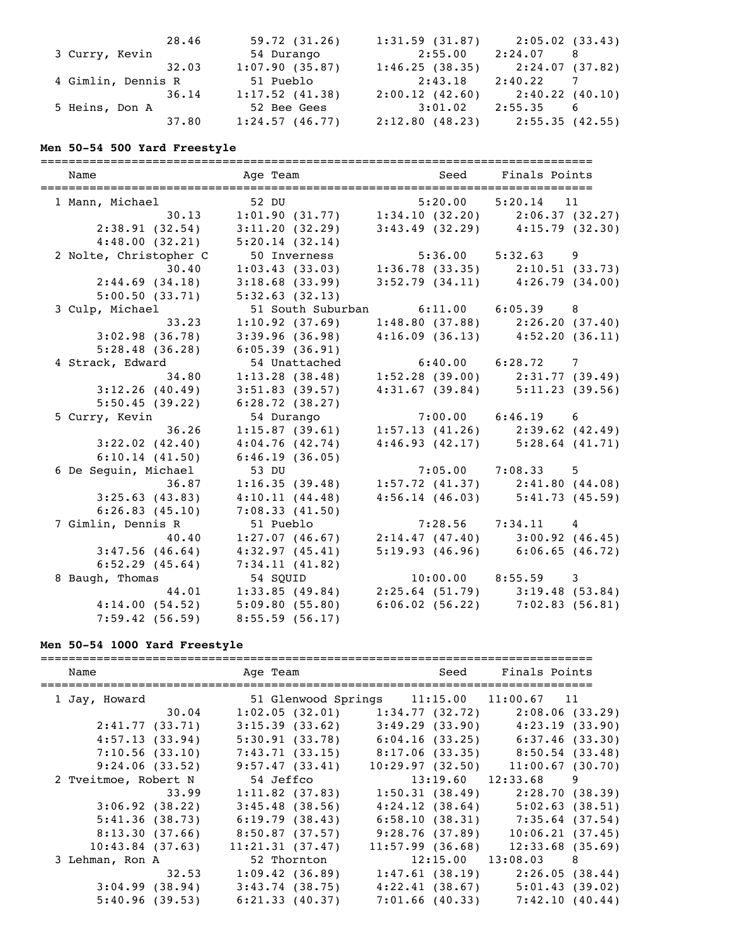| 28.46              | 59.72(31.26)   | 1:31.59(31.87) | 2:05.02(33.43)                      |
|--------------------|----------------|----------------|-------------------------------------|
| 3 Curry, Kevin     | 54 Durango     | 2:55.00        | 2:24.07<br>8                        |
| 32.03              | 1:07.90(35.87) | 1:46.25(38.35) | 2:24.07 (37.82)                     |
| 4 Gimlin, Dennis R | 51 Pueblo      | 2:43.18        | 2:40.22                             |
| 36.14              | 1:17.52(41.38) | 2:00.12(42.60) | 2:40.22(40.10)                      |
| 5 Heins, Don A     | 52 Bee Gees    | 3:01.02        | 2:55.35<br>6                        |
| 37.80              | 1:24.57(46.77) |                | $2:12.80$ (48.23) $2:55.35$ (42.55) |

#### **Men 50-54 500 Yard Freestyle**

=============================================================================== Name Team Age Team Seed Finals Points =============================================================================== 1 Mann, Michael 52 DU 5:20.00 5:20.14 11 30.13 1:01.90 (31.77) 1:34.10 (32.20) 2:06.37 (32.27) 2:38.91 (32.54) 3:11.20 (32.29) 3:43.49 (32.29) 4:15.79 (32.30) 4:48.00 (32.21) 5:20.14 (32.14) 2 Nolte, Christopher C 50 Inverness 5:36.00 5:32.63 9<br>30.40 1:03.43 (33.03) 1:36.78 (33.35) 2:10.51 (<br>2:44.69 (34.18) 3:18.68 (33.99) 3:52.79 (34.11) 4:26.79 ( 30.40 1:03.43 (33.03) 1:36.78 (33.35) 2:10.51 (33.73) 2:44.69 (34.18) 3:18.68 (33.99) 3:52.79 (34.11) 4:26.79 (34.00) 5:00.50 (33.71) 5:32.63 (32.13) 3 Culp, Michael 51 South Suburban 6:11.00 6:05.39 8 33.23 1:10.92 (37.69) 1:48.80 (37.88) 2:26.20 (37.40) 3:02.98 (36.78) 3:39.96 (36.98) 4:16.09 (36.13) 4:52.20 (36.11) 5:28.48 (36.28) 6:05.39 (36.91) 4 Strack, Edward 54 Unattached 6:40.00 6:28.72 7 34.80 1:13.28 (38.48) 1:52.28 (39.00) 2:31.77 (39.49) 3:12.26 (40.49) 3:51.83 (39.57) 4:31.67 (39.84) 5:11.23 (39.56) 5:50.45 (39.22) 6:28.72 (38.27) 5 Curry, Kevin 54 Durango 7:00.00 6:46.19 6 36.26 1:15.87 (39.61) 1:57.13 (41.26) 2:39.62 (42.49) 3:22.02 (42.40) 4:04.76 (42.74) 4:46.93 (42.17) 5:28.64 (41.71) 6:10.14 (41.50) 6:46.19 (36.05) 6 De Seguin, Michael 53 DU 7:05.00 7:08.33 5 36.87 1:16.35 (39.48) 1:57.72 (41.37) 2:41.80 (44.08) 3:25.63 (43.83) 4:10.11 (44.48) 4:56.14 (46.03) 5:41.73 (45.59) 6:26.83 (45.10) 7:08.33 (41.50) 7 Gimlin, Dennis R 51 Pueblo 7:28.56 7:34.11 4 40.40 1:27.07 (46.67) 2:14.47 (47.40) 3:00.92 (46.45) 3:47.56 (46.64) 4:32.97 (45.41) 5:19.93 (46.96) 6:06.65 (46.72) 6:52.29 (45.64) 7:34.11 (41.82) 8 Baugh, Thomas 54 SQUID 10:00.00 8:55.59 3 44.01 1:33.85 (49.84) 2:25.64 (51.79) 3:19.48 (53.84) 4:14.00 (54.52) 5:09.80 (55.80) 6:06.02 (56.22) 7:02.83 (56.81) 7:59.42 (56.59) 8:55.59 (56.17)

#### **Men 50-54 1000 Yard Freestyle**

| Name                 |       |                   | Age Team |                                                       | <b>Seed</b>    | Finals Points                       |                 |
|----------------------|-------|-------------------|----------|-------------------------------------------------------|----------------|-------------------------------------|-----------------|
| 1 Jay, Howard        |       |                   |          | 51 Glenwood Springs 11:15.00 11:00.67 11              |                |                                     |                 |
|                      | 30.04 |                   |          | $1:02.05$ (32.01) $1:34.77$ (32.72) $2:08.06$ (33.29) |                |                                     |                 |
| 2:41.77(33.71)       |       | 3:15.39(33.62)    |          |                                                       |                | $3:49.29(33.90)$ $4:23.19(33.90)$   |                 |
| 4:57.13(33.94)       |       | 5:30.91(33.78)    |          |                                                       |                | $6:04.16$ (33.25) $6:37.46$ (33.30) |                 |
| 7:10.56(33.10)       |       | 7:43.71(33.15)    |          |                                                       |                | 8:17.06 (33.35) 8:50.54 (33.48)     |                 |
| 9:24.06(33.52)       |       | 9:57.47(33.41)    |          | 10:29.97(32.50)                                       |                |                                     | 11:00.67(30.70) |
| 2 Tveitmoe, Robert N |       | 54 Jeffco         |          |                                                       |                | $13:19.60$ $12:33.68$ 9             |                 |
|                      | 33.99 | $1:11.82$ (37.83) |          |                                                       | 1:50.31(38.49) |                                     | 2:28.70(38.39)  |
| 3:06.92(38.22)       |       | $3:45.48$ (38.56) |          |                                                       | 4:24.12(38.64) |                                     | 5:02.63(38.51)  |
| 5:41.36(38.73)       |       | 6:19.79(38.43)    |          |                                                       | 6:58.10(38.31) | 7:35.64(37.54)                      |                 |
| 8:13.30(37.66)       |       | 8:50.87(37.57)    |          |                                                       | 9:28.76(37.89) |                                     | 10:06.21(37.45) |
| $10:43.84$ (37.63)   |       | 11:21.31(37.47)   |          | 11:57.99(36.68)                                       |                |                                     | 12:33.68(35.69) |
| 3 Lehman, Ron A      |       | 52 Thornton       |          |                                                       |                | $12:15.00$ $13:08.03$ 8             |                 |
|                      | 32.53 | 1:09.42(36.89)    |          |                                                       |                | $1:47.61$ (38.19) $2:26.05$ (38.44) |                 |
| 3:04.99(38.94)       |       | $3:43.74$ (38.75) |          |                                                       |                | $4:22.41$ (38.67) $5:01.43$ (39.02) |                 |
| 5:40.96(39.53)       |       | 6:21.33(40.37)    |          |                                                       | 7:01.66(40.33) |                                     | 7:42.10(40.44)  |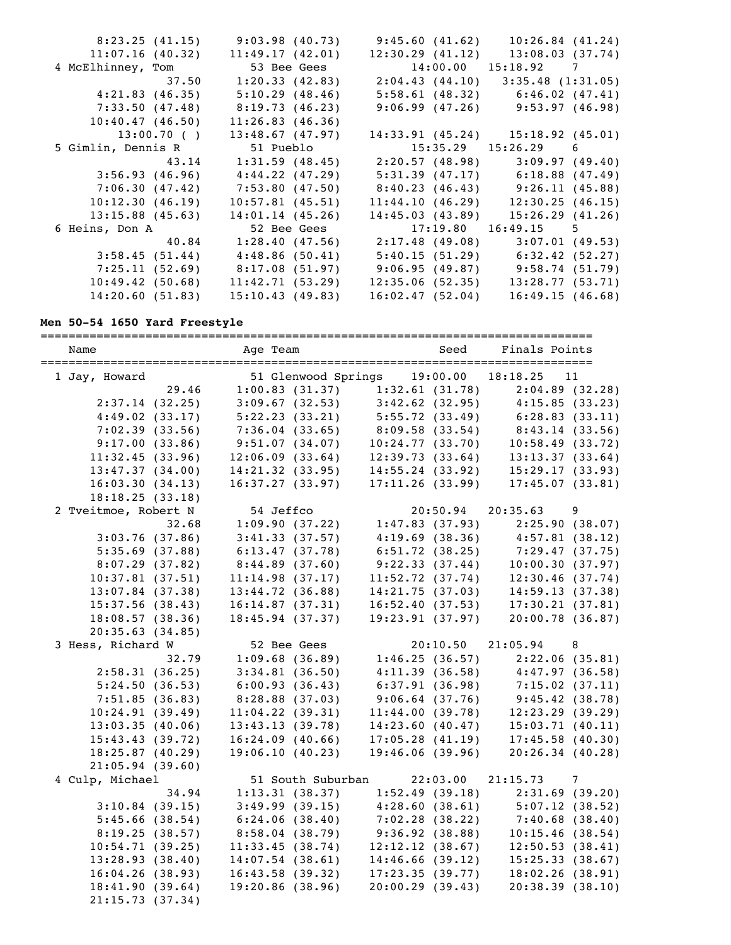| 8:23.25(41.15)     | 9:03.98(40.73)                                                  |                 | $9:45.60$ (41.62) 10:26.84 (41.24)                      |
|--------------------|-----------------------------------------------------------------|-----------------|---------------------------------------------------------|
| 11:07.16(40.32)    | 11:49.17(42.01)                                                 | 12:30.29(41.12) | 13:08.03(37.74)                                         |
| 4 McElhinney, Tom  | 53 Bee Gees                                                     |                 | $14:00.00$ $15:18.92$ 7                                 |
| 37.50              |                                                                 |                 | $1:20.33$ (42.83) $2:04.43$ (44.10) $3:35.48$ (1:31.05) |
| 4:21.83(46.35)     | 5:10.29(48.46)                                                  |                 | $5:58.61$ (48.32) $6:46.02$ (47.41)                     |
|                    | 7:33.50 (47.48) 8:19.73 (46.23)                                 |                 | $9:06.99$ (47.26) $9:53.97$ (46.98)                     |
| 10:40.47(46.50)    | 11:26.83(46.36)                                                 |                 |                                                         |
| 13:00.70(          | 13:48.67(47.97)                                                 |                 | $14:33.91$ (45.24) $15:18.92$ (45.01)                   |
| 5 Gimlin, Dennis R | 51 Pueblo                                                       |                 | $15:35.29$ $15:26.29$ 6                                 |
|                    | $43.14$ $1:31.59$ (48.45)                                       |                 | $2:20.57(48.98)$ $3:09.97(49.40)$                       |
| 3:56.93 (46.96)    | 4:44.22 (47.29)                                                 |                 | 5:31.39 (47.17) 6:18.88 (47.49)                         |
|                    | 7:06.30 (47.42) 7:53.80 (47.50)                                 |                 | 8:40.23 (46.43) 9:26.11 (45.88)                         |
| 10:12.30(46.19)    | $10:57.81$ (45.51)                                              | 11:44.10(46.29) | 12:30.25(46.15)                                         |
| $13:15.88$ (45.63) | 14:01.14(45.26)                                                 | 14:45.03(43.89) | 15:26.29(41.26)                                         |
| 6 Heins, Don A     | 52 Bee Gees                                                     |                 | 17:19.80  16:49.15  5                                   |
| 40.84              | $1:28.40$ (47.56) $2:17.48$ (49.08)                             |                 | 3:07.01(49.53)                                          |
| 3:58.45(51.44)     | 4:48.86(50.41)                                                  |                 | $5:40.15(51.29)$ $6:32.42(52.27)$                       |
|                    | 7:25.11 (52.69) 8:17.08 (51.97) 9:06.95 (49.87) 9:58.74 (51.79) |                 |                                                         |
| 10:49.42(50.68)    | 11:42.71(53.29)                                                 | 12:35.06(52.35) | 13:28.77(53.71)                                         |
| 14:20.60(51.83)    | 15:10.43(49.83)                                                 | 16:02.47(52.04) | 16:49.15(46.68)                                         |

# **Men 50-54 1650 Yard Freestyle**

| Name |                      |                | Age Team            |                                     | Seed           | Finals Points                                                                              |                |
|------|----------------------|----------------|---------------------|-------------------------------------|----------------|--------------------------------------------------------------------------------------------|----------------|
|      | 1 Jay, Howard        |                | 51 Glenwood Springs |                                     | 19:00.00       | 18:18.25                                                                                   | 11             |
|      |                      | 29.46          |                     | $1:00.83$ (31.37) $1:32.61$ (31.78) |                |                                                                                            | 2:04.89(32.28) |
|      |                      | 2:37.14(32.25) | 3:09.67(32.53)      | $3:42.62$ (32.95) $4:15.85$ (33.23) |                |                                                                                            |                |
|      | 4:49.02(33.17)       |                | 5:22.23(33.21)      | 5:55.72(33.49)                      |                | 6:28.83(33.11)                                                                             |                |
|      |                      | 7:02.39(33.56) | 7:36.04(33.65)      | 8:09.58 (33.54)                     |                | $(33.54)$ $(33.54)$ $(33.56)$<br>10:24.77 (33.70) $(10.58 \times 10^{-10})$<br>12:39.72.20 |                |
|      |                      | 9:17.00(33.86) | 9:51.07(34.07)      |                                     |                |                                                                                            |                |
|      | 11:32.45(33.96)      |                | 12:06.09(33.64)     | 12:39.73(33.64)                     |                | 13:13.37(33.64)                                                                            |                |
|      | 13:47.37(34.00)      |                | $14:21.32$ (33.95)  | 14:55.24(33.92)                     |                | 15:29.17(33.93)                                                                            |                |
|      | 16:03.30(34.13)      |                | 16:37.27(33.97)     | 17:11.26(33.99)                     |                | 17:45.07(33.81)                                                                            |                |
|      | 18:18.25(33.18)      |                |                     |                                     |                |                                                                                            |                |
|      | 2 Tveitmoe, Robert N |                | 54 Jeffco           |                                     | 20:50.94       | 20:35.63                                                                                   | 9              |
|      |                      | 32.68          | 1:09.90(37.22)      | 1:47.83(37.93)                      |                |                                                                                            | 2:25.90(38.07) |
|      |                      | 3:03.76(37.86) | 3:41.33(37.57)      | $4:19.69$ (38.36)<br>6:51.72.11     |                | 4:57.81(38.12)                                                                             |                |
|      | $5:35.69$ (37.88)    |                | 6:13.47(37.78)      |                                     |                | $6:51.72$ (38.25) $7:29.47$ (37.75)                                                        |                |
|      | 8:07.29(37.82)       |                | 8:44.89(37.60)      | 9:22.33(37.44)                      |                | 10:00.30(37.97)                                                                            |                |
|      | $10:37.81$ (37.51)   |                | 11:14.98(37.17)     | 11:52.72(37.74)                     |                | 12:30.46(37.74)                                                                            |                |
|      | $13:07.84$ (37.38)   |                | 13:44.72(36.88)     | 14:21.75(37.03)                     |                | 14:59.13(37.38)                                                                            |                |
|      | 15:37.56(38.43)      |                | 16:14.87(37.31)     | 16:52.40(37.53)                     |                | 17:30.21(37.81)                                                                            |                |
|      | 18:08.57(38.36)      |                | 18:45.94(37.37)     | 19:23.91(37.97)                     |                | 20:00.78(36.87)                                                                            |                |
|      | 20:35.63(34.85)      |                |                     |                                     |                |                                                                                            |                |
|      | 3 Hess, Richard W    |                | 52 Bee Gees         |                                     | 20:10.50       | $21:05.94$ 8                                                                               |                |
|      |                      | 32.79          | 1:09.68(36.89)      |                                     |                | $1:46.25(36.57)$ $2:22.06(35.81)$                                                          |                |
|      | 2:58.31(36.25)       |                | $3:34.81$ (36.50)   | $4:11.39$ (36.58)                   |                | 4:47.97(36.58)                                                                             |                |
|      | 5:24.50(36.53)       |                | 6:00.93(36.43)      |                                     | 6:37.91(36.98) | 6:37.91 (36.98) 7:15.02 (37.11)<br>9:06.64 (37.76) 9:45.42 (38.78)                         |                |
|      | 7:51.85(36.83)       |                | 8:28.88(37.03)      |                                     |                |                                                                                            |                |
|      | 10:24.91(39.49)      |                | $11:04.22$ (39.31)  | 11:44.00(39.78)                     |                | 12:23.29(39.29)                                                                            |                |
|      | 13:03.35(40.06)      |                | 13:43.13(39.78)     | 14:23.60(40.47)                     |                | 15:03.71(40.11)                                                                            |                |
|      | 15:43.43(39.72)      |                | 16:24.09(40.66)     | 17:05.28(41.19)                     |                | $17:45.58$ (40.30)                                                                         |                |
|      | 18:25.87(40.29)      |                | 19:06.10(40.23)     | 19:46.06(39.96)                     |                | 20:26.34(40.28)                                                                            |                |
|      | 21:05.94(39.60)      |                |                     |                                     |                |                                                                                            |                |
|      | 4 Culp, Michael      |                | 51 South Suburban   |                                     | 22:03.00       | 21:15.73                                                                                   | $\overline{7}$ |
|      |                      | 34.94          | 1:13.31(38.37)      |                                     | 1:52.49(39.18) |                                                                                            | 2:31.69(39.20) |
|      | $3:10.84$ (39.15)    |                | 3:49.99(39.15)      |                                     | 4:28.60(38.61) |                                                                                            | 5:07.12(38.52) |
|      | $5:45.66$ (38.54)    |                | 6:24.06(38.40)      |                                     | 7:02.28(38.22) | 7:40.68(38.40)                                                                             |                |
|      | 8:19.25(38.57)       |                | 8:58.04(38.79)      | 9:36.92 (38.88)                     |                | 10:15.46(38.54)                                                                            |                |
|      | 10:54.71(39.25)      |                | 11:33.45(38.74)     | 12:12.12(38.67)                     |                | 12:50.53(38.41)                                                                            |                |
|      | 13:28.93(38.40)      |                | $14:07.54$ (38.61)  | $14:46.66$ (39.12)                  |                | 15:25.33(38.67)                                                                            |                |
|      | 16:04.26(38.93)      |                | 16:43.58(39.32)     | 17:23.35(39.77)                     |                | 18:02.26(38.91)                                                                            |                |
|      | 18:41.90(39.64)      |                | 19:20.86(38.96)     | 20:00.29(39.43)                     |                | 20:38.39(38.10)                                                                            |                |
|      | 21:15.73(37.34)      |                |                     |                                     |                |                                                                                            |                |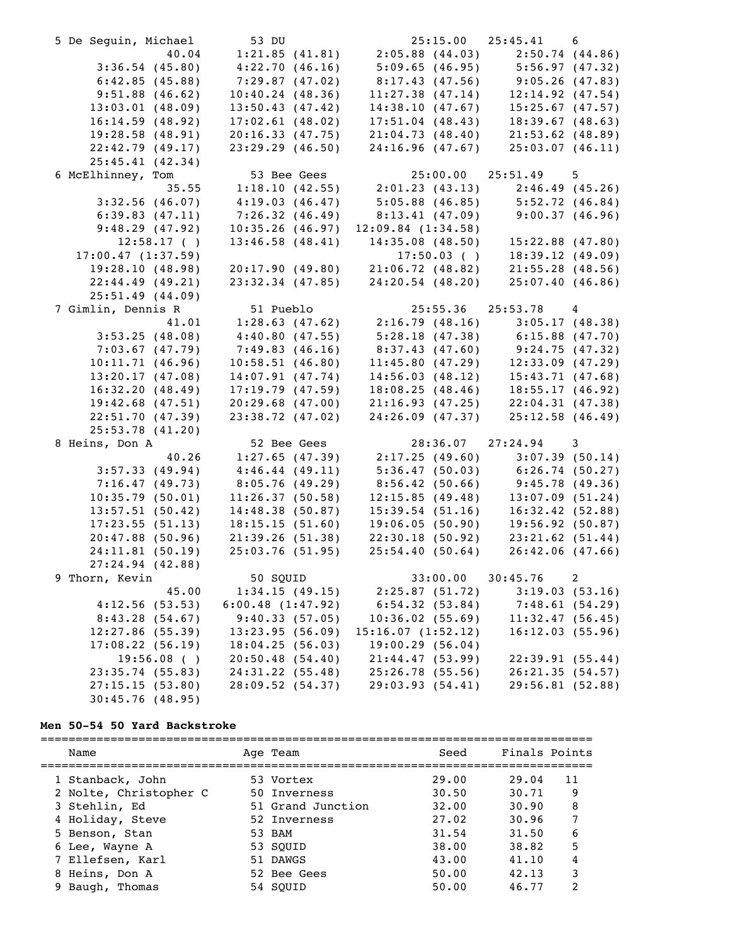| 5 De Seguin, Michael | 53 DU                                                                              |                                                                                                                                                       | $25:15.00$ $25:45.41$ 6 |                |
|----------------------|------------------------------------------------------------------------------------|-------------------------------------------------------------------------------------------------------------------------------------------------------|-------------------------|----------------|
| 40.04                |                                                                                    | 1:21.85 (41.81) 2:05.88 (44.03) 2:50.74 (44.86)<br>4:22.70 (46.16) 5:09.65 (46.95) 5:56.97 (47.32)<br>7:29.87 (47.02) 8:17.43 (47.56) 9:05.26 (47.83) |                         |                |
| 3:36.54(45.80)       |                                                                                    |                                                                                                                                                       |                         |                |
| 6:42.85(45.88)       |                                                                                    |                                                                                                                                                       |                         |                |
| 9:51.88(46.62)       | 10:40.24(48.36)                                                                    | 11:27.38 $(47.14)$ 12:14.92 $(47.54)$                                                                                                                 |                         |                |
| 13:03.01(48.09)      | 13:50.43(47.42)                                                                    | 14:38.10(47.67)                                                                                                                                       | 15:25.67(47.57)         |                |
| 16:14.59(48.92)      | 17:02.61(48.02)                                                                    | 17:51.04(48.43)                                                                                                                                       | 18:39.67(48.63)         |                |
| 19:28.58(48.91)      | 20:16.33(47.75)                                                                    | 21:04.73(48.40)                                                                                                                                       | $21:53.62$ (48.89)      |                |
| 22:42.79(49.17)      | 23:29.29(46.50)                                                                    | 24:16.96(47.67)                                                                                                                                       | 25:03.07(46.11)         |                |
| 25:45.41(42.34)      |                                                                                    |                                                                                                                                                       |                         |                |
| 6 McElhinney, Tom    | 53 Bee Gees                                                                        |                                                                                                                                                       | 25:00.00 25:51.49 5     |                |
| 35.55                | 53 Bee Gees 25:00.00 25:51.49 5<br>1:18.10 (42.55) 2:01.23 (43.13) 2:46.49 (45.26) |                                                                                                                                                       |                         |                |
| 3:32.56(46.07)       | $4:19.03(46.47)$ $5:05.88(46.85)$ $5:52.72(46.84)$                                 |                                                                                                                                                       |                         |                |
| 6:39.83(47.11)       | 7:26.32(46.49)                                                                     | $8:13.41$ (47.09) 9:00.37 (46.96)                                                                                                                     |                         |                |
| 9:48.29(47.92)       | 10:35.26(46.97)                                                                    | 12:09.84(1:34.58)                                                                                                                                     |                         |                |
| $12:58.17$ ()        | 13:46.58(48.41)                                                                    | 14:35.08(48.50)                                                                                                                                       | 15:22.88 (47.80)        |                |
| 17:00.47(1:37.59)    |                                                                                    | $17:50.03$ ()                                                                                                                                         | 18:39.12(49.09)         |                |
| 19:28.10(48.98)      | 20:17.90(49.80)                                                                    | 21:06.72(48.82)                                                                                                                                       | $21:55.28$ (48.56)      |                |
| 22:44.49(49.21)      | $23:32.34$ $(47.85)$                                                               | 24:20.54 (48.20)                                                                                                                                      | 25:07.40(46.86)         |                |
| 25:51.49(44.09)      |                                                                                    |                                                                                                                                                       |                         |                |
| 7 Gimlin, Dennis R   | 51 Pueblo                                                                          |                                                                                                                                                       | 25:55.36 25:53.78 4     |                |
| 41.01                |                                                                                    | $1:28.63$ (47.62) $2:16.79$ (48.16) $3:05.17$ (48.38)                                                                                                 |                         |                |
| 3:53.25(48.08)       | 4:40.80(47.55)                                                                     | $5:28.18(47.38)$ $6:15.88(47.70)$                                                                                                                     |                         |                |
| 7:03.67(47.79)       | 7:49.83(46.16)                                                                     | $8:37.43$ (47.60) 9:24.75 (47.32)                                                                                                                     |                         |                |
| 10:11.71(46.96)      | 10:58.51(46.80)                                                                    |                                                                                                                                                       |                         |                |
| 13:20.17(47.08)      | 14:07.91(47.74)                                                                    | 11:45.80 (47.29) 12:33.09 (47.29)                                                                                                                     | 15:43.71(47.68)         |                |
| 16:32.20(48.49)      | 17:19.79(47.59)                                                                    | $14:56.03$ (48.12)<br>18:08.25 (48.46)                                                                                                                | 18:55.17(46.92)         |                |
| $19:42.68$ (47.51)   | 20:29.68(47.00)                                                                    | 21:16.93(47.25)                                                                                                                                       | 22:04.31(47.38)         |                |
| 22:51.70(47.39)      | $23:38.72$ (47.02)                                                                 | 24:26.09(47.37)                                                                                                                                       | 25:12.58(46.49)         |                |
| 25:53.78(41.20)      |                                                                                    |                                                                                                                                                       |                         |                |
| 8 Heins, Don A       | 52 Bee Gees                                                                        | 28:36.07                                                                                                                                              | $27:24.94$ 3            |                |
| 40.26                | 1:27.65(47.39)                                                                     | 2:17.25(49.60)                                                                                                                                        |                         |                |
|                      |                                                                                    |                                                                                                                                                       | 3:07.39(50.14)          |                |
| 3:57.33(49.94)       | 4:46.44(49.11)                                                                     | 5:36.47(50.03)                                                                                                                                        | 6:26.74(50.27)          |                |
| 7:16.47(49.73)       | 8:05.76(49.29)                                                                     | 8:56.42(50.66)<br>12:15.85(49.48)                                                                                                                     | 9:45.78(49.36)          |                |
| 10:35.79(50.01)      | 11:26.37(50.58)                                                                    |                                                                                                                                                       | 13:07.09(51.24)         |                |
| 13:57.51(50.42)      | 14:48.38(50.87)                                                                    | 15:39.54(51.16)                                                                                                                                       | 16:32.42(52.88)         |                |
| 17:23.55(51.13)      | 18:15.15(51.60)                                                                    | 19:06.05(50.90)                                                                                                                                       | 19:56.92(50.87)         |                |
| $20:47.88$ (50.96)   | 21:39.26(51.38)                                                                    | 22:30.18(50.92)                                                                                                                                       | $23:21.62$ (51.44)      |                |
| 24:11.81(50.19)      | 25:03.76(51.95)                                                                    | 25:54.40(50.64)                                                                                                                                       | 26:42.06(47.66)         |                |
| 27:24.94 (42.88)     |                                                                                    |                                                                                                                                                       |                         |                |
| 9 Thorn, Kevin       | 50 SQUID                                                                           | 33:00.00                                                                                                                                              | 30:45.76                | 2              |
| 45.00                | 1:34.15(49.15)                                                                     | 2:25.87(51.72)                                                                                                                                        |                         | 3:19.03(53.16) |
| 4:12.56(53.53)       | 6:00.48(1:47.92)                                                                   | 6:54.32(53.84)                                                                                                                                        |                         | 7:48.61(54.29) |
| 8:43.28(54.67)       | 9:40.33(57.05)                                                                     | 10:36.02(55.69)                                                                                                                                       | 11:32.47(56.45)         |                |
| $12:27.86$ (55.39)   | 13:23.95(56.09)                                                                    | 15:16.07(1:52.12)                                                                                                                                     | 16:12.03(55.96)         |                |
| 17:08.22(56.19)      | 18:04.25(56.03)                                                                    | 19:00.29(56.04)                                                                                                                                       |                         |                |
| $19:56.08$ ()        | 20:50.48(54.40)                                                                    | 21:44.47(53.99)                                                                                                                                       | 22:39.91(55.44)         |                |
| $23:35.74$ (55.83)   | 24:31.22(55.48)                                                                    | 25:26.78(55.56)                                                                                                                                       | 26:21.35(54.57)         |                |
| 27:15.15(53.80)      | 28:09.52 (54.37)                                                                   | 29:03.93 (54.41)                                                                                                                                      | 29:56.81(52.88)         |                |
| 30:45.76(48.95)      |                                                                                    |                                                                                                                                                       |                         |                |

# **Men 50-54 50 Yard Backstroke**

| Name                   | Age Team          | Seed  | Finals Points |    |
|------------------------|-------------------|-------|---------------|----|
|                        |                   |       |               |    |
| 1 Stanback, John       | 53 Vortex         | 29.00 | 29.04         | 11 |
| 2 Nolte, Christopher C | 50 Inverness      | 30.50 | 30.71         | 9  |
| 3 Stehlin, Ed          | 51 Grand Junction | 32.00 | 30.90         | 8  |
| 4 Holiday, Steve       | 52 Inverness      | 27.02 | 30.96         |    |
| 5 Benson, Stan         | 53 BAM            | 31.54 | 31.50         | 6  |
| 6 Lee, Wayne A         | 53 SOUID          | 38.00 | 38.82         | 5  |
| 7 Ellefsen, Karl       | 51 DAWGS          | 43.00 | 41.10         | 4  |
| 8 Heins, Don A         | 52 Bee Gees       | 50.00 | 42.13         | 3  |
| Baugh, Thomas          | 54 SOUID          | 50.00 | 46.77         | 2  |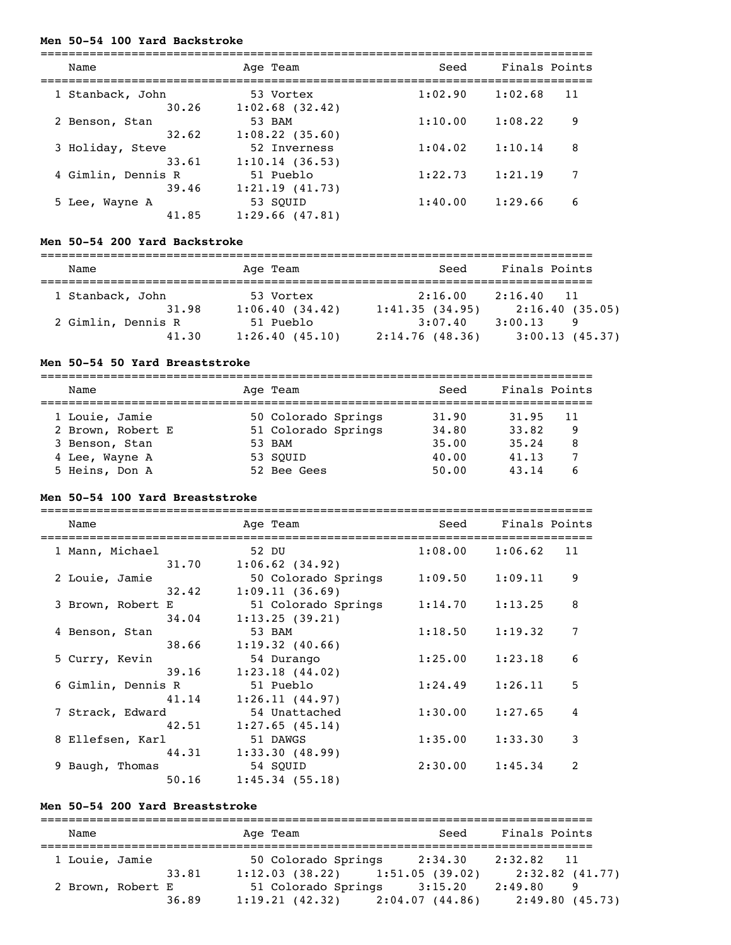#### **Men 50-54 100 Yard Backstroke**

| Name               | Age Team          | Seed    | Finals Points |
|--------------------|-------------------|---------|---------------|
| 1 Stanback, John   | 53 Vortex         | 1:02.90 | 1:02.68<br>11 |
| 30.26              | $1:02.68$ (32.42) |         |               |
| 2 Benson, Stan     | 53 BAM            | 1:10.00 | 1:08.22<br>9  |
| 32.62              | 1:08.22(35.60)    |         |               |
| 3 Holiday, Steve   | 52 Inverness      | 1:04.02 | 1:10.14<br>8  |
| 33.61              | 1:10.14(36.53)    |         |               |
| 4 Gimlin, Dennis R | 51 Pueblo         | 1:22.73 | 1:21.19<br>7  |
| 39.46              | 1:21.19(41.73)    |         |               |
| 5 Lee, Wayne A     | 53 SOUID          | 1:40.00 | 1:29.66<br>6  |
| 41.85              | 1:29.66(47.81)    |         |               |

#### **Men 50-54 200 Yard Backstroke**

| Name               | Age Team       | Seed           | Finals Points              |  |  |
|--------------------|----------------|----------------|----------------------------|--|--|
| 1 Stanback, John   | 53 Vortex      | 2:16.00        | 2:16.40<br>$\overline{11}$ |  |  |
| 31.98              | 1:06.40(34.42) | 1:41.35(34.95) | 2:16.40(35.05)             |  |  |
| 2 Gimlin, Dennis R | 51 Pueblo      | 3:07.40        | 3:00.13<br>9               |  |  |
| 41.30              | 1:26.40(45.10) | 2:14.76(48.36) | 3:00.13(45.37)             |  |  |

#### **Men 50-54 50 Yard Breaststroke**

| Name              | Age Team            | Seed  | Finals Points |    |
|-------------------|---------------------|-------|---------------|----|
| 1 Louie, Jamie    | 50 Colorado Springs | 31.90 | 31.95         | 11 |
| 2 Brown, Robert E | 51 Colorado Springs | 34.80 | 33.82         | 9  |
| 3 Benson, Stan    | 53 BAM              | 35.00 | 35.24         | 8  |
| 4 Lee, Wayne A    | 53 SOUID            | 40.00 | 41.13         |    |
| 5 Heins, Don A    | 52 Bee Gees         | 50.00 | 43.14         |    |

#### **Men 50-54 100 Yard Breaststroke**

| Name               | Age Team            | Seed    | Finals Points |  |
|--------------------|---------------------|---------|---------------|--|
| 1 Mann, Michael    | 52 DU               | 1:08.00 | 1:06.62<br>11 |  |
| 31.70              | $1:06.62$ (34.92)   |         |               |  |
| 2 Louie, Jamie     | 50 Colorado Springs | 1:09.50 | 9<br>1:09.11  |  |
| 32.42              | 1:09.11(36.69)      |         |               |  |
| 3 Brown, Robert E  | 51 Colorado Springs | 1:14.70 | 8<br>1:13.25  |  |
| 34.04              | 1:13.25(39.21)      |         |               |  |
| 4 Benson, Stan     | 53 BAM              | 1:18.50 | 7<br>1:19.32  |  |
| 38.66              | 1:19.32(40.66)      |         |               |  |
| 5 Curry, Kevin     | 54 Durango          | 1:25.00 | 6<br>1:23.18  |  |
| 39.16              | $1:23.18$ $(44.02)$ |         |               |  |
| 6 Gimlin, Dennis R | 51 Pueblo           | 1:24.49 | 5<br>1:26.11  |  |
| 41.14              | 1:26.11(44.97)      |         |               |  |
| 7 Strack, Edward   | 54 Unattached       | 1:30.00 | 4<br>1:27.65  |  |
| 42.51              | 1:27.65(45.14)      |         |               |  |
| 8 Ellefsen, Karl   | 51 DAWGS            | 1:35.00 | 3<br>1:33.30  |  |
| 44.31              | 1:33.30(48.99)      |         |               |  |
| 9 Baugh, Thomas    | 54 SOUID            | 2:30.00 | 2<br>1:45.34  |  |
| 50.16              | 1:45.34(55.18)      |         |               |  |

#### **Men 50-54 200 Yard Breaststroke**

=============================================================================== Name Age Team Seed Finals Points =============================================================================== 1 Louie, Jamie 50 Colorado Springs 2:34.30 2:32.82 11 33.81 1:12.03 (38.22) 1:51.05 (39.02) 2:32.82 (41.77) 2 Brown, Robert E 51 Colorado Springs 3:15.20 2:49.80 9 36.89 1:19.21 (42.32) 2:04.07 (44.86) 2:49.80 (45.73)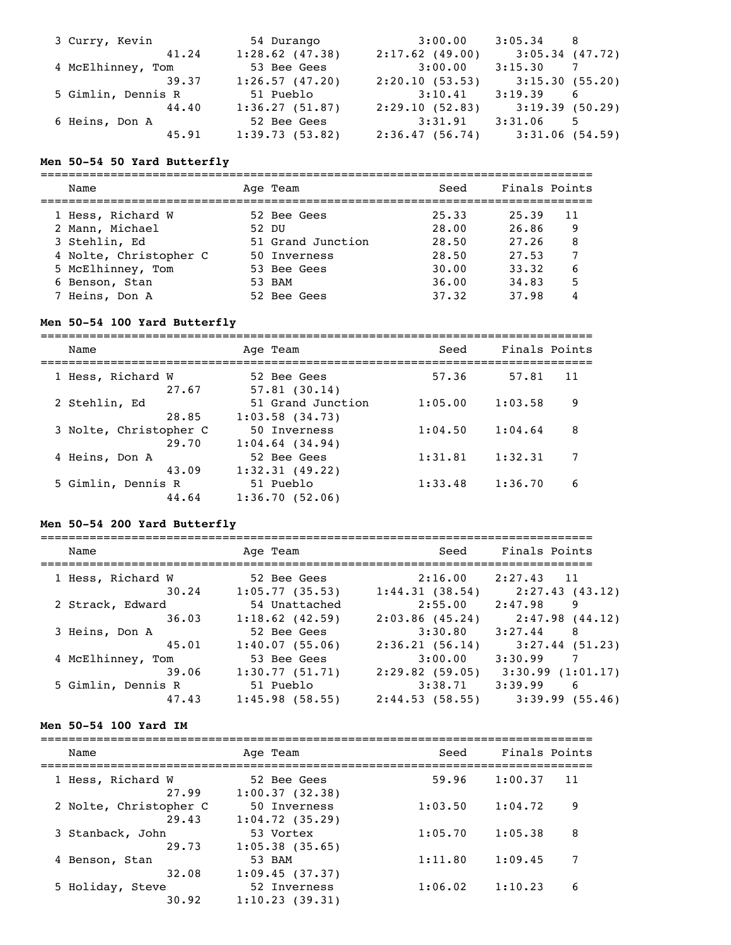| 3 Curry, Kevin     | 54 Durango        | 3:00.00        | 3:05.34           | - 8      |
|--------------------|-------------------|----------------|-------------------|----------|
| 41.24              | $1:28.62$ (47.38) | 2:17.62(49.00) | $3:05.34$ (47.72) |          |
| 4 McElhinney, Tom  | 53 Bee Gees       | 3:00.00        | 3:15.30           | <b>7</b> |
| 39.37              | 1:26.57(47.20)    | 2:20.10(53.53) | 3:15.30(55.20)    |          |
| 5 Gimlin, Dennis R | 51 Pueblo         | 3:10.41        | 3:19.39           | 6        |
| 44.40              | 1:36.27(51.87)    | 2:29.10(52.83) | 3:19.39(50.29)    |          |
| 6 Heins, Don A     | 52 Bee Gees       | 3:31.91        | 3:31.06           | -5       |
| 45.91              | 1:39.73(53.82)    | 2:36.47(56.74) | 3:31.06(54.59)    |          |

#### **Men 50-54 50 Yard Butterfly**

| Name                   | Age Team          | Seed  | Finals Points |
|------------------------|-------------------|-------|---------------|
| 1 Hess, Richard W      | 52 Bee Gees       | 25.33 | 25.39<br>11   |
| 2 Mann, Michael        | 52 DU             | 28.00 | 26.86<br>9    |
| 3 Stehlin, Ed          | 51 Grand Junction | 28.50 | 27.26<br>8    |
| 4 Nolte, Christopher C | 50 Inverness      | 28.50 | 27.53         |
| 5 McElhinney, Tom      | 53 Bee Gees       | 30.00 | 33.32<br>6    |
| 6 Benson, Stan         | 53 BAM            | 36.00 | 5<br>34.83    |
| 7 Heins, Don A         | 52 Bee Gees       | 37.32 | 37.98         |

# **Men 50-54 100 Yard Butterfly**

=============================================================================== Name Age Team Seed Finals Points =============================================================================== 1 Hess, Richard W 52 Bee Gees 57.36 57.81 11  $27.67$   $57.81$  (30.14) 2 Stehlin, Ed 51 Grand Junction 1:05.00 1:03.58 9 28.85 1:03.58 (34.73) 3 Nolte, Christopher C 50 Inverness 1:04.50 1:04.64 8 29.70 1:04.64 (34.94) 4 Heins, Don A 52 Bee Gees 1:31.81 1:32.31 7 43.09 1:32.31 (49.22) 5 Gimlin, Dennis R 51 Pueblo 1:33.48 1:36.70 6 44.64 1:36.70 (52.06)

### **Men 50-54 200 Yard Butterfly**

| Name               | Age Team       | Seed              | Finals Points       |
|--------------------|----------------|-------------------|---------------------|
| 1 Hess, Richard W  | 52 Bee Gees    | 2:16.00           | 2:27.43<br>11       |
| 30.24              | 1:05.77(35.53) | 1:44.31(38.54)    | 2:27.43 (43.12)     |
| 2 Strack, Edward   | 54 Unattached  | 2:55.00           | 2:47.98<br>9        |
| 36.03              | 1:18.62(42.59) | $2:03.86$ (45.24) | 2:47.98(44.12)      |
| 3 Heins, Don A     | 52 Bee Gees    | 3:30.80           | 3:27.44<br>8        |
| 45.01              | 1:40.07(55.06) | 2:36.21(56.14)    | 3:27.44(51.23)      |
| 4 McElhinney, Tom  | 53 Bee Gees    | 3:00.00           | 3:30.99<br>7        |
| 39.06              | 1:30.77(51.71) | $2:29.82$ (59.05) | 3:30.99(1:01.17)    |
| 5 Gimlin, Dennis R | 51 Pueblo      | 3:38.71           | 3:39.99<br>6        |
| 47.43              | 1:45.98(58.55) | 2:44.53(58.55)    | $3:39.99$ $(55.46)$ |

### **Men 50-54 100 Yard IM**

| Name                   | Age Team          | Seed    | Finals Points |
|------------------------|-------------------|---------|---------------|
| 1 Hess, Richard W      | 52 Bee Gees       | 59.96   | 1:00.37       |
| 27.99                  | 1:00.37(32.38)    |         | 11            |
| 2 Nolte, Christopher C | 50 Inverness      | 1:03.50 | 1:04.72       |
| 29.43                  | 1:04.72(35.29)    |         | 9             |
| 3 Stanback, John       | 53 Vortex         | 1:05.70 | 8             |
| 29.73                  | $1:05.38$ (35.65) |         | 1:05.38       |
| 4 Benson, Stan         | 53 BAM            | 1:11.80 | 1:09.45       |
| 32.08                  | 1:09.45(37.37)    |         | 7             |
| 5 Holiday, Steve       | 52 Inverness      | 1:06.02 | 6             |
| 30.92                  | 1:10.23(39.31)    |         | 1:10.23       |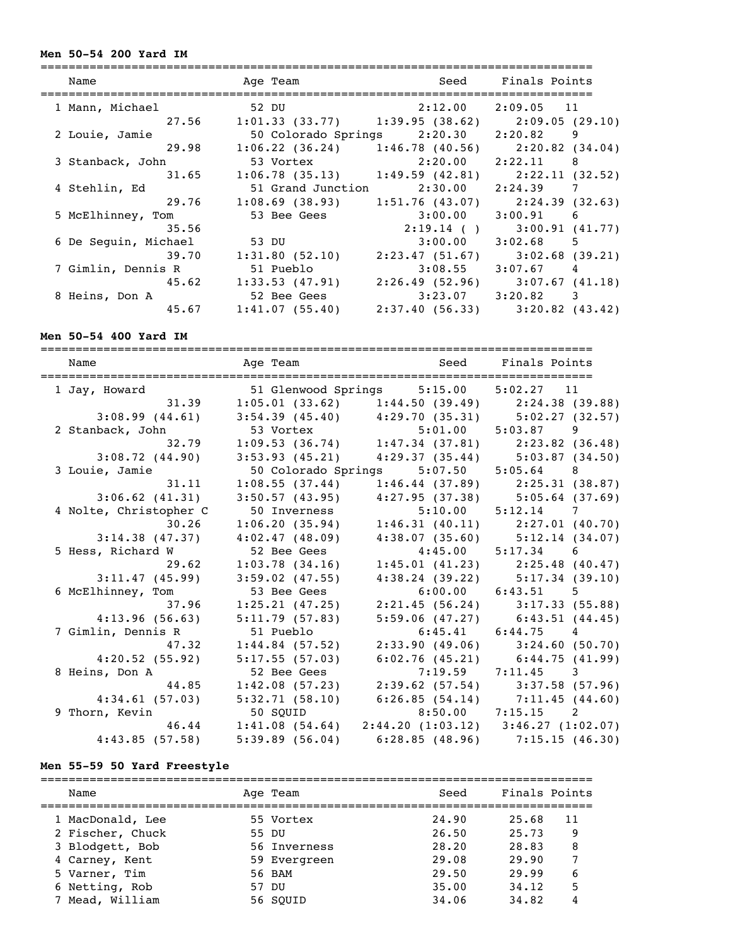#### **Men 50-54 200 Yard IM**

| Name                          | Age Team                                              | Seed Finals Points    |                                   |
|-------------------------------|-------------------------------------------------------|-----------------------|-----------------------------------|
| 1 Mann, Michael 52 DU 2:12.00 |                                                       |                       | 2:09.05 11                        |
|                               | 27.56 1:01.33 (33.77) 1:39.95 (38.62) 2:09.05 (29.10) |                       |                                   |
| 2 Louie, Jamie                | 50 Colorado Springs 2:20.30 2:20.82 9                 |                       |                                   |
| 29.98                         | $1:06.22$ (36.24) $1:46.78$ (40.56) $2:20.82$ (34.04) |                       |                                   |
| 3 Stanback, John              | 53 Vortex 2:20.00 2:22.11 8                           |                       |                                   |
| 31.65                         | $1:06.78$ (35.13) $1:49.59$ (42.81) $2:22.11$ (32.52) |                       |                                   |
| 4 Stehlin, Ed                 | 51 Grand Junction 2:30.00                             |                       | 2:24.39 7                         |
| 29.76                         | $1:08.69$ (38.93) $1:51.76$ (43.07) $2:24.39$ (32.63) |                       |                                   |
| 5 McElhinney, Tom             | 53 Bee Gees                                           | 3:00.00               | $3:00.91$ 6                       |
| 35.56                         |                                                       |                       | $2:19.14$ ( ) $3:00.91$ (41.77)   |
| 6 De Seguin, Michael          | 53 DU                                                 | 3:00.00               | $3:02.68$ 5                       |
| 39.70                         | 1:31.80(52.10)                                        |                       | $2:23.47(51.67)$ $3:02.68(39.21)$ |
| 7 Gimlin, Dennis R            | 51 Pueblo                                             | 3:08.55               | $3:07.67$ 4                       |
| 45.62                         | $1:33.53$ (47.91) $2:26.49$ (52.96) $3:07.67$ (41.18) |                       |                                   |
| 8 Heins, Don A                | 52 Bee Gees                                           | $3:23.07$ $3:20.82$ 3 |                                   |
| 45.67                         | 1:41.07(55.40)                                        |                       | 2:37.40 (56.33) 3:20.82 (43.42)   |

#### **Men 50-54 400 Yard IM**

=============================================================================== Name Mage Team Age Team Seed Finals Points =============================================================================== 1 Jay, Howard 51 Glenwood Springs 5:15.00 5:02.27 11 31.39 1:05.01 (33.62) 1:44.50 (39.49) 2:24.38 (39.88) 3:08.99 (44.61) 3:54.39 (45.40) 4:29.70 (35.31) 5:02.27 (32.57) 2 Stanback, John 53 Vortex 5:01.00 5:03.87 9 32.79 1:09.53 (36.74) 1:47.34 (37.81) 2:23.82 (36.48) 3:08.72 (44.90) 3:53.93 (45.21) 4:29.37 (35.44) 5:03.87 (34.50) 3 Louie, Jamie 50 Colorado Springs 5:07.50 5:05.64 8 31.11 1:08.55 (37.44) 1:46.44 (37.89) 2:25.31 (38.87) 3:06.62 (41.31) 3:50.57 (43.95) 4:27.95 (37.38) 5:05.64 (37.69) 4 Nolte, Christopher C 50 Inverness 5:10.00 5:12.14 7 30.26 1:06.20 (35.94) 1:46.31 (40.11) 2:27.01 (40.70) 3:14.38 (47.37) 4:02.47 (48.09) 4:38.07 (35.60) 5:12.14 (34.07) 5 Hess, Richard W 52 Bee Gees 4:45.00 5:17.34 6 29.62 1:03.78 (34.16) 1:45.01 (41.23) 2:25.48 (40.47) 3:11.47 (45.99) 3:59.02 (47.55) 4:38.24 (39.22) 5:17.34 (39.10) 6 McElhinney, Tom 53 Bee Gees 6:00.00 6:43.51 5 37.96 1:25.21 (47.25) 2:21.45 (56.24) 3:17.33 (55.88) 4:13.96 (56.63) 5:11.79 (57.83) 5:59.06 (47.27) 6:43.51 (44.45) 7 Gimlin, Dennis R 51 Pueblo 6:45.41 6:44.75 4 47.32 1:44.84 (57.52) 2:33.90 (49.06) 3:24.60 (50.70) 4:20.52 (55.92) 5:17.55 (57.03) 6:02.76 (45.21) 6:44.75 (41.99) 8 Heins, Don A 52 Bee Gees 7:19.59 7:11.45 3 44.85 1:42.08 (57.23) 2:39.62 (57.54) 3:37.58 (57.96) 4:34.61 (57.03) 5:32.71 (58.10) 6:26.85 (54.14) 7:11.45 (44.60) 9 Thorn, Kevin 50 SQUID 8:50.00 7:15.15 2 46.44 1:41.08 (54.64) 2:44.20 (1:03.12) 3:46.27 (1:02.07) 4:43.85 (57.58) 5:39.89 (56.04) 6:28.85 (48.96) 7:15.15 (46.30)

#### **Men 55-59 50 Yard Freestyle**

| Name             | Age Team     | Seed  | Finals Points |  |
|------------------|--------------|-------|---------------|--|
| 1 MacDonald, Lee | 55 Vortex    | 24.90 | 25.68<br>11   |  |
| 2 Fischer, Chuck | 55 DU        | 26.50 | 25.73<br>9    |  |
| 3 Blodgett, Bob  | 56 Inverness | 28.20 | 28.83<br>8    |  |
| 4 Carney, Kent   | 59 Evergreen | 29.08 | 29.90         |  |
| 5 Varner, Tim    | 56 BAM       | 29.50 | 29.99<br>6    |  |
| 6 Netting, Rob   | 57 DU        | 35.00 | 5<br>34.12    |  |
| 7 Mead, William  | 56 SOUID     | 34.06 | 34.82         |  |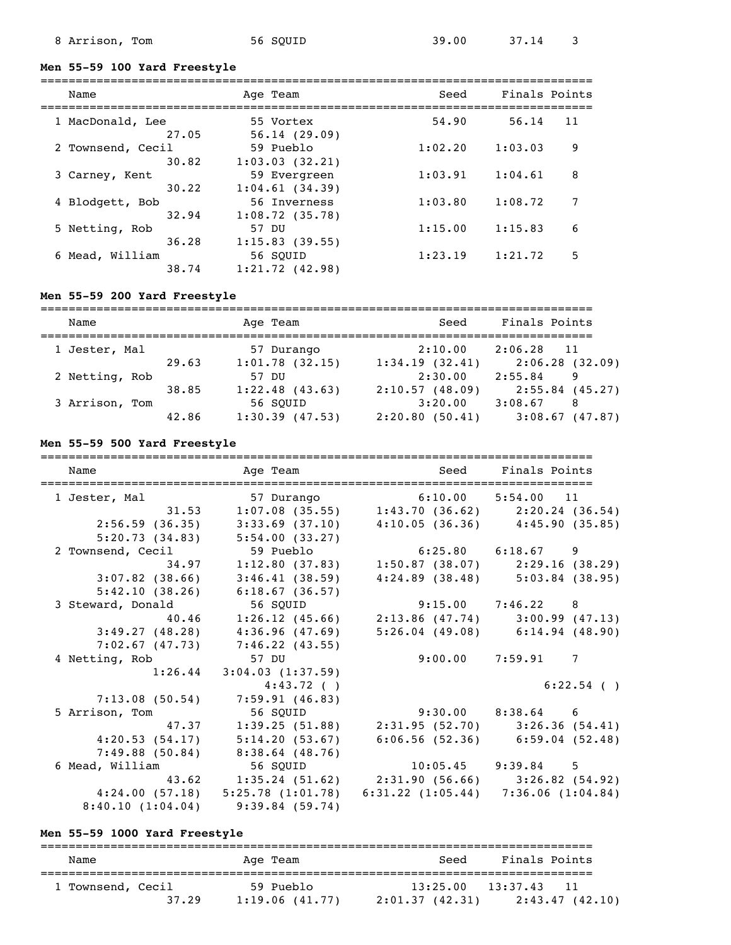### **Men 55-59 100 Yard Freestyle**

| Name                     | Age Team                       | Seed    | Finals Points |
|--------------------------|--------------------------------|---------|---------------|
| 1 MacDonald, Lee         | 55 Vortex                      | 54.90   | 56.14         |
| 27.05                    | 56.14(29.09)                   |         | 11            |
| 2 Townsend, Cecil        | 59 Pueblo                      | 1:02.20 | 9             |
| 30.82                    | 1:03.03(32.21)                 |         | 1:03.03       |
| 3 Carney, Kent           | 59 Evergreen                   | 1:03.91 | 8             |
| 30.22                    | 1:04.61(34.39)                 |         | 1:04.61       |
| 4 Blodgett, Bob<br>32.94 | 56 Inverness<br>1:08.72(35.78) | 1:03.80 | 1:08.72       |
| 5 Netting, Rob           | 57 DU                          | 1:15.00 | 6             |
| 36.28                    | 1:15.83(39.55)                 |         | 1:15.83       |
| 6 Mead, William          | 56 SOUID                       | 1:23.19 | 5             |
| 38.74                    | $1:21.72$ (42.98)              |         | 1:21.72       |

### **Men 55-59 200 Yard Freestyle**

| Name           |       | Age Team            | Seed           | Finals Points     |
|----------------|-------|---------------------|----------------|-------------------|
| 1 Jester, Mal  |       | 57 Durango          | 2:10.00        | $2:06.28$ 11      |
|                | 29.63 | 1:01.78(32.15)      | 1:34.19(32.41) | 2:06.28(32.09)    |
| 2 Netting, Rob |       | <u>57 זה</u>        | 2:30.00        | 2:55.84<br>9      |
|                | 38.85 | $1:22.48$ (43.63)   | 2:10.57(48.09) | $2:55.84$ (45.27) |
| 3 Arrison, Tom |       | 56 SOUID            | 3:20.00        | 3:08.67<br>-8     |
|                | 42.86 | $1:30.39$ $(47.53)$ | 2:20.80(50.41) | $3:08.67$ (47.87) |

### **Men 55-59 500 Yard Freestyle**

| Name              | Age Team                        |                                                       | Seed Finals Points                          |
|-------------------|---------------------------------|-------------------------------------------------------|---------------------------------------------|
| 1 Jester, Mal     |                                 |                                                       |                                             |
| 31.53             |                                 |                                                       |                                             |
| 2:56.59(36.35)    | 3:33.69(37.10)                  |                                                       | $4:10.05(36.36)$ $4:45.90(35.85)$           |
| 5:20.73(34.83)    | 5:54.00(33.27)                  |                                                       |                                             |
| 2 Townsend, Cecil | 59 Pueblo                       |                                                       | $6:25.80$ $6:18.67$ 9                       |
| 34.97             |                                 | $1:12.80$ (37.83) $1:50.87$ (38.07) $2:29.16$ (38.29) |                                             |
| $3:07.82$ (38.66) | 3:46.41(38.59)                  |                                                       | $4:24.89$ (38.48) $5:03.84$ (38.95)         |
| 5:42.10(38.26)    | 6:18.67(36.57)                  |                                                       |                                             |
| 3 Steward, Donald | 56 SQUID                        | $9:15.00$ $7:46.22$ 8                                 |                                             |
| 40.46             |                                 | $1:26.12$ (45.66) $2:13.86$ (47.74) $3:00.99$ (47.13) |                                             |
| 3:49.27(48.28)    | 4:36.96(47.69)                  |                                                       | $5:26.04$ (49.08) 6:14.94 (48.90)           |
| 7:02.67(47.73)    | $7:46.22$ (43.55)               |                                                       |                                             |
| 4 Netting, Rob    | 57 DU                           |                                                       | $9:00.00$ 7:59.91 7                         |
|                   | $1:26.44$ $3:04.03$ $(1:37.59)$ |                                                       |                                             |
|                   | 4:43.72(                        |                                                       | $6:22.54$ ()                                |
| 7:13.08(50.54)    | 7:59.91(46.83)                  |                                                       |                                             |
| 5 Arrison, Tom    | 56 SQUID                        | $9:30.00$ $8:38.64$ 6                                 |                                             |
| 47.37             | 1:39.25(51.88)                  |                                                       | $2:31.95(52.70)$ $3:26.36(54.41)$           |
| 4:20.53(54.17)    | 5:14.20 (53.67)                 |                                                       | $6:06.56$ $(52.36)$ $6:59.04$ $(52.48)$     |
| 7:49.88(50.84)    | 8:38.64(48.76)                  |                                                       |                                             |
| 6 Mead, William   | 56 SQUID                        | $10:05.45$ $9:39.84$ 5                                |                                             |
| 43.62             |                                 | $1:35.24$ (51.62) $2:31.90$ (56.66) $3:26.82$ (54.92) |                                             |
| 4:24.00(57.18)    | 5:25.78(1:01.78)                |                                                       | $6:31.22$ $(1:05.44)$ $7:36.06$ $(1:04.84)$ |
| 8:40.10(1:04.04)  | 9:39.84(59.74)                  |                                                       |                                             |

# **Men 55-59 1000 Yard Freestyle**

| Name              | Age Team       | Seed           | Finals Points            |
|-------------------|----------------|----------------|--------------------------|
| 1 Townsend, Cecil | 59 Pueblo      | 2:01.37(42.31) | $13:25.00$ $13:37.43$ 11 |
| 37.29             | 1:19.06(41.77) |                | 2:43.47 (42.10)          |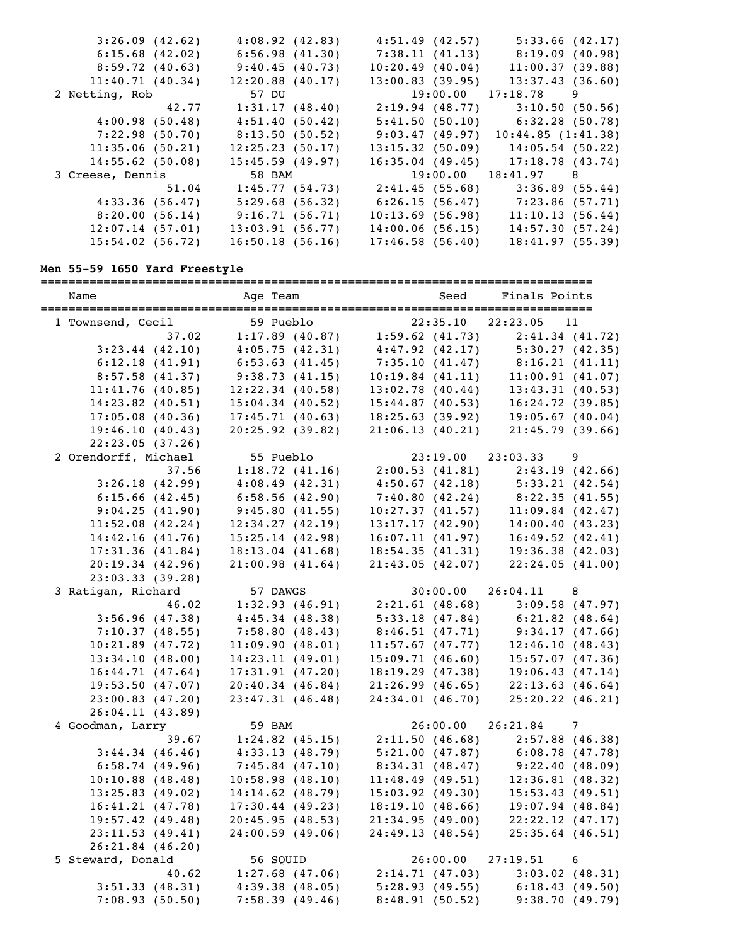| 3:26.09(42.62)      |       | 4:08.92(42.83)     | 4:51.49 (42.57)    | 5:33.66(42.17)                        |   |
|---------------------|-------|--------------------|--------------------|---------------------------------------|---|
| $6:15.68$ $(42.02)$ |       | 6:56.98(41.30)     |                    | $7:38.11$ (41.13) $8:19.09$ (40.98)   |   |
| 8:59.72(40.63)      |       | 9:40.45(40.73)     | 10:20.49(40.04)    | 11:00.37(39.88)                       |   |
| 11:40.71(40.34)     |       | $12:20.88$ (40.17) | 13:00.83(39.95)    | 13:37.43(36.60)                       |   |
| 2 Netting, Rob      |       | 57 DU              |                    | $19:00.00$ $17:18.78$                 | 9 |
|                     | 42.77 | 1:31.17(48.40)     |                    | $2:19.94$ (48.77) 3:10.50 (50.56)     |   |
| 4:00.98(50.48)      |       | 4:51.40(50.42)     |                    | $5:41.50(50.10)$ $6:32.28(50.78)$     |   |
| 7:22.98(50.70)      |       | 8:13.50 (50.52)    | 9:03.47(49.97)     | 10:44.85(1:41.38)                     |   |
| 11:35.06(50.21)     |       | 12:25.23(50.17)    |                    | $13:15.32$ (50.09) $14:05.54$ (50.22) |   |
| 14:55.62(50.08)     |       | 15:45.59(49.97)    | $16:35.04$ (49.45) | 17:18.78(43.74)                       |   |
| 3 Creese, Dennis    |       | 58 BAM             |                    | $19:00.00$ $18:41.97$ 8               |   |
|                     | 51.04 | 1:45.77(54.73)     |                    | $2:41.45(55.68)$ $3:36.89(55.44)$     |   |
| 4:33.36(56.47)      |       | 5:29.68(56.32)     | 6:26.15(56.47)     | 7:23.86 (57.71)                       |   |
| 8:20.00(56.14)      |       | 9:16.71(56.71)     | 10:13.69(56.98)    | 11:10.13(56.44)                       |   |
| 12:07.14(57.01)     |       | 13:03.91(56.77)    | 14:00.06(56.15)    | 14:57.30(57.24)                       |   |
| $15:54.02$ (56.72)  |       | 16:50.18(56.16)    | 17:46.58(56.40)    | 18:41.97(55.39)                       |   |
|                     |       |                    |                    |                                       |   |

# **Men 55-59 1650 Yard Freestyle**

| Name                                 | Age Team           | Seed                                                                                                                | Finals Points        |    |
|--------------------------------------|--------------------|---------------------------------------------------------------------------------------------------------------------|----------------------|----|
| 1 Townsend, Cecil                    | 59 Pueblo          | 22:35.10                                                                                                            | 22:23.05             | 11 |
| 37.02                                |                    | 59 Pueblo 22:35.10 22:<br>1:17.89 (40.87) 1:59.62 (41.73)                                                           | 2:41.34(41.72)       |    |
| $3:23.44$ (42.10)                    | 4:05.75(42.31)     | $4:47.92$ (42.17) $5:30.27$ (42.35)<br>$7:35.10$ (41.47) $8:16.21$ (41.11)<br>$10:19.84$ (41.11) $11:00.91$ (41.07) |                      |    |
| 6:12.18(41.91)                       | 6:53.63(41.45)     |                                                                                                                     |                      |    |
| 8:57.58(41.37)                       | 9:38.73(41.15)     |                                                                                                                     |                      |    |
| 11:41.76(40.85)                      | $12:22.34$ (40.58) | 13:02.78(40.44)                                                                                                     | 13:43.31(40.53)      |    |
| $14:23.82$ (40.51)                   | $15:04.34$ (40.52) | 15:44.87(40.53)                                                                                                     | 16:24.72(39.85)      |    |
| $17:05.08$ (40.36)                   | 17:45.71(40.63)    | 18:25.63(39.92)                                                                                                     | 19:05.67(40.04)      |    |
| 19:46.10(40.43)                      | $20:25.92$ (39.82) | 21:06.13(40.21)                                                                                                     | 21:45.79(39.66)      |    |
| 22:23.05(37.26)                      |                    |                                                                                                                     |                      |    |
| 2 Orendorff, Michael                 | 55 Pueblo          | 23:19.00                                                                                                            | 23:03.33             | 9  |
| 37.56                                | 1:18.72(41.16)     | 2:00.53(41.81)                                                                                                      | 2:43.19(42.66)       |    |
| 3:26.18(42.99)                       | 4:08.49(42.31)     | $4:50.67$ (42.18) $5:33.21$ (42.54)                                                                                 |                      |    |
| 6:15.66(42.45)                       | 6:58.56(42.90)     | 7:40.80 (42.24) 8:22.35 (41.55)                                                                                     |                      |    |
| 9:04.25(41.90)                       | 9:45.80(41.55)     | $10:27.37(41.57)$ $11:09.84(42.47)$                                                                                 |                      |    |
| 11:52.08(42.24)                      | 12:34.27(42.19)    | 13:17.17(42.90)                                                                                                     | 14:00.40(43.23)      |    |
| 14:42.16(41.76)                      | 15:25.14(42.98)    | 16:07.11(41.97)                                                                                                     | 16:49.52(42.41)      |    |
| 17:31.36(41.84)                      | 18:13.04(41.68)    | 18:54.35(41.31)                                                                                                     | 19:36.38(42.03)      |    |
| 20:19.34(42.96)                      | 21:00.98(41.64)    | 21:43.05(42.07)                                                                                                     | 22:24.05(41.00)      |    |
| 23:03.33(39.28)                      |                    |                                                                                                                     |                      |    |
| 3 Ratigan, Richard                   | 57 DAWGS           | 30:00.00                                                                                                            | $26:04.11$ 8         |    |
| 46.02                                | 1:32.93(46.91)     | $2:21.61(48.68)$ $3:09.58(47.97)$                                                                                   |                      |    |
|                                      | 4:45.34(48.38)     | $5:33.18$ (47.84) $6:21.82$ (48.64)                                                                                 |                      |    |
| 3:56.96(47.38)                       | 7:58.80(48.43)     | $8:46.51(47.71)$ $9:34.17(47.66)$                                                                                   |                      |    |
| 7:10.37(48.55)<br>$10:21.89$ (47.72) |                    |                                                                                                                     |                      |    |
|                                      | 11:09.90(48.01)    | 11:57.67(47.77)                                                                                                     | 12:46.10(48.43)      |    |
| 13:34.10(48.00)                      | 14:23.11(49.01)    | 15:09.71(46.60)                                                                                                     | 15:57.07(47.36)      |    |
| 16:44.71(47.64)                      | 17:31.91(47.20)    | 18:19.29(47.38)                                                                                                     | 19:06.43(47.14)      |    |
| 19:53.50(47.07)                      | 20:40.34(46.84)    | 21:26.99(46.65)                                                                                                     | 22:13.63(46.64)      |    |
| 23:00.83(47.20)                      | 23:47.31(46.48)    | 24:34.01(46.70)                                                                                                     | $25:20.22$ $(46.21)$ |    |
| 26:04.11(43.89)                      |                    |                                                                                                                     |                      |    |
| 4 Goodman, Larry                     | 59 BAM             | 26:00.00                                                                                                            | 26:21.84 7           |    |
| 39.67                                | $1:24.82$ (45.15)  | $2:11.50$ (46.68) $2:57.88$ (46.38)                                                                                 |                      |    |
| 3:44.34(46.46)                       | 4:33.13(48.79)     | $5:21.00$ (47.87) 6:08.78 (47.78)                                                                                   |                      |    |
| 6:58.74(49.96)                       | 7:45.84(47.10)     | $8:34.31(48.47)$ $9:22.40(48.09)$                                                                                   |                      |    |
| $10:10.88$ (48.48)                   | 10:58.98(48.10)    | 11:48.49(49.51)                                                                                                     | 12:36.81(48.32)      |    |
| 13:25.83(49.02)                      | $14:14.62$ (48.79) | 15:03.92(49.30)                                                                                                     | 15:53.43(49.51)      |    |
| 16:41.21(47.78)                      | $17:30.44$ (49.23) | 18:19.10(48.66)                                                                                                     | $19:07.94$ (48.84)   |    |
| 19:57.42(49.48)                      | 20:45.95(48.53)    | 21:34.95(49.00)                                                                                                     | $22:22.12$ (47.17)   |    |
| 23:11.53(49.41)                      | 24:00.59(49.06)    | 24:49.13 (48.54)                                                                                                    | $25:35.64$ (46.51)   |    |
| 26:21.84(46.20)                      |                    |                                                                                                                     |                      |    |
| 5 Steward, Donald                    | 56 SQUID           | 26:00.00                                                                                                            | 27:19.51             | 6  |
| 40.62                                | $1:27.68$ (47.06)  | 2:14.71(47.03)                                                                                                      | $3:03.02$ (48.31)    |    |
| 3:51.33(48.31)                       | 4:39.38(48.05)     | 5:28.93(49.55)                                                                                                      | 6:18.43(49.50)       |    |
| 7:08.93(50.50)                       | 7:58.39(49.46)     | 8:48.91(50.52)                                                                                                      | 9:38.70(49.79)       |    |
|                                      |                    |                                                                                                                     |                      |    |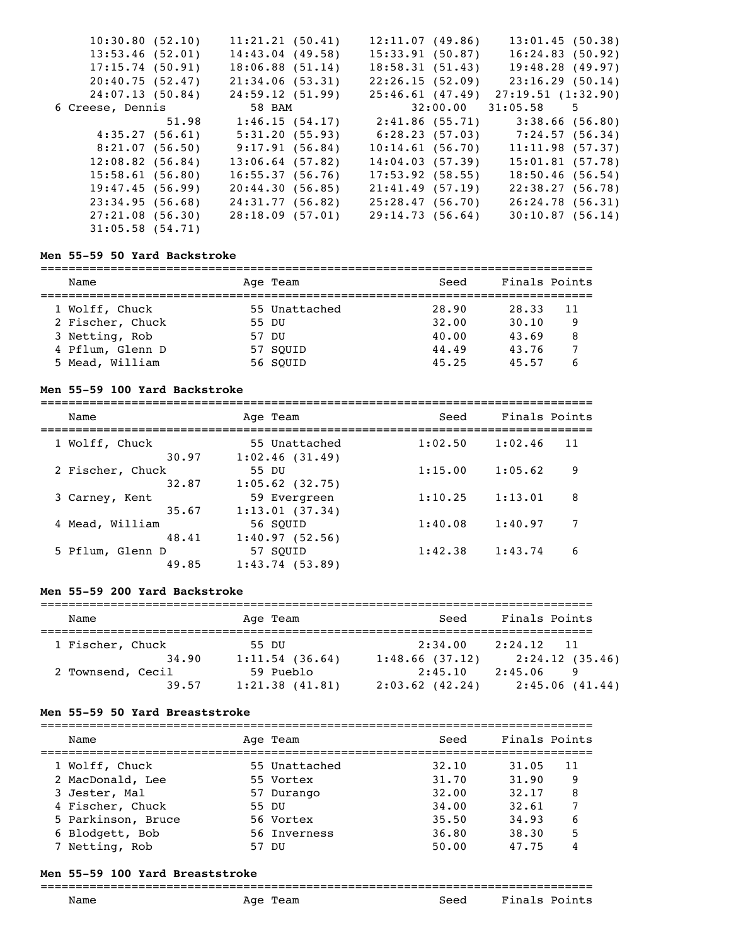| 10:30.80(52.10)    |       | 11:21.21(50.41)    | 12:11.07(49.86)    | 13:01.45(50.38)                   |  |
|--------------------|-------|--------------------|--------------------|-----------------------------------|--|
| 13:53.46(52.01)    |       | $14:43.04$ (49.58) | 15:33.91(50.87)    | 16:24.83(50.92)                   |  |
| 17:15.74(50.91)    |       | 18:06.88(51.14)    | 18:58.31(51.43)    | 19:48.28 (49.97)                  |  |
| 20:40.75(52.47)    |       | 21:34.06(53.31)    | 22:26.15(52.09)    | 23:16.29 (50.14)                  |  |
| 24:07.13(50.84)    |       | 24:59.12(51.99)    | 25:46.61(47.49)    | 27:19.51(1:32.90)                 |  |
| 6 Creese, Dennis   |       | 58 BAM             |                    | $32:00.00$ $31:05.58$ 5           |  |
|                    | 51.98 | 1:46.15(54.17)     | 2:41.86 (55.71)    | 3:38.66(56.80)                    |  |
| 4:35.27(56.61)     |       | 5:31.20(55.93)     |                    | $6:28.23(57.03)$ $7:24.57(56.34)$ |  |
| 8:21.07(56.50)     |       | 9:17.91 (56.84)    | 10:14.61(56.70)    | 11:11.98(57.37)                   |  |
| $12:08.82$ (56.84) |       | $13:06.64$ (57.82) | 14:04.03(57.39)    | 15:01.81(57.78)                   |  |
| 15:58.61(56.80)    |       | 16:55.37(56.76)    | $17:53.92$ (58.55) | 18:50.46(56.54)                   |  |
| 19:47.45(56.99)    |       | 20:44.30(56.85)    | 21:41.49(57.19)    | 22:38.27(56.78)                   |  |
| 23:34.95(56.68)    |       | 24:31.77(56.82)    | 25:28.47(56.70)    | 26:24.78(56.31)                   |  |
| 27:21.08(56.30)    |       | 28:18.09(57.01)    | 29:14.73(56.64)    | 30:10.87(56.14)                   |  |
| $31:05.58$ (54.71) |       |                    |                    |                                   |  |

#### **Men 55-59 50 Yard Backstroke**

===============================================================================

| Name             | Age Team      | Seed  | Finals Points |
|------------------|---------------|-------|---------------|
| 1 Wolff, Chuck   | 55 Unattached | 28.90 | 28.33<br>11   |
| 2 Fischer, Chuck | 55 DU         | 32.00 | 30.10<br>9    |
| 3 Netting, Rob   | 57 DU         | 40.00 | 43.69<br>8    |
| 4 Pflum, Glenn D | 57 SOUID      | 44.49 | 43.76         |
| 5 Mead, William  | 56 SOUID      | 45.25 | 45.57         |

#### **Men 55-59 100 Yard Backstroke**

| Name             | Age Team          | Seed    | Finals Points |
|------------------|-------------------|---------|---------------|
| 1 Wolff, Chuck   | 55 Unattached     | 1:02.50 | 1:02.46       |
| 30.97            | 1:02.46(31.49)    |         | 11            |
| 2 Fischer, Chuck | 55 DU             | 1:15.00 | 9             |
| 32.87            | $1:05.62$ (32.75) |         | 1:05.62       |
| 3 Carney, Kent   | 59 Evergreen      | 1:10.25 | 1:13.01       |
| 35.67            | 1:13.01(37.34)    |         | 8             |
| 4 Mead, William  | 56 SOUID          | 1:40.08 | 1:40.97       |
| 48.41            | 1:40.97(52.56)    |         | 7             |
| 5 Pflum, Glenn D | 57 SOUID          | 1:42.38 | 6             |
| 49.85            | 1:43.74(53.89)    |         | 1:43.74       |

## **Men 55-59 200 Yard Backstroke**

| Name              |       |       | Age Team       | Seed                      | Finals Points |                |
|-------------------|-------|-------|----------------|---------------------------|---------------|----------------|
| 1 Fischer, Chuck  | 34.90 | 55 DU | 1:11.54(36.64) | 2:34.00<br>1:48.66(37.12) | $2:24.12$ 11  | 2:24.12(35.46) |
| 2 Townsend, Cecil |       |       | 59 Pueblo      | 2:45.10                   | 2:45.06       |                |
|                   | 39.57 |       | 1:21.38(41.81) | $2:03.62$ (42.24)         |               | 2:45.06(41.44) |

#### **Men 55-59 50 Yard Breaststroke**

| Name               | Age Team      | Seed  | Finals Points |    |
|--------------------|---------------|-------|---------------|----|
| 1 Wolff, Chuck     | 55 Unattached | 32.10 | 31.05         | 11 |
| 2 MacDonald, Lee   | 55 Vortex     | 31.70 | 31.90         | 9  |
| 3 Jester, Mal      | 57 Durango    | 32.00 | 32.17         | 8  |
| 4 Fischer, Chuck   | 55 DU         | 34.00 | 32.61         |    |
| 5 Parkinson, Bruce | 56 Vortex     | 35.50 | 34.93         | 6  |
| 6 Blodgett, Bob    | 56 Inverness  | 36.80 | 38.30         |    |
| 7 Netting, Rob     | 57 DU         | 50.00 | 47.75         |    |

#### **Men 55-59 100 Yard Breaststroke**

#### ===============================================================================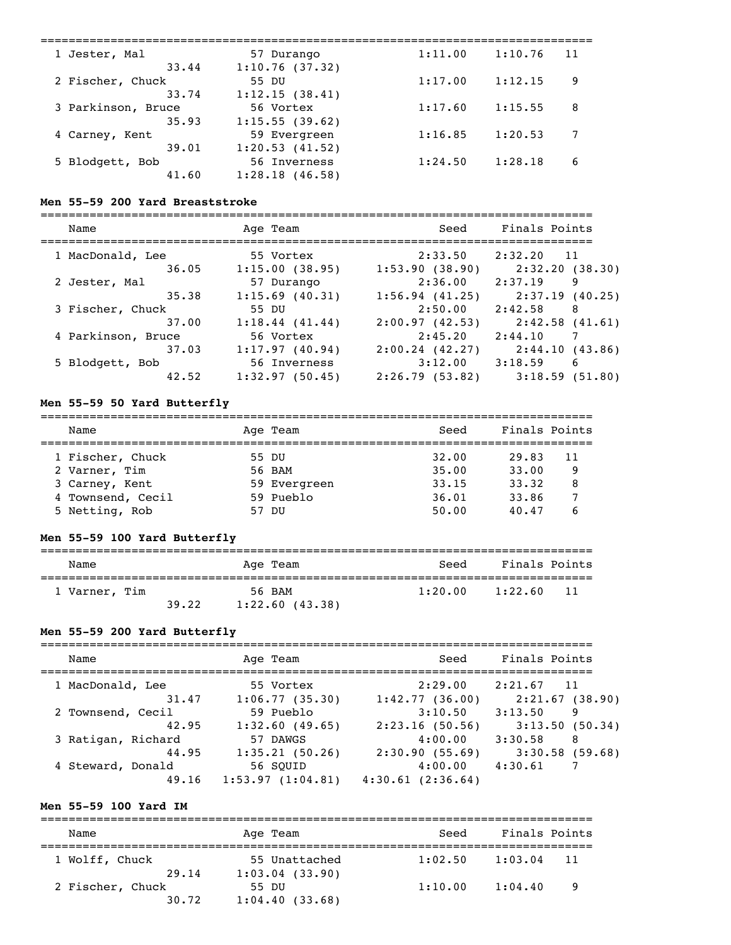| 1 Jester, Mal      | 57 Durango          | 1:11.00 | 1:10.76 | 11 |
|--------------------|---------------------|---------|---------|----|
| 33.44              | 1:10.76(37.32)      |         |         |    |
| 2 Fischer, Chuck   | 55 DU               | 1:17.00 | 1:12.15 | 9  |
| 33.74              | 1:12.15(38.41)      |         |         |    |
| 3 Parkinson, Bruce | 56 Vortex           | 1:17.60 | 1:15.55 | 8  |
| 35.93              | 1:15.55(39.62)      |         |         |    |
| 4 Carney, Kent     | 59 Evergreen        | 1:16.85 | 1:20.53 | 7  |
| 39.01              | 1:20.53(41.52)      |         |         |    |
| 5 Blodgett, Bob    | 56 Inverness        | 1:24.50 | 1:28.18 | 6  |
| 41.60              | $1:28.18$ $(46.58)$ |         |         |    |
|                    |                     |         |         |    |

#### **Men 55-59 200 Yard Breaststroke**

| Name               | Age Team          | Seed           | Finals Points  |
|--------------------|-------------------|----------------|----------------|
| 1 MacDonald, Lee   | 55 Vortex         | 2:33.50        | 2:32.20<br>11  |
| 36.05              | 1:15.00(38.95)    | 1:53.90(38.90) | 2:32.20(38.30) |
| 2 Jester, Mal      | 57 Durango        | 2:36.00        | 2:37.19<br>9   |
| 35.38              | $1:15.69$ (40.31) | 1:56.94(41.25) | 2:37.19(40.25) |
| 3 Fischer, Chuck   | 55 DU             | 2:50.00        | 2:42.58<br>8   |
| 37.00              | 1:18.44(41.44)    | 2:00.97(42.53) | 2:42.58(41.61) |
| 4 Parkinson, Bruce | 56 Vortex         | 2:45.20        | 2:44.10        |
| 37.03              | 1:17.97(40.94)    | 2:00.24(42.27) | 2:44.10(43.86) |
| 5 Blodgett, Bob    | 56 Inverness      | 3:12.00        | 6<br>3:18.59   |
| 42.52              | 1:32.97(50.45)    | 2:26.79(53.82) | 3:18.59(51.80) |

## **Men 55-59 50 Yard Butterfly**

| Name              |               | Age Team     | Seed  | Finals Points |  |
|-------------------|---------------|--------------|-------|---------------|--|
| 1 Fischer, Chuck  | 55 DU         |              | 32.00 | 29.83<br>11   |  |
| 2 Varner, Tim     |               | 56 BAM       | 35.00 | 33.00<br>9    |  |
| 3 Carney, Kent    |               | 59 Evergreen | 33.15 | 33.32<br>8    |  |
| 4 Townsend, Cecil |               | 59 Pueblo    | 36.01 | 33.86         |  |
| 5 Netting, Rob    | <u>וזח 57</u> |              | 50.00 | 40.47         |  |

# **Men 55-59 100 Yard Butterfly**

| Name          |       | Age Team       | Seed    | Finals Points  |
|---------------|-------|----------------|---------|----------------|
| 1 Varner, Tim |       | 56 BAM         | 1:20.00 | 1:22.60<br>-11 |
|               | 39.22 | 1:22.60(43.38) |         |                |

## **Men 55-59 200 Yard Butterfly**

| Name               | Age Team         | Seed             | Finals Points  |
|--------------------|------------------|------------------|----------------|
| 1 MacDonald, Lee   | 55 Vortex        | 2:29.00          | 2:21.67<br>11  |
| 31.47              | 1:06.77(35.30)   | 1:42.77(36.00)   | 2:21.67(38.90) |
| 2 Townsend, Cecil  | 59 Pueblo        | 3:10.50          | 3:13.50<br>9   |
| 42.95              | 1:32.60(49.65)   | 2:23.16(50.56)   | 3:13.50(50.34) |
| 3 Ratigan, Richard | 57 DAWGS         | 4:00.00          | 3:30.58<br>-8  |
| 44.95              | 1:35.21(50.26)   | 2:30.90(55.69)   | 3:30.58(59.68) |
| 4 Steward, Donald  | 56 SOUID         | 4:00.00          | 4:30.61        |
| 49.16              | 1:53.97(1:04.81) | 4:30.61(2:36.64) |                |

## **Men 55-59 100 Yard IM**

| Name                      | Age Team                           | Seed    | Finals Points |     |  |  |  |
|---------------------------|------------------------------------|---------|---------------|-----|--|--|--|
| 1 Wolff, Chuck<br>29.14   | 55 Unattached<br>$1:03.04$ (33.90) | 1:02.50 | 1:03.04       | 11  |  |  |  |
| 2 Fischer, Chuck<br>30.72 | 55 DU<br>1:04.40(33.68)            | 1:10.00 | 1:04.40       | - 9 |  |  |  |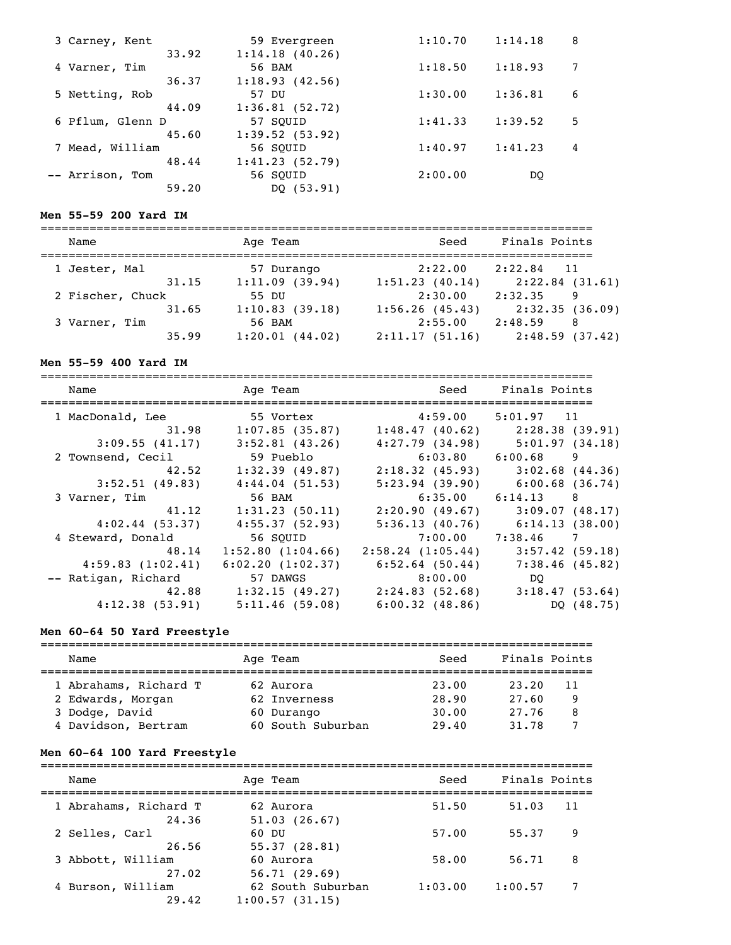| 3 Carney, Kent   | 59 Evergreen   | 1:10.70 | 1:14.18 | 8  |
|------------------|----------------|---------|---------|----|
| 33.92            | 1:14.18(40.26) |         |         |    |
| 4 Varner, Tim    | 56 BAM         | 1:18.50 | 1:18.93 |    |
| 36.37            | 1:18.93(42.56) |         |         |    |
| 5 Netting, Rob   | 57 DU          | 1:30.00 | 1:36.81 | 6  |
| 44.09            | 1:36.81(52.72) |         |         |    |
| 6 Pflum, Glenn D | 57 SOUID       | 1:41.33 | 1:39.52 | .5 |
| 45.60            | 1:39.52(53.92) |         |         |    |
| Mead, William    | 56 SOUID       | 1:40.97 | 1:41.23 | 4  |
| 48.44            | 1:41.23(52.79) |         |         |    |
| -- Arrison, Tom  | 56 SOUID       | 2:00.00 | DO      |    |
| 59.20            | DQ(53.91)      |         |         |    |

## **Men 55-59 200 Yard IM**

| Name             | Age Team       | Seed           | Finals Points  |
|------------------|----------------|----------------|----------------|
| 1 Jester, Mal    | 57 Durango     | 2:22.00        | $2:22.84$ 11   |
| 31.15            | 1:11.09(39.94) | 1:51.23(40.14) | 2:22.84(31.61) |
| 2 Fischer, Chuck | 55 DU          | 2:30.00        | 2:32.35<br>9   |
| 31.65            | 1:10.83(39.18) | 1:56.26(45.43) | 2:32.35(36.09) |
| 3 Varner, Tim    | 56 BAM         | 2:55.00        | 2:48.59<br>-8  |
| 35.99            | 1:20.01(44.02) | 2:11.17(51.16) | 2:48.59(37.42) |

## **Men 55-59 400 Yard IM**

| Name                | Age Team          | Seed                              | Finals Points     |
|---------------------|-------------------|-----------------------------------|-------------------|
| 1 MacDonald, Lee    | 55 Vortex         | 4:59.00                           | $5:01.97$ 11      |
| 31.98               | 1:07.85(35.87)    | 1:48.47(40.62)                    | 2:28.38(39.91)    |
| 3:09.55(41.17)      | $3:52.81$ (43.26) | $4:27.79$ (34.98)                 | 5:01.97(34.18)    |
| 2 Townsend, Cecil   | 59 Pueblo         | 6:03.80                           | $6:00.68$ 9       |
| 42.52               | 1:32.39(49.87)    | 2:18.32(45.93)                    | 3:02.68(44.36)    |
| $3:52.51$ (49.83)   | 4:44.04(51.53)    | 5:23.94(39.90)                    | 6:00.68(36.74)    |
| 3 Varner, Tim       | 56 BAM            | 6:35.00                           | $6:14.13$ 8       |
| 41.12               | 1:31.23(50.11)    | 2:20.90(49.67)                    | 3:09.07(48.17)    |
| 4:02.44(53.37)      | 4:55.37(52.93)    | 5:36.13(40.76)                    | 6:14.13(38.00)    |
| 4 Steward, Donald   | 56 SQUID          |                                   | 7:00.00 7:38.46 7 |
| 48.14               | 1:52.80(1:04.66)  | 2:58.24(1:05.44)                  | 3:57.42(59.18)    |
| 4:59.83(1:02.41)    | 6:02.20(1:02.37)  | $6:52.64$ (50.44)                 | 7:38.46(45.82)    |
| -- Ratigan, Richard | 57 DAWGS          | 8:00.00                           | DO                |
| 42.88               | 1:32.15(49.27)    | $2:24.83(52.68)$ $3:18.47(53.64)$ |                   |
| 4:12.38(53.91)      | 5:11.46(59.08)    | 6:00.32(48.86)                    | DQ (48.75)        |

## **Men 60-64 50 Yard Freestyle**

| Name                  | Age Team          | Seed  | Finals Points |  |
|-----------------------|-------------------|-------|---------------|--|
| 1 Abrahams, Richard T | 62 Aurora         | 23.00 | 23.20<br>11   |  |
| 2 Edwards, Morgan     | 62 Inverness      | 28.90 | 27.60<br>9    |  |
| 3 Dodge, David        | 60 Durango        | 30.00 | 27.76<br>8    |  |
| 4 Davidson, Bertram   | 60 South Suburban | 29.40 | 31.78         |  |

# **Men 60-64 100 Yard Freestyle**

| Name                  | Age Team          | Seed    | Finals Points |   |
|-----------------------|-------------------|---------|---------------|---|
|                       |                   |         |               |   |
| 1 Abrahams, Richard T | 62 Aurora         | 51.50   | 11<br>51.03   |   |
| 24.36                 | 51.03(26.67)      |         |               |   |
| 2 Selles, Carl        | 60 DU             | 57.00   | 55.37<br>9    |   |
| 26.56                 | 55.37(28.81)      |         |               |   |
| 3 Abbott, William     | 60 Aurora         | 58.00   | 56.71<br>8    |   |
| 27.02                 | 56.71(29.69)      |         |               |   |
| 4 Burson, William     | 62 South Suburban | 1:03.00 | 1:00.57       | 7 |
| 29.42                 | 1:00.57(31.15)    |         |               |   |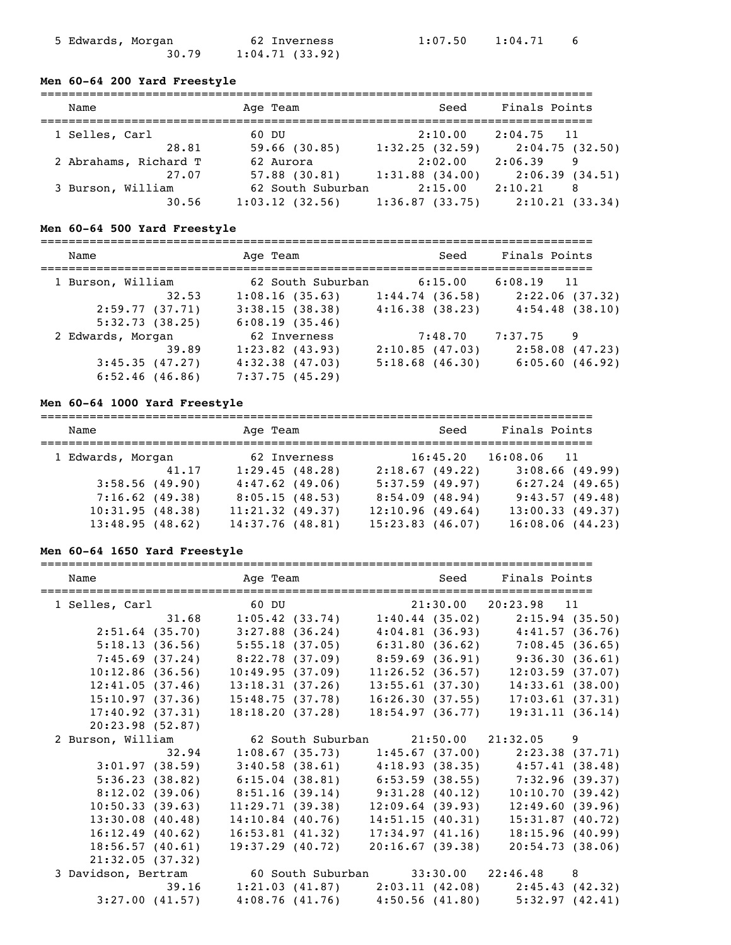| 5 Edwards, Morgan |       |                | 62 Inverness |
|-------------------|-------|----------------|--------------|
|                   | 30.79 | 1:04.71(33.92) |              |

## **Men 60-64 200 Yard Freestyle**

| Name                  | Age Team          | Seed                | Finals Points  |
|-----------------------|-------------------|---------------------|----------------|
| 1 Selles, Carl        | 60 DU             | 2:10.00             | $2:04.75$ 11   |
| 28.81                 | $59.66$ (30.85)   | 1:32.25(32.59)      | 2:04.75(32.50) |
| 2 Abrahams, Richard T | 62 Aurora         | 2:02.00             | 2:06.39<br>9   |
| 27.07                 | $57.88$ $(30.81)$ | $1:31.88$ $(34.00)$ | 2:06.39(34.51) |
| 3 Burson, William     | 62 South Suburban | 2:15.00             | 2:10.21<br>8   |
| 30.56                 | 1:03.12(32.56)    | 1:36.87(33.75)      | 2:10.21(33.34) |

## **Men 60-64 500 Yard Freestyle**

| Name                                                                                | Age Team                                                                                     | Seed                                           | Finals Points                                       |
|-------------------------------------------------------------------------------------|----------------------------------------------------------------------------------------------|------------------------------------------------|-----------------------------------------------------|
| 1 Burson, William<br>32.53<br>2:59.77(37.71)                                        | 62 South Suburban<br>1:08.16(35.63)<br>3:38.15(38.38)                                        | 6:15.00<br>1:44.74(36.58)<br>4:16.38(38.23)    | $6:08.19$ 11<br>2:22.06(37.32)<br>4:54.48(38.10)    |
| 5:32.73(38.25)<br>2 Edwards, Morgan<br>39.89<br>3:45.35(47.27)<br>$6:52.46$ (46.86) | 6:08.19(35.46)<br>62 Inverness<br>$1:23.82$ (43.93)<br>$4:32.38$ $(47.03)$<br>7:37.75(45.29) | 7:48.70<br>2:10.85(47.03)<br>$5:18.68$ (46.30) | 7:37.75<br>9<br>$2:58.08$ (47.23)<br>6:05.60(46.92) |

## **Men 60-64 1000 Yard Freestyle**

| Name              | Age Team           | Seed              | Finals Points     |
|-------------------|--------------------|-------------------|-------------------|
| 1 Edwards, Morgan | 62 Inverness       | 16:45.20          | $16:08.06$ 11     |
| 41.17             | 1:29.45(48.28)     | 2:18.67(49.22)    | $3:08.66$ (49.99) |
| 3:58.56(49.90)    | $4:47.62$ (49.06)  | $5:37.59$ (49.97) | $6:27.24$ (49.65) |
| $7:16.62$ (49.38) | 8:05.15(48.53)     | 8:54.09(48.94)    | 9:43.57(49.48)    |
| 10:31.95(48.38)   | 11:21.32(49.37)    | 12:10.96(49.64)   | 13:00.33(49.37)   |
| 13:48.95(48.62)   | $14:37.76$ (48.81) | 15:23.83(46.07)   | 16:08.06(44.23)   |

## **Men 60-64 1650 Yard Freestyle**

| Name                | Age Team and Seed Finals Points                                   |                                     |                 |  |
|---------------------|-------------------------------------------------------------------|-------------------------------------|-----------------|--|
| 1 Selles, Carl      | 60 DU                                                             | 21:30.00 20:23.98 11                |                 |  |
|                     | 31.68 1:05.42 (33.74) 1:40.44 (35.02) 2:15.94 (35.50)             |                                     |                 |  |
| $2:51.64$ (35.70)   | $3:27.88$ (36.24)                                                 | $4:04.81$ (36.93) $4:41.57$ (36.76) |                 |  |
| 5:18.13(36.56)      | 5:55.18 (37.05)                                                   | $6:31.80(36.62)$ $7:08.45(36.65)$   |                 |  |
|                     | $7:45.69$ (37.24) 8:22.78 (37.09) 8:59.69 (36.91) 9:36.30 (36.61) |                                     |                 |  |
| 10:12.86(36.56)     | 10:49.95(37.09)                                                   | 11:26.52(36.57)                     | 12:03.59(37.07) |  |
| 12:41.05(37.46)     | 13:18.31(37.26)                                                   | 13:55.61(37.30)                     | 14:33.61(38.00) |  |
| 15:10.97(37.36)     | 15:48.75(37.78)                                                   | 16:26.30(37.55)                     | 17:03.61(37.31) |  |
| 17:40.92(37.31)     | 18:18.20(37.28)                                                   | 18:54.97(36.77)                     | 19:31.11(36.14) |  |
| 20:23.98(52.87)     |                                                                   |                                     |                 |  |
| 2 Burson, William   |                                                                   |                                     |                 |  |
| 32.94               | 1:08.67(35.73)                                                    | $1:45.67$ (37.00) $2:23.38$ (37.71) |                 |  |
| 3:01.97(38.59)      | $3:40.58$ (38.61) $4:18.93$ (38.35) $4:57.41$ (38.48)             |                                     |                 |  |
| 5:36.23(38.82)      | $6:15.04$ (38.81) $6:53.59$ (38.55) 7:32.96 (39.37)               |                                     |                 |  |
| $8:12.02$ (39.06)   | 8:51.16 (39.14) 9:31.28 (40.12)                                   |                                     | 10:10.70(39.42) |  |
| 10:50.33(39.63)     | 11:29.71(39.38)                                                   | 12:09.64(39.93)                     | 12:49.60(39.96) |  |
| $13:30.08$ (40.48)  | $14:10.84$ (40.76)                                                | 14:51.15(40.31)                     | 15:31.87(40.72) |  |
| 16:12.49(40.62)     | 16:53.81(41.32)                                                   | 17:34.97(41.16)                     | 18:15.96(40.99) |  |
| 18:56.57(40.61)     | 19:37.29(40.72)                                                   | 20:16.67(39.38)                     | 20:54.73(38.06) |  |
| 21:32.05(37.32)     |                                                                   |                                     |                 |  |
| 3 Davidson, Bertram | 60 South Suburban 33:30.00 22:46.48 8                             |                                     |                 |  |
|                     | 39.16 1:21.03 (41.87) 2:03.11 (42.08) 2:45.43 (42.32)             |                                     |                 |  |
| 3:27.00(41.57)      | $4:08.76$ (41.76) $4:50.56$ (41.80) $5:32.97$ (42.41)             |                                     |                 |  |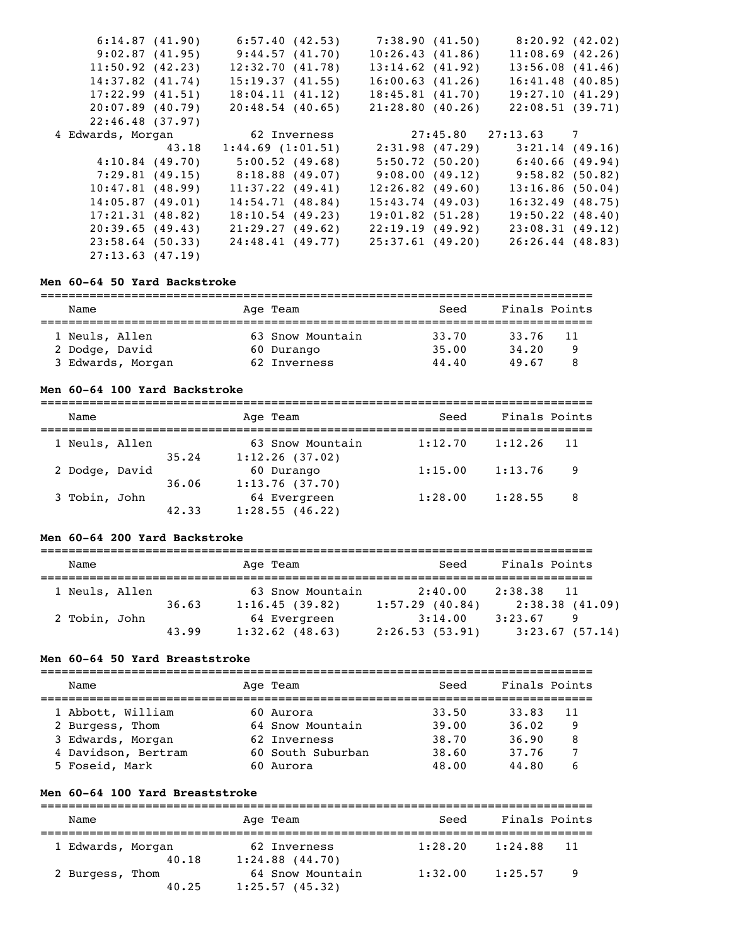|                    | 6:57.40(42.53)                                                                                                                                                                                                                                             | 7:38.90(41.50)     |                    |                                                                                                                                                                                                                                                                                                                                                  |
|--------------------|------------------------------------------------------------------------------------------------------------------------------------------------------------------------------------------------------------------------------------------------------------|--------------------|--------------------|--------------------------------------------------------------------------------------------------------------------------------------------------------------------------------------------------------------------------------------------------------------------------------------------------------------------------------------------------|
|                    | 9:44.57(41.70)                                                                                                                                                                                                                                             | 10:26.43(41.86)    |                    |                                                                                                                                                                                                                                                                                                                                                  |
|                    | 12:32.70(41.78)                                                                                                                                                                                                                                            | $13:14.62$ (41.92) |                    |                                                                                                                                                                                                                                                                                                                                                  |
|                    | 15:19.37(41.55)                                                                                                                                                                                                                                            | 16:00.63(41.26)    |                    |                                                                                                                                                                                                                                                                                                                                                  |
|                    | 18:04.11(41.12)                                                                                                                                                                                                                                            | 18:45.81(41.70)    |                    |                                                                                                                                                                                                                                                                                                                                                  |
|                    | 20:48.54(40.65)                                                                                                                                                                                                                                            | 21:28.80(40.26)    |                    |                                                                                                                                                                                                                                                                                                                                                  |
|                    |                                                                                                                                                                                                                                                            |                    |                    |                                                                                                                                                                                                                                                                                                                                                  |
|                    | 62 Inverness                                                                                                                                                                                                                                               |                    |                    |                                                                                                                                                                                                                                                                                                                                                  |
| 43.18              | 1:44.69(1:01.51)                                                                                                                                                                                                                                           |                    |                    |                                                                                                                                                                                                                                                                                                                                                  |
|                    | 5:00.52(49.68)                                                                                                                                                                                                                                             |                    |                    |                                                                                                                                                                                                                                                                                                                                                  |
|                    | $8:18.88$ (49.07)                                                                                                                                                                                                                                          |                    |                    |                                                                                                                                                                                                                                                                                                                                                  |
|                    | $11:37.22$ (49.41)                                                                                                                                                                                                                                         | $12:26.82$ (49.60) |                    |                                                                                                                                                                                                                                                                                                                                                  |
|                    | 14:54.71(48.84)                                                                                                                                                                                                                                            | 15:43.74(49.03)    |                    |                                                                                                                                                                                                                                                                                                                                                  |
|                    | 18:10.54(49.23)                                                                                                                                                                                                                                            | 19:01.82(51.28)    |                    |                                                                                                                                                                                                                                                                                                                                                  |
|                    | 21:29.27(49.62)                                                                                                                                                                                                                                            | 22:19.19(49.92)    |                    |                                                                                                                                                                                                                                                                                                                                                  |
|                    |                                                                                                                                                                                                                                                            |                    |                    |                                                                                                                                                                                                                                                                                                                                                  |
| $23:58.64$ (50.33) | 24:48.41(49.77)                                                                                                                                                                                                                                            | 25:37.61(49.20)    | $26:26.44$ (48.83) |                                                                                                                                                                                                                                                                                                                                                  |
|                    | 6:14.87(41.90)<br>9:02.87(41.95)<br>11:50.92(42.23)<br>$14:37.82$ $(41.74)$<br>17:22.99(41.51)<br>20:07.89(40.79)<br>22:46.48(37.97)<br>4 Edwards, Morgan<br>4:10.84(49.70)<br>$10:47.81$ (48.99)<br>14:05.87(49.01)<br>17:21.31(48.82)<br>20:39.65(49.43) | 7:29.81(49.15)     |                    | 8:20.92(42.02)<br>$11:08.69$ (42.26)<br>$13:56.08$ $(41.46)$<br>16:41.48(40.85)<br>19:27.10(41.29)<br>22:08.51(39.71)<br>27:45.80 27:13.63 7<br>$2:31.98$ (47.29) $3:21.14$ (49.16)<br>5:50.72(50.20)<br>6:40.66(49.94)<br>$9:08.00(49.12)$ $9:58.82(50.82)$<br>13:16.86(50.04)<br>$16:32.49$ (48.75)<br>$19:50.22$ $(48.40)$<br>23:08.31(49.12) |

### **Men 60-64 50 Yard Backstroke**

| Name              | Age Team         | Seed  | Finals Points |  |
|-------------------|------------------|-------|---------------|--|
| 1 Neuls, Allen    | 63 Snow Mountain | 33.70 | 33.76<br>11   |  |
| 2 Dodge, David    | 60 Durango       | 35.00 | 34,20<br>q    |  |
| 3 Edwards, Morgan | 62 Inverness     | 44.40 | 49.67<br>8    |  |

#### **Men 60-64 100 Yard Backstroke**

| Name                    | Age Team                           | Seed    | Finals Points |  |
|-------------------------|------------------------------------|---------|---------------|--|
| 1 Neuls, Allen<br>35.24 | 63 Snow Mountain<br>1:12.26(37.02) | 1:12.70 | 1:12.26<br>11 |  |
| 2 Dodge, David<br>36.06 | 60 Durango<br>1:13.76(37.70)       | 1:15.00 | 1:13.76<br>9  |  |
| 3 Tobin, John<br>42.33  | 64 Evergreen<br>1:28.55(46.22)     | 1:28.00 | 1:28.55<br>8  |  |

#### **Men 60-64 200 Yard Backstroke**

| Name           |       | Age Team          | Seed           | Finals Points              |
|----------------|-------|-------------------|----------------|----------------------------|
| 1 Neuls, Allen |       | 63 Snow Mountain  | 2:40.00        | 2:38.38<br>$\overline{11}$ |
|                | 36.63 | 1:16.45(39.82)    | 1:57.29(40.84) | 2:38.38(41.09)             |
| 2 Tobin, John  |       | 64 Evergreen      | 3:14.00        | 3:23.67<br>9               |
|                | 43.99 | $1:32.62$ (48.63) | 2:26.53(53.91) | 3:23.67(57.14)             |

#### **Men 60-64 50 Yard Breaststroke**

| Name                | Age Team          | Seed  | Finals Points |  |
|---------------------|-------------------|-------|---------------|--|
|                     |                   |       |               |  |
| 1 Abbott, William   | 60 Aurora         | 33.50 | 33.83<br>11   |  |
| 2 Burgess, Thom     | 64 Snow Mountain  | 39.00 | 36.02<br>9    |  |
| 3 Edwards, Morgan   | 62 Inverness      | 38.70 | 36.90<br>8    |  |
| 4 Davidson, Bertram | 60 South Suburban | 38.60 | 37.76         |  |
| 5 Foseid, Mark      | 60 Aurora         | 48.00 | 44.80<br>6    |  |

#### **Men 60-64 100 Yard Breaststroke**

=============================================================================== Name Mage Team Age Team Seed Finals Points =============================================================================== 1 Edwards, Morgan 62 Inverness 1:28.20 1:24.88 11 40.18 1:24.88 (44.70) n 64 Snow Mountain 1:32.00 1:25.57 9<br>40.25 1:25.57 (45.32)  $40.25$   $1:25.57$  (45.32)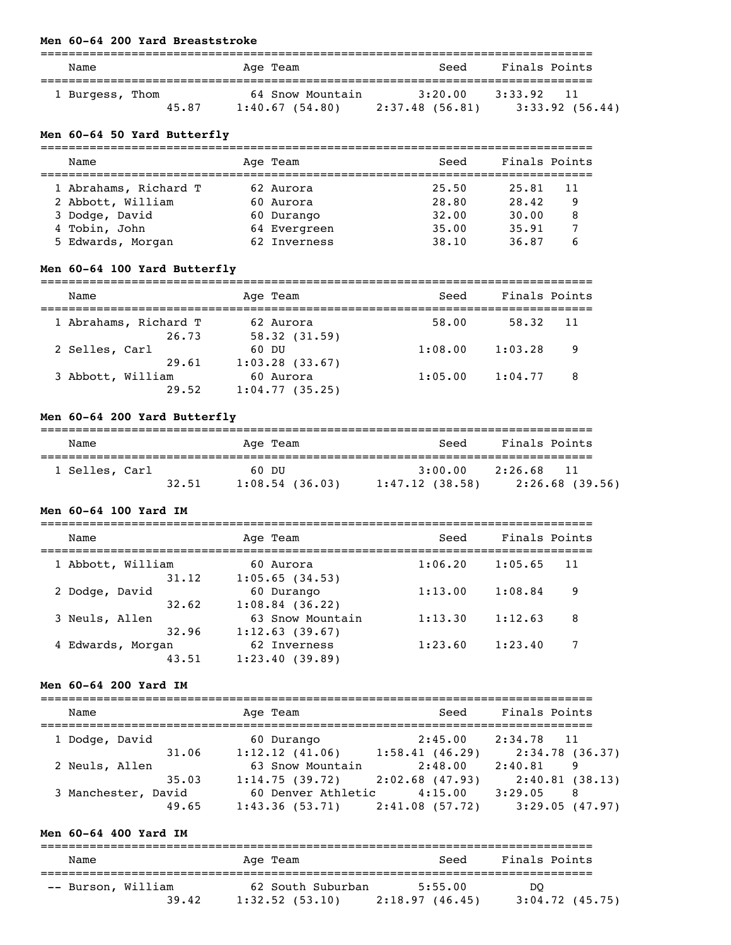## **Men 60-64 200 Yard Breaststroke**

| Name                     | Age Team                           | Seed                      | Finals Points                   |
|--------------------------|------------------------------------|---------------------------|---------------------------------|
| 1 Burgess, Thom<br>45.87 | 64 Snow Mountain<br>1:40.67(54.80) | 3:20.00<br>2:37.48(56.81) | 3:33.92<br>11<br>3:33.92(56.44) |

## **Men 60-64 50 Yard Butterfly**

| Name                  | Age Team     | Seed  | Finals Points |
|-----------------------|--------------|-------|---------------|
| 1 Abrahams, Richard T | 62 Aurora    | 25.50 | 25.81<br>11   |
| 2 Abbott, William     | 60 Aurora    | 28.80 | 28.42<br>9    |
| 3 Dodge, David        | 60 Durango   | 32.00 | 30.00<br>8    |
| 4 Tobin, John         | 64 Evergreen | 35.00 | 35.91         |
| 5 Edwards, Morgan     | 62 Inverness | 38.10 | 36.87         |

## **Men 60-64 100 Yard Butterfly**

| Name                           | Age Team                    | Seed    | Finals Points |     |
|--------------------------------|-----------------------------|---------|---------------|-----|
| 1 Abrahams, Richard T<br>26.73 | 62 Aurora<br>58.32(31.59)   | 58.00   | 58.32         | -11 |
| 2 Selles, Carl<br>29.61        | 60 DU<br>1:03.28(33.67)     | 1:08.00 | 1:03.28       | 9   |
| 3 Abbott, William<br>29.52     | 60 Aurora<br>1:04.77(35.25) | 1:05.00 | 1:04.77       | 8   |

## **Men 60-64 200 Yard Butterfly**

| Name           |       | Age Team       | Seed           | Finals Points |                |
|----------------|-------|----------------|----------------|---------------|----------------|
| 1 Selles, Carl | 60 DU |                | 3:00.00        | 2:26.68       | 11             |
|                | 32.51 | 1:08.54(36.03) | 1:47.12(38.58) |               | 2:26.68(39.56) |

#### **Men 60-64 100 Yard IM**

| Name                       | Age Team                           | Seed    | Finals Points |    |
|----------------------------|------------------------------------|---------|---------------|----|
| 1 Abbott, William<br>31.12 | 60 Aurora<br>1:05.65(34.53)        | 1:06.20 | 1:05.65       | 11 |
| 2 Dodge, David<br>32.62    | 60 Durango<br>$1:08.84$ (36.22)    | 1:13.00 | 1:08.84       | 9  |
| 3 Neuls, Allen<br>32.96    | 63 Snow Mountain<br>1:12.63(39.67) | 1:13.30 | 1:12.63       | 8  |
| 4 Edwards, Morgan<br>43.51 | 62 Inverness<br>1:23.40(39.89)     | 1:23.60 | 1:23.40       | 7  |

## **Men 60-64 200 Yard IM**

| Name                | Age Team           | Seed              | Finals Points   |
|---------------------|--------------------|-------------------|-----------------|
| 1 Dodge, David      | 60 Durango         | 2:45.00           | 2:34.78 11      |
| 31.06               | 1:12.12(41.06)     | 1:58.41(46.29)    | 2:34.78 (36.37) |
| 2 Neuls, Allen      | 63 Snow Mountain   | 2:48.00           | 2:40.81<br>9    |
| 35.03               | 1:14.75(39.72)     | $2:02.68$ (47.93) | 2:40.81(38.13)  |
| 3 Manchester, David | 60 Denver Athletic | 4:15.00           | 3:29.05<br>8    |
| 49.65               | 1:43.36(53.71)     | 2:41.08(57.72)    | 3:29.05(47.97)  |

## **Men 60-64 400 Yard IM**

| Name               | Age Team          | Seed            | Finals Points     |
|--------------------|-------------------|-----------------|-------------------|
| -- Burson, William | 62 South Suburban | 5:55.00         | DO                |
| 39.42              | 1:32.52(53.10)    | 2:18.97 (46.45) | $3:04.72$ (45.75) |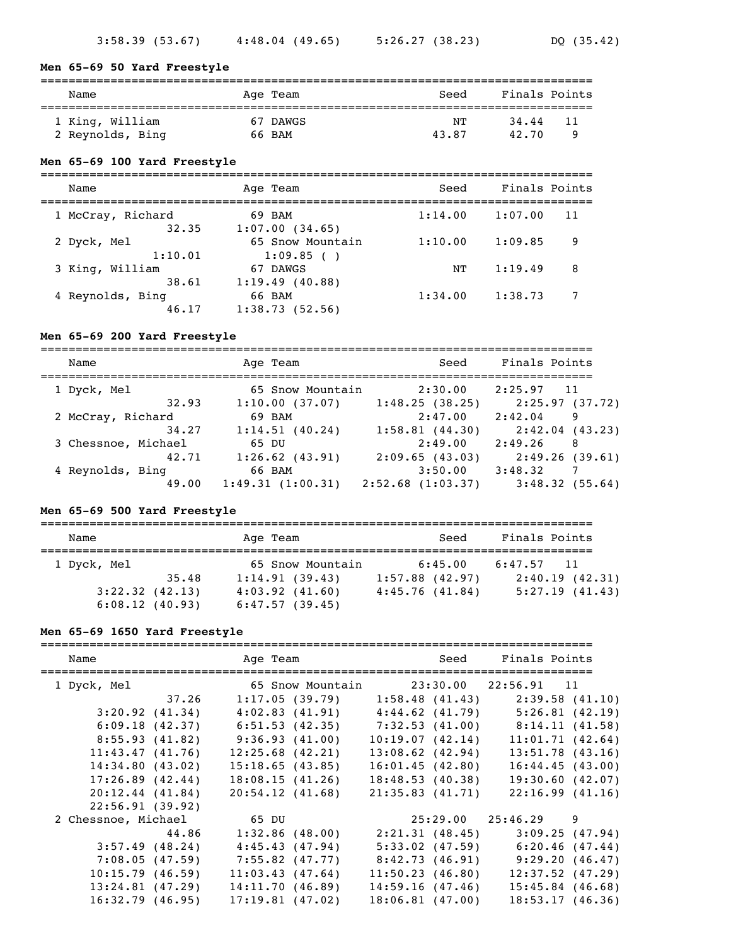## **Men 65-69 50 Yard Freestyle**

| Name                                | Age Team           | Seed        | Finals Points              |  |
|-------------------------------------|--------------------|-------------|----------------------------|--|
| 1 King, William<br>2 Reynolds, Bing | 67 DAWGS<br>66 BAM | NΤ<br>43.87 | 34.44<br>-11<br>42.70<br>Q |  |

#### **Men 65-69 100 Yard Freestyle**

| Name                       | Age Team                      | Seed    | Finals Points |     |
|----------------------------|-------------------------------|---------|---------------|-----|
| 1 McCray, Richard<br>32.35 | 69 BAM<br>1:07.00(34.65)      | 1:14.00 | 1:07.00       | -11 |
| 2 Dyck, Mel<br>1:10.01     | 65 Snow Mountain<br>1:09.85() | 1:10.00 | 1:09.85       | 9   |
| 3 King, William<br>38.61   | 67 DAWGS<br>1:19.49(40.88)    | NΤ      | 1:19.49       | 8   |
| 4 Reynolds, Bing<br>46.17  | 66 BAM<br>1:38.73(52.56)      | 1:34.00 | 1:38.73       | 7   |

#### **Men 65-69 200 Yard Freestyle**

=============================================================================== Name Mage Team Age Team Seed Finals Points =============================================================================== 1 Dyck, Mel 65 Snow Mountain 2:30.00 2:25.97 11 32.93 1:10.00 (37.07) 1:48.25 (38.25) 2:25.97 (37.72) 2 McCray, Richard 69 BAM 2:47.00 2:42.04 9 34.27 1:14.51 (40.24) 1:58.81 (44.30) 2:42.04 (43.23) 3 Chessnoe, Michael 65 DU 2:49.00 2:49.26 8 42.71 1:26.62 (43.91) 2:09.65 (43.03) 2:49.26 (39.61) 4 Reynolds, Bing 66 BAM 3:50.00 3:48.32 7 49.00 1:49.31 (1:00.31) 2:52.68 (1:03.37) 3:48.32 (55.64)

#### **Men 65-69 500 Yard Freestyle**

| Name                                  |       | Age Team                              | Seed                         | Finals Points                  |
|---------------------------------------|-------|---------------------------------------|------------------------------|--------------------------------|
| 1 Dyck, Mel                           | 35.48 | 65 Snow Mountain<br>1:14.91(39.43)    | 6:45.00<br>$1:57.88$ (42.97) | $6:47.57$ 11<br>2:40.19(42.31) |
| $3:22.32$ $(42.13)$<br>6:08.12(40.93) |       | $4:03.92$ $(41.60)$<br>6:47.57(39.45) | 4:45.76(41.84)               | 5:27.19(41.43)                 |

#### **Men 65-69 1650 Yard Freestyle**

| Name                 |                   | Age Team and the state of the state of the state of the state of the state of the state of the state of the sta |                       | Seed Finals Points                  |
|----------------------|-------------------|-----------------------------------------------------------------------------------------------------------------|-----------------------|-------------------------------------|
|                      |                   |                                                                                                                 |                       |                                     |
| 1 Dyck, Mel          |                   | 65 Snow Mountain 23:30.00 22:56.91 11                                                                           |                       |                                     |
|                      | 37.26             | 1:17.05(39.79)                                                                                                  | 1:58.48(41.43)        | 2:39.58(41.10)                      |
|                      | 3:20.92(41.34)    | 4:02.83(41.91)                                                                                                  |                       | $4:44.62$ (41.79) $5:26.81$ (42.19) |
|                      | 6:09.18(42.37)    | 6:51.53(42.35)                                                                                                  |                       | $7:32.53$ (41.00) 8:14.11 (41.58)   |
|                      | 8:55.93(41.82)    | 9:36.93(41.00)                                                                                                  | 10:19.07(42.14)       | 11:01.71(42.64)                     |
| 11:43.47(41.76)      |                   | $12:25.68$ $(42.21)$                                                                                            | $13:08.62$ (42.94)    | $13:51.78$ $(43.16)$                |
| 14:34.80(43.02)      |                   | 15:18.65(43.85)                                                                                                 | 16:01.45(42.80)       | 16:44.45(43.00)                     |
| $17:26.89$ $(42.44)$ |                   | 18:08.15(41.26)                                                                                                 | 18:48.53(40.38)       | 19:30.60(42.07)                     |
| $20:12.44$ $(41.84)$ |                   | 20:54.12(41.68)                                                                                                 | 21:35.83(41.71)       | 22:16.99(41.16)                     |
| 22:56.91(39.92)      |                   |                                                                                                                 |                       |                                     |
| 2 Chessnoe, Michael  |                   | 65 DU                                                                                                           | $25:29.00$ $25:46.29$ | 9                                   |
|                      | 44.86             | 1:32.86(48.00)                                                                                                  | 2:21.31(48.45)        | 3:09.25(47.94)                      |
|                      | $3:57.49$ (48.24) | 4:45.43(47.94)                                                                                                  | 5:33.02(47.59)        | 6:20.46(47.44)                      |
|                      | 7:08.05(47.59)    | $7:55.82$ (47.77)                                                                                               | 8:42.73(46.91)        | 9:29.20(46.47)                      |
| 10:15.79(46.59)      |                   | 11:03.43(47.64)                                                                                                 | 11:50.23(46.80)       | $12:37.52$ (47.29)                  |
| $13:24.81$ (47.29)   |                   | 14:11.70(46.89)                                                                                                 | 14:59.16(47.46)       | $15:45.84$ (46.68)                  |
| 16:32.79(46.95)      |                   | 17:19.81(47.02)                                                                                                 | 18:06.81(47.00)       | 18:53.17(46.36)                     |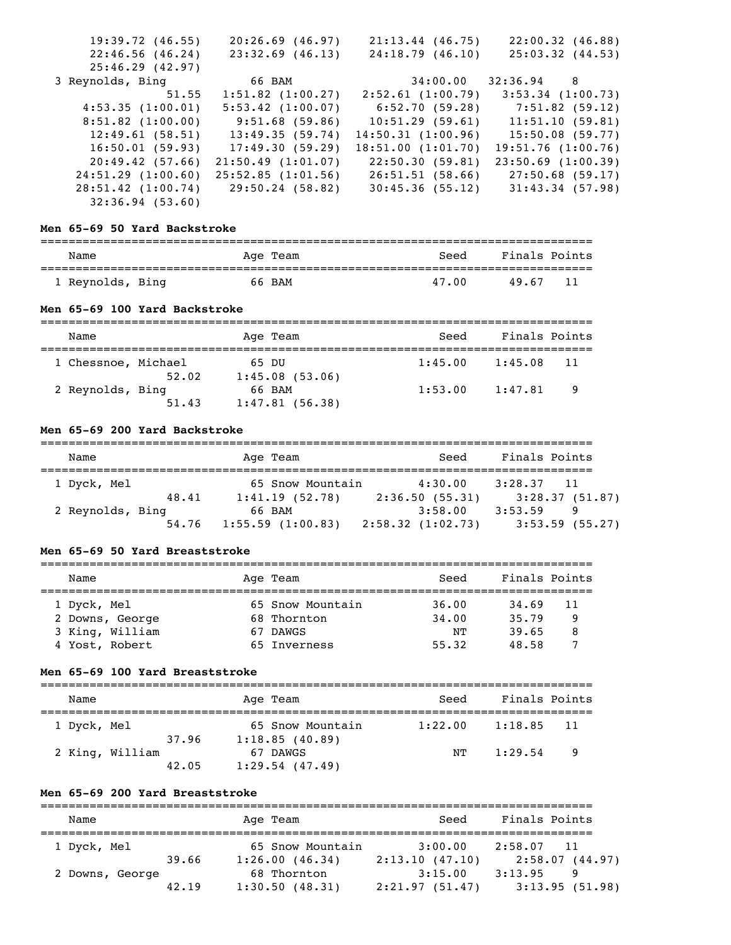| 19:39.72(46.55)        | 20:26.69(46.97)       | $21:13.44$ (46.75)      | 22:00.32(46.88)                   |
|------------------------|-----------------------|-------------------------|-----------------------------------|
| 22:46.56(46.24)        | $23:32.69$ (46.13)    | 24:18.79(46.10)         | 25:03.32(44.53)                   |
| 25:46.29(42.97)        |                       |                         |                                   |
| 3 Reynolds, Bing       | 66 BAM                | $34:00.00$ $32:36.94$ 8 |                                   |
| 51.55                  | $1:51.82$ $(1:00.27)$ | 2:52.61(1:00.79)        | $3:53.34$ $(1:00.73)$             |
| 4:53.35(1:00.01)       | $5:53.42$ $(1:00.07)$ |                         | $6:52.70(59.28)$ $7:51.82(59.12)$ |
| $8:51.82$ $(1:00.00)$  | 9:51.68 (59.86)       | 10:51.29(59.61)         | 11:51.10(59.81)                   |
| 12:49.61(58.51)        | 13:49.35 (59.74)      | 14:50.31(1:00.96)       | 15:50.08 (59.77)                  |
| 16:50.01(59.93)        | 17:49.30 (59.29)      | 18:51.00(1:01.70)       | 19:51.76(1:00.76)                 |
| 20:49.42(57.66)        | 21:50.49(1:01.07)     | 22:50.30 (59.81)        | $23:50.69$ $(1:00.39)$            |
| 24:51.29(1:00.60)      | 25:52.85(1:01.56)     | 26:51.51(58.66)         | 27:50.68 (59.17)                  |
| $28:51.42$ $(1:00.74)$ | 29:50.24 (58.82)      | 30:45.36(55.12)         | 31:43.34(57.98)                   |
| 32:36.94(53.60)        |                       |                         |                                   |

#### **Men 65-69 50 Yard Backstroke**

| Name             | Age Team | Seed  | Finals Points |
|------------------|----------|-------|---------------|
| 1 Reynolds, Bing | 66 BAM   | 47.00 | -11<br>49.67  |

### **Men 65-69 100 Yard Backstroke**

| Name             |                              | Age Team                 | Seed    | Finals Points |     |
|------------------|------------------------------|--------------------------|---------|---------------|-----|
|                  | 1 Chessnoe, Michael<br>52.02 | 65 DU<br>1:45.08(53.06)  | 1:45.00 | 1:45.08       | -11 |
| 2 Reynolds, Bing | 51.43                        | 66 BAM<br>1:47.81(56.38) | 1:53.00 | 1:47.81       | - 9 |

## **Men 65-69 200 Yard Backstroke**

| Name             |       | Age Team         | Seed             | Finals Points     |
|------------------|-------|------------------|------------------|-------------------|
| 1 Dyck, Mel      |       | 65 Snow Mountain | 4:30.00          | $3:28.37$ 11      |
|                  | 48.41 | 1:41.19(52.78)   | 2:36.50(55.31)   | 3:28.37(51.87)    |
| 2 Reynolds, Bing |       | 66 BAM           | 3:58.00          | 3:53.59<br>9      |
|                  | 54.76 | 1:55.59(1:00.83) | 2:58.32(1:02.73) | $3:53.59$ (55.27) |

#### **Men 65-69 50 Yard Breaststroke**

| Name            | Age Team         | Seed  | Finals Points |  |
|-----------------|------------------|-------|---------------|--|
|                 |                  |       |               |  |
| 1 Dyck, Mel     | 65 Snow Mountain | 36.00 | 34.69<br>11   |  |
| 2 Downs, George | 68 Thornton      | 34,00 | 35.79<br>-9   |  |
| 3 King, William | 67 DAWGS         | NΤ    | 39.65<br>8    |  |
| 4 Yost, Robert  | 65 Inverness     | 55.32 | 48.58         |  |

#### **Men 65-69 100 Yard Breaststroke**

| Name        |                          | Age Team                           | Seed    | Finals Points  |
|-------------|--------------------------|------------------------------------|---------|----------------|
| 1 Dyck, Mel | 37.96                    | 65 Snow Mountain<br>1:18.85(40.89) | 1:22.00 | 1:18.85<br>-11 |
|             | 2 King, William<br>42.05 | 67 DAWGS<br>1:29.54(47.49)         | NТ      | 1:29.54<br>- 9 |

## **Men 65-69 200 Yard Breaststroke**

| Name            |       | Age Team         | Seed           | Finals Points              |
|-----------------|-------|------------------|----------------|----------------------------|
| 1 Dyck, Mel     |       | 65 Snow Mountain | 3:00.00        | 2:58.07<br>$\overline{11}$ |
|                 | 39.66 | 1:26.00(46.34)   | 2:13.10(47.10) | 2:58.07(44.97)             |
| 2 Downs, George |       | 68 Thornton      | 3:15.00        | 3:13.95<br>9               |
|                 | 42.19 | 1:30.50(48.31)   | 2:21.97(51.47) | 3:13.95(51.98)             |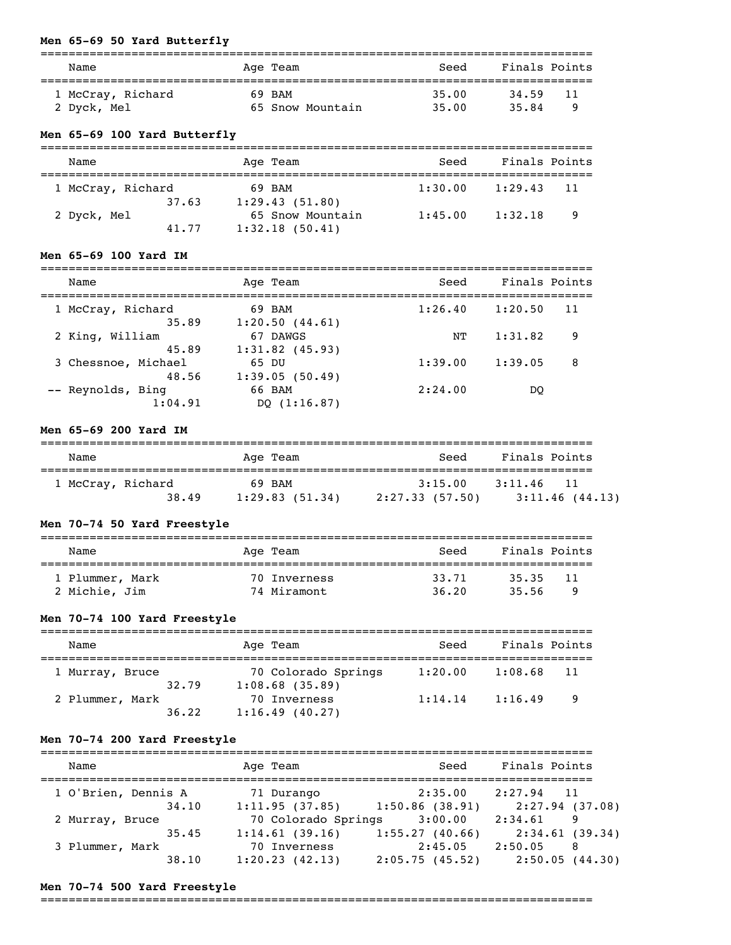## **Men 65-69 50 Yard Butterfly**

| Name                             | Age Team                   | Seed           | Finals Points              |
|----------------------------------|----------------------------|----------------|----------------------------|
| 1 McCray, Richard<br>2 Dyck, Mel | 69 BAM<br>65 Snow Mountain | 35.00<br>35.00 | 34.59<br>-11<br>35.84<br>Q |

## **Men 65-69 100 Yard Butterfly**

| Name              | Age Team         | Seed    | Finals Points |       |
|-------------------|------------------|---------|---------------|-------|
| 1 McCray, Richard | 69 BAM           | 1:30.00 | 1:29.43       | $-11$ |
| 37.63             | 1:29.43(51.80)   |         |               |       |
| 2 Dyck, Mel       | 65 Snow Mountain | 1:45.00 | 1:32.18       | - 9   |
| 41.77             | 1:32.18(50.41)   |         |               |       |

#### **Men 65-69 100 Yard IM**

| Name                | Age Team          | Seed    | Finals Points |     |
|---------------------|-------------------|---------|---------------|-----|
| 1 McCray, Richard   | 69 BAM            | 1:26.40 | 1:20.50       | -11 |
| 35.89               | 1:20.50(44.61)    |         |               |     |
| 2 King, William     | 67 DAWGS          | NΤ      | 1:31.82       | 9   |
| 45.89               | $1:31.82$ (45.93) |         |               |     |
| 3 Chessnoe, Michael | 65 DU             | 1:39.00 | 1:39.05       | 8   |
| 48.56               | 1:39.05(50.49)    |         |               |     |
| -- Reynolds, Bing   | 66 BAM            | 2:24.00 | DO            |     |
| 1:04.91             | DO $(1:16.87)$    |         |               |     |

===============================================================================

## **Men 65-69 200 Yard IM**

| Name              | Age Team       | Seed            | Finals Points  |
|-------------------|----------------|-----------------|----------------|
| 1 McCray, Richard | 69 BAM         | 3:15.00         | 3:11.46        |
| 38.49             | 1:29.83(51.34) | 2:27.33 (57.50) | 3:11.46(44.13) |

## **Men 70-74 50 Yard Freestyle**

| Name            | Age Team     | Seed  | Finals Points |  |
|-----------------|--------------|-------|---------------|--|
| 1 Plummer, Mark | 70 Inverness | 33.71 | 35.35<br>-11  |  |
| 2 Michie, Jim   | 74 Miramont  | 36.20 | 35.56<br>Q    |  |

## **Men 70-74 100 Yard Freestyle**

| Name                     | Age Team                                 | Seed    | Finals Points  |  |
|--------------------------|------------------------------------------|---------|----------------|--|
| 1 Murray, Bruce<br>32.79 | 70 Colorado Springs<br>$1:08.68$ (35.89) | 1:20.00 | 1:08.68<br>-11 |  |
| 2 Plummer, Mark<br>36.22 | 70 Inverness<br>1:16.49(40.27)           | 1:14.14 | 1:16.49<br>- 9 |  |

## **Men 70-74 200 Yard Freestyle**

| Name                | Age Team            | Seed              | Finals Points  |
|---------------------|---------------------|-------------------|----------------|
| 1 O'Brien, Dennis A | 71 Durango          | 2:35.00           | $2:27.94$ 11   |
| 34.10               | 1:11.95(37.85)      | $1:50.86$ (38.91) | 2:27.94(37.08) |
| 2 Murray, Bruce     | 70 Colorado Springs | 3:00.00           | 2:34.61<br>9   |
| 35.45               | 1:14.61(39.16)      | 1:55.27(40.66)    | 2:34.61(39.34) |
| 3 Plummer, Mark     | 70 Inverness        | 2:45.05           | 2:50.05<br>8   |
| 38.10               | 1:20.23(42.13)      | 2:05.75(45.52)    | 2:50.05(44.30) |

#### **Men 70-74 500 Yard Freestyle**

===============================================================================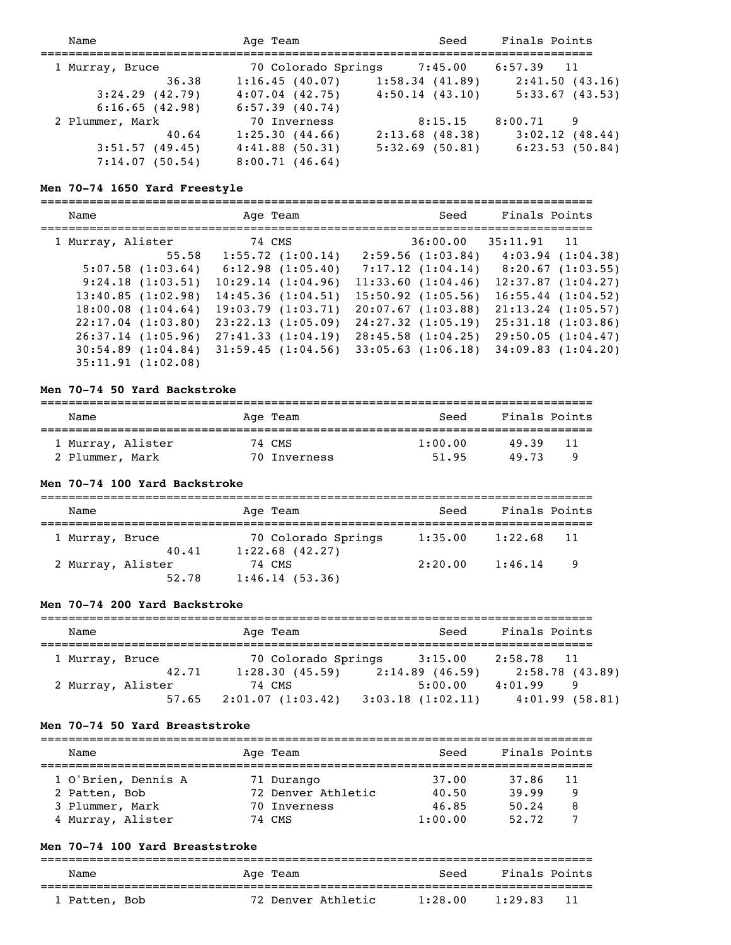| Name                | Age Team            | Seed              | Finals Points  |
|---------------------|---------------------|-------------------|----------------|
| 1 Murray, Bruce     | 70 Colorado Springs | 7:45.00           | $6:57.39$ 11   |
| 36.38               | 1:16.45(40.07)      | 1:58.34(41.89)    | 2:41.50(43.16) |
| $3:24.29$ $(42.79)$ | $4:07.04$ $(42.75)$ | 4:50.14(43.10)    | 5:33.67(43.53) |
| 6:16.65(42.98)      | $6:57.39$ $(40.74)$ |                   |                |
| 2 Plummer, Mark     | 70 Inverness        | 8:15.15           | 8:00.71<br>9   |
| 40.64               | 1:25.30(44.66)      | $2:13.68$ (48.38) | 3:02.12(48.44) |
| 3:51.57(49.45)      | 4:41.88(50.31)      | $5:32.69$ (50.81) | 6:23.53(50.84) |
| 7:14.07(50.54)      | 8:00.71(46.64)      |                   |                |

#### **Men 70-74 1650 Yard Freestyle**

===============================================================================

| Age Team              | Seed                   | Finals Points          |  |
|-----------------------|------------------------|------------------------|--|
| 74 CMS                | 36:00.00               | 35:11.91<br>11         |  |
| $1:55.72$ $(1:00.14)$ | 2:59.56(1:03.84)       | 4:03.94(1:04.38)       |  |
| 6:12.98(1:05.40)      | 7:17.12(1:04.14)       | 8:20.67(1:03.55)       |  |
| 10:29.14(1:04.96)     | 11:33.60(1:04.46)      | 12:37.87(1:04.27)      |  |
| 14:45.36(1:04.51)     | $15:50.92$ $(1:05.56)$ | $16:55.44$ $(1:04.52)$ |  |
| 19:03.79(1:03.71)     | 20:07.67(1:03.88)      | $21:13.24$ $(1:05.57)$ |  |
| 23:22.13(1:05.09)     | $24:27.32$ $(1:05.19)$ | 25:31.18(1:03.86)      |  |
| 27:41.33(1:04.19)     | 28:45.58(1:04.25)      | 29:50.05(1:04.47)      |  |
| 31:59.45(1:04.56)     | $33:05.63$ $(1:06.18)$ | 34:09.83(1:04.20)      |  |
|                       |                        |                        |  |
|                       |                        |                        |  |

#### **Men 70-74 50 Yard Backstroke**

| Name              | Age Team     | Seed    | Finals Points |
|-------------------|--------------|---------|---------------|
| 1 Murray, Alister | 74 CMS       | 1:00.00 | 49.39<br>11   |
| 2 Plummer, Mark   | 70 Inverness | 51.95   | 49.73         |

#### **Men 70-74 100 Yard Backstroke**

| Name              |       | Age Team                                 | Seed    | Finals Points  |  |
|-------------------|-------|------------------------------------------|---------|----------------|--|
| 1 Murray, Bruce   | 40.41 | 70 Colorado Springs<br>$1:22.68$ (42.27) | 1:35.00 | 1:22.68<br>-11 |  |
| 2 Murray, Alister | 52.78 | 74 CMS<br>1:46.14(53.36)                 | 2:20.00 | 1:46.14<br>9   |  |

#### **Men 70-74 200 Yard Backstroke**

| Name              |       | Age Team |                     | Seed              | Finals Points |                |
|-------------------|-------|----------|---------------------|-------------------|---------------|----------------|
|                   |       |          |                     |                   |               |                |
| 1 Murray, Bruce   |       |          | 70 Colorado Springs | 3:15.00           | 2:58.78       | $\sqrt{11}$    |
|                   | 42.71 |          | 1:28.30(45.59)      | $2:14.89$ (46.59) |               | 2:58.78(43.89) |
| 2 Murray, Alister |       | 74 CMS   |                     | 5:00.00           | 4:01.99       | 9              |
|                   | 57.65 |          | 2:01.07(1:03.42)    | 3:03.18(1:02.11)  |               | 4:01.99(58.81) |

#### **Men 70-74 50 Yard Breaststroke**

| Name                                 | Age Team                         | Seed           | Finals Points             |
|--------------------------------------|----------------------------------|----------------|---------------------------|
| 1 O'Brien, Dennis A<br>2 Patten, Bob | 71 Durango<br>72 Denver Athletic | 37.00<br>40.50 | 37.86<br>11<br>39.99<br>9 |
| 3 Plummer, Mark                      | 70 Inverness                     | 46.85          | 50.24<br>8                |
| 4 Murray, Alister                    | 74 CMS                           | 1:00.00        | 52.72                     |

## **Men 70-74 100 Yard Breaststroke**

| Name          | Age Team           | Seed    | Finals Points   |  |
|---------------|--------------------|---------|-----------------|--|
| 1 Patten, Bob | 72 Denver Athletic | 1:28.00 | - 11<br>1:29.83 |  |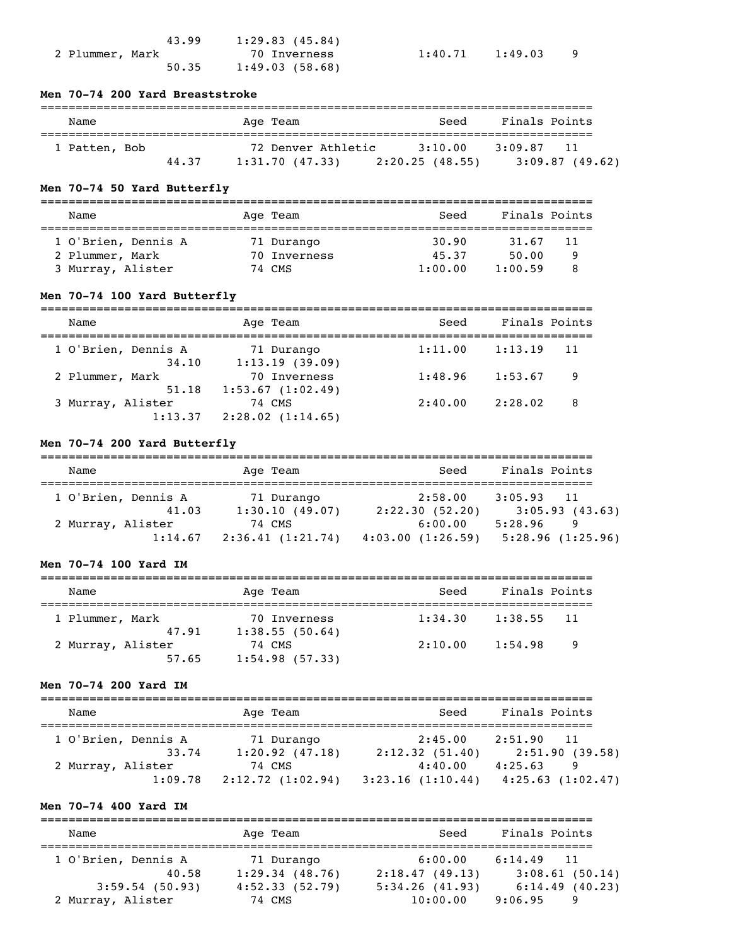|                 | 43.99 | 1:29.83(45.84) |
|-----------------|-------|----------------|
| 2 Plummer, Mark |       | 70 Inverness   |
|                 | 50.35 | 1:49.03(58.68) |

 $1:40.71$   $1:49.03$  9

## **Men 70-74 200 Yard Breaststroke**

| Name          |       | Age Team           | Seed           | Finals Points  |
|---------------|-------|--------------------|----------------|----------------|
| 1 Patten, Bob |       | 72 Denver Athletic | 3:10.00        | 3:09.87        |
|               | 44.37 | 1:31.70(47.33)     | 2:20.25(48.55) | 3:09.87(49.62) |

## **Men 70-74 50 Yard Butterfly**

| Name                | Age Team     | Seed    | Finals Points |  |
|---------------------|--------------|---------|---------------|--|
| 1 O'Brien, Dennis A | 71 Durango   | 30.90   | 31.67<br>11   |  |
| 2 Plummer, Mark     | 70 Inverness | 45.37   | 50.00<br>Q    |  |
| 3 Murray, Alister   | 74 CMS       | 1:00.00 | 1:00.59       |  |

## **Men 70-74 100 Yard Butterfly**

| Name                | Age Team         | Seed    | Finals Points |
|---------------------|------------------|---------|---------------|
| 1 O'Brien, Dennis A | 71 Durango       | 1:11.00 | 1:13.19       |
| 34.10               | 1:13.19(39.09)   |         | 11            |
| 2 Plummer, Mark     | 70 Inverness     | 1:48.96 | 1:53.67       |
| 51.18               | 1:53.67(1:02.49) |         | 9             |
| 3 Murray, Alister   | 74 CMS           | 2:40.00 | 2:28.02       |
| 1:13.37             | 2:28.02(1:14.65) |         | -8            |

## **Men 70-74 200 Yard Butterfly**

| Name                | Age Team         | Seed             | Finals Points              |
|---------------------|------------------|------------------|----------------------------|
|                     |                  |                  |                            |
| 1 O'Brien, Dennis A | 71 Durango       | 2:58.00          | 3:05.93<br>$\overline{11}$ |
| 41.03               | 1:30.10(49.07)   | 2:22.30(52.20)   | 3:05.93(43.63)             |
| 2 Murray, Alister   | 74 CMS           | 6:00.00          | 5:28.96<br>9               |
| 1:14.67             | 2:36.41(1:21.74) | 4:03.00(1:26.59) | 5:28.96(1:25.96)           |

### **Men 70-74 100 Yard IM**

| Name                     | Age Team          | Seed    | Finals Points |     |
|--------------------------|-------------------|---------|---------------|-----|
|                          | 70 Inverness      | 1:34.30 | 1:38.55       | -11 |
| 1 Plummer, Mark<br>47.91 |                   |         |               |     |
|                          | 1:38.55(50.64)    |         |               |     |
| 2 Murray, Alister        | 74 CMS            | 2:10.00 | 1:54.98       | - 9 |
| 57.65                    | $1:54.98$ (57.33) |         |               |     |

## **Men 70-74 200 Yard IM**

| Name                | Age Team            | Seed             | Finals Points              |
|---------------------|---------------------|------------------|----------------------------|
|                     |                     |                  |                            |
| 1 O'Brien, Dennis A | 71 Durango          | 2:45.00          | 2:51.90<br>$\overline{11}$ |
| 33.74               | $1:20.92$ $(47.18)$ | 2:12.32(51.40)   | 2:51.90(39.58)             |
| 2 Murray, Alister   | 74 CMS              | 4:40.00          | 4:25.63<br>9               |
| 1:09.78             | 2:12.72(1:02.94)    | 3:23.16(1:10.44) | $4:25.63$ $(1:02.47)$      |

## **Men 70-74 400 Yard IM**

| Name                | Age Team       | Seed           | Finals Points  |
|---------------------|----------------|----------------|----------------|
| 1 O'Brien, Dennis A | 71 Durango     | 6:00.00        | $6:14.49$ 11   |
| 40.58               | 1:29.34(48.76) | 2:18.47(49.13) | 3:08.61(50.14) |
| 3:59.54(50.93)      | 4:52.33(52.79) | 5:34.26(41.93) | 6:14.49(40.23) |
| 2 Murray, Alister   | 74 CMS         | 10:00.00       | 9:06.95<br>9   |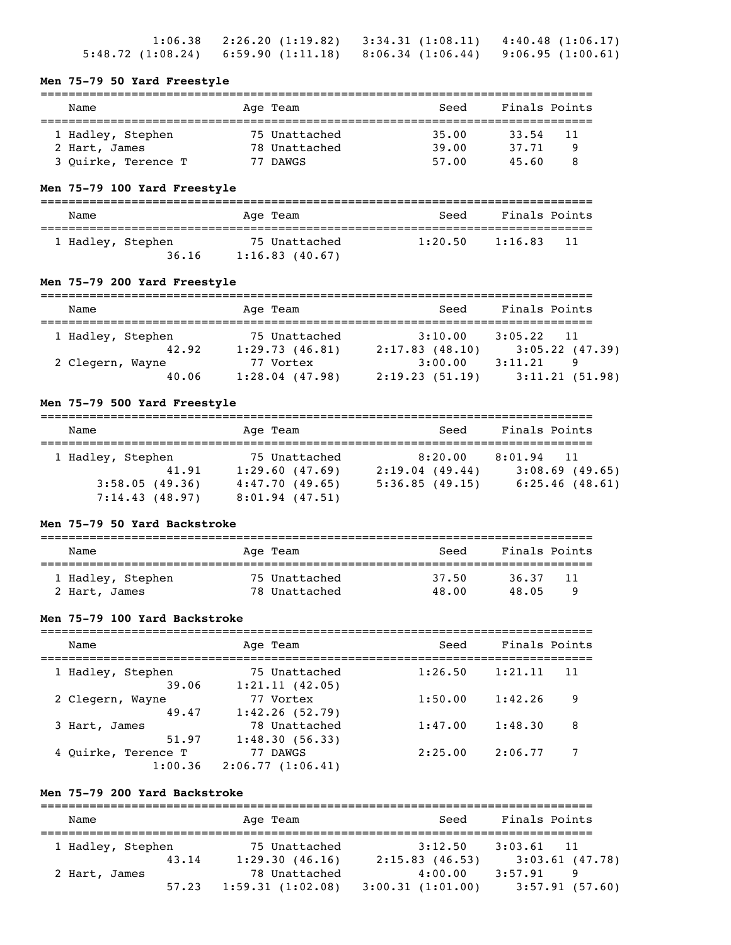|  | $1:06.38$ $2:26.20$ $(1:19.82)$ $3:34.31$ $(1:08.11)$ $4:40.48$ $(1:06.17)$     |  |
|--|---------------------------------------------------------------------------------|--|
|  | $5:48.72$ (1:08.24) $6:59.90$ (1:11.18) $8:06.34$ (1:06.44) $9:06.95$ (1:00.61) |  |

## **Men 75-79 50 Yard Freestyle**

| Name                | Age Team      | Seed  | Finals Points |     |
|---------------------|---------------|-------|---------------|-----|
| 1 Hadley, Stephen   | 75 Unattached | 35.00 | 33.54         | -11 |
| 2 Hart, James       | 78 Unattached | 39.00 | 37.71         | 9   |
| 3 Ouirke, Terence T | 77 DAWGS      | 57.00 | 45.60         | 8   |

## **Men 75-79 100 Yard Freestyle**

| Name                       | Age Team                        | Seed    | Finals Points  |
|----------------------------|---------------------------------|---------|----------------|
| 1 Hadley, Stephen<br>36.16 | 75 Unattached<br>1:16.83(40.67) | 1:20.50 | 1:16.83<br>-11 |

## **Men 75-79 200 Yard Freestyle**

| Name              | Age Team          | Seed           | Finals Points              |
|-------------------|-------------------|----------------|----------------------------|
| 1 Hadley, Stephen | 75 Unattached     | 3:10.00        | 3:05.22<br>$\overline{11}$ |
| 42.92             | 1:29.73(46.81)    | 2:17.83(48.10) | $3:05.22$ (47.39)          |
| 2 Clegern, Wayne  | 77 Vortex         | 3:00.00        | 3:11.21<br>9               |
| 40.06             | $1:28.04$ (47.98) | 2:19.23(51.19) | 3:11.21(51.98)             |

## **Men 75-79 500 Yard Freestyle**

| Name                             | Age Team                            | Seed           | Finals Points     |
|----------------------------------|-------------------------------------|----------------|-------------------|
| 1 Hadley, Stephen                | 75 Unattached                       | 8:20.00        | 8:01.94<br>$-11$  |
| 41.91                            | 1:29.60(47.69)                      | 2:19.04(49.44) | $3:08.69$ (49.65) |
| 3:58.05(49.36)<br>7:14.43(48.97) | 4:47.70(49.65)<br>$8:01.94$ (47.51) | 5:36.85(49.15) | $6:25.46$ (48.61) |

#### **Men 75-79 50 Yard Backstroke**

| Name              | Age Team      | Seed  | Finals Points |  |
|-------------------|---------------|-------|---------------|--|
| 1 Hadley, Stephen | 75 Unattached | 37.50 | 36.37<br>11   |  |
| 2 Hart, James     | 78 Unattached | 48.00 | 48.05<br>Q    |  |

## **Men 75-79 100 Yard Backstroke**

| Name                           | Age Team                        | Seed    | Finals Points |    |
|--------------------------------|---------------------------------|---------|---------------|----|
| 1 Hadley, Stephen<br>39.06     | 75 Unattached<br>1:21.11(42.05) | 1:26.50 | 1:21.11       | 11 |
| 2 Clegern, Wayne<br>49.47      | 77 Vortex<br>1:42.26(52.79)     | 1:50.00 | 1:42.26       | 9  |
| 3 Hart, James<br>51.97         | 78 Unattached<br>1:48.30(56.33) | 1:47.00 | 1:48.30       | 8  |
| 4 Ouirke, Terence T<br>1:00.36 | 77 DAWGS<br>2:06.77(1:06.41)    | 2:25.00 | 2:06.77       | 7  |

## **Men 75-79 200 Yard Backstroke**

| Name              |       | Age Team         | Seed             | Finals Points     |
|-------------------|-------|------------------|------------------|-------------------|
| 1 Hadley, Stephen |       | 75 Unattached    | 3:12.50          | $3:03.61$ 11      |
|                   | 43.14 | 1:29.30(46.16)   | 2:15.83(46.53)   | $3:03.61$ (47.78) |
| 2 Hart, James     |       | 78 Unattached    | 4:00.00          | 3:57.91<br>9      |
|                   | 57.23 | 1:59.31(1:02.08) | 3:00.31(1:01.00) | 3:57.91(57.60)    |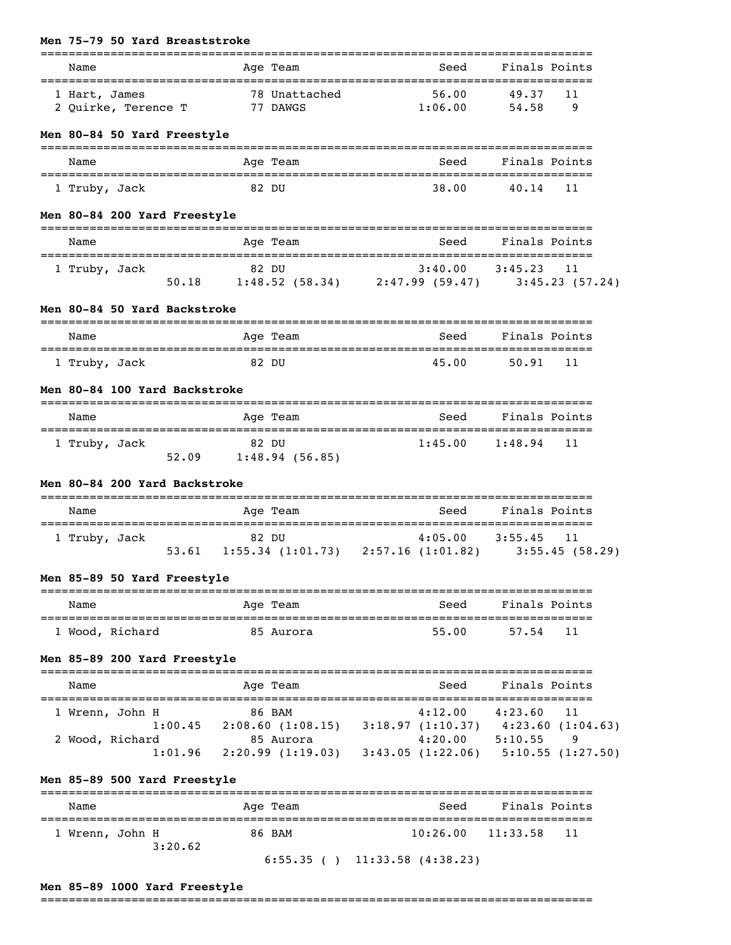| Name                                 | Age Team                                                                                         | Seed                               |                    | Finals Points |
|--------------------------------------|--------------------------------------------------------------------------------------------------|------------------------------------|--------------------|---------------|
| 1 Hart, James<br>2 Quirke, Terence T | 78 Unattached<br>77 DAWGS                                                                        | 56.00<br>1:06.00                   | 49.37<br>54.58     | 11<br>- 9     |
| Men 80-84 50 Yard Freestyle          |                                                                                                  |                                    |                    |               |
| Name                                 | =========<br>Age Team                                                                            | Seed                               |                    | Finals Points |
| 1 Truby, Jack                        | 82 DU                                                                                            | 38.00                              | 40.14 11           |               |
| Men 80-84 200 Yard Freestyle         |                                                                                                  |                                    |                    |               |
| Name                                 | Age Team                                                                                         | Seed                               |                    | Finals Points |
| 1 Truby, Jack                        | $82$ DU $3:40.00$ $3:45.23$ 11<br>50.18 1:48.52 (58.34) 2:47.99 (59.47) 3:45.23 (57.24)          |                                    |                    |               |
| Men 80-84 50 Yard Backstroke         |                                                                                                  |                                    |                    |               |
| Name                                 | -------------<br>Age Team                                                                        | Seed                               |                    | Finals Points |
| 1 Truby, Jack                        | 82 DU                                                                                            | 45.00                              | 50.91              | 11            |
| Men 80-84 100 Yard Backstroke        |                                                                                                  |                                    |                    |               |
| Name                                 | Age Team                                                                                         | Seed                               | Finals Points      |               |
| 1 Truby, Jack                        | 82 DU<br>52.09 1:48.94 (56.85)                                                                   | $1:45.00$ $1:48.94$                |                    | 11            |
| Men 80-84 200 Yard Backstroke        |                                                                                                  |                                    |                    |               |
| Name                                 | Age Team                                                                                         |                                    | Seed Finals Points |               |
| 1 Truby, Jack                        | 82 DU<br>53.61 1:55.34 (1:01.73) 2:57.16 (1:01.82) 3:55.45 (58.29)                               | $4:05.00$ $3:55.45$                |                    | 11            |
| Men 85-89 50 Yard Freestyle          |                                                                                                  |                                    |                    |               |
| Name                                 | Age Team                                                                                         |                                    | Seed Finals Points |               |
| 1 Wood, Richard                      | 85 Aurora                                                                                        | 55.00                              | 57.54              | 11            |
| Men 85-89 200 Yard Freestyle         |                                                                                                  |                                    |                    |               |
| Name                                 | Age Team                                                                                         | Seed                               |                    | Finals Points |
| 1 Wrenn, John H                      | 86 BAM                                                                                           | $4:12.00$ $4:23.60$ 11             |                    |               |
| 2 Wood, Richard                      | 1:00.45 2:08.60 (1:08.15) 3:18.97 (1:10.37) 4:23.60 (1:04.63)<br>d 85 Aurora 4:20.00 5:10.55 9   |                                    |                    |               |
|                                      | d 85 Aurora $4:20.00$ 5:10.55 9<br>1:01.96 2:20.99 (1:19.03) 3:43.05 (1:22.06) 5:10.55 (1:27.50) |                                    |                    |               |
| Men 85-89 500 Yard Freestyle         |                                                                                                  |                                    |                    |               |
| Name                                 | Age Team                                                                                         |                                    | Seed Finals Points |               |
| 1 Wrenn, John H<br>3:20.62           | 86 BAM                                                                                           | $10:26.00$ $11:33.58$              |                    | 11            |
|                                      |                                                                                                  | $6:55.35$ ( ) $11:33.58$ (4:38.23) |                    |               |

## **Men 85-89 1000 Yard Freestyle**

**Men 75-79 50 Yard Breaststroke**

===============================================================================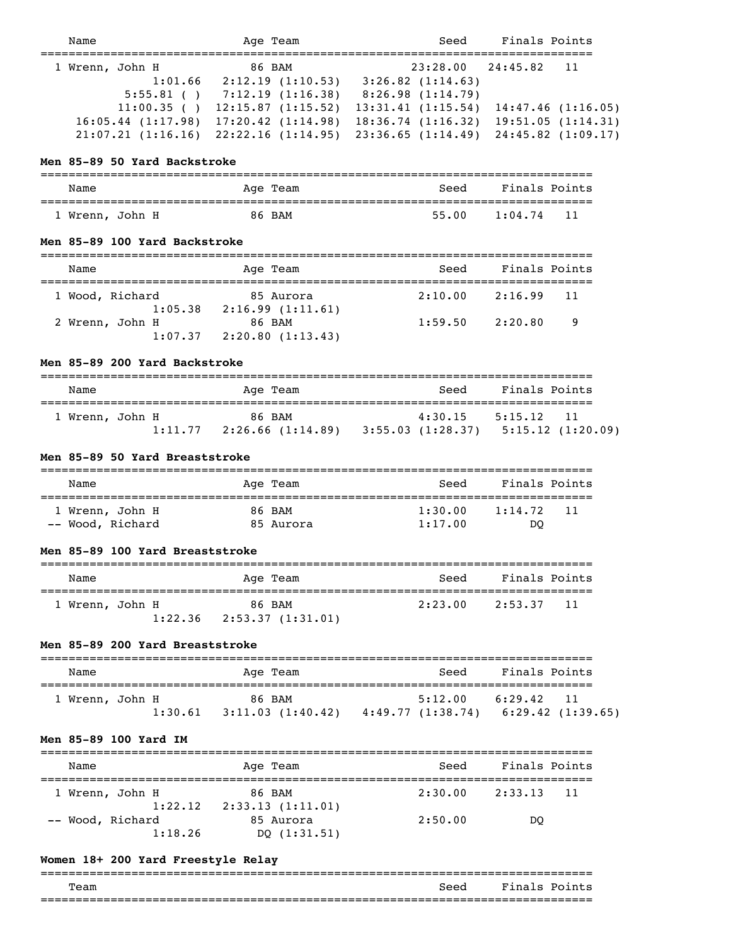| Name            |                        | Age Team |                        | Seed                  | Finals Points |                    |
|-----------------|------------------------|----------|------------------------|-----------------------|---------------|--------------------|
| 1 Wrenn, John H |                        | 86 BAM   |                        | 23:28.00              | 24:45.82      | $\overline{11}$    |
|                 | 1:01.66                |          | 2:12.19(1:10.53)       | $3:26.82$ $(1:14.63)$ |               |                    |
|                 | $5:55.81$ ()           |          | 7:12.19(1:16.38)       | 8:26.98(1:14.79)      |               |                    |
|                 | 11:00.35()             |          | 12:15.87(1:15.52)      | 13:31.41(1:15.54)     |               | 14:47.46(1:16.05)  |
|                 | $16:05.44$ $(1:17.98)$ |          | $17:20.42$ $(1:14.98)$ | 18:36.74(1:16.32)     |               | 19:51.05(1:14.31)  |
|                 | $21:07.21$ $(1:16.16)$ |          | 22:22.16(1:14.95)      | 23:36.65(1:14.49)     |               | 24:45.82 (1:09.17) |
|                 |                        |          |                        |                       |               |                    |

#### **Men 85-89 50 Yard Backstroke**

| Name            | Age Team | Seed  | Finals Points          |
|-----------------|----------|-------|------------------------|
|                 |          |       |                        |
| 1 Wrenn, John H | 86 BAM   | 55.00 | $\sqrt{11}$<br>1:04.74 |

#### **Men 85-89 100 Yard Backstroke**

| Name                       | Age Team                                                      | Seed    | Finals Points    |  |
|----------------------------|---------------------------------------------------------------|---------|------------------|--|
| 1 Wood, Richard            | 85 Aurora                                                     | 2:10.00 | 2:16.99<br>$-11$ |  |
| 1:05.38<br>2 Wrenn, John H | 2:16.99(1:11.61)<br>86 BAM<br>$1:07.37$ $2:20.80$ $(1:13.43)$ | 1:59.50 | - 9<br>2:20.80   |  |

#### **Men 85-89 200 Yard Backstroke**

| Name                       | Age Team                    | Seed                         | Finals Points                       |
|----------------------------|-----------------------------|------------------------------|-------------------------------------|
| 1 Wrenn, John H<br>1:11.77 | 86 BAM<br>2:26.66 (1:14.89) | 4:30.15<br>3:55.03 (1:28.37) | 5:15.12<br>- 11<br>5:15.12(1:20.09) |

#### **Men 85-89 50 Yard Breaststroke**

| Name             | Age Team  | Seed    | Finals Points  |
|------------------|-----------|---------|----------------|
| 1 Wrenn, John H  | 86 BAM    | 1:30.00 | 1:14.72<br>-11 |
| -- Wood, Richard | 85 Aurora | 1:17.00 | DO             |

#### **Men 85-89 100 Yard Breaststroke**

| Name            |                                 | Age Team | Seed    | Finals Points |  |
|-----------------|---------------------------------|----------|---------|---------------|--|
| 1 Wrenn, John H | $1:22.36$ $2:53.37$ $(1:31.01)$ | 86 BAM   | 2:23.00 | 2:53.37 11    |  |

#### **Men 85-89 200 Yard Breaststroke**

| Name            |         | Age Team                   | Seed                        | Finals Points                      |
|-----------------|---------|----------------------------|-----------------------------|------------------------------------|
| 1 Wrenn, John H | 1:30.61 | 86 BAM<br>3:11.03(1:40.42) | 5:12.00<br>4:49.77(1:38.74) | 6:29.42<br>-11<br>6:29.42(1:39.65) |

#### **Men 85-89 100 Yard IM**

| Name             | Age Team         | Seed    | Finals Points  |  |
|------------------|------------------|---------|----------------|--|
| 1 Wrenn, John H  | 86 BAM           | 2:30.00 | 2:33.13<br>-11 |  |
| 1:22.12          | 2:33.13(1:11.01) |         |                |  |
| -- Wood, Richard | 85 Aurora        | 2:50.00 | DO             |  |
| 1:18.26          | DO $(1:31.51)$   |         |                |  |

## **Women 18+ 200 Yard Freestyle Relay**

| __<br>___________ | ________________________ | ____________________________ |
|-------------------|--------------------------|------------------------------|
| Team              | Seed                     | Fina<br>D∩i<br>$\sim$        |
| --                |                          |                              |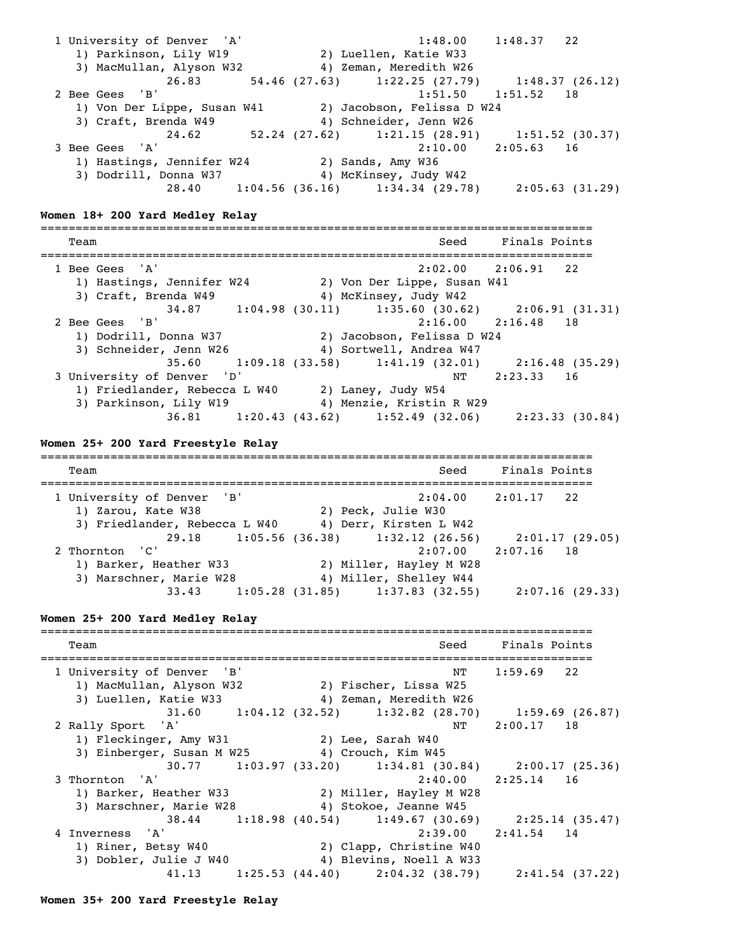1 University of Denver 'A' 1:48.00 1:48.37 22 1) Parkinson, Lily W19 2) Luellen, Katie W33 3) MacMullan, Alyson W32 4) Zeman, Meredith W26 26.83 54.46 (27.63) 1:22.25 (27.79) 1:48.37 (26.12) 2 Bee Gees 'B' 1:51.50 1:51.52 18 1) Von Der Lippe, Susan W41 2) Jacobson, Felissa D W24 3) Craft, Brenda W49 4) Schneider, Jenn W26 24.62 52.24 (27.62) 1:21.15 (28.91) 1:51.52 (30.37) 3 Bee Gees 'A' 2:10.00 2:05.63 16 1) Hastings, Jennifer W24 2) Sands, Amy W36 3) Dodrill, Donna W37 4) McKinsey, Judy W42 28.40 1:04.56 (36.16) 1:34.34 (29.78) 2:05.63 (31.29) **Women 18+ 200 Yard Medley Relay** =============================================================================== Team Seed Finals Points =============================================================================== 1 Bee Gees 'A' 2:02.00 2:06.91 22 1) Hastings, Jennifer W24 2) Von Der Lippe, Susan W41 3) Craft, Brenda W49 4) McKinsey, Judy W42 34.87 1:04.98 (30.11) 1:35.60 (30.62) 2:06.91 (31.31) 2 Bee Gees 'B' 2:16.00 2:16.48 18 1) Dodrill, Donna W37 2) Jacobson, Felissa D W24 3) Schneider, Jenn W26 4) Sortwell, Andrea W47 35.60 1:09.18 (33.58) 1:41.19 (32.01) 2:16.48 (35.29) 3 University of Denver 'D' NT 2:23.33 16 1) Friedlander, Rebecca L W40 2) Laney, Judy W54 3) Parkinson, Lily W19 4) Menzie, Kristin R W29 36.81 1:20.43 (43.62) 1:52.49 (32.06) 2:23.33 (30.84) **Women 25+ 200 Yard Freestyle Relay** =============================================================================== Team Seed Finals Points =============================================================================== 1 University of Denver 'B' 2:04.00 2:01.17 22 1) Zarou, Kate W38 2) Peck, Julie W30 3) Friedlander, Rebecca L W40 4) Derr, Kirsten L W42 29.18 1:05.56 (36.38) 1:32.12 (26.56) 2:01.17 (29.05)<br>2 Thornton 'C' 2:07.00 2:07.16 18  $2:07.00$   $2:07.16$  18 1) Barker, Heather W33 2) Miller, Hayley M W28 3) Marschner, Marie W28 4) Miller, Shelley W44 33.43 1:05.28 (31.85) 1:37.83 (32.55) 2:07.16 (29.33) **Women 25+ 200 Yard Medley Relay** =============================================================================== Team Seed Finals Points =============================================================================== 1 University of Denver 'B' 1:59.69 22 1) MacMullan, Alyson W32 2) Fischer, Lissa W25 3) Luellen, Katie W33 4) Zeman, Meredith W26 31.60 1:04.12 (32.52) 1:32.82 (28.70) 1:59.69 (26.87) 2 Rally Sport 'A' NT 2:00.17 18 1) Fleckinger, Amy W31 2) Lee, Sarah W40 3) Einberger, Susan M W25 4) Crouch, Kim W45  $3 \text{ Thornton}$   $30.77$   $1:03.97$   $(33.20)$   $1:34.81$   $(30.84)$   $2:00.17$   $(25.36)$ <br>3 Thornton  $A'$   $2:40.00$   $2:25.14$  16  $2:40.00$   $2:25.14$  16 1) Barker, Heather W33 2) Miller, Hayley M W28 3) Marschner, Marie W28 4) Stokoe, Jeanne W45 38.44 1:18.98 (40.54) 1:49.67 (30.69) 2:25.14 (35.47)<br>4 Inverness 'A' 2:39.00 2:41.54 14 2:39.00 2:41.54 14 1) Riner, Betsy W40 2) Clapp, Christine W40 3) Dobler, Julie J W40 4) Blevins, Noell A W33 41.13 1:25.53 (44.40) 2:04.32 (38.79) 2:41.54 (37.22)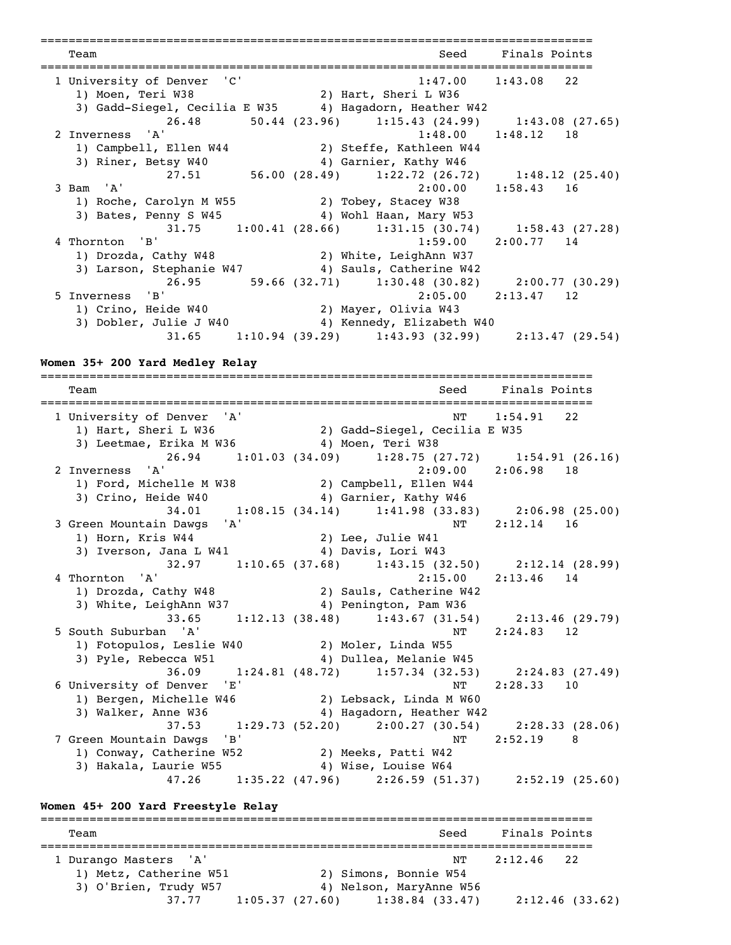=============================================================================== Team Seed Finals Points =============================================================================== 1 University of Denver 'C' 1:47.00 1:43.08 22 1) Moen, Teri W38 2) Hart, Sheri L W36 3) Gadd-Siegel, Cecilia E W35 4) Hagadorn, Heather W42 26.48 50.44 (23.96) 1:15.43 (24.99) 1:43.08 (27.65)<br>2 Inverness 'A' 1:48.00 1:48.12 18  $1:48.00$   $1:48.12$  18 1) Campbell, Ellen W44 2) Steffe, Kathleen W44 3) Riner, Betsy W40 4) Garnier, Kathy W46 27.51 56.00 (28.49) 1:22.72 (26.72) 1:48.12 (25.40)  $3$  Bam 'A'  $2:00.00$   $1:58.43$  16 1) Roche, Carolyn M W55 2) Tobey, Stacey W38 3) Bates, Penny S W45 4) Wohl Haan, Mary W53 31.75 1:00.41 (28.66) 1:31.15 (30.74) 1:58.43 (27.28)<br>4 Thornton 'B' 1:59.00 2:00.77 14  $1:59.00$   $2:00.77$  14 1) Drozda, Cathy W48 2) White, LeighAnn W37 3) Larson, Stephanie W47 4) Sauls, Catherine W42 26.95 59.66 (32.71) 1:30.48 (30.82) 2:00.77 (30.29) 5 Inverness 'B' 2:05.00 2:13.47 12 1) Crino, Heide W40 2) Mayer, Olivia W43 3) Dobler, Julie J W40 4) Kennedy, Elizabeth W40 31.65 1:10.94 (39.29) 1:43.93 (32.99) 2:13.47 (29.54)

#### **Women 35+ 200 Yard Medley Relay**

=============================================================================== Team Seed Finals Points =============================================================================== 1 University of Denver 'A' NT 1:54.91 22 1) Hart, Sheri L W36 2) Gadd-Siegel, Cecilia E W35 3) Leetmae, Erika M W36 4) Moen, Teri W38 26.94 1:01.03 (34.09) 1:28.75 (27.72) 1:54.91 (26.16)<br>2 Inverness 'A' 2:09.00 2:06.98 18 2 Inverness 'A' 2:09.00 2:06.98 18 1) Ford, Michelle M W38 2) Campbell, Ellen W44 3) Crino, Heide W40 4) Garnier, Kathy W46 34.01 1:08.15 (34.14) 1:41.98 (33.83) 2:06.98 (25.00) 3 Green Mountain Dawgs 'A' NT 2:12.14 16 1) Horn, Kris W44 2) Lee, Julie W41 3) Iverson, Jana L W41 4) Davis, Lori W43  $32.97$  1:10.65 (37.68) 1:43.15 (32.50) 2:12.14 (28.99)<br>4 Thornton 'A' 2:15.00 2:13.46 14  $2:15.00$   $2:13.46$  14 1) Drozda, Cathy W48 2) Sauls, Catherine W42 3) White, LeighAnn W37 4) Penington, Pam W36 33.65 1:12.13 (38.48) 1:43.67 (31.54) 2:13.46 (29.79)<br>5 South Suburban 'A' 1:12.13 (38.48) 1:43.67 (31.54) 2:24.83 12 NT 2:24.83 12 1) Fotopulos, Leslie W40 2) Moler, Linda W55 3) Pyle, Rebecca W51 4) Dullea, Melanie W45  $36.09$  1:24.81 (48.72) 1:57.34 (32.53) 2:24.83 (27.49)<br>6 University of Denver 'E' NT 2:28.33 10 6 University of Denver 'E' NT 2:28.33 10 1) Bergen, Michelle W46 2) Lebsack, Linda M W60 3) Walker, Anne W36 4) Hagadorn, Heather W42 37.53 1:29.73 (52.20) 2:00.27 (30.54) 2:28.33 (28.06) 7 Green Mountain Dawgs 'B' NT 2:52.19 8 1) Conway, Catherine W52 2) Meeks, Patti W42 3) Hakala, Laurie W55 4) Wise, Louise W64 47.26 1:35.22 (47.96) 2:26.59 (51.37) 2:52.19 (25.60)

## **Women 45+ 200 Yard Freestyle Relay**

=============================================================================== Team Seed Finals Points =============================================================================== 1 Durango Masters 'A' NT 2:12.46 22 1) Metz, Catherine W51 2) Simons, Bonnie W54 3) O'Brien, Trudy W57 4) Nelson, MaryAnne W56 37.77 1:05.37 (27.60) 1:38.84 (33.47) 2:12.46 (33.62)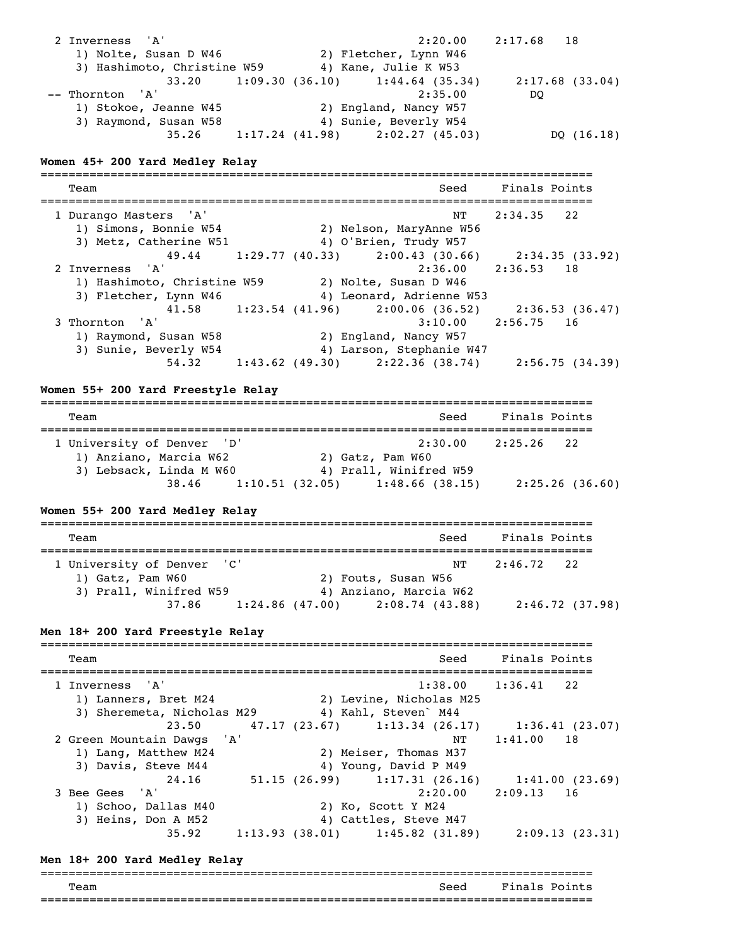| 2 Inverness 'A'<br>1) Nolte, Susan D W46<br>3) Hashimoto, Christine W59 4) Kane, Julie K W53                             | 2:20.00<br>2) Fletcher, Lynn W46                                                                                      | $2:17.68$ 18   |
|--------------------------------------------------------------------------------------------------------------------------|-----------------------------------------------------------------------------------------------------------------------|----------------|
| -- Thornton 'A'<br>1) Stokoe, Jeanne W45 (2) England, Nancy W57<br>3) Raymond, Susan W58                                 | 33.20 1:09.30 (36.10) 1:44.64 (35.34) 2:17.68 (33.04)<br>2:35.00<br>4) Sunie, Beverly W54                             | DQ             |
|                                                                                                                          | 35.26 1:17.24 (41.98) 2:02.27 (45.03)                                                                                 | DQ (16.18)     |
| Women 45+ 200 Yard Medley Relay                                                                                          |                                                                                                                       |                |
| Team                                                                                                                     | Seed<br>---------------------------------                                                                             | Finals Points  |
| 1 Durango Masters 'A'<br>1) Simons, Bonnie W54 (2) Nelson, MaryAnne W56<br>3) Metz, Catherine W51 4) O'Brien, Trudy W57  | ΝT                                                                                                                    | $2:34.35$ 22   |
|                                                                                                                          | 49.44 1:29.77 (40.33) 2:00.43 (30.66) 2:34.35 (33.92)                                                                 |                |
| 2 Inverness 'A'<br>1) Hashimoto, Christine W59 2) Nolte, Susan D W46<br>3) Fletcher, Lynn W46                            | $2:36.00$ $2:36.53$ 18<br>4) Leonard, Adrienne W53                                                                    |                |
| 3 Thornton 'A'<br>1) Raymond, Susan W58<br>3) Sunie, Beverly W54                                                         | 41.58 1:23.54 (41.96) 2:00.06 (36.52) 2:36.53 (36.47)<br>3:10.00<br>2) England, Nancy W57<br>4) Larson, Stephanie W47 | $2:56.75$ 16   |
| Women 55+ 200 Yard Freestyle Relay                                                                                       | 54.32 1:43.62 (49.30) 2:22.36 (38.74) 2:56.75 (34.39)                                                                 |                |
| Team                                                                                                                     | Seed                                                                                                                  | Finals Points  |
| 1 University of Denver 'D'<br>1) Anziano, Marcia W62 (2) Gatz, Pam W60<br>3) Lebsack, Linda M W60 4) Prall, Winifred W59 | $2:30.00$ $2:25.26$ 22                                                                                                |                |
|                                                                                                                          | 38.46 1:10.51 (32.05) 1:48.66 (38.15) 2:25.26 (36.60)                                                                 |                |
| Women 55+ 200 Yard Medley Relay                                                                                          |                                                                                                                       |                |
| Team                                                                                                                     | Seed                                                                                                                  | Finals Points  |
| ' C '<br>1 University of Denver<br>1) Gatz, Pam W60<br>3) Prall, Winifred W59                                            | ΝT<br>2) Fouts, Susan W56<br>4) Anziano, Marcia W62                                                                   | 2:46.72<br>22  |
| 37.86<br>1:24.86(47.00)                                                                                                  | 2:08.74(43.88)                                                                                                        | 2:46.72(37.98) |

#### **Men 18+ 200 Yard Freestyle Relay**

=============================================================================== Team Seed Finals Points =============================================================================== 1 Inverness 'A' 1:38.00 1:36.41 22 1) Lanners, Bret M24 2) Levine, Nicholas M25 3) Sheremeta, Nicholas M29 4) Kahl, Steven` M44 23.50 47.17 (23.67) 1:13.34 (26.17) 1:36.41 (23.07) 2 Green Mountain Dawgs 'A' NT 1:41.00 18 1) Lang, Matthew M24 2) Meiser, Thomas M37 3) Davis, Steve M44 4) Young, David P M49 24.16 51.15 (26.99) 1:17.31 (26.16) 1:41.00 (23.69) 3 Bee Gees 'A' 2:20.00 2:09.13 16 1) Schoo, Dallas M40 2) Ko, Scott Y M24<br>3) Heins, Don A M52 4) Cattles, Steve I 4) Cattles, Steve M47 35.92 1:13.93 (38.01) 1:45.82 (31.89) 2:09.13 (23.31)

#### **Men 18+ 200 Yard Medley Relay**

| Team | Seed | Fina<br>Points<br>∪s. |
|------|------|-----------------------|
|      |      |                       |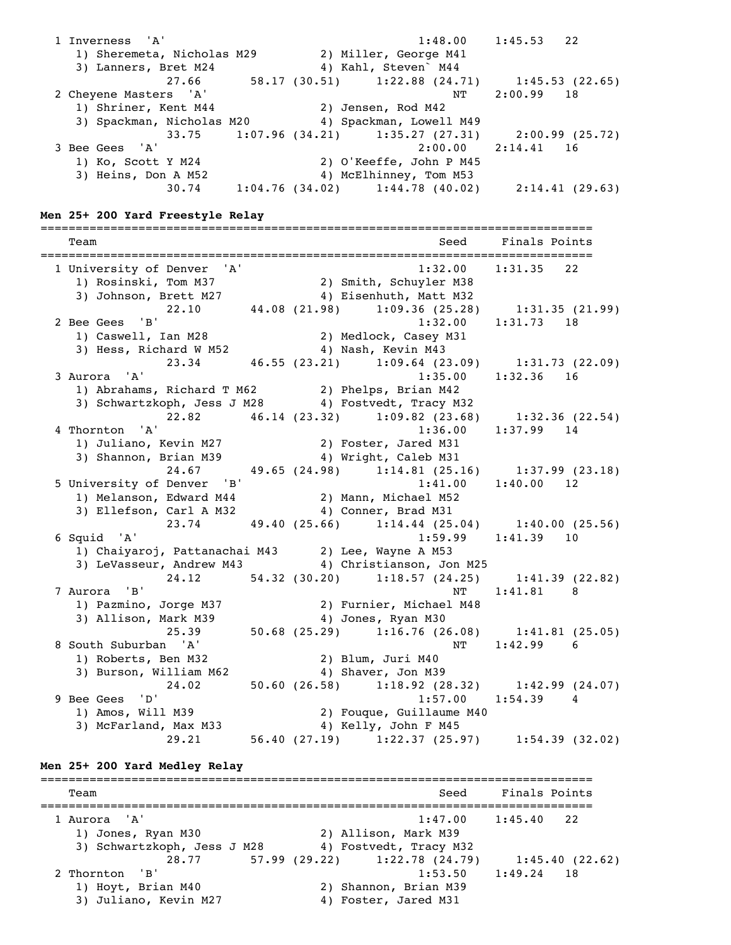1 Inverness 'A' 1:48.00 1:45.53 22 1) Sheremeta, Nicholas M29 2) Miller, George M41 3) Lanners, Bret M24 4) Kahl, Steven` M44 27.66 58.17 (30.51) 1:22.88 (24.71) 1:45.53 (22.65) 2 Cheyene Masters 'A' NT 2:00.99 18 1) Shriner, Kent M44 2) Jensen, Rod M42 3) Spackman, Nicholas M20 4) Spackman, Lowell M49 33.75 1:07.96 (34.21) 1:35.27 (27.31) 2:00.99 (25.72)<br>3 Bee Gees 'A' 2:00.00 2:14.41 16 3 Bee Gees 'A' 2:00.00 2:14.41 16 1) Ko, Scott Y M24 2) O'Keeffe, John P M45 3) Heins, Don A M52 4) McElhinney, Tom M53 30.74 1:04.76 (34.02) 1:44.78 (40.02) 2:14.41 (29.63) **Men 25+ 200 Yard Freestyle Relay** =============================================================================== Team Seed Finals Points =============================================================================== 1 University of Denver 'A' 1:32.00 1:31.35 22 1) Rosinski, Tom M37 2) Smith, Schuyler M38 3) Johnson, Brett M27 4) Eisenhuth, Matt M32 22.10 44.08 (21.98) 1:09.36 (25.28) 1:31.35 (21.99) 2 Bee Gees 'B' 1:32.00 1:31.73 18 1) Caswell, Ian M28 2) Medlock, Casey M31 3) Hess, Richard W M52 4) Nash, Kevin M43  $\begin{array}{ccccccccc}\n & & & & & & & 23.34 \\
 & & & 46.55 & (23.21) & 1:09.64 & (23.09) & 1:31.73 & (22.09) \\
 & & & & & & 1:35.00 & 1:32.36 & 16\n\end{array}$  $1:35.00$   $1:32.36$  16 1) Abrahams, Richard T M62 2) Phelps, Brian M42 3) Schwartzkoph, Jess J M28 4) Fostvedt, Tracy M32 22.82 46.14 (23.32) 1:09.82 (23.68) 1:32.36 (22.54) 4 Thornton 'A' 1:36.00 1:37.99 14 1) Juliano, Kevin M27 2) Foster, Jared M31 3) Shannon, Brian M39 4) Wright, Caleb M31 24.67 49.65 (24.98) 1:14.81 (25.16) 1:37.99 (23.18) 5 University of Denver 'B' (2003) 1:41.00 1:40.00 12 1) Melanson, Edward M44 2) Mann, Michael M52 3) Ellefson, Carl A M32 4) Conner, Brad M31  $23.74$   $49.40$   $(25.66)$   $1:14.44$   $(25.04)$   $1:40.00$   $(25.56)$ <br>6 Squid 'A'  $1:59.99$   $1:41.39$  10 1:59.99 1:41.39 10 1) Chaiyaroj, Pattanachai M43 2) Lee, Wayne A M53 3) LeVasseur, Andrew M43 4) Christianson, Jon M25 24.12 54.32 (30.20) 1:18.57 (24.25) 1:41.39 (22.82)<br>7 Aurora 'B' 1:41.81 8 7 Aurora 'B' NT 1:41.81 8 1) Pazmino, Jorge M37 2) Furnier, Michael M48 3) Allison, Mark M39 4) Jones, Ryan M30 25.39 50.68 (25.29) 1:16.76 (26.08) 1:41.81 (25.05) 8 South Suburban 'A' NT 1:42.99 6 1) Roberts, Ben M32 2) Blum, Juri M40 3) Burson, William M62 4) Shaver, Jon M39 24.02 50.60 (26.58) 1:18.92 (28.32) 1:42.99 (24.07) 9 Bee Gees 'D' 1:57.00 1:54.39 4 1) Amos, Will M39 2) Fouque, Guillaume M40 3) McFarland, Max M33 4) Kelly, John F M45 29.21 56.40 (27.19) 1:22.37 (25.97) 1:54.39 (32.02) **Men 25+ 200 Yard Medley Relay** =============================================================================== Team Seed Finals Points =============================================================================== 1 Aurora 'A' 1:47.00 1:45.40 22 1) Jones, Ryan M30 2) Allison, Mark M39 3) Schwartzkoph, Jess J M28 4) Fostvedt, Tracy M32 28.77 57.99 (29.22) 1:22.78 (24.79) 1:45.40 (22.62)<br>2 Thornton 'B' 1:53.50 1:49.24 18 2 Thornton 'B' 1:53.50 1:49.24 18 1) Hoyt, Brian M40 2) Shannon, Brian M39 3) Juliano, Kevin M27 4) Foster, Jared M31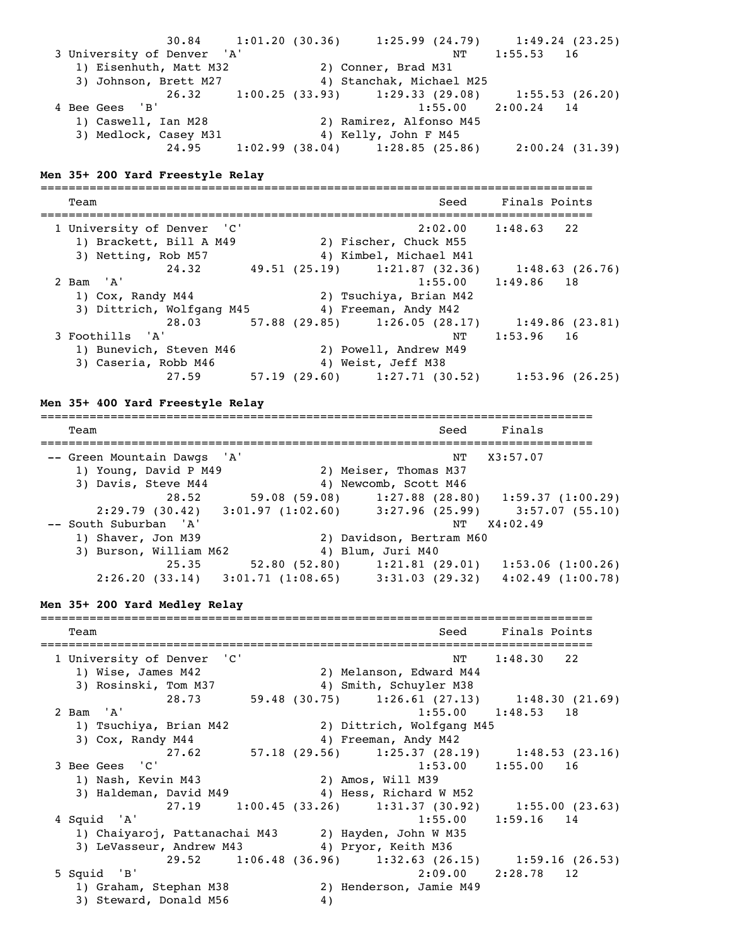30.84 1:01.20 (30.36) 1:25.99 (24.79) 1:49.24 (23.25)<br>3 University of Denver 'A' R' RT 1:55.53 16 3 University of Denver 'A' NT 1:55.53 16 1) Eisenhuth, Matt M32 2) Conner, Brad M31 3) Johnson, Brett M27 4) Stanchak, Michael M25 26.32 1:00.25 (33.93) 1:29.33 (29.08) 1:55.53 (26.20) 4 Bee Gees 'B' 1:55.00 2:00.24 14 1) Caswell, Ian M28 2) Ramirez, Alfonso M45 3) Medlock, Casey M31 4) Kelly, John F M45 24.95 1:02.99 (38.04) 1:28.85 (25.86) 2:00.24 (31.39) **Men 35+ 200 Yard Freestyle Relay** =============================================================================== Team Seed Finals Points =============================================================================== 1 University of Denver 'C' 2:02.00 1:48.63 22 1) Brackett, Bill A M49 2) Fischer, Chuck M55 3) Netting, Rob M57 4) Kimbel, Michael M41 24.32 49.51 (25.19) 1:21.87 (32.36) 1:48.63 (26.76) 2 Bam 'A' 1:55.00 1:49.86 18 1) Cox, Randy M44 2) Tsuchiya, Brian M42 3) Dittrich, Wolfgang M45 4) Freeman, Andy M42 28.03 57.88 (29.85) 1:26.05 (28.17) 1:49.86 (23.81)<br>3 Foothills 'A' 16 17 1:53.96 16 NT 1:53.96 16 1) Bunevich, Steven M46 2) Powell, Andrew M49 3) Caseria, Robb M46 4) Weist, Jeff M38 27.59 57.19 (29.60) 1:27.71 (30.52) 1:53.96 (26.25) **Men 35+ 400 Yard Freestyle Relay** =============================================================================== Team Seed Finals =============================================================================== -- Green Mountain Dawgs 'A' NT X3:57.07 1) Young, David P M49 2) Meiser, Thomas M37<br>3) Davis, Steve M44 4 4 9 Newcomb, Scott M46 3) Davis, Steve M44 4 4) Newcomb, Scott M46 28.52 59.08 (59.08) 1:27.88 (28.80) 1:59.37 (1:00.29) 2:29.79 (30.42) 3:01.97 (1:02.60) 3:27.96 (25.99) 3:57.07 (55.10) -- South Suburban 'A' NT X4:02.49 1) Shaver, Jon M39 2) Davidson, Bertram M60 3) Burson, William M62 4) Blum, Juri M40 25.35 52.80 (52.80) 1:21.81 (29.01) 1:53.06 (1:00.26) 2:26.20 (33.14) 3:01.71 (1:08.65) 3:31.03 (29.32) 4:02.49 (1:00.78) **Men 35+ 200 Yard Medley Relay** =============================================================================== Team and the second second second second second second second second second second second second second second second second second second second second second second second second second second second second second second =============================================================================== 1 University of Denver 'C' NT 1:48.30 22 1) Wise, James M42 2) Melanson, Edward M44 3) Rosinski, Tom M37 4) Smith, Schuyler M38 28.73 59.48 (30.75) 1:26.61 (27.13) 1:48.30 (21.69) 2 Bam 'A' 1:55.00 1:48.53 18 1) Tsuchiya, Brian M42 2) Dittrich, Wolfgang M45 3) Cox, Randy M44 4) Freeman, Andy M42 27.62 57.18 (29.56) 1:25.37 (28.19) 1:48.53 (23.16) 3 Bee Gees 'C' 1:53.00 1:55.00 16 1) Nash, Kevin M43 2) Amos, Will M39 3) Haldeman, David M49 4) Hess, Richard W M52 27.19 1:00.45 (33.26) 1:31.37 (30.92) 1:55.00 (23.63) 4 Squid 'A' 1:55.00 1:59.16 14 1) Chaiyaroj, Pattanachai M43 2) Hayden, John W M35 3) LeVasseur, Andrew M43 4) Pryor, Keith M36 29.52 1:06.48 (36.96) 1:32.63 (26.15) 1:59.16 (26.53)<br>229.00 2:28.78 12<br>239.00 2:28.78 12 9 | 12 | 1310 | 1320 | 1321 | 1321 | 1321 | 1321 | 1321 | 1321 | 1321 | 1321 | 1322 | 1322 | 1322 | 1322 | 13<br>
15 | 1322 | 1322 | 1322 | 1322 | 1322 | 1322 | 1322 | 1322 | 1322 | 1322 | 1322 | 1322 | 1322 | 1322 | 1322 | 2) Henderson, Jamie M49 3) Steward, Donald M56 4)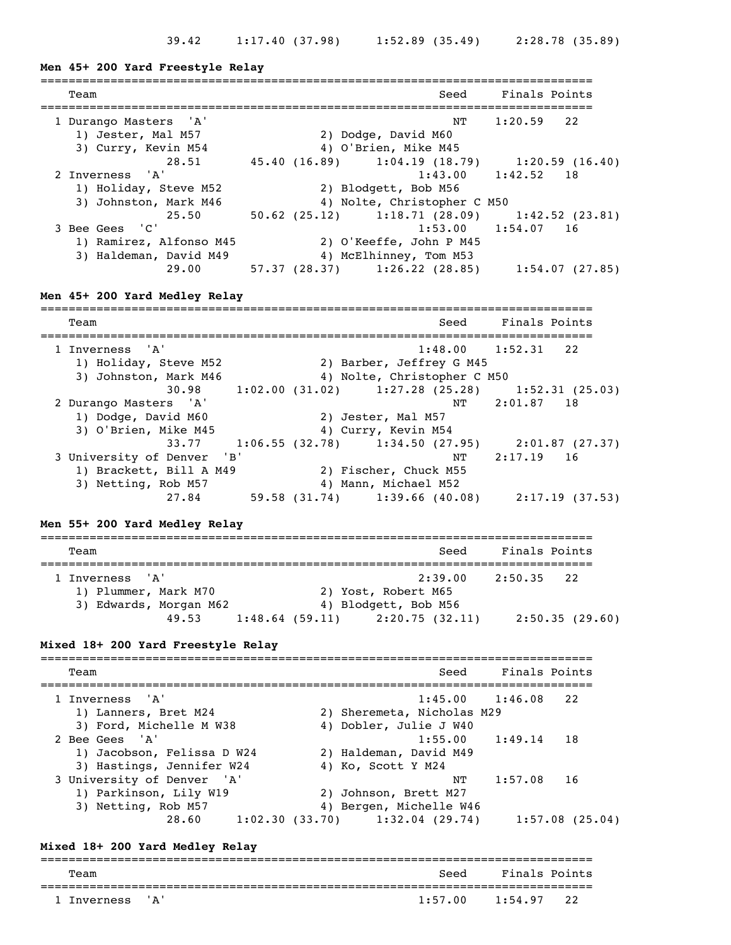#### **Men 45+ 200 Yard Freestyle Relay**

| Team                    | Seed                                          | Finals Points          |
|-------------------------|-----------------------------------------------|------------------------|
| 1 Durango Masters 'A'   | NT                                            | $1:20.59$ 22           |
| 1) Jester, Mal M57      | 2) Dodge, David M60                           |                        |
| 3) Curry, Kevin M54     | 4) O'Brien, Mike M45                          |                        |
| 28.51                   | 45.40 (16.89) 1:04.19 (18.79) 1:20.59 (16.40) |                        |
| 2 Inverness 'A'         |                                               | $1:43.00$ $1:42.52$ 18 |
| 1) Holiday, Steve M52   | 2) Blodgett, Bob M56                          |                        |
| 3) Johnston, Mark M46   | 4) Nolte, Christopher C M50                   |                        |
| 25.50                   | 50.62 (25.12) 1:18.71 (28.09) 1:42.52 (23.81) |                        |
| 3 Bee Gees 'C'          |                                               | $1:53.00$ $1:54.07$ 16 |
| 1) Ramirez, Alfonso M45 | 2) O'Keeffe, John P M45                       |                        |
| 3) Haldeman, David M49  | 4) McElhinney, Tom M53                        |                        |
| 29.00                   | $57.37$ (28.37) 1:26.22 (28.85)               | 1:54.07(27.85)         |
|                         |                                               |                        |

#### **Men 45+ 200 Yard Medley Relay**

=============================================================================== Team Seed Finals Points =============================================================================== 1 Inverness 'A' 1:48.00 1:52.31 22<br>1) Holiday, Steve M52 2) Barber, Jeffrey G M45 1) Holiday, Steve M52 2) Barber, Jeffrey G M45 3) Johnston, Mark M46 4) Nolte, Christopher C M50 30.98 1:02.00 (31.02) 1:27.28 (25.28) 1:52.31 (25.03) 2 Durango Masters 'A' NT 2:01.87 18 1) Dodge, David M60 2) Jester, Mal M57 3) O'Brien, Mike M45 4) Curry, Kevin M54 33.77 1:06.55 (32.78) 1:34.50 (27.95) 2:01.87 (27.37) 3 University of Denver 'B' NT 2:17.19 16 1) Brackett, Bill A M49 2) Fischer, Chuck M55 3) Netting, Rob M57 4) Mann, Michael M52 3) Netting, Rob M57 <br>27.84 59.58 (31.74) 1:39.66 (40.08) 2:17.19 (37.53)

#### **Men 55+ 200 Yard Medley Relay**

| Team                   |                                     | Seed    | Finals Points |                |  |  |  |
|------------------------|-------------------------------------|---------|---------------|----------------|--|--|--|
| 1 Inverness 'A'        |                                     | 2:39.00 | 2:50.35 22    |                |  |  |  |
| 1) Plummer, Mark M70   | 2) Yost, Robert M65                 |         |               |                |  |  |  |
| 3) Edwards, Morgan M62 | 4) Blodgett, Bob M56                |         |               |                |  |  |  |
| 49.53                  | $1:48.64$ (59.11) $2:20.75$ (32.11) |         |               | 2:50.35(29.60) |  |  |  |

#### **Mixed 18+ 200 Yard Freestyle Relay**

=============================================================================== Team Seed Finals Points =============================================================================== nverness 'A' 1:45.00 1:46.08 22<br>1) Lanners, Bret M24 2) Sheremeta, Nicholas M29 1) Lanners, Bret M24 2) Sheremeta, Nicholas M29 3) Ford, Michelle M W38 4) Dobler, Julie J W40 2 Bee Gees 'A' 1:55.00 1:49.14 18 1) Jacobson, Felissa D W24 2) Haldeman, David M49 3) Hastings, Jennifer W24 4) Ko, Scott Y M24 3 University of Denver 'A' NT 1:57.08 16 1) Parkinson, Lily W19 2) Johnson, Brett M27 3) Netting, Rob M57 4) Bergen, Michelle W46 28.60 1:02.30 (33.70) 1:32.04 (29.74) 1:57.08 (25.04)

#### **Mixed 18+ 200 Yard Medley Relay**

| Team            |  | Seed    | Finals Points |  |  |  |
|-----------------|--|---------|---------------|--|--|--|
| 1 Inverness 'A' |  | 1:57.00 | $1:54.97$ 22  |  |  |  |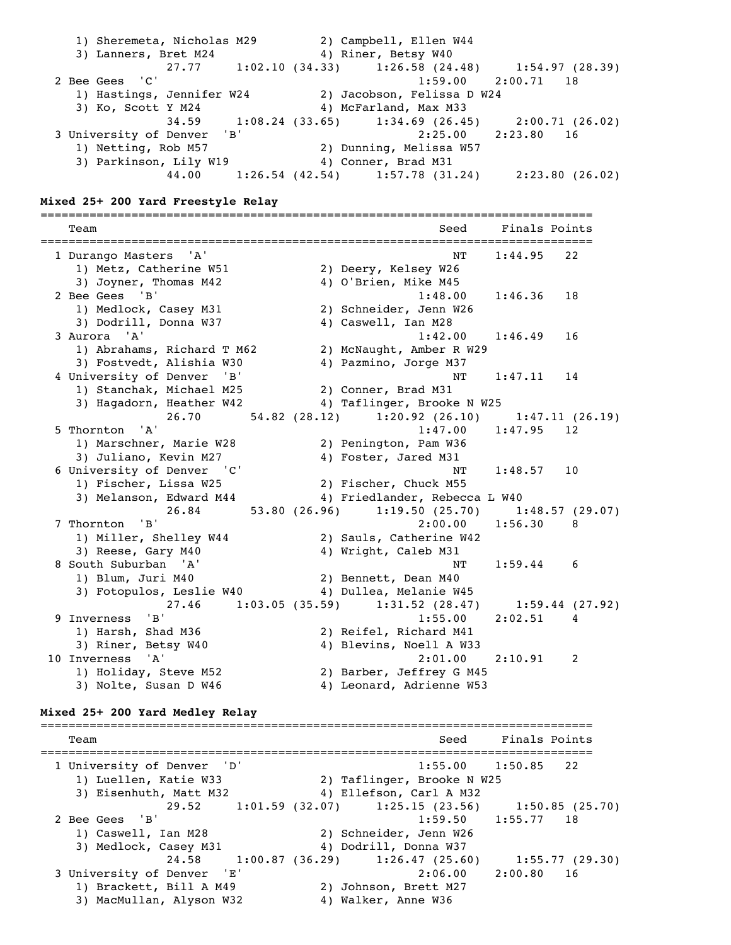| 1) Sheremeta, Nicholas M29 | 2) Campbell, Ellen W44                                  |                        |
|----------------------------|---------------------------------------------------------|------------------------|
| 3) Lanners, Bret M24       | 4) Riner, Betsy W40                                     |                        |
|                            | $27.77$ 1:02.10 (34.33) 1:26.58 (24.48) 1:54.97 (28.39) |                        |
| 2 Bee Gees 'C'             |                                                         | $1:59.00$ $2:00.71$ 18 |
| 1) Hastings, Jennifer W24  | 2) Jacobson, Felissa D W24                              |                        |
| 3) Ko, Scott Y M24         | 4) McFarland, Max M33                                   |                        |
|                            | $34.59$ 1:08.24 (33.65) 1:34.69 (26.45) 2:00.71 (26.02) |                        |
| 3 University of Denver 'B' |                                                         | $2:25.00$ $2:23.80$ 16 |
| 1) Netting, Rob M57        | 2) Dunning, Melissa W57                                 |                        |
| 3) Parkinson, Lily W19     | 4) Conner, Brad M31                                     |                        |
| 44.00                      | $1:26.54$ (42.54) $1:57.78$ (31.24)                     | 2:23.80 (26.02)        |

#### **Mixed 25+ 200 Yard Freestyle Relay**

=============================================================================== Team Seed Finals Points =============================================================================== 1 Durango Masters 'A' 1:44.95 22 1) Metz, Catherine W51 2) Deery, Kelsey W26 3) Joyner, Thomas M42 4) O'Brien, Mike M45 2 Bee Gees 'B' 1:48.00 1:46.36 18 1) Medlock, Casey M31 2) Schneider, Jenn W26 3) Dodrill, Donna W37 4) Caswell, Ian M28 3 Aurora 'A' 1:42.00 1:46.49 16 1) Abrahams, Richard T M62 2) McNaught, Amber R W29 3) Fostvedt, Alishia W30 4) Pazmino, Jorge M37 4 University of Denver 'B' NT 1:47.11 14 1) Stanchak, Michael M25 2) Conner, Brad M31 3) Hagadorn, Heather W42 4) Taflinger, Brooke N W25 26.70 54.82 (28.12) 1:20.92 (26.10) 1:47.11 (26.19) 5 Thornton 'A' 1:47.00 1:47.95 12 1) Marschner, Marie W28 2) Penington, Pam W36 3) Juliano, Kevin M27 4) Foster, Jared M31 6 University of Denver 'C' NT 1:48.57 10 1) Fischer, Lissa W25 2) Fischer, Chuck M55 3) Melanson, Edward M44 4) Friedlander, Rebecca L W40 26.84 53.80 (26.96) 1:19.50 (25.70) 1:48.57 (29.07) 7 Thornton 'B' 2:00.00 1:56.30 8 1) Miller, Shelley W44 2) Sauls, Catherine W42 3) Reese, Gary M40 4) Wright, Caleb M31 8 South Suburban 'A' 1:59.44 6 1) Blum, Juri M40 2) Bennett, Dean M40 3) Fotopulos, Leslie W40 4) Dullea, Melanie W45 27.46 1:03.05 (35.59) 1:31.52 (28.47) 1:59.44 (27.92) 9 Inverness 'B' 1:55.00 2:02.51 4 1) Harsh, Shad M36 2) Reifel, Richard M41 3) Riner, Betsy W40 4) Blevins, Noell A W33 10 Inverness 'A' 2:01.00 2:10.91 2 1) Holiday, Steve M52 2) Barber, Jeffrey G M45 3) Nolte, Susan D W46 4) Leonard, Adrienne W53

#### **Mixed 25+ 200 Yard Medley Relay**

=============================================================================== Team Seed Finals Points =============================================================================== 1 University of Denver 'D' 1:55.00 1:50.85 22 1) Luellen, Katie W33 2) Taflinger, Brooke N W25 3) Eisenhuth, Matt M32 4) Ellefson, Carl A M32 29.52 1:01.59 (32.07) 1:25.15 (23.56) 1:50.85 (25.70) 2 Bee Gees 'B' 1:59.50 1:55.77 18<br>1) Caswell, Ian M28 2) Schneider, Jenn W26 1) Caswell, Ian M28 3) Medlock, Casey M31 4) Dodrill, Donna W37 24.58 1:00.87 (36.29) 1:26.47 (25.60) 1:55.77 (29.30) 3 University of Denver 'E' 2:06.00 2:00.80 16 1) Brackett, Bill A M49 2) Johnson, Brett M27 3) MacMullan, Alyson W32 4) Walker, Anne W36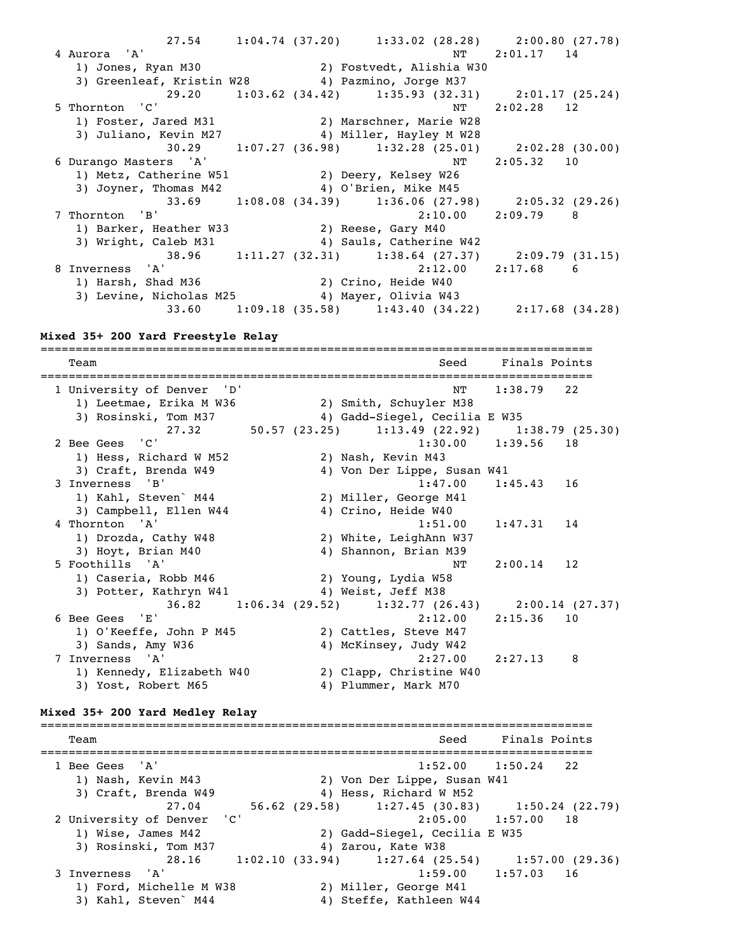27.54 1:04.74 (37.20) 1:33.02 (28.28) 2:00.80 (27.78) 4 Aurora 'A' 4 Aurora 'A' NT 2:01.17 14 1) Jones, Ryan M30 2) Fostvedt, Alishia W30 3) Greenleaf, Kristin W28 4) Pazmino, Jorge M37 29.20 1:03.62 (34.42) 1:35.93 (32.31) 2:01.17 (25.24)<br>5 Thornton 'C' RT 2:02.28 12 5 Thornton 'C' NT 2:02.28 12 1) Foster, Jared M31 2) Marschner, Marie W28 3) Juliano, Kevin M27 4) Miller, Hayley M W28 30.29 1:07.27 (36.98) 1:32.28 (25.01) 2:02.28 (30.00) 6 Durango Masters 'A' NT 2:05.32 10 1) Metz, Catherine W51 2) Deery, Kelsey W26 3) Joyner, Thomas M42 4) O'Brien, Mike M45 33.69 1:08.08 (34.39) 1:36.06 (27.98) 2:05.32 (29.26)<br>7 Thornton 'B' 2:10.00 2:09.79 8  $2:10.00$   $2:09.79$  8 1) Barker, Heather W33 2) Reese, Gary M40 3) Wright, Caleb M31 4) Sauls, Catherine W42 38.96 1:11.27 (32.31) 1:38.64 (27.37) 2:09.79 (31.15)<br>8 Inverness 'A' 2:12.00 2:17.68 6 Express 'A' 2:12.00 2:17.68 6<br>
1) Harsh, Shad M36 2) Crino, Heide W40 1) Harsh, Shad M36 2) Crino, Heide W40 3) Levine, Nicholas M25 4) Mayer, Olivia W43 33.60 1:09.18 (35.58) 1:43.40 (34.22) 2:17.68 (34.28)

#### **Mixed 35+ 200 Yard Freestyle Relay**

=============================================================================== Team Seed Finals Points =============================================================================== 1 University of Denver 'D' NT 1:38.79 22 1) Leetmae, Erika M W36 2) Smith, Schuyler M38 3) Rosinski, Tom M37 4) Gadd-Siegel, Cecilia E W35 27.32 50.57 (23.25) 1:13.49 (22.92) 1:38.79 (25.30) 2 Bee Gees 'C' 1:30.00 1:39.56 18 1) Hess, Richard W M52 2) Nash, Kevin M43 3) Craft, Brenda W49 4) Von Der Lippe, Susan W41 3 Inverness 'B' 1:47.00 1:45.43 16 1) Kahl, Steven` M44 2) Miller, George M41 3) Campbell, Ellen W44 4) Crino, Heide W40 4 Thornton 'A' 1:51.00 1:47.31 14 1) Drozda, Cathy W48 2) White, LeighAnn W37 3) Hoyt, Brian M40 4) Shannon, Brian M39 5 Foothills 'A' NT 2:00.14 12 1) Caseria, Robb M46 2) Young, Lydia W58 3) Potter, Kathryn W41 4) Weist, Jeff M38  $36.\overline{82}$  1:06.34 (29.52) 1:32.77 (26.43) 2:00.14 (27.37)<br>6 Bee Gees 'E' 2:12.00 2:15.36 10 6 Bee Gees 'E' 2:12.00 2:15.36 10 1) O'Keeffe, John P M45 2) Cattles, Steve M47 3) Sands, Amy W36 4) McKinsey, Judy W42 7 Inverness 'A' 2:27.00 2:27.13 8 1) Kennedy, Elizabeth W40 2) Clapp, Christine W40 3) Yost, Robert M65 4) Plummer, Mark M70

#### **Mixed 35+ 200 Yard Medley Relay**

=============================================================================== Team Seed Finals Points =============================================================================== 1 Bee Gees 'A' 1:52.00 1:50.24 22 1) Nash, Kevin M43 2) Von Der Lippe, Susan W41 3) Craft, Brenda W49 4) Hess, Richard W M52 27.04 56.62 (29.58) 1:27.45 (30.83) 1:50.24 (22.79) 2 University of Denver 'C' 2:05.00 1:57.00 18 1) Wise, James M42 2) Gadd-Siegel, Cecilia E W35 3) Rosinski, Tom M37 4) Zarou, Kate W38 28.16 1:02.10 (33.94) 1:27.64 (25.54) 1:57.00 (29.36)<br>3 Inverness 'A' 1:59.00 1:57.03 16  $1:59.00$   $1:57.03$  16 1) Ford, Michelle M W38 2) Miller, George M41 3) Kahl, Steven` M44 4) Steffe, Kathleen W44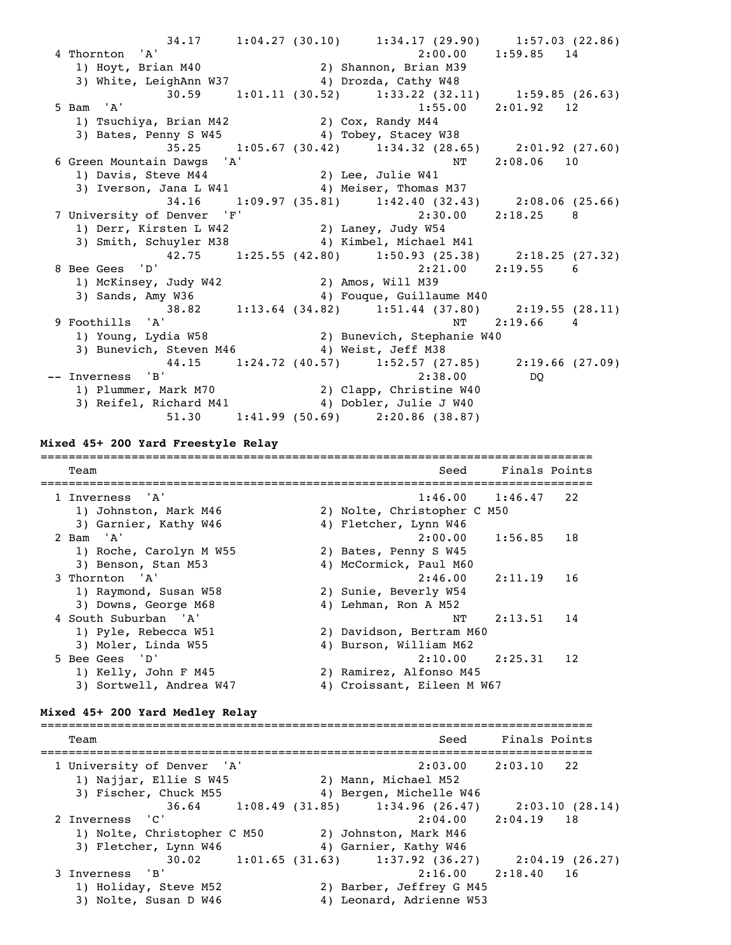$34.17$   $1:04.27$   $(30.10)$   $1:34.17$   $(29.90)$   $1:57.03$   $(22.86)$ <br>4 Thornton 'A'  $2:00.00$   $1:59.85$   $14$  4 Thornton 'A' 2:00.00 1:59.85 14 1) Hoyt, Brian M40 2) Shannon, Brian M39 3) White, LeighAnn W37 4) Drozda, Cathy W48 30.59 1:01.11 (30.52) 1:33.22 (32.11) 1:59.85 (26.63) 5 Bam 'A' 1:55.00 2:01.92 12 1) Tsuchiya, Brian M42 2) Cox, Randy M44 3) Bates, Penny S W45 4) Tobey, Stacey W38 35.25 1:05.67 (30.42) 1:34.32 (28.65) 2:01.92 (27.60) 6 Green Mountain Dawgs 'A' NT 2:08.06 10 1) Davis, Steve M44 2) Lee, Julie W41 3) Iverson, Jana L W41 4) Meiser, Thomas M37 34.16 1:09.97 (35.81) 1:42.40 (32.43) 2:08.06 (25.66) 7 University of Denver 'F' 2:30.00 2:18.25 8 1) Derr, Kirsten L W42 2) Laney, Judy W54 3) Smith, Schuyler M38 4) Kimbel, Michael M41 42.75 1:25.55 (42.80) 1:50.93 (25.38) 2:18.25 (27.32)<br>8 Bee Gees 'D' 2:21.00 2:19.55 6 8 Bee Gees 'D' 2:21.00 2:19.55 6 1) McKinsey, Judy W42 2) Amos, Will M39 3) Sands, Amy W36 4) Fouque, Guillaume M40 38.82 1:13.64 (34.82) 1:51.44 (37.80) 2:19.55 (28.11) 9 Foothills 'A' NT 2:19.66 4 1) Young, Lydia W58 2) Bunevich, Stephanie W40 3) T 2:<br>3) Young, Lydia W58 4 2) Bunevich, Stephanie W40<br>3) Bunevich, Steven M46 4) Weist, Jeff M38 44.15 1:24.72 (40.57) 1:52.57 (27.85) 2:19.66 (27.09) -- Inverness 'B' 2:38.00 DQ 1) Plummer, Mark M70 2) Clapp, Christine W40 3) Reifel, Richard M41 4) Dobler, Julie J W40 51.30 1:41.99 (50.69) 2:20.86 (38.87)

#### **Mixed 45+ 200 Yard Freestyle Relay**

=============================================================================== Team Seed Finals Points =============================================================================== 1 Inverness 'A' 1:46.00 1:46.47 22 1) Johnston, Mark M46 2) Nolte, Christopher C M50 3) Garnier, Kathy W46 4) Fletcher, Lynn W46 2 Bam 'A' 2:00.00 1:56.85 18 1) Roche, Carolyn M W55 2) Bates, Penny S W45 3) Benson, Stan M53 4) McCormick, Paul M60 3 Thornton 'A' 2:46.00 2:11.19 16 1) Raymond, Susan W58 2) Sunie, Beverly W54 3) Downs, George M68 4) Lehman, Ron A M52 4 South Suburban 'A' NT 2:13.51 14 1) Pyle, Rebecca W51 2) Davidson, Bertram M60 3) Moler, Linda W55 4) Burson, William M62 5 Bee Gees 'D' 2:10.00 2:25.31 12 1) Kelly, John F M45 2) Ramirez, Alfonso M45 3) Sortwell, Andrea W47 4) Croissant, Eileen M W67

#### **Mixed 45+ 200 Yard Medley Relay**

=============================================================================== Team Seed Finals Points =============================================================================== 1 University of Denver 'A' 2:03.00 2:03.10 22 1) Najjar, Ellie S W45 2) Mann, Michael M52 3) Fischer, Chuck M55 4) Bergen, Michelle W46 36.64 1:08.49 (31.85) 1:34.96 (26.47) 2:03.10 (28.14) 2 Inverness 'C' 2:04.00 2:04.19 18 1) Nolte, Christopher C M50 2) Johnston, Mark M46 3) Fletcher, Lynn W46 4) Garnier, Kathy W46 30.02 1:01.65 (31.63) 1:37.92 (36.27) 2:04.19 (26.27)<br>3 Inverness 'B' 2:16.00 2:18.40 16 3 Inverness 'B' 2:16.00 2:18.40 16 1) Holiday, Steve M52 2) Barber, Jeffrey G M45 3) Nolte, Susan D W46 4) Leonard, Adrienne W53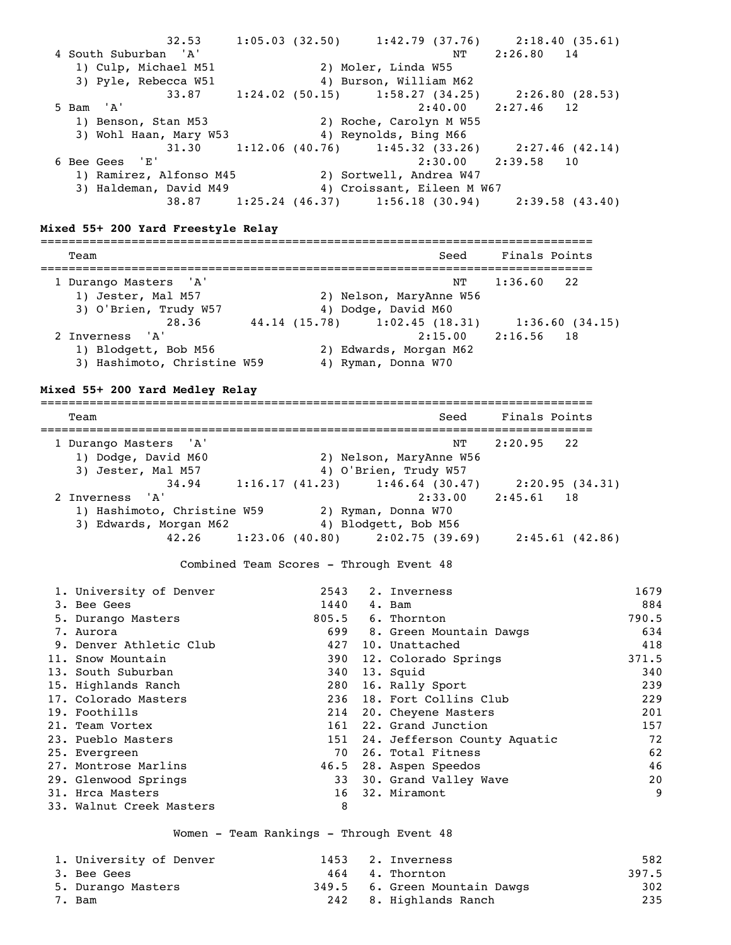32.53 1:05.03 (32.50) 1:42.79 (37.76) 2:18.40 (35.61) 4 South Suburban 'A' NT 2:26.80 14 1) Culp, Michael M51 2) Moler, Linda W55 3) Pyle, Rebecca W51 4) Burson, William M62 33.87 1:24.02 (50.15) 1:58.27 (34.25) 2:26.80 (28.53) 5 Bam 'A' 2:40.00 2:27.46 12 1) Benson, Stan M53 2) Roche, Carolyn M W55 3) Wohl Haan, Mary W53 4) Reynolds, Bing M66  $31.30$   $1:12.06$   $(40.76)$   $1:45.32$   $(33.26)$   $2:27.46$   $(42.14)$ <br>6 Bee Gees E'  $2:30.00$   $2:39.58$  10  $2:30.00$   $2:39.58$  10 1) Ramirez, Alfonso M45 2) Sortwell, Andrea W47 3) Haldeman, David M49 4) Croissant, Eileen M W67 38.87 1:25.24 (46.37) 1:56.18 (30.94) 2:39.58 (43.40) **Mixed 55+ 200 Yard Freestyle Relay** =============================================================================== Team Seed Finals Points =============================================================================== 1 Durango Masters 'A' NT 1:36.60 22 1) Jester, Mal M57 2) Nelson, MaryAnne W56 3) O'Brien, Trudy W57 4) Dodge, David M60 28.36 44.14 (15.78) 1:02.45 (18.31) 1:36.60 (34.15) 2 Inverness 'A' 2:15.00 2:16.56 18<br>1) Blodgett, Bob M56 2) Edwards, Morgan M62 1) Blodgett, Bob M56 2) Edwards, Morgan M62 3) Hashimoto, Christine W59 4) Ryman, Donna W70 **Mixed 55+ 200 Yard Medley Relay** =============================================================================== Team Seed Finals Points =============================================================================== 1 Durango Masters 'A' NT 2:20.95 22 1) Dodge, David M60 2) Nelson, MaryAnne W56 3) Jester, Mal M57 4) O'Brien, Trudy W57 34.94 1:16.17 (41.23) 1:46.64 (30.47) 2:20.95 (34.31) 2 Inverness 'A' 2:33.00 2:45.61 18 1) Hashimoto, Christine W59 2) Ryman, Donna W70 1) Hashimoto, Christine W59 2) Ryman, Donna W70<br>3) Edwards, Morgan M62 4) Blodgett, Bob M56 42.26 1:23.06 (40.80) 2:02.75 (39.69) 2:45.61 (42.86) Combined Team Scores - Through Event 48 1. University of Denver 2543 2. Inverness 1679 3. Bee Gees 1440 4. Bam 884 5. Durango Masters 805.5 6. Thornton 790.5 7. Aurora 699 8. Green Mountain Dawgs 634 9. Denver Athletic Club  $427$  10. Unattached  $418$ <br>11. Snow Mountain  $390$  12. Colorado Springs  $371.5$  11. Snow Mountain 390 12. Colorado Springs 371.5 13. South Suburban 340 13. Squid 340 15. Highlands Ranch 280 16. Rally Sport 239 11. Show Houncain<br>
13. South Suburban<br>
15. Highlands Ranch<br>
17. Colorado Masters<br>
236 18. Fort Collins Club 229<br>
236 18. Fort Collins Club 229<br>
239 16. Rally Sport<br>
236 18. Fort Collins Club 229<br>
201<br>
201<br>
201<br>
201<br>
201<br>
2 19. Foothills 214 20. Cheyene Masters 201 21. Team Vortex 161 22. Grand Junction 157 23. Pueblo Masters 151 24. Jefferson County Aquatic 72 25. Evergreen 70 26. Total Fitness 62 27. Montrose Marlins 46.5 28. Aspen Speedos 46 29. Glenwood Springs 33 30. Grand Valley Wave 20 31. Hrca Masters 16 32. Miramont 9 33. Walnut Creek Masters 8

Women - Team Rankings - Through Event 48

| 1. University of Denver |  | 1453 2. Inverness             | 582   |
|-------------------------|--|-------------------------------|-------|
| 3. Bee Gees             |  | 464 4. Thornton               | 397.5 |
| 5. Durango Masters      |  | 349.5 6. Green Mountain Dawgs | 302   |
| 7. Bam                  |  | 242 8. Highlands Ranch        | 235   |